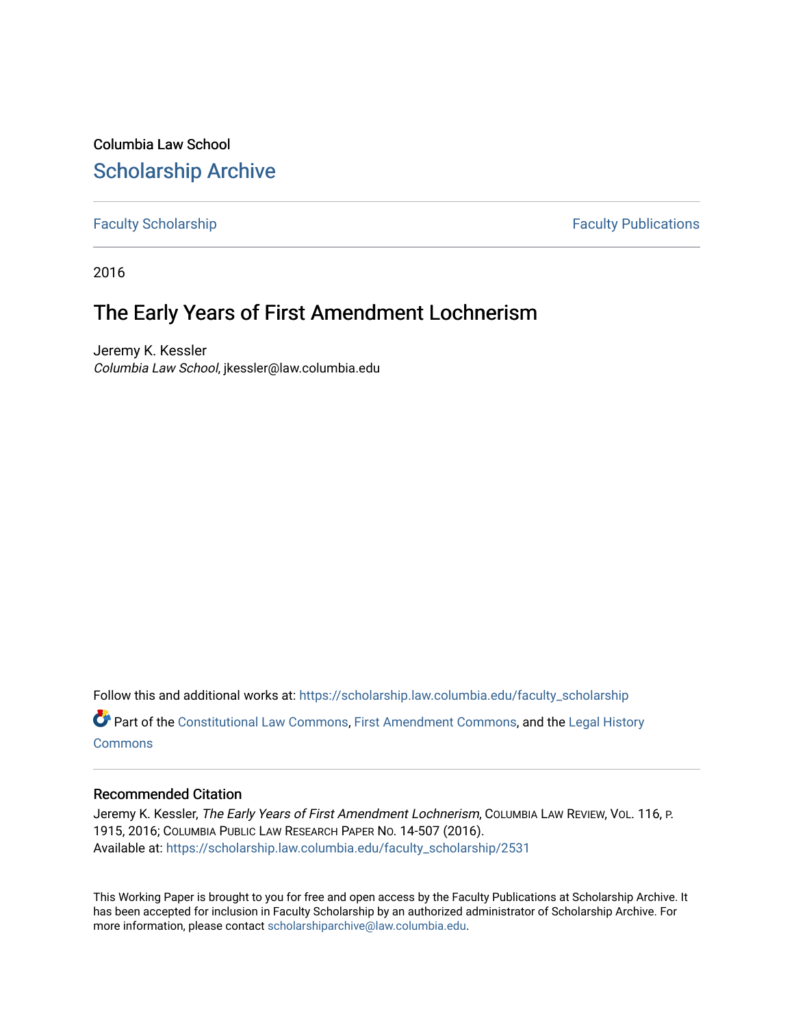Columbia Law School [Scholarship Archive](https://scholarship.law.columbia.edu/) 

[Faculty Scholarship](https://scholarship.law.columbia.edu/faculty_scholarship) **Faculty Scholarship Faculty Publications** 

2016

# The Early Years of First Amendment Lochnerism

Jeremy K. Kessler Columbia Law School, jkessler@law.columbia.edu

Follow this and additional works at: [https://scholarship.law.columbia.edu/faculty\\_scholarship](https://scholarship.law.columbia.edu/faculty_scholarship?utm_source=scholarship.law.columbia.edu%2Ffaculty_scholarship%2F2531&utm_medium=PDF&utm_campaign=PDFCoverPages) Part of the [Constitutional Law Commons,](http://network.bepress.com/hgg/discipline/589?utm_source=scholarship.law.columbia.edu%2Ffaculty_scholarship%2F2531&utm_medium=PDF&utm_campaign=PDFCoverPages) [First Amendment Commons,](http://network.bepress.com/hgg/discipline/1115?utm_source=scholarship.law.columbia.edu%2Ffaculty_scholarship%2F2531&utm_medium=PDF&utm_campaign=PDFCoverPages) and the [Legal History](http://network.bepress.com/hgg/discipline/904?utm_source=scholarship.law.columbia.edu%2Ffaculty_scholarship%2F2531&utm_medium=PDF&utm_campaign=PDFCoverPages) **[Commons](http://network.bepress.com/hgg/discipline/904?utm_source=scholarship.law.columbia.edu%2Ffaculty_scholarship%2F2531&utm_medium=PDF&utm_campaign=PDFCoverPages)** 

## Recommended Citation

Jeremy K. Kessler, The Early Years of First Amendment Lochnerism, COLUMBIA LAW REVIEW, VOL. 116, P. 1915, 2016; COLUMBIA PUBLIC LAW RESEARCH PAPER NO. 14-507 (2016). Available at: [https://scholarship.law.columbia.edu/faculty\\_scholarship/2531](https://scholarship.law.columbia.edu/faculty_scholarship/2531?utm_source=scholarship.law.columbia.edu%2Ffaculty_scholarship%2F2531&utm_medium=PDF&utm_campaign=PDFCoverPages)

This Working Paper is brought to you for free and open access by the Faculty Publications at Scholarship Archive. It has been accepted for inclusion in Faculty Scholarship by an authorized administrator of Scholarship Archive. For more information, please contact [scholarshiparchive@law.columbia.edu.](mailto:scholarshiparchive@law.columbia.edu)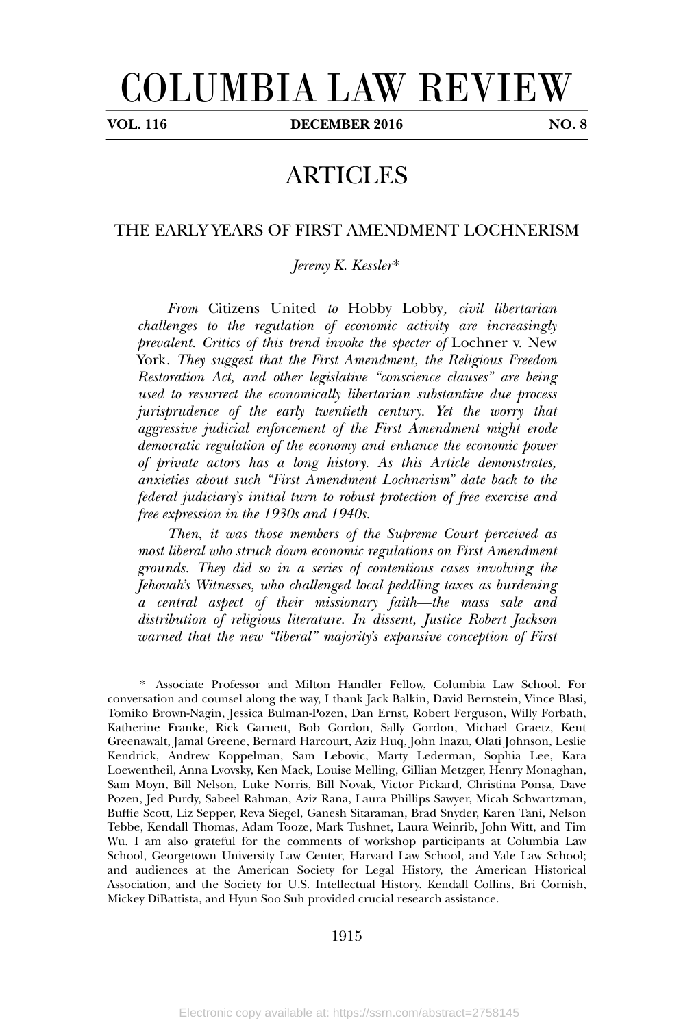# COLUMBIA LAW REVIEW

**VOL. 116 DECEMBER 2016 NO. 8**

# ARTICLES

### THE EARLY YEARS OF FIRST AMENDMENT LOCHNERISM

*Jeremy K. Kessler*\*

*From* Citizens United *to* Hobby Lobby*, civil libertarian challenges to the regulation of economic activity are increasingly prevalent. Critics of this trend invoke the specter of* Lochner v. New York*. They suggest that the First Amendment, the Religious Freedom Restoration Act, and other legislative "conscience clauses" are being used to resurrect the economically libertarian substantive due process jurisprudence of the early twentieth century. Yet the worry that aggressive judicial enforcement of the First Amendment might erode democratic regulation of the economy and enhance the economic power of private actors has a long history. As this Article demonstrates, anxieties about such "First Amendment Lochnerism" date back to the federal judiciary's initial turn to robust protection of free exercise and free expression in the 1930s and 1940s.*

*Then, it was those members of the Supreme Court perceived as most liberal who struck down economic regulations on First Amendment grounds. They did so in a series of contentious cases involving the Jehovah's Witnesses, who challenged local peddling taxes as burdening a central aspect of their missionary faith—the mass sale and distribution of religious literature. In dissent, Justice Robert Jackson warned that the new "liberal" majority's expansive conception of First*

<sup>\*.</sup> Associate Professor and Milton Handler Fellow, Columbia Law School. For conversation and counsel along the way, I thank Jack Balkin, David Bernstein, Vince Blasi, Tomiko Brown-Nagin, Jessica Bulman-Pozen, Dan Ernst, Robert Ferguson, Willy Forbath, Katherine Franke, Rick Garnett, Bob Gordon, Sally Gordon, Michael Graetz, Kent Greenawalt, Jamal Greene, Bernard Harcourt, Aziz Huq, John Inazu, Olati Johnson, Leslie Kendrick, Andrew Koppelman, Sam Lebovic, Marty Lederman, Sophia Lee, Kara Loewentheil, Anna Lvovsky, Ken Mack, Louise Melling, Gillian Metzger, Henry Monaghan, Sam Moyn, Bill Nelson, Luke Norris, Bill Novak, Victor Pickard, Christina Ponsa, Dave Pozen, Jed Purdy, Sabeel Rahman, Aziz Rana, Laura Phillips Sawyer, Micah Schwartzman, Buffie Scott, Liz Sepper, Reva Siegel, Ganesh Sitaraman, Brad Snyder, Karen Tani, Nelson Tebbe, Kendall Thomas, Adam Tooze, Mark Tushnet, Laura Weinrib, John Witt, and Tim Wu. I am also grateful for the comments of workshop participants at Columbia Law School, Georgetown University Law Center, Harvard Law School, and Yale Law School; and audiences at the American Society for Legal History, the American Historical Association, and the Society for U.S. Intellectual History. Kendall Collins, Bri Cornish, Mickey DiBattista, and Hyun Soo Suh provided crucial research assistance.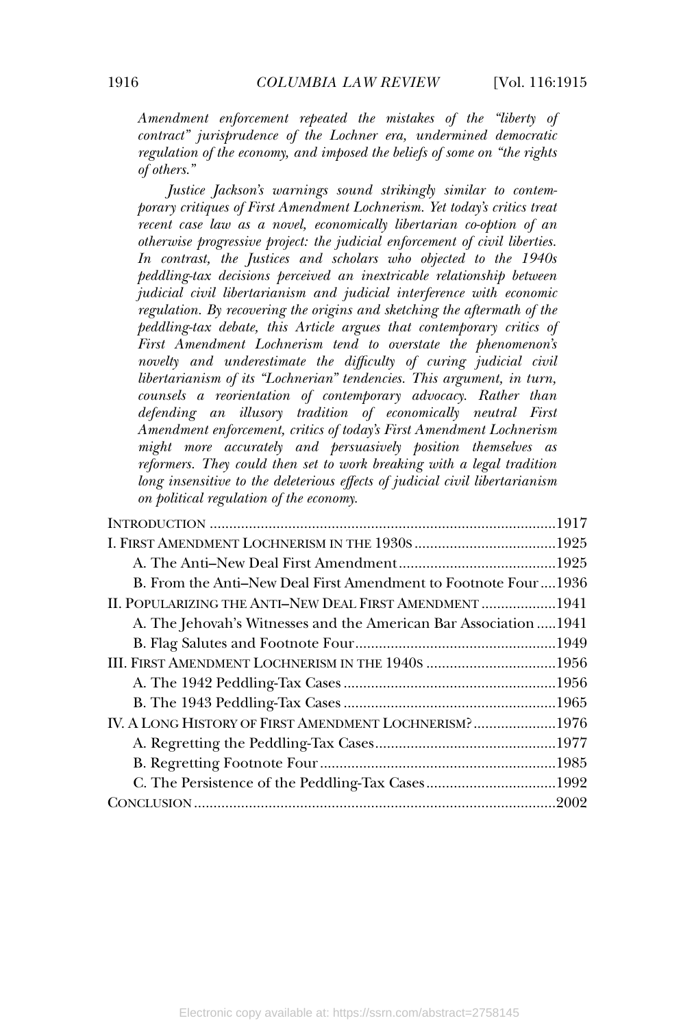*Amendment enforcement repeated the mistakes of the "liberty of contract" jurisprudence of the Lochner era, undermined democratic regulation of the economy, and imposed the beliefs of some on "the rights of others."*

*Justice Jackson's warnings sound strikingly similar to contemporary critiques of First Amendment Lochnerism. Yet today's critics treat recent case law as a novel, economically libertarian co-option of an otherwise progressive project: the judicial enforcement of civil liberties. In contrast, the Justices and scholars who objected to the 1940s peddling-tax decisions perceived an inextricable relationship between judicial civil libertarianism and judicial interference with economic regulation. By recovering the origins and sketching the aftermath of the peddling-tax debate, this Article argues that contemporary critics of First Amendment Lochnerism tend to overstate the phenomenon's novelty and underestimate the difficulty of curing judicial civil libertarianism of its "Lochnerian" tendencies. This argument, in turn, counsels a reorientation of contemporary advocacy. Rather than defending an illusory tradition of economically neutral First Amendment enforcement, critics of today's First Amendment Lochnerism might more accurately and persuasively position themselves as reformers. They could then set to work breaking with a legal tradition long insensitive to the deleterious effects of judicial civil libertarianism on political regulation of the economy.*

| B. From the Anti–New Deal First Amendment to Footnote Four1936    |  |
|-------------------------------------------------------------------|--|
| II. POPULARIZING THE ANTI-NEW DEAL FIRST AMENDMENT 1941           |  |
| A. The Jehovah's Witnesses and the American Bar Association  1941 |  |
|                                                                   |  |
| III. FIRST AMENDMENT LOCHNERISM IN THE 1940S 1956                 |  |
|                                                                   |  |
|                                                                   |  |
| IV. A LONG HISTORY OF FIRST AMENDMENT LOCHNERISM?1976             |  |
|                                                                   |  |
|                                                                   |  |
|                                                                   |  |
|                                                                   |  |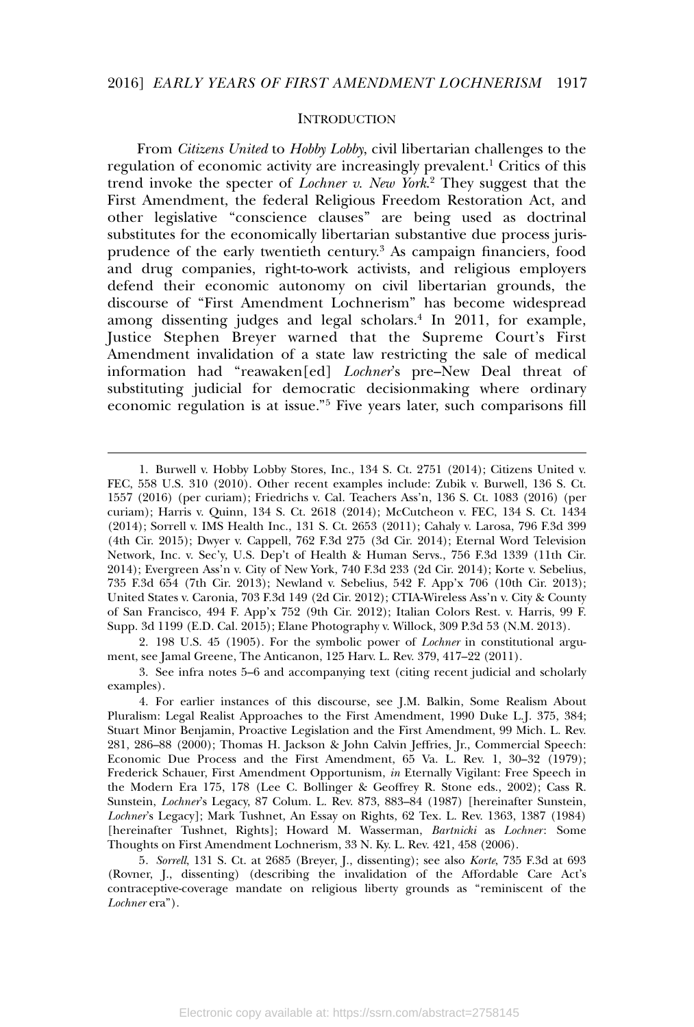#### **INTRODUCTION**

From *Citizens United* to *Hobby Lobby*, civil libertarian challenges to the regulation of economic activity are increasingly prevalent.<sup>1</sup> Critics of this trend invoke the specter of *Lochner v. New York*. <sup>2</sup> They suggest that the First Amendment, the federal Religious Freedom Restoration Act, and other legislative "conscience clauses" are being used as doctrinal substitutes for the economically libertarian substantive due process jurisprudence of the early twentieth century.<sup>3</sup> As campaign financiers, food and drug companies, right-to-work activists, and religious employers defend their economic autonomy on civil libertarian grounds, the discourse of "First Amendment Lochnerism" has become widespread among dissenting judges and legal scholars.<sup>4</sup> In 2011, for example, Justice Stephen Breyer warned that the Supreme Court's First Amendment invalidation of a state law restricting the sale of medical information had "reawaken[ed] *Lochner*'s pre–New Deal threat of substituting judicial for democratic decisionmaking where ordinary economic regulation is at issue."<sup>5</sup> Five years later, such comparisons fill

2. 198 U.S. 45 (1905). For the symbolic power of *Lochner* in constitutional argument, see Jamal Greene, The Anticanon, 125 Harv. L. Rev. 379, 417–22 (2011).

<sup>1.</sup> Burwell v. Hobby Lobby Stores, Inc., 134 S. Ct. 2751 (2014); Citizens United v. FEC, 558 U.S. 310 (2010). Other recent examples include: Zubik v. Burwell, 136 S. Ct. 1557 (2016) (per curiam); Friedrichs v. Cal. Teachers Ass'n, 136 S. Ct. 1083 (2016) (per curiam); Harris v. Quinn, 134 S. Ct. 2618 (2014); McCutcheon v. FEC, 134 S. Ct. 1434 (2014); Sorrell v. IMS Health Inc., 131 S. Ct. 2653 (2011); Cahaly v. Larosa, 796 F.3d 399 (4th Cir. 2015); Dwyer v. Cappell, 762 F.3d 275 (3d Cir. 2014); Eternal Word Television Network, Inc. v. Sec'y, U.S. Dep't of Health & Human Servs., 756 F.3d 1339 (11th Cir. 2014); Evergreen Ass'n v. City of New York, 740 F.3d 233 (2d Cir. 2014); Korte v. Sebelius, 735 F.3d 654 (7th Cir. 2013); Newland v. Sebelius, 542 F. App'x 706 (10th Cir. 2013); United States v. Caronia, 703 F.3d 149 (2d Cir. 2012); CTIA-Wireless Ass'n v. City & County of San Francisco, 494 F. App'x 752 (9th Cir. 2012); Italian Colors Rest. v. Harris, 99 F. Supp. 3d 1199 (E.D. Cal. 2015); Elane Photography v. Willock, 309 P.3d 53 (N.M. 2013).

<sup>3.</sup> See infra notes 5–6 and accompanying text (citing recent judicial and scholarly examples).

<sup>4.</sup> For earlier instances of this discourse, see J.M. Balkin, Some Realism About Pluralism: Legal Realist Approaches to the First Amendment, 1990 Duke L.J. 375, 384; Stuart Minor Benjamin, Proactive Legislation and the First Amendment, 99 Mich. L. Rev. 281, 286–88 (2000); Thomas H. Jackson & John Calvin Jeffries, Jr., Commercial Speech: Economic Due Process and the First Amendment, 65 Va. L. Rev. 1, 30–32 (1979); Frederick Schauer, First Amendment Opportunism, *in* Eternally Vigilant: Free Speech in the Modern Era 175, 178 (Lee C. Bollinger & Geoffrey R. Stone eds., 2002); Cass R. Sunstein, *Lochner*'s Legacy, 87 Colum. L. Rev. 873, 883–84 (1987) [hereinafter Sunstein, *Lochner*'s Legacy]; Mark Tushnet, An Essay on Rights, 62 Tex. L. Rev. 1363, 1387 (1984) [hereinafter Tushnet, Rights]; Howard M. Wasserman, *Bartnicki* as *Lochner*: Some Thoughts on First Amendment Lochnerism, 33 N. Ky. L. Rev. 421, 458 (2006).

<sup>5</sup>*. Sorrell*, 131 S. Ct. at 2685 (Breyer, J., dissenting); see also *Korte*, 735 F.3d at 693 (Rovner, J., dissenting) (describing the invalidation of the Affordable Care Act's contraceptive-coverage mandate on religious liberty grounds as "reminiscent of the *Lochner* era").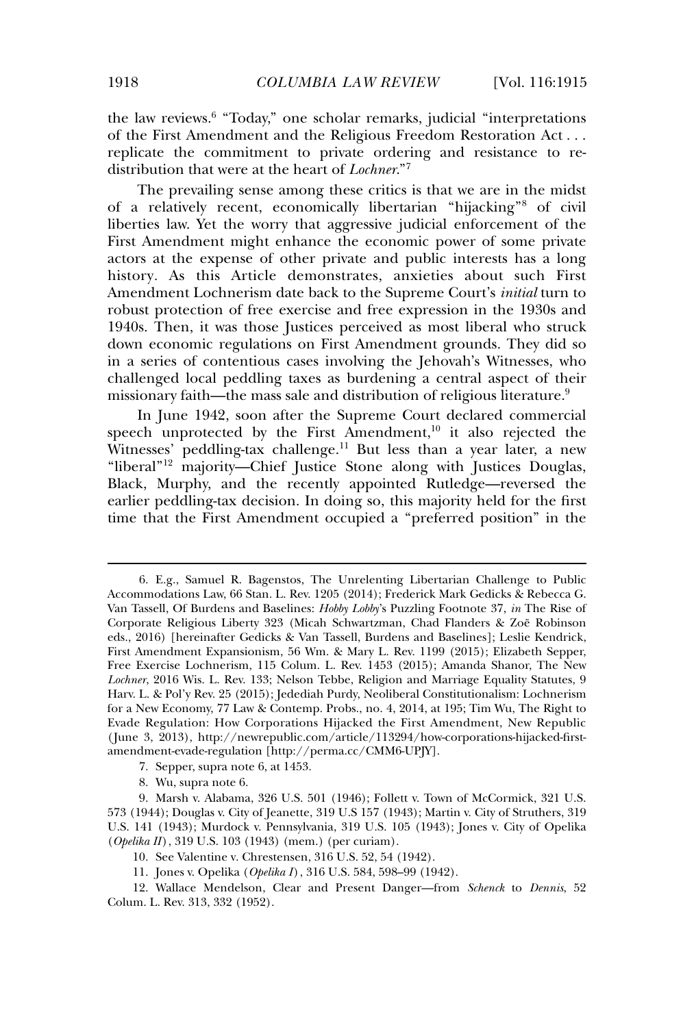the law reviews.<sup>6</sup> "Today," one scholar remarks, judicial "interpretations of the First Amendment and the Religious Freedom Restoration Act . . . replicate the commitment to private ordering and resistance to redistribution that were at the heart of *Lochner*."<sup>7</sup>

The prevailing sense among these critics is that we are in the midst of a relatively recent, economically libertarian "hijacking"<sup>8</sup> of civil liberties law. Yet the worry that aggressive judicial enforcement of the First Amendment might enhance the economic power of some private actors at the expense of other private and public interests has a long history*.* As this Article demonstrates, anxieties about such First Amendment Lochnerism date back to the Supreme Court's *initial* turn to robust protection of free exercise and free expression in the 1930s and 1940s. Then, it was those Justices perceived as most liberal who struck down economic regulations on First Amendment grounds. They did so in a series of contentious cases involving the Jehovah's Witnesses, who challenged local peddling taxes as burdening a central aspect of their missionary faith—the mass sale and distribution of religious literature.<sup>9</sup>

In June 1942, soon after the Supreme Court declared commercial speech unprotected by the First Amendment,<sup>10</sup> it also rejected the Witnesses' peddling-tax challenge.<sup>11</sup> But less than a year later, a new "liberal"<sup>12</sup> majority--Chief Justice Stone along with Justices Douglas, Black, Murphy, and the recently appointed Rutledge—reversed the earlier peddling-tax decision. In doing so, this majority held for the first time that the First Amendment occupied a "preferred position" in the

<sup>6.</sup> E.g., Samuel R. Bagenstos, The Unrelenting Libertarian Challenge to Public Accommodations Law, 66 Stan. L. Rev. 1205 (2014); Frederick Mark Gedicks & Rebecca G. Van Tassell, Of Burdens and Baselines: *Hobby Lobby*'s Puzzling Footnote 37, *in* The Rise of Corporate Religious Liberty 323 (Micah Schwartzman, Chad Flanders & Zoë Robinson eds., 2016) [hereinafter Gedicks & Van Tassell, Burdens and Baselines]; Leslie Kendrick, First Amendment Expansionism, 56 Wm. & Mary L. Rev. 1199 (2015); Elizabeth Sepper, Free Exercise Lochnerism, 115 Colum. L. Rev. 1453 (2015); Amanda Shanor, The New *Lochner*, 2016 Wis. L. Rev. 133; Nelson Tebbe, Religion and Marriage Equality Statutes, 9 Harv. L. & Pol'y Rev. 25 (2015); Jedediah Purdy, Neoliberal Constitutionalism: Lochnerism for a New Economy, 77 Law & Contemp. Probs., no. 4, 2014, at 195; Tim Wu, The Right to Evade Regulation: How Corporations Hijacked the First Amendment, New Republic ( June 3, 2013), http://newrepublic.com/article/113294/how-corporations-hijacked-firstamendment-evade-regulation [http://perma.cc/CMM6-UPJY].

<sup>7.</sup> Sepper, supra note 6, at 1453.

<sup>8.</sup> Wu, supra note 6.

<sup>9.</sup> Marsh v. Alabama, 326 U.S. 501 (1946); Follett v. Town of McCormick, 321 U.S. 573 (1944); Douglas v. City of Jeanette, 319 U.S 157 (1943); Martin v. City of Struthers, 319 U.S. 141 (1943); Murdock v. Pennsylvania, 319 U.S. 105 (1943); Jones v. City of Opelika (*Opelika II*), 319 U.S. 103 (1943) (mem.) (per curiam).

<sup>10.</sup> See Valentine v. Chrestensen, 316 U.S. 52, 54 (1942).

<sup>11.</sup> Jones v. Opelika (*Opelika I*), 316 U.S. 584, 598–99 (1942).

<sup>12.</sup> Wallace Mendelson, Clear and Present Danger—from *Schenck* to *Dennis*, 52 Colum. L. Rev. 313, 332 (1952).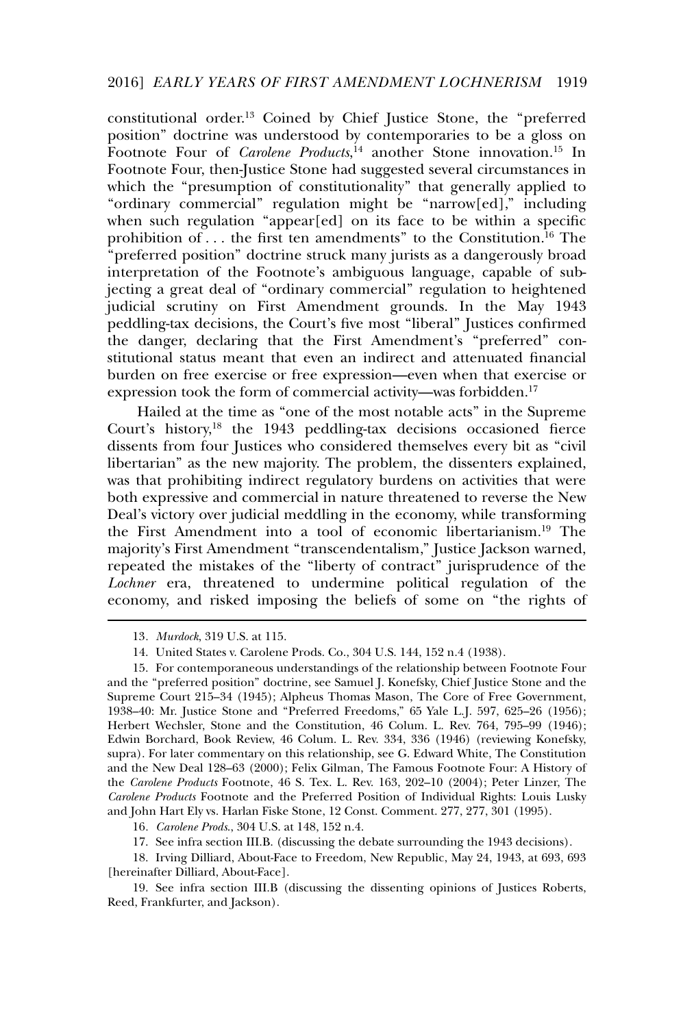constitutional order.<sup>13</sup> Coined by Chief Justice Stone, the "preferred position" doctrine was understood by contemporaries to be a gloss on Footnote Four of *Carolene Products*, <sup>14</sup> another Stone innovation.<sup>15</sup> In Footnote Four, then-Justice Stone had suggested several circumstances in which the "presumption of constitutionality" that generally applied to "ordinary commercial" regulation might be "narrow[ed]," including when such regulation "appear[ed] on its face to be within a specific prohibition of  $\dots$  the first ten amendments" to the Constitution.<sup>16</sup> The "preferred position" doctrine struck many jurists as a dangerously broad interpretation of the Footnote's ambiguous language, capable of subjecting a great deal of "ordinary commercial" regulation to heightened judicial scrutiny on First Amendment grounds. In the May 1943 peddling-tax decisions, the Court's five most "liberal" Justices confirmed the danger, declaring that the First Amendment's "preferred" constitutional status meant that even an indirect and attenuated financial burden on free exercise or free expression—even when that exercise or expression took the form of commercial activity—was forbidden.<sup>17</sup>

Hailed at the time as "one of the most notable acts" in the Supreme Court's history,<sup>18</sup> the 1943 peddling-tax decisions occasioned fierce dissents from four Justices who considered themselves every bit as "civil libertarian" as the new majority. The problem, the dissenters explained, was that prohibiting indirect regulatory burdens on activities that were both expressive and commercial in nature threatened to reverse the New Deal's victory over judicial meddling in the economy, while transforming the First Amendment into a tool of economic libertarianism.<sup>19</sup> The majority's First Amendment "transcendentalism," Justice Jackson warned, repeated the mistakes of the "liberty of contract" jurisprudence of the *Lochner* era, threatened to undermine political regulation of the economy, and risked imposing the beliefs of some on "the rights of

16*. Carolene Prods*., 304 U.S. at 148, 152 n.4.

18. Irving Dilliard, About-Face to Freedom, New Republic, May 24, 1943, at 693, 693 [hereinafter Dilliard, About-Face].

19. See infra section III.B (discussing the dissenting opinions of Justices Roberts, Reed, Frankfurter, and Jackson).

<sup>13</sup>*. Murdock*, 319 U.S. at 115.

<sup>14.</sup> United States v. Carolene Prods. Co., 304 U.S. 144, 152 n.4 (1938).

<sup>15.</sup> For contemporaneous understandings of the relationship between Footnote Four and the "preferred position" doctrine, see Samuel J. Konefsky, Chief Justice Stone and the Supreme Court 215–34 (1945); Alpheus Thomas Mason, The Core of Free Government, 1938–40: Mr. Justice Stone and "Preferred Freedoms," 65 Yale L.J. 597, 625–26 (1956); Herbert Wechsler, Stone and the Constitution, 46 Colum. L. Rev. 764, 795–99 (1946); Edwin Borchard, Book Review, 46 Colum. L. Rev. 334, 336 (1946) (reviewing Konefsky, supra). For later commentary on this relationship, see G. Edward White, The Constitution and the New Deal 128–63 (2000); Felix Gilman, The Famous Footnote Four: A History of the *Carolene Products* Footnote, 46 S. Tex. L. Rev. 163, 202–10 (2004); Peter Linzer, The *Carolene Products* Footnote and the Preferred Position of Individual Rights: Louis Lusky and John Hart Ely vs. Harlan Fiske Stone, 12 Const. Comment. 277, 277, 301 (1995).

<sup>17.</sup> See infra section III.B. (discussing the debate surrounding the 1943 decisions).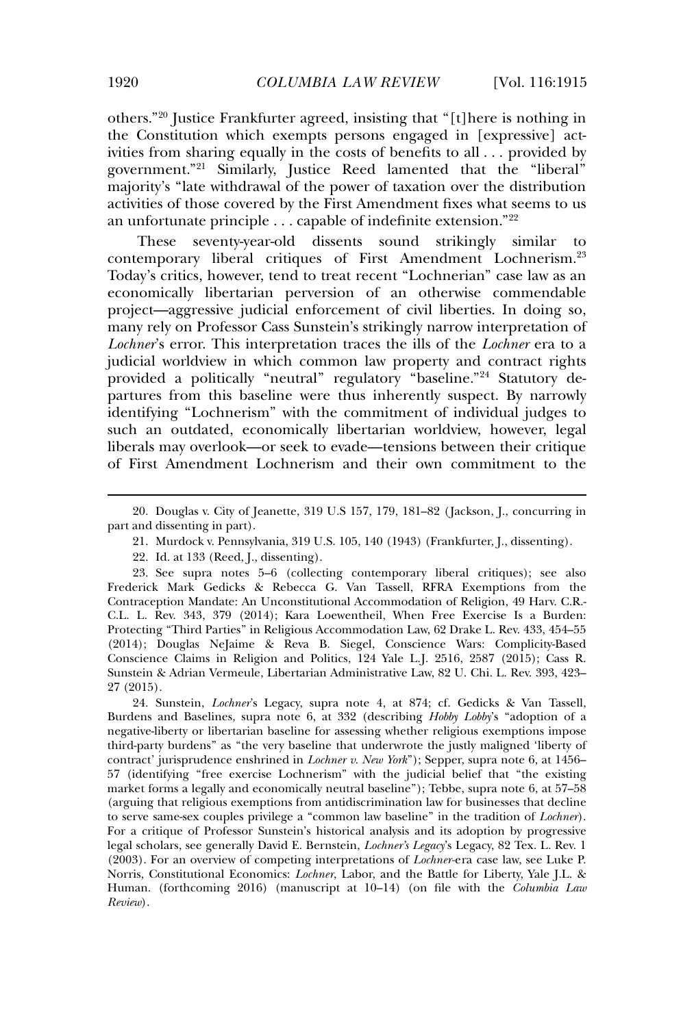others."<sup>20</sup> Justice Frankfurter agreed, insisting that "[t]here is nothing in the Constitution which exempts persons engaged in [expressive] activities from sharing equally in the costs of benefits to all . . . provided by government."<sup>21</sup> Similarly, Justice Reed lamented that the "liberal" majority's "late withdrawal of the power of taxation over the distribution activities of those covered by the First Amendment fixes what seems to us an unfortunate principle . . . capable of indefinite extension."<sup>22</sup>

These seventy-year-old dissents sound strikingly similar to contemporary liberal critiques of First Amendment Lochnerism.<sup>23</sup> Today's critics, however, tend to treat recent "Lochnerian" case law as an economically libertarian perversion of an otherwise commendable project—aggressive judicial enforcement of civil liberties. In doing so, many rely on Professor Cass Sunstein's strikingly narrow interpretation of *Lochner*'s error. This interpretation traces the ills of the *Lochner* era to a judicial worldview in which common law property and contract rights provided a politically "neutral" regulatory "baseline."<sup>24</sup> Statutory departures from this baseline were thus inherently suspect. By narrowly identifying "Lochnerism" with the commitment of individual judges to such an outdated, economically libertarian worldview, however, legal liberals may overlook—or seek to evade—tensions between their critique of First Amendment Lochnerism and their own commitment to the

<sup>20.</sup> Douglas v. City of Jeanette, 319 U.S 157, 179, 181–82 ( Jackson, J., concurring in part and dissenting in part).

<sup>21.</sup> Murdock v. Pennsylvania, 319 U.S. 105, 140 (1943) (Frankfurter, J., dissenting).

<sup>22.</sup> Id. at 133 (Reed, J., dissenting).

<sup>23.</sup> See supra notes 5–6 (collecting contemporary liberal critiques); see also Frederick Mark Gedicks & Rebecca G. Van Tassell, RFRA Exemptions from the Contraception Mandate: An Unconstitutional Accommodation of Religion, 49 Harv. C.R.- C.L. L. Rev. 343, 379 (2014); Kara Loewentheil, When Free Exercise Is a Burden: Protecting "Third Parties" in Religious Accommodation Law, 62 Drake L. Rev. 433, 454–55 (2014); Douglas NeJaime & Reva B. Siegel, Conscience Wars: Complicity-Based Conscience Claims in Religion and Politics, 124 Yale L.J. 2516, 2587 (2015); Cass R. Sunstein & Adrian Vermeule, Libertarian Administrative Law, 82 U. Chi. L. Rev. 393, 423– 27 (2015).

<sup>24.</sup> Sunstein, *Lochner*'s Legacy, supra note 4, at 874; cf. Gedicks & Van Tassell, Burdens and Baselines, supra note 6, at 332 (describing *Hobby Lobby*'s "adoption of a negative-liberty or libertarian baseline for assessing whether religious exemptions impose third-party burdens" as "the very baseline that underwrote the justly maligned 'liberty of contract' jurisprudence enshrined in *Lochner v. New York*"); Sepper, supra note 6, at 1456– 57 (identifying "free exercise Lochnerism" with the judicial belief that "the existing market forms a legally and economically neutral baseline"); Tebbe, supra note 6, at 57–58 (arguing that religious exemptions from antidiscrimination law for businesses that decline to serve same-sex couples privilege a "common law baseline" in the tradition of *Lochner*). For a critique of Professor Sunstein's historical analysis and its adoption by progressive legal scholars, see generally David E. Bernstein, *Lochner's Legacy*'s Legacy, 82 Tex. L. Rev. 1 (2003). For an overview of competing interpretations of *Lochner-*era case law, see Luke P. Norris, Constitutional Economics: *Lochner*, Labor, and the Battle for Liberty, Yale J.L. & Human. (forthcoming 2016) (manuscript at 10–14) (on file with the *Columbia Law Review*).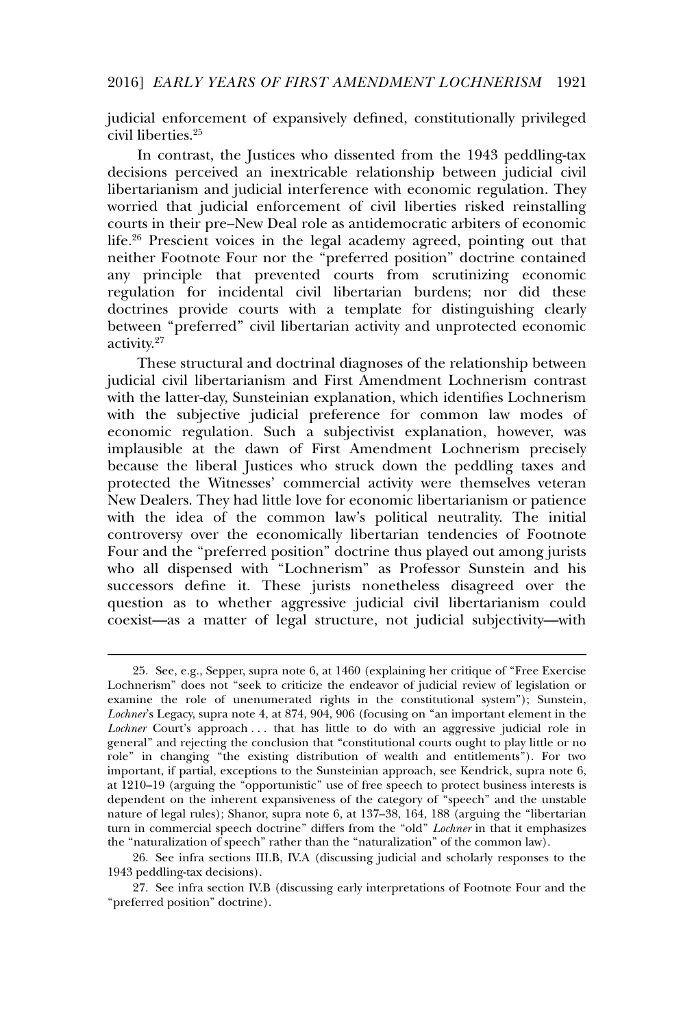judicial enforcement of expansively defined, constitutionally privileged civil liberties.<sup>25</sup>

In contrast, the Justices who dissented from the 1943 peddling-tax decisions perceived an inextricable relationship between judicial civil libertarianism and judicial interference with economic regulation. They worried that judicial enforcement of civil liberties risked reinstalling courts in their pre–New Deal role as antidemocratic arbiters of economic life.<sup>26</sup> Prescient voices in the legal academy agreed, pointing out that neither Footnote Four nor the "preferred position" doctrine contained any principle that prevented courts from scrutinizing economic regulation for incidental civil libertarian burdens; nor did these doctrines provide courts with a template for distinguishing clearly between "preferred" civil libertarian activity and unprotected economic activity.<sup>27</sup>

These structural and doctrinal diagnoses of the relationship between judicial civil libertarianism and First Amendment Lochnerism contrast with the latter-day, Sunsteinian explanation, which identifies Lochnerism with the subjective judicial preference for common law modes of economic regulation. Such a subjectivist explanation, however, was implausible at the dawn of First Amendment Lochnerism precisely because the liberal Justices who struck down the peddling taxes and protected the Witnesses' commercial activity were themselves veteran New Dealers. They had little love for economic libertarianism or patience with the idea of the common law's political neutrality. The initial controversy over the economically libertarian tendencies of Footnote Four and the "preferred position" doctrine thus played out among jurists who all dispensed with "Lochnerism" as Professor Sunstein and his successors define it. These jurists nonetheless disagreed over the question as to whether aggressive judicial civil libertarianism could coexist—as a matter of legal structure, not judicial subjectivity—with

<sup>25.</sup> See, e.g., Sepper, supra note 6, at 1460 (explaining her critique of "Free Exercise Lochnerism" does not "seek to criticize the endeavor of judicial review of legislation or examine the role of unenumerated rights in the constitutional system"); Sunstein, *Lochner*'s Legacy, supra note 4, at 874, 904, 906 (focusing on "an important element in the *Lochner* Court's approach ... that has little to do with an aggressive judicial role in general" and rejecting the conclusion that "constitutional courts ought to play little or no role" in changing "the existing distribution of wealth and entitlements"). For two important, if partial, exceptions to the Sunsteinian approach, see Kendrick, supra note 6, at 1210–19 (arguing the "opportunistic" use of free speech to protect business interests is dependent on the inherent expansiveness of the category of "speech" and the unstable nature of legal rules); Shanor, supra note 6, at 137–38, 164, 188 (arguing the "libertarian turn in commercial speech doctrine" differs from the "old" *Lochner* in that it emphasizes the "naturalization of speech" rather than the "naturalization" of the common law).

<sup>26.</sup> See infra sections III.B, IV.A (discussing judicial and scholarly responses to the 1943 peddling-tax decisions).

<sup>27.</sup> See infra section IV.B (discussing early interpretations of Footnote Four and the "preferred position" doctrine).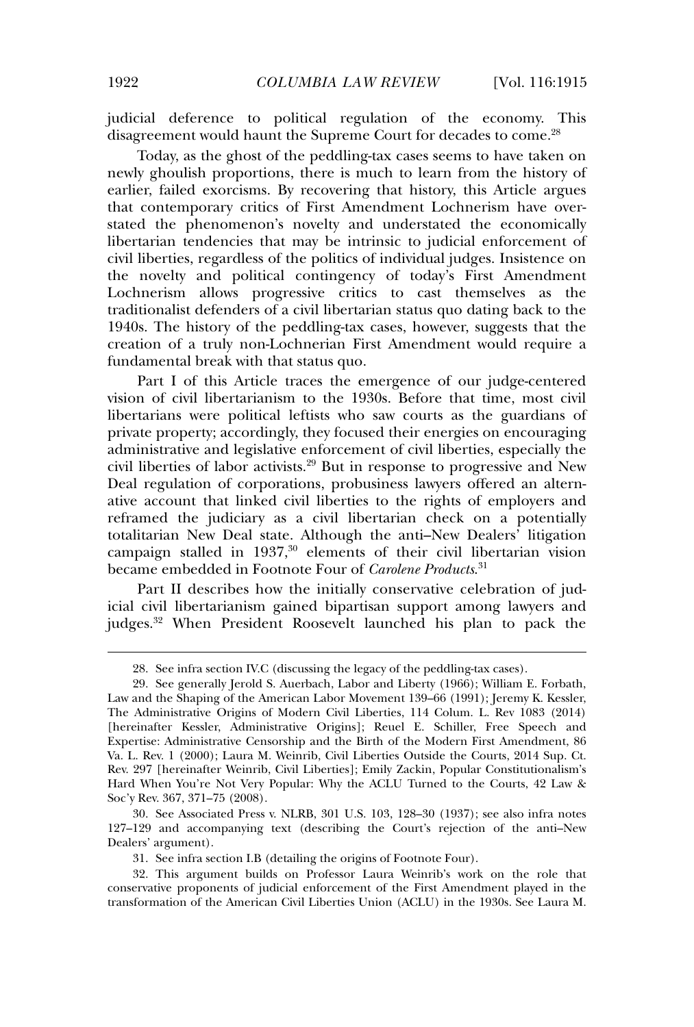judicial deference to political regulation of the economy. This disagreement would haunt the Supreme Court for decades to come.<sup>28</sup>

Today, as the ghost of the peddling-tax cases seems to have taken on newly ghoulish proportions, there is much to learn from the history of earlier, failed exorcisms. By recovering that history, this Article argues that contemporary critics of First Amendment Lochnerism have overstated the phenomenon's novelty and understated the economically libertarian tendencies that may be intrinsic to judicial enforcement of civil liberties, regardless of the politics of individual judges. Insistence on the novelty and political contingency of today's First Amendment Lochnerism allows progressive critics to cast themselves as the traditionalist defenders of a civil libertarian status quo dating back to the 1940s. The history of the peddling-tax cases, however, suggests that the creation of a truly non-Lochnerian First Amendment would require a fundamental break with that status quo.

Part I of this Article traces the emergence of our judge-centered vision of civil libertarianism to the 1930s. Before that time, most civil libertarians were political leftists who saw courts as the guardians of private property; accordingly, they focused their energies on encouraging administrative and legislative enforcement of civil liberties, especially the civil liberties of labor activists.<sup>29</sup> But in response to progressive and New Deal regulation of corporations, probusiness lawyers offered an alternative account that linked civil liberties to the rights of employers and reframed the judiciary as a civil libertarian check on a potentially totalitarian New Deal state. Although the anti–New Dealers' litigation campaign stalled in 1937,<sup>30</sup> elements of their civil libertarian vision became embedded in Footnote Four of *Carolene Products*. 31

Part II describes how the initially conservative celebration of judicial civil libertarianism gained bipartisan support among lawyers and judges.<sup>32</sup> When President Roosevelt launched his plan to pack the

30. See Associated Press v. NLRB, 301 U.S. 103, 128–30 (1937); see also infra notes 127–129 and accompanying text (describing the Court's rejection of the anti–New Dealers' argument).

31. See infra section I.B (detailing the origins of Footnote Four).

32. This argument builds on Professor Laura Weinrib's work on the role that conservative proponents of judicial enforcement of the First Amendment played in the transformation of the American Civil Liberties Union (ACLU) in the 1930s. See Laura M.

<sup>28.</sup> See infra section IV.C (discussing the legacy of the peddling-tax cases).

<sup>29.</sup> See generally Jerold S. Auerbach, Labor and Liberty (1966); William E. Forbath, Law and the Shaping of the American Labor Movement 139–66 (1991); Jeremy K. Kessler, The Administrative Origins of Modern Civil Liberties, 114 Colum. L. Rev 1083 (2014) [hereinafter Kessler, Administrative Origins]; Reuel E. Schiller, Free Speech and Expertise: Administrative Censorship and the Birth of the Modern First Amendment, 86 Va. L. Rev. 1 (2000); Laura M. Weinrib, Civil Liberties Outside the Courts, 2014 Sup. Ct. Rev. 297 [hereinafter Weinrib, Civil Liberties]; Emily Zackin, Popular Constitutionalism's Hard When You're Not Very Popular: Why the ACLU Turned to the Courts, 42 Law & Soc'y Rev. 367, 371–75 (2008).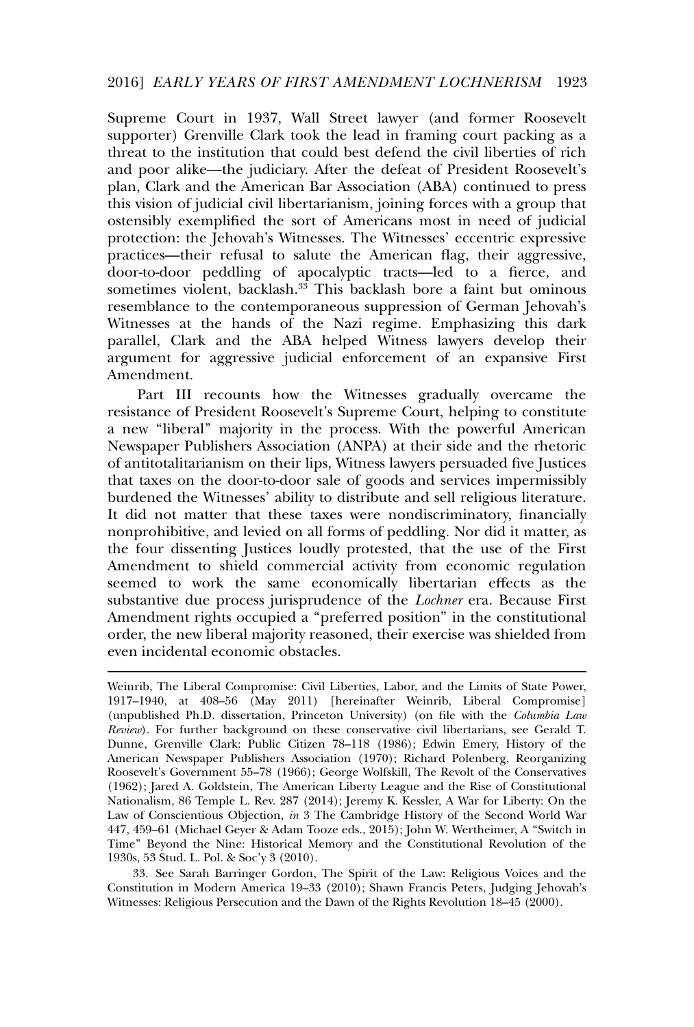Supreme Court in 1937, Wall Street lawyer (and former Roosevelt supporter) Grenville Clark took the lead in framing court packing as a threat to the institution that could best defend the civil liberties of rich and poor alike—the judiciary. After the defeat of President Roosevelt's plan, Clark and the American Bar Association (ABA) continued to press this vision of judicial civil libertarianism, joining forces with a group that ostensibly exemplified the sort of Americans most in need of judicial protection: the Jehovah's Witnesses. The Witnesses' eccentric expressive practices—their refusal to salute the American flag, their aggressive, door-to-door peddling of apocalyptic tracts—led to a fierce, and sometimes violent, backlash.<sup>33</sup> This backlash bore a faint but ominous resemblance to the contemporaneous suppression of German Jehovah's Witnesses at the hands of the Nazi regime. Emphasizing this dark parallel, Clark and the ABA helped Witness lawyers develop their argument for aggressive judicial enforcement of an expansive First Amendment.

Part III recounts how the Witnesses gradually overcame the resistance of President Roosevelt's Supreme Court, helping to constitute a new "liberal" majority in the process. With the powerful American Newspaper Publishers Association (ANPA) at their side and the rhetoric of antitotalitarianism on their lips, Witness lawyers persuaded five Justices that taxes on the door-to-door sale of goods and services impermissibly burdened the Witnesses' ability to distribute and sell religious literature. It did not matter that these taxes were nondiscriminatory, financially nonprohibitive, and levied on all forms of peddling. Nor did it matter, as the four dissenting Justices loudly protested, that the use of the First Amendment to shield commercial activity from economic regulation seemed to work the same economically libertarian effects as the substantive due process jurisprudence of the *Lochner* era. Because First Amendment rights occupied a "preferred position" in the constitutional order, the new liberal majority reasoned, their exercise was shielded from even incidental economic obstacles.

33. See Sarah Barringer Gordon, The Spirit of the Law: Religious Voices and the Constitution in Modern America 19–33 (2010); Shawn Francis Peters, Judging Jehovah's Witnesses: Religious Persecution and the Dawn of the Rights Revolution 18–45 (2000).

Weinrib, The Liberal Compromise: Civil Liberties, Labor, and the Limits of State Power, 1917–1940, at 408–56 (May 2011) [hereinafter Weinrib, Liberal Compromise] (unpublished Ph.D. dissertation, Princeton University) (on file with the *Columbia Law Review*). For further background on these conservative civil libertarians, see Gerald T. Dunne, Grenville Clark: Public Citizen 78–118 (1986); Edwin Emery, History of the American Newspaper Publishers Association (1970); Richard Polenberg, Reorganizing Roosevelt's Government 55–78 (1966); George Wolfskill, The Revolt of the Conservatives (1962); Jared A. Goldstein, The American Liberty League and the Rise of Constitutional Nationalism, 86 Temple L. Rev. 287 (2014); Jeremy K. Kessler, A War for Liberty: On the Law of Conscientious Objection, *in* 3 The Cambridge History of the Second World War 447, 459–61 (Michael Geyer & Adam Tooze eds., 2015); John W. Wertheimer, A "Switch in Time" Beyond the Nine: Historical Memory and the Constitutional Revolution of the 1930s, 53 Stud. L. Pol. & Soc'y 3 (2010).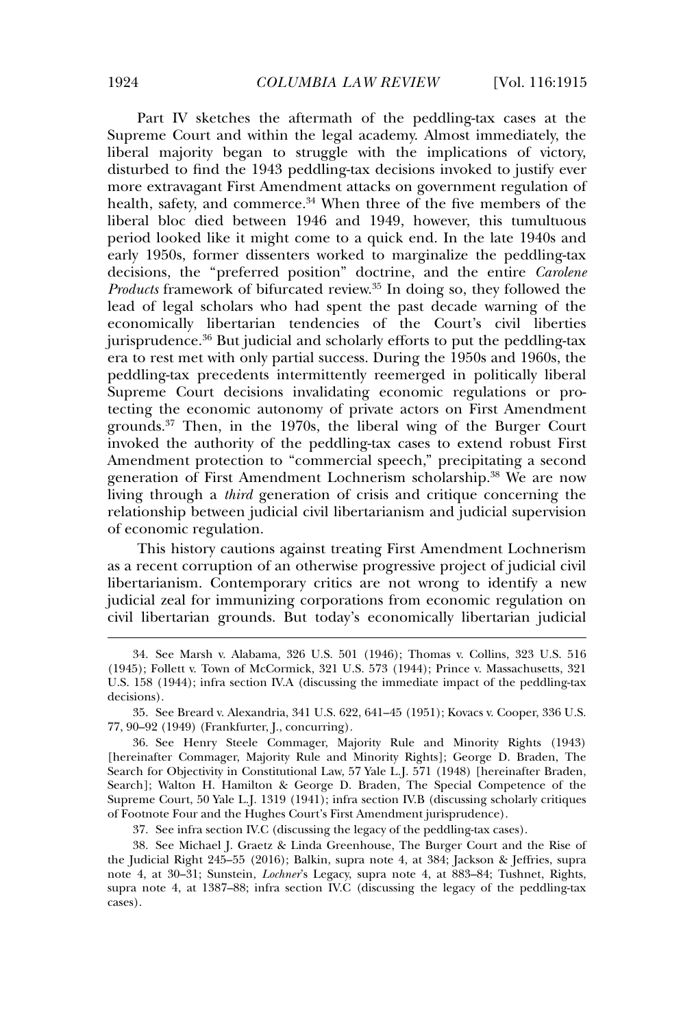Part IV sketches the aftermath of the peddling-tax cases at the Supreme Court and within the legal academy. Almost immediately, the liberal majority began to struggle with the implications of victory, disturbed to find the 1943 peddling-tax decisions invoked to justify ever more extravagant First Amendment attacks on government regulation of health, safety, and commerce.<sup>34</sup> When three of the five members of the liberal bloc died between 1946 and 1949, however, this tumultuous period looked like it might come to a quick end. In the late 1940s and early 1950s, former dissenters worked to marginalize the peddling-tax decisions, the "preferred position" doctrine, and the entire *Carolene Products* framework of bifurcated review.<sup>35</sup> In doing so, they followed the lead of legal scholars who had spent the past decade warning of the economically libertarian tendencies of the Court's civil liberties jurisprudence.<sup>36</sup> But judicial and scholarly efforts to put the peddling-tax era to rest met with only partial success. During the 1950s and 1960s, the peddling-tax precedents intermittently reemerged in politically liberal Supreme Court decisions invalidating economic regulations or protecting the economic autonomy of private actors on First Amendment grounds.<sup>37</sup> Then, in the 1970s, the liberal wing of the Burger Court invoked the authority of the peddling-tax cases to extend robust First Amendment protection to "commercial speech," precipitating a second generation of First Amendment Lochnerism scholarship.<sup>38</sup> We are now living through a *third* generation of crisis and critique concerning the relationship between judicial civil libertarianism and judicial supervision of economic regulation.

This history cautions against treating First Amendment Lochnerism as a recent corruption of an otherwise progressive project of judicial civil libertarianism. Contemporary critics are not wrong to identify a new judicial zeal for immunizing corporations from economic regulation on civil libertarian grounds. But today's economically libertarian judicial

37. See infra section IV.C (discussing the legacy of the peddling-tax cases).

38. See Michael J. Graetz & Linda Greenhouse, The Burger Court and the Rise of the Judicial Right 245–55 (2016); Balkin, supra note 4, at 384; Jackson & Jeffries, supra note 4, at 30–31; Sunstein, *Lochner*'s Legacy, supra note 4, at 883–84; Tushnet, Rights, supra note 4, at 1387–88; infra section IV.C (discussing the legacy of the peddling-tax cases).

<sup>34.</sup> See Marsh v. Alabama, 326 U.S. 501 (1946); Thomas v. Collins, 323 U.S. 516 (1945); Follett v. Town of McCormick, 321 U.S. 573 (1944); Prince v. Massachusetts, 321 U.S. 158 (1944); infra section IV.A (discussing the immediate impact of the peddling-tax decisions).

<sup>35.</sup> See Breard v. Alexandria, 341 U.S. 622, 641–45 (1951); Kovacs v. Cooper, 336 U.S. 77, 90–92 (1949) (Frankfurter, J., concurring).

<sup>36.</sup> See Henry Steele Commager, Majority Rule and Minority Rights (1943) [hereinafter Commager, Majority Rule and Minority Rights]; George D. Braden, The Search for Objectivity in Constitutional Law, 57 Yale L.J. 571 (1948) [hereinafter Braden, Search]; Walton H. Hamilton & George D. Braden, The Special Competence of the Supreme Court, 50 Yale L.J. 1319 (1941); infra section IV.B (discussing scholarly critiques of Footnote Four and the Hughes Court's First Amendment jurisprudence).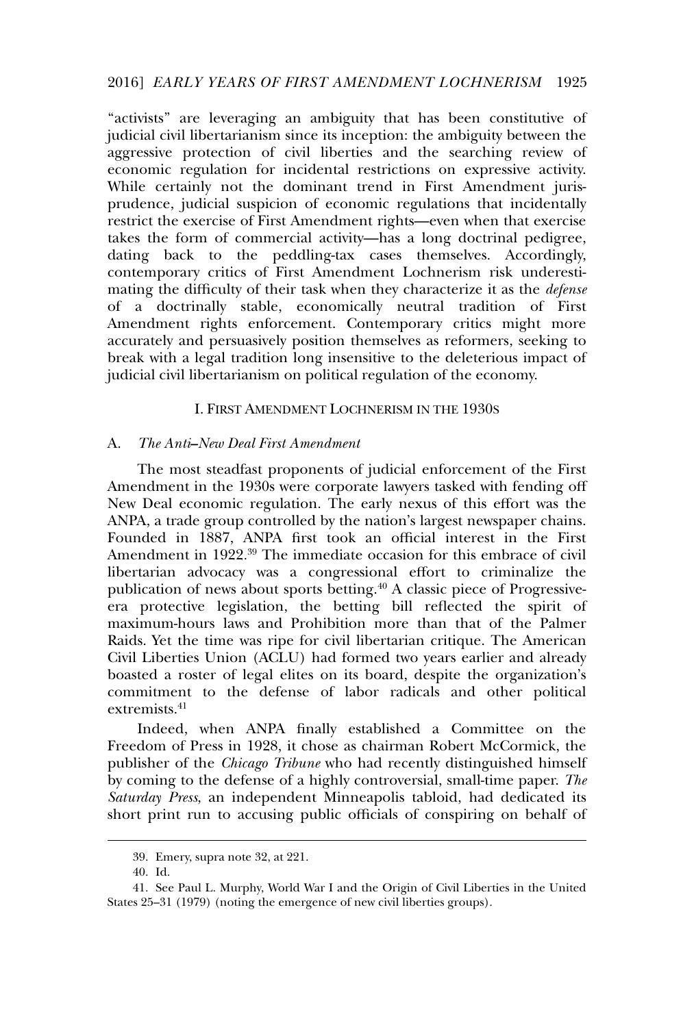"activists" are leveraging an ambiguity that has been constitutive of judicial civil libertarianism since its inception: the ambiguity between the aggressive protection of civil liberties and the searching review of economic regulation for incidental restrictions on expressive activity. While certainly not the dominant trend in First Amendment jurisprudence, judicial suspicion of economic regulations that incidentally restrict the exercise of First Amendment rights—even when that exercise takes the form of commercial activity—has a long doctrinal pedigree, dating back to the peddling-tax cases themselves. Accordingly, contemporary critics of First Amendment Lochnerism risk underestimating the difficulty of their task when they characterize it as the *defense* of a doctrinally stable, economically neutral tradition of First Amendment rights enforcement. Contemporary critics might more accurately and persuasively position themselves as reformers, seeking to break with a legal tradition long insensitive to the deleterious impact of judicial civil libertarianism on political regulation of the economy.

#### I. FIRST AMENDMENT LOCHNERISM IN THE 1930S

#### A. *The Anti–New Deal First Amendment*

The most steadfast proponents of judicial enforcement of the First Amendment in the 1930s were corporate lawyers tasked with fending off New Deal economic regulation. The early nexus of this effort was the ANPA, a trade group controlled by the nation's largest newspaper chains. Founded in 1887, ANPA first took an official interest in the First Amendment in 1922.<sup>39</sup> The immediate occasion for this embrace of civil libertarian advocacy was a congressional effort to criminalize the publication of news about sports betting.<sup>40</sup> A classic piece of Progressiveera protective legislation, the betting bill reflected the spirit of maximum-hours laws and Prohibition more than that of the Palmer Raids. Yet the time was ripe for civil libertarian critique. The American Civil Liberties Union (ACLU) had formed two years earlier and already boasted a roster of legal elites on its board, despite the organization's commitment to the defense of labor radicals and other political extremists.<sup>41</sup>

Indeed, when ANPA finally established a Committee on the Freedom of Press in 1928, it chose as chairman Robert McCormick, the publisher of the *Chicago Tribune* who had recently distinguished himself by coming to the defense of a highly controversial, small-time paper. *The Saturday Press*, an independent Minneapolis tabloid, had dedicated its short print run to accusing public officials of conspiring on behalf of

<sup>39.</sup> Emery, supra note 32, at 221.

<sup>40.</sup> Id.

<sup>41.</sup> See Paul L. Murphy, World War I and the Origin of Civil Liberties in the United States 25–31 (1979) (noting the emergence of new civil liberties groups).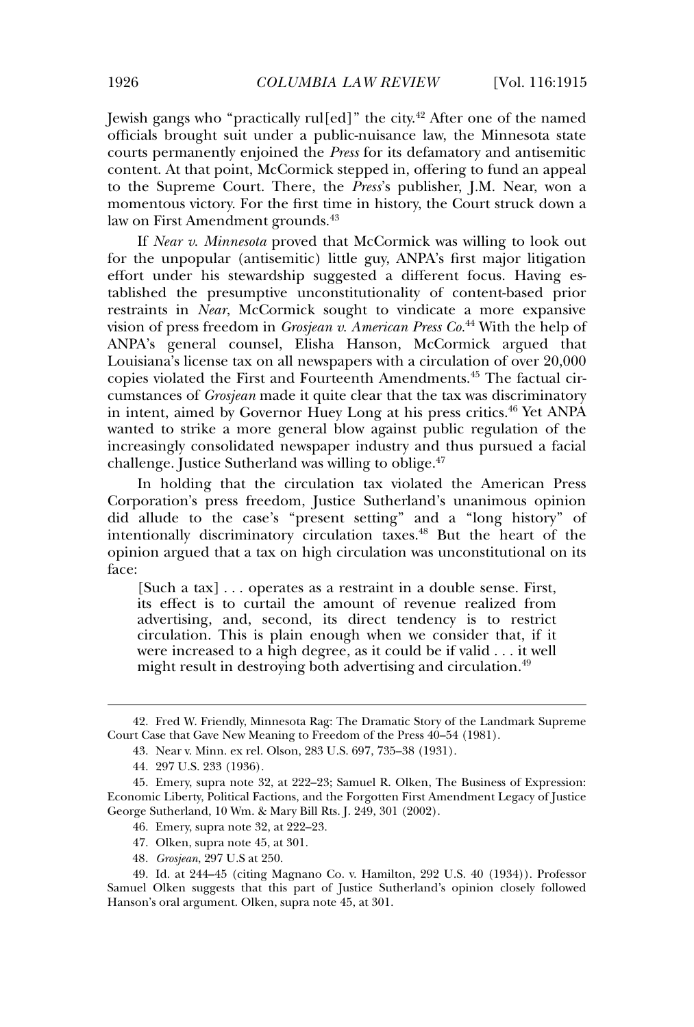Jewish gangs who "practically rul[ed]" the city.<sup>42</sup> After one of the named officials brought suit under a public-nuisance law, the Minnesota state courts permanently enjoined the *Press* for its defamatory and antisemitic content. At that point, McCormick stepped in, offering to fund an appeal to the Supreme Court. There, the *Press*'s publisher, J.M. Near, won a momentous victory. For the first time in history, the Court struck down a law on First Amendment grounds.<sup>43</sup>

If *Near v. Minnesota* proved that McCormick was willing to look out for the unpopular (antisemitic) little guy, ANPA's first major litigation effort under his stewardship suggested a different focus. Having established the presumptive unconstitutionality of content-based prior restraints in *Near*, McCormick sought to vindicate a more expansive vision of press freedom in *Grosjean v. American Press Co.*<sup>44</sup> With the help of ANPA's general counsel, Elisha Hanson, McCormick argued that Louisiana's license tax on all newspapers with a circulation of over 20,000 copies violated the First and Fourteenth Amendments.<sup>45</sup> The factual circumstances of *Grosjean* made it quite clear that the tax was discriminatory in intent, aimed by Governor Huey Long at his press critics.<sup>46</sup> Yet ANPA wanted to strike a more general blow against public regulation of the increasingly consolidated newspaper industry and thus pursued a facial challenge. Justice Sutherland was willing to oblige.<sup>47</sup>

In holding that the circulation tax violated the American Press Corporation's press freedom, Justice Sutherland's unanimous opinion did allude to the case's "present setting" and a "long history" of intentionally discriminatory circulation taxes.<sup>48</sup> But the heart of the opinion argued that a tax on high circulation was unconstitutional on its face:

[Such a tax] . . . operates as a restraint in a double sense. First, its effect is to curtail the amount of revenue realized from advertising, and, second, its direct tendency is to restrict circulation. This is plain enough when we consider that, if it were increased to a high degree, as it could be if valid . . . it well might result in destroying both advertising and circulation.<sup>49</sup>

- 47. Olken, supra note 45, at 301.
- 48*. Grosjean*, 297 U.S at 250.

<sup>42.</sup> Fred W. Friendly, Minnesota Rag: The Dramatic Story of the Landmark Supreme Court Case that Gave New Meaning to Freedom of the Press 40–54 (1981).

<sup>43.</sup> Near v. Minn. ex rel. Olson, 283 U.S. 697, 735–38 (1931).

<sup>44. 297</sup> U.S. 233 (1936).

<sup>45.</sup> Emery, supra note 32, at 222–23; Samuel R. Olken, The Business of Expression: Economic Liberty, Political Factions, and the Forgotten First Amendment Legacy of Justice George Sutherland, 10 Wm. & Mary Bill Rts. J. 249, 301 (2002).

<sup>46.</sup> Emery, supra note 32, at 222–23.

<sup>49.</sup> Id. at 244–45 (citing Magnano Co. v. Hamilton, 292 U.S. 40 (1934)). Professor Samuel Olken suggests that this part of Justice Sutherland's opinion closely followed Hanson's oral argument. Olken, supra note 45, at 301.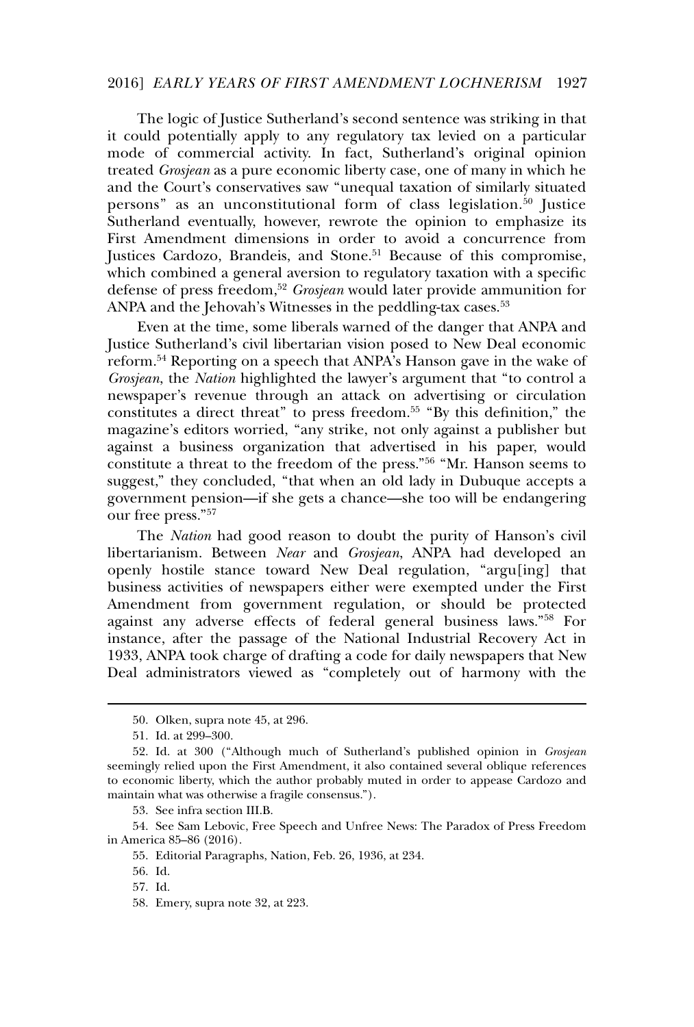#### 2016] *EARLY YEARS OF FIRST AMENDMENT LOCHNERISM* 1927

The logic of Justice Sutherland's second sentence was striking in that it could potentially apply to any regulatory tax levied on a particular mode of commercial activity. In fact, Sutherland's original opinion treated *Grosjean* as a pure economic liberty case, one of many in which he and the Court's conservatives saw "unequal taxation of similarly situated persons" as an unconstitutional form of class legislation.<sup>50</sup> Justice Sutherland eventually, however, rewrote the opinion to emphasize its First Amendment dimensions in order to avoid a concurrence from Justices Cardozo, Brandeis, and Stone.<sup>51</sup> Because of this compromise, which combined a general aversion to regulatory taxation with a specific defense of press freedom,<sup>52</sup> *Grosjean* would later provide ammunition for ANPA and the Jehovah's Witnesses in the peddling-tax cases.<sup>53</sup>

Even at the time, some liberals warned of the danger that ANPA and Justice Sutherland's civil libertarian vision posed to New Deal economic reform.<sup>54</sup> Reporting on a speech that ANPA's Hanson gave in the wake of *Grosjean*, the *Nation* highlighted the lawyer's argument that "to control a newspaper's revenue through an attack on advertising or circulation constitutes a direct threat" to press freedom.<sup>55</sup> "By this definition," the magazine's editors worried, "any strike, not only against a publisher but against a business organization that advertised in his paper, would constitute a threat to the freedom of the press."<sup>56</sup> "Mr. Hanson seems to suggest," they concluded, "that when an old lady in Dubuque accepts a government pension—if she gets a chance—she too will be endangering our free press."<sup>57</sup>

The *Nation* had good reason to doubt the purity of Hanson's civil libertarianism. Between *Near* and *Grosjean*, ANPA had developed an openly hostile stance toward New Deal regulation, "argu[ing] that business activities of newspapers either were exempted under the First Amendment from government regulation, or should be protected against any adverse effects of federal general business laws."<sup>58</sup> For instance, after the passage of the National Industrial Recovery Act in 1933, ANPA took charge of drafting a code for daily newspapers that New Deal administrators viewed as "completely out of harmony with the

53. See infra section III.B.

<sup>50.</sup> Olken, supra note 45, at 296.

<sup>51.</sup> Id. at 299–300.

<sup>52.</sup> Id. at 300 ("Although much of Sutherland's published opinion in *Grosjean* seemingly relied upon the First Amendment, it also contained several oblique references to economic liberty, which the author probably muted in order to appease Cardozo and maintain what was otherwise a fragile consensus.").

<sup>54.</sup> See Sam Lebovic, Free Speech and Unfree News: The Paradox of Press Freedom in America 85–86 (2016).

<sup>55.</sup> Editorial Paragraphs, Nation, Feb. 26, 1936, at 234.

<sup>56.</sup> Id.

<sup>57.</sup> Id.

<sup>58.</sup> Emery, supra note 32, at 223.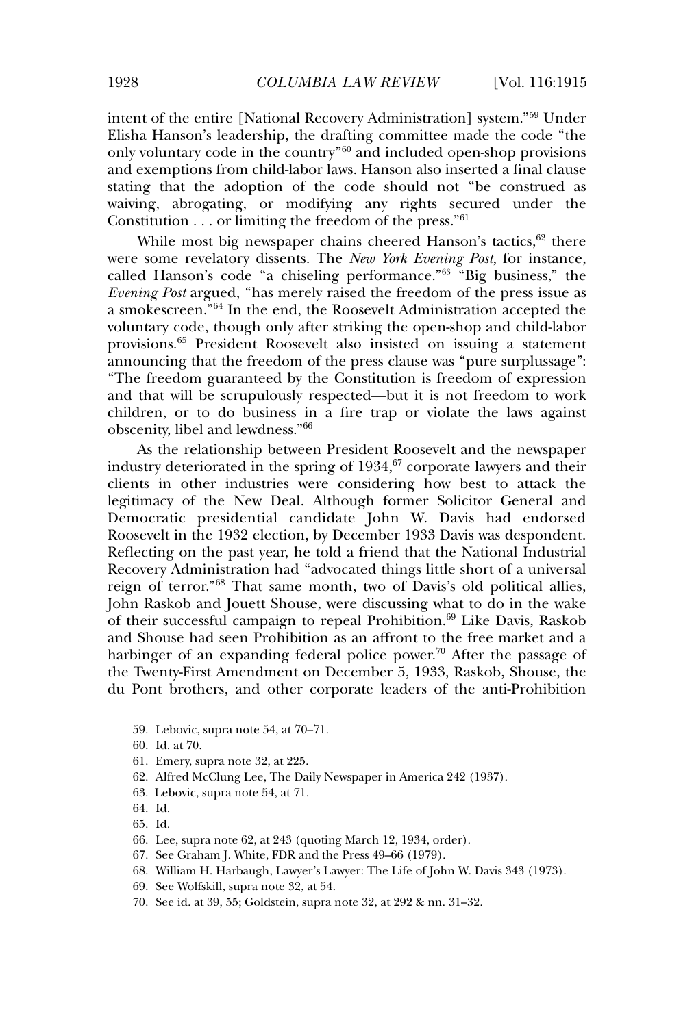intent of the entire [National Recovery Administration] system."<sup>59</sup> Under Elisha Hanson's leadership, the drafting committee made the code "the only voluntary code in the country"<sup>60</sup> and included open-shop provisions and exemptions from child-labor laws. Hanson also inserted a final clause stating that the adoption of the code should not "be construed as waiving, abrogating, or modifying any rights secured under the Constitution . . . or limiting the freedom of the press."<sup>61</sup>

While most big newspaper chains cheered Hanson's tactics, $62$  there were some revelatory dissents. The *New York Evening Post*, for instance, called Hanson's code "a chiseling performance."<sup>63</sup> "Big business," the *Evening Post* argued, "has merely raised the freedom of the press issue as a smokescreen."<sup>64</sup> In the end, the Roosevelt Administration accepted the voluntary code, though only after striking the open-shop and child-labor provisions.<sup>65</sup> President Roosevelt also insisted on issuing a statement announcing that the freedom of the press clause was "pure surplussage": "The freedom guaranteed by the Constitution is freedom of expression and that will be scrupulously respected—but it is not freedom to work children, or to do business in a fire trap or violate the laws against obscenity, libel and lewdness."<sup>66</sup>

As the relationship between President Roosevelt and the newspaper industry deteriorated in the spring of  $1934$ ,  $67$  corporate lawyers and their clients in other industries were considering how best to attack the legitimacy of the New Deal. Although former Solicitor General and Democratic presidential candidate John W. Davis had endorsed Roosevelt in the 1932 election, by December 1933 Davis was despondent. Reflecting on the past year, he told a friend that the National Industrial Recovery Administration had "advocated things little short of a universal reign of terror."<sup>68</sup> That same month, two of Davis's old political allies, John Raskob and Jouett Shouse, were discussing what to do in the wake of their successful campaign to repeal Prohibition.<sup>69</sup> Like Davis, Raskob and Shouse had seen Prohibition as an affront to the free market and a harbinger of an expanding federal police power.<sup>70</sup> After the passage of the Twenty-First Amendment on December 5, 1933, Raskob, Shouse, the du Pont brothers, and other corporate leaders of the anti-Prohibition

<sup>59.</sup> Lebovic, supra note 54, at 70–71.

<sup>60.</sup> Id. at 70.

<sup>61.</sup> Emery, supra note 32, at 225.

<sup>62.</sup> Alfred McClung Lee, The Daily Newspaper in America 242 (1937).

<sup>63.</sup> Lebovic, supra note 54, at 71.

<sup>64.</sup> Id.

<sup>65.</sup> Id.

<sup>66.</sup> Lee, supra note 62, at 243 (quoting March 12, 1934, order).

<sup>67.</sup> See Graham J. White, FDR and the Press 49–66 (1979).

<sup>68.</sup> William H. Harbaugh, Lawyer's Lawyer: The Life of John W. Davis 343 (1973).

<sup>69.</sup> See Wolfskill, supra note 32, at 54.

<sup>70.</sup> See id. at 39, 55; Goldstein, supra note 32, at 292 & nn. 31–32.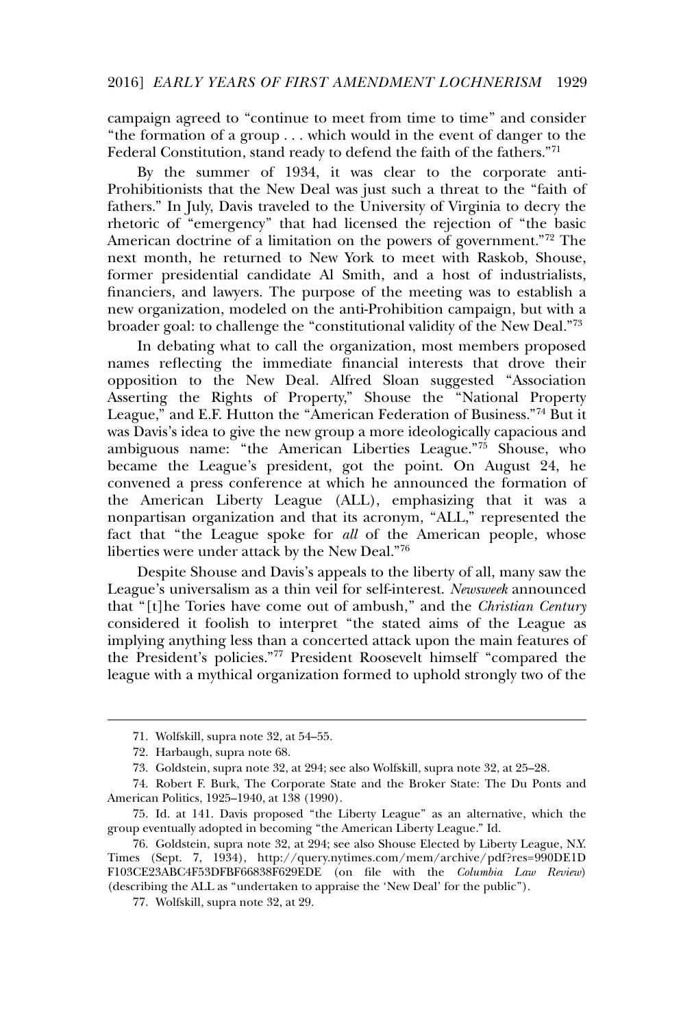campaign agreed to "continue to meet from time to time" and consider "the formation of a group . . . which would in the event of danger to the Federal Constitution, stand ready to defend the faith of the fathers."<sup>71</sup>

By the summer of 1934, it was clear to the corporate anti-Prohibitionists that the New Deal was just such a threat to the "faith of fathers." In July, Davis traveled to the University of Virginia to decry the rhetoric of "emergency" that had licensed the rejection of "the basic American doctrine of a limitation on the powers of government."<sup>72</sup> The next month, he returned to New York to meet with Raskob, Shouse, former presidential candidate Al Smith, and a host of industrialists, financiers, and lawyers. The purpose of the meeting was to establish a new organization, modeled on the anti-Prohibition campaign, but with a broader goal: to challenge the "constitutional validity of the New Deal."<sup>73</sup>

In debating what to call the organization, most members proposed names reflecting the immediate financial interests that drove their opposition to the New Deal. Alfred Sloan suggested "Association Asserting the Rights of Property," Shouse the "National Property League," and E.F. Hutton the "American Federation of Business."<sup>74</sup> But it was Davis's idea to give the new group a more ideologically capacious and ambiguous name: "the American Liberties League."<sup>75</sup> Shouse, who became the League's president, got the point. On August 24, he convened a press conference at which he announced the formation of the American Liberty League (ALL), emphasizing that it was a nonpartisan organization and that its acronym, "ALL," represented the fact that "the League spoke for *all* of the American people, whose liberties were under attack by the New Deal."<sup>76</sup>

Despite Shouse and Davis's appeals to the liberty of all, many saw the League's universalism as a thin veil for self-interest. *Newsweek* announced that "[t]he Tories have come out of ambush," and the *Christian Century* considered it foolish to interpret "the stated aims of the League as implying anything less than a concerted attack upon the main features of the President's policies."<sup>77</sup> President Roosevelt himself "compared the league with a mythical organization formed to uphold strongly two of the

<sup>71.</sup> Wolfskill, supra note 32, at 54–55.

<sup>72.</sup> Harbaugh, supra note 68.

<sup>73.</sup> Goldstein, supra note 32, at 294; see also Wolfskill, supra note 32, at 25–28.

<sup>74.</sup> Robert F. Burk, The Corporate State and the Broker State: The Du Ponts and American Politics, 1925–1940, at 138 (1990).

<sup>75.</sup> Id. at 141. Davis proposed "the Liberty League" as an alternative, which the group eventually adopted in becoming "the American Liberty League." Id.

<sup>76.</sup> Goldstein, supra note 32, at 294; see also Shouse Elected by Liberty League, N.Y. Times (Sept. 7, 1934), http://query.nytimes.com/mem/archive/pdf?res=990DE1D F103CE23ABC4F53DFBF66838F629EDE (on file with the *Columbia Law Review*) (describing the ALL as "undertaken to appraise the 'New Deal' for the public").

<sup>77.</sup> Wolfskill, supra note 32, at 29.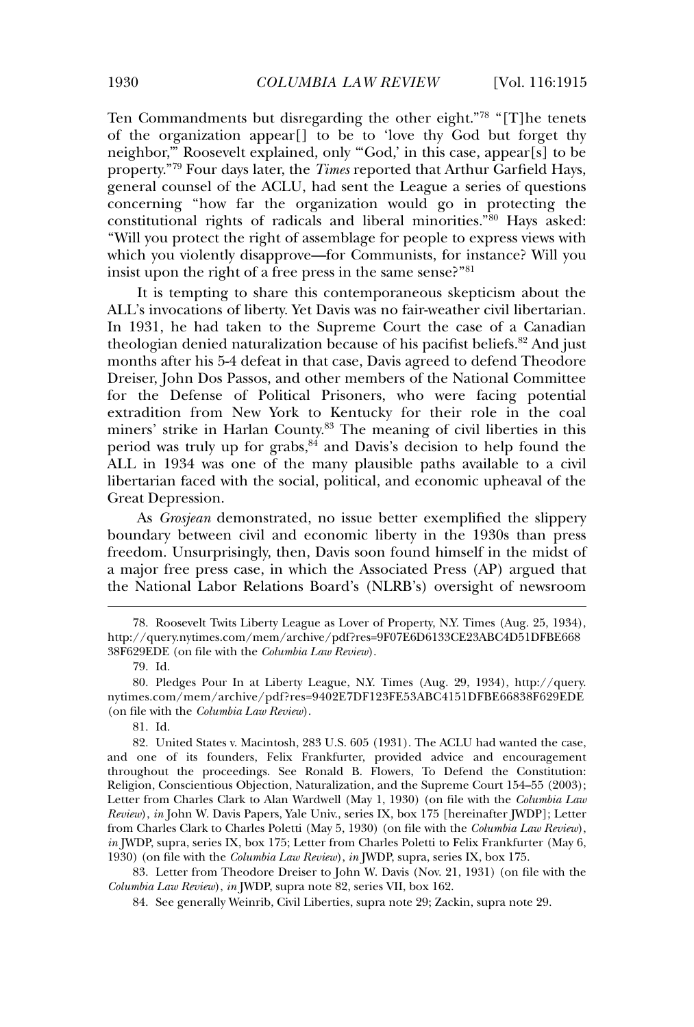Ten Commandments but disregarding the other eight."<sup>78</sup> "[T]he tenets of the organization appear[] to be to 'love thy God but forget thy neighbor,'" Roosevelt explained, only "'God,' in this case, appear[s] to be property."<sup>79</sup> Four days later, the *Times* reported that Arthur Garfield Hays, general counsel of the ACLU, had sent the League a series of questions concerning "how far the organization would go in protecting the constitutional rights of radicals and liberal minorities."<sup>80</sup> Hays asked: "Will you protect the right of assemblage for people to express views with which you violently disapprove—for Communists, for instance? Will you insist upon the right of a free press in the same sense?"<sup>81</sup>

It is tempting to share this contemporaneous skepticism about the ALL's invocations of liberty. Yet Davis was no fair-weather civil libertarian. In 1931, he had taken to the Supreme Court the case of a Canadian theologian denied naturalization because of his pacifist beliefs.<sup>82</sup> And just months after his 5-4 defeat in that case, Davis agreed to defend Theodore Dreiser, John Dos Passos, and other members of the National Committee for the Defense of Political Prisoners, who were facing potential extradition from New York to Kentucky for their role in the coal miners' strike in Harlan County.<sup>83</sup> The meaning of civil liberties in this period was truly up for grabs,  $84 \text{ and Davis's decision to help found the}$ ALL in 1934 was one of the many plausible paths available to a civil libertarian faced with the social, political, and economic upheaval of the Great Depression.

As *Grosjean* demonstrated, no issue better exemplified the slippery boundary between civil and economic liberty in the 1930s than press freedom. Unsurprisingly, then, Davis soon found himself in the midst of a major free press case, in which the Associated Press (AP) argued that the National Labor Relations Board's (NLRB's) oversight of newsroom

<sup>78.</sup> Roosevelt Twits Liberty League as Lover of Property, N.Y. Times (Aug. 25, 1934), http://query.nytimes.com/mem/archive/pdf?res=9F07E6D6133CE23ABC4D51DFBE668 38F629EDE (on file with the *Columbia Law Review*).

<sup>79.</sup> Id.

<sup>80.</sup> Pledges Pour In at Liberty League, N.Y. Times (Aug. 29, 1934), http://query. nytimes.com/mem/archive/pdf?res=9402E7DF123FE53ABC4151DFBE66838F629EDE (on file with the *Columbia Law Review*).

<sup>81.</sup> Id.

<sup>82.</sup> United States v. Macintosh, 283 U.S. 605 (1931). The ACLU had wanted the case, and one of its founders, Felix Frankfurter, provided advice and encouragement throughout the proceedings. See Ronald B. Flowers, To Defend the Constitution: Religion, Conscientious Objection, Naturalization, and the Supreme Court 154–55 (2003); Letter from Charles Clark to Alan Wardwell (May 1, 1930) (on file with the *Columbia Law Review*), *in* John W. Davis Papers, Yale Univ., series IX, box 175 [hereinafter JWDP]; Letter from Charles Clark to Charles Poletti (May 5, 1930) (on file with the *Columbia Law Review*), *in* JWDP, supra, series IX, box 175; Letter from Charles Poletti to Felix Frankfurter (May 6, 1930) (on file with the *Columbia Law Review*), *in* JWDP, supra, series IX, box 175.

<sup>83.</sup> Letter from Theodore Dreiser to John W. Davis (Nov. 21, 1931) (on file with the *Columbia Law Review*), *in* JWDP, supra note 82, series VII, box 162.

<sup>84.</sup> See generally Weinrib, Civil Liberties, supra note 29; Zackin, supra note 29.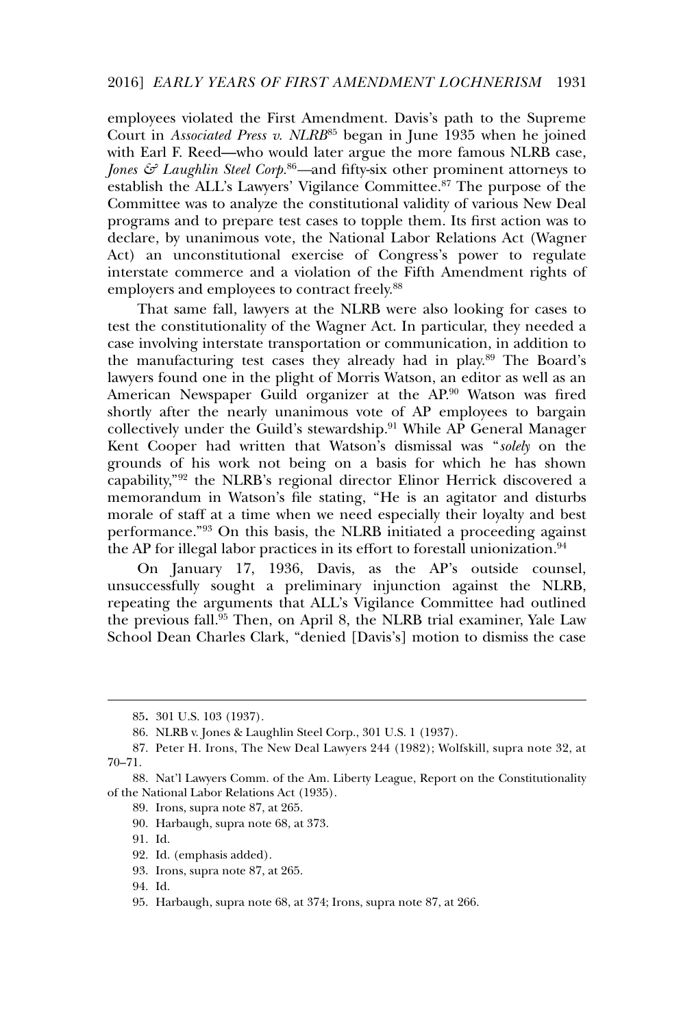employees violated the First Amendment. Davis's path to the Supreme Court in *Associated Press v. NLRB*<sup>85</sup> began in June 1935 when he joined with Earl F. Reed—who would later argue the more famous NLRB case, *Jones & Laughlin Steel Corp.*86*—*and fifty-six other prominent attorneys to establish the ALL's Lawyers' Vigilance Committee.<sup>87</sup> The purpose of the Committee was to analyze the constitutional validity of various New Deal programs and to prepare test cases to topple them. Its first action was to declare, by unanimous vote, the National Labor Relations Act (Wagner Act) an unconstitutional exercise of Congress's power to regulate interstate commerce and a violation of the Fifth Amendment rights of employers and employees to contract freely.<sup>88</sup>

That same fall, lawyers at the NLRB were also looking for cases to test the constitutionality of the Wagner Act. In particular, they needed a case involving interstate transportation or communication, in addition to the manufacturing test cases they already had in play.<sup>89</sup> The Board's lawyers found one in the plight of Morris Watson, an editor as well as an American Newspaper Guild organizer at the AP.<sup>90</sup> Watson was fired shortly after the nearly unanimous vote of AP employees to bargain collectively under the Guild's stewardship.<sup>91</sup> While AP General Manager Kent Cooper had written that Watson's dismissal was "*solely* on the grounds of his work not being on a basis for which he has shown capability,"<sup>92</sup> the NLRB's regional director Elinor Herrick discovered a memorandum in Watson's file stating, "He is an agitator and disturbs morale of staff at a time when we need especially their loyalty and best performance."<sup>93</sup> On this basis, the NLRB initiated a proceeding against the AP for illegal labor practices in its effort to forestall unionization.<sup>94</sup>

On January 17, 1936, Davis, as the AP's outside counsel, unsuccessfully sought a preliminary injunction against the NLRB, repeating the arguments that ALL's Vigilance Committee had outlined the previous fall.<sup>95</sup> Then, on April 8, the NLRB trial examiner, Yale Law School Dean Charles Clark, "denied [Davis's] motion to dismiss the case

- 89. Irons, supra note 87, at 265.
- 90. Harbaugh, supra note 68, at 373.
- 91. Id.

<sup>85</sup>**.** 301 U.S. 103 (1937).

<sup>86.</sup> NLRB v. Jones & Laughlin Steel Corp., 301 U.S. 1 (1937).

<sup>87.</sup> Peter H. Irons, The New Deal Lawyers 244 (1982); Wolfskill, supra note 32, at 70–71.

<sup>88.</sup> Nat'l Lawyers Comm. of the Am. Liberty League, Report on the Constitutionality of the National Labor Relations Act (1935).

<sup>92.</sup> Id. (emphasis added).

<sup>93.</sup> Irons, supra note 87, at 265.

<sup>94.</sup> Id.

<sup>95.</sup> Harbaugh, supra note 68, at 374; Irons, supra note 87, at 266.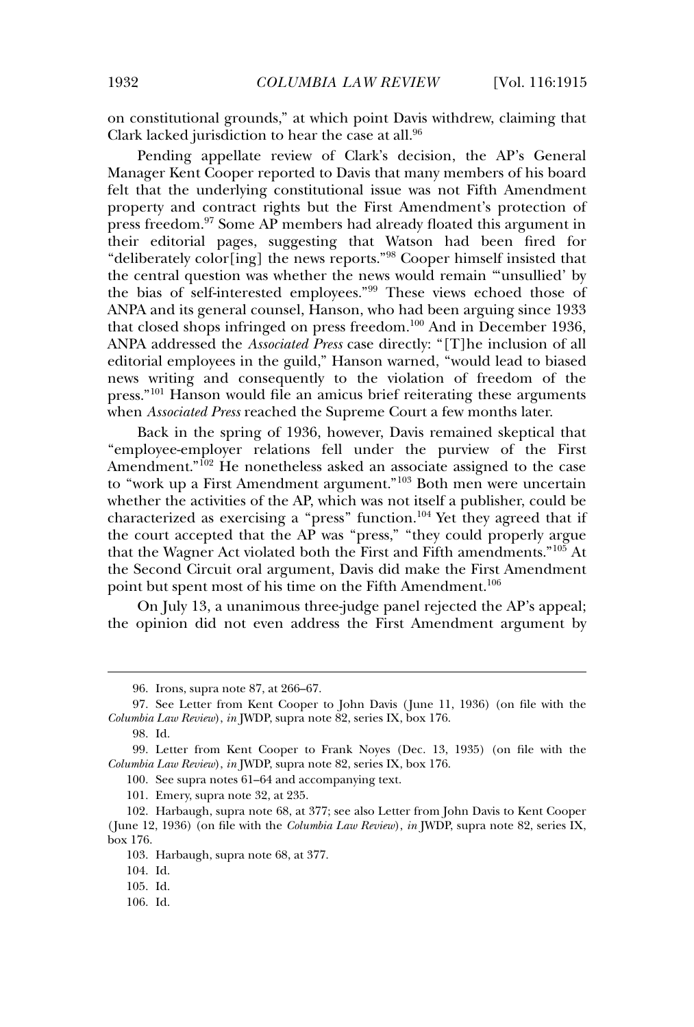on constitutional grounds," at which point Davis withdrew, claiming that Clark lacked jurisdiction to hear the case at all.<sup>96</sup>

Pending appellate review of Clark's decision, the AP's General Manager Kent Cooper reported to Davis that many members of his board felt that the underlying constitutional issue was not Fifth Amendment property and contract rights but the First Amendment's protection of press freedom.<sup>97</sup> Some AP members had already floated this argument in their editorial pages, suggesting that Watson had been fired for "deliberately color[ing] the news reports."<sup>98</sup> Cooper himself insisted that the central question was whether the news would remain "'unsullied' by the bias of self-interested employees."<sup>99</sup> These views echoed those of ANPA and its general counsel, Hanson, who had been arguing since 1933 that closed shops infringed on press freedom.<sup>100</sup> And in December 1936, ANPA addressed the *Associated Press* case directly: "[T]he inclusion of all editorial employees in the guild," Hanson warned, "would lead to biased news writing and consequently to the violation of freedom of the press."<sup>101</sup> Hanson would file an amicus brief reiterating these arguments when *Associated Press* reached the Supreme Court a few months later.

Back in the spring of 1936, however, Davis remained skeptical that "employee-employer relations fell under the purview of the First Amendment."<sup>102</sup> He nonetheless asked an associate assigned to the case to "work up a First Amendment argument."<sup>103</sup> Both men were uncertain whether the activities of the AP, which was not itself a publisher, could be characterized as exercising a "press" function.<sup>104</sup> Yet they agreed that if the court accepted that the  $AP$  was "press," "they could properly argue that the Wagner Act violated both the First and Fifth amendments."<sup>105</sup> At the Second Circuit oral argument, Davis did make the First Amendment point but spent most of his time on the Fifth Amendment.<sup>106</sup>

On July 13, a unanimous three-judge panel rejected the AP's appeal; the opinion did not even address the First Amendment argument by

<sup>96.</sup> Irons, supra note 87, at 266–67.

<sup>97.</sup> See Letter from Kent Cooper to John Davis ( June 11, 1936) (on file with the *Columbia Law Review*), *in* JWDP, supra note 82, series IX, box 176.

<sup>98.</sup> Id.

<sup>99.</sup> Letter from Kent Cooper to Frank Noyes (Dec. 13, 1935) (on file with the *Columbia Law Review*), *in* JWDP, supra note 82, series IX, box 176.

<sup>100.</sup> See supra notes 61–64 and accompanying text.

<sup>101.</sup> Emery, supra note 32, at 235.

<sup>102.</sup> Harbaugh, supra note 68, at 377; see also Letter from John Davis to Kent Cooper ( June 12, 1936) (on file with the *Columbia Law Review*), *in* JWDP, supra note 82, series IX, box 176.

<sup>103.</sup> Harbaugh, supra note 68, at 377.

<sup>104.</sup> Id.

<sup>105.</sup> Id.

<sup>106.</sup> Id.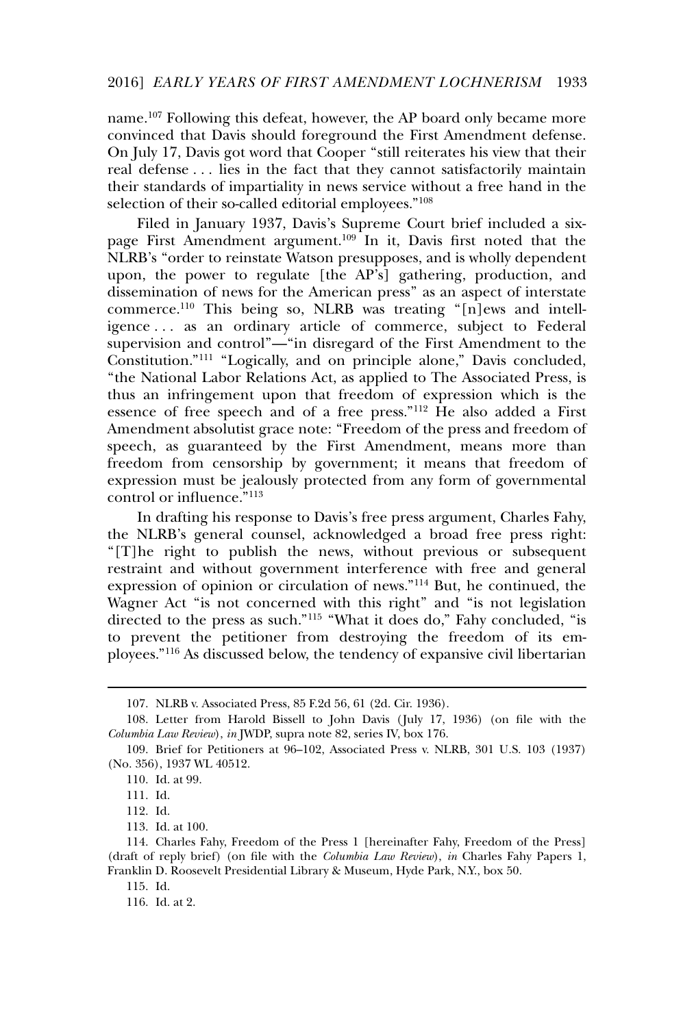name.<sup>107</sup> Following this defeat, however, the AP board only became more convinced that Davis should foreground the First Amendment defense. On July 17, Davis got word that Cooper "still reiterates his view that their real defense . . . lies in the fact that they cannot satisfactorily maintain their standards of impartiality in news service without a free hand in the selection of their so-called editorial employees."<sup>108</sup>

Filed in January 1937, Davis's Supreme Court brief included a sixpage First Amendment argument.<sup>109</sup> In it, Davis first noted that the NLRB's "order to reinstate Watson presupposes, and is wholly dependent upon, the power to regulate [the AP's] gathering, production, and dissemination of news for the American press" as an aspect of interstate commerce.<sup>110</sup> This being so, NLRB was treating "[n]ews and intelligence . . . as an ordinary article of commerce, subject to Federal supervision and control"—"in disregard of the First Amendment to the Constitution."<sup>111</sup> "Logically, and on principle alone," Davis concluded, "the National Labor Relations Act, as applied to The Associated Press, is thus an infringement upon that freedom of expression which is the essence of free speech and of a free press."<sup>112</sup> He also added a First Amendment absolutist grace note: "Freedom of the press and freedom of speech, as guaranteed by the First Amendment, means more than freedom from censorship by government; it means that freedom of expression must be jealously protected from any form of governmental control or influence."<sup>113</sup>

In drafting his response to Davis's free press argument, Charles Fahy, the NLRB's general counsel, acknowledged a broad free press right: "[T]he right to publish the news, without previous or subsequent restraint and without government interference with free and general expression of opinion or circulation of news."<sup>114</sup> But, he continued, the Wagner Act "is not concerned with this right" and "is not legislation directed to the press as such."<sup>115</sup> "What it does do," Fahy concluded, "is to prevent the petitioner from destroying the freedom of its employees."<sup>116</sup> As discussed below, the tendency of expansive civil libertarian

<sup>107.</sup> NLRB v. Associated Press, 85 F.2d 56, 61 (2d. Cir. 1936).

<sup>108.</sup> Letter from Harold Bissell to John Davis ( July 17, 1936) (on file with the *Columbia Law Review*), *in* JWDP, supra note 82, series IV, box 176.

<sup>109.</sup> Brief for Petitioners at 96–102, Associated Press v. NLRB, 301 U.S. 103 (1937) (No. 356), 1937 WL 40512.

<sup>110.</sup> Id. at 99.

<sup>111.</sup> Id.

<sup>112.</sup> Id.

<sup>113.</sup> Id. at 100.

<sup>114.</sup> Charles Fahy, Freedom of the Press 1 [hereinafter Fahy, Freedom of the Press] (draft of reply brief) (on file with the *Columbia Law Review*), *in* Charles Fahy Papers 1, Franklin D. Roosevelt Presidential Library & Museum, Hyde Park, N.Y., box 50.

<sup>115.</sup> Id.

<sup>116.</sup> Id. at 2.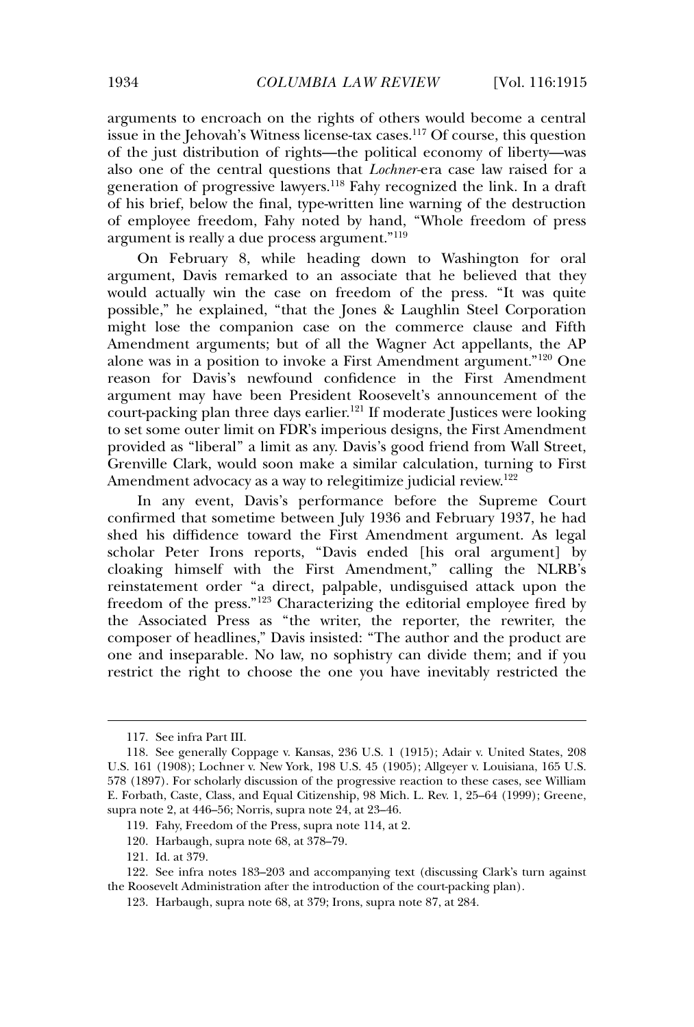arguments to encroach on the rights of others would become a central issue in the Jehovah's Witness license-tax cases.<sup>117</sup> Of course, this question of the just distribution of rights—the political economy of liberty—was also one of the central questions that *Lochner-*era case law raised for a generation of progressive lawyers.<sup>118</sup> Fahy recognized the link. In a draft of his brief, below the final, type-written line warning of the destruction of employee freedom, Fahy noted by hand, "Whole freedom of press argument is really a due process argument."<sup>119</sup>

On February 8, while heading down to Washington for oral argument, Davis remarked to an associate that he believed that they would actually win the case on freedom of the press. "It was quite possible," he explained, "that the Jones & Laughlin Steel Corporation might lose the companion case on the commerce clause and Fifth Amendment arguments; but of all the Wagner Act appellants, the AP alone was in a position to invoke a First Amendment argument."<sup>120</sup> One reason for Davis's newfound confidence in the First Amendment argument may have been President Roosevelt's announcement of the court-packing plan three days earlier.<sup>121</sup> If moderate Justices were looking to set some outer limit on FDR's imperious designs, the First Amendment provided as "liberal" a limit as any. Davis's good friend from Wall Street, Grenville Clark, would soon make a similar calculation, turning to First Amendment advocacy as a way to relegitimize judicial review.<sup>122</sup>

In any event, Davis's performance before the Supreme Court confirmed that sometime between July 1936 and February 1937, he had shed his diffidence toward the First Amendment argument. As legal scholar Peter Irons reports, "Davis ended [his oral argument] by cloaking himself with the First Amendment," calling the NLRB's reinstatement order "a direct, palpable, undisguised attack upon the freedom of the press."<sup>123</sup> Characterizing the editorial employee fired by the Associated Press as "the writer, the reporter, the rewriter, the composer of headlines," Davis insisted: "The author and the product are one and inseparable. No law, no sophistry can divide them; and if you restrict the right to choose the one you have inevitably restricted the

<sup>117.</sup> See infra Part III.

<sup>118.</sup> See generally Coppage v. Kansas, 236 U.S. 1 (1915); Adair v. United States, 208 U.S. 161 (1908); Lochner v. New York, 198 U.S. 45 (1905); Allgeyer v. Louisiana, 165 U.S. 578 (1897). For scholarly discussion of the progressive reaction to these cases, see William E. Forbath, Caste, Class, and Equal Citizenship, 98 Mich. L. Rev. 1, 25–64 (1999); Greene, supra note 2, at 446–56; Norris, supra note 24, at 23–46.

<sup>119.</sup> Fahy, Freedom of the Press, supra note 114, at 2.

<sup>120.</sup> Harbaugh, supra note 68, at 378–79.

<sup>121.</sup> Id. at 379.

<sup>122.</sup> See infra notes 183–203 and accompanying text (discussing Clark's turn against the Roosevelt Administration after the introduction of the court-packing plan).

<sup>123.</sup> Harbaugh, supra note 68, at 379; Irons, supra note 87, at 284.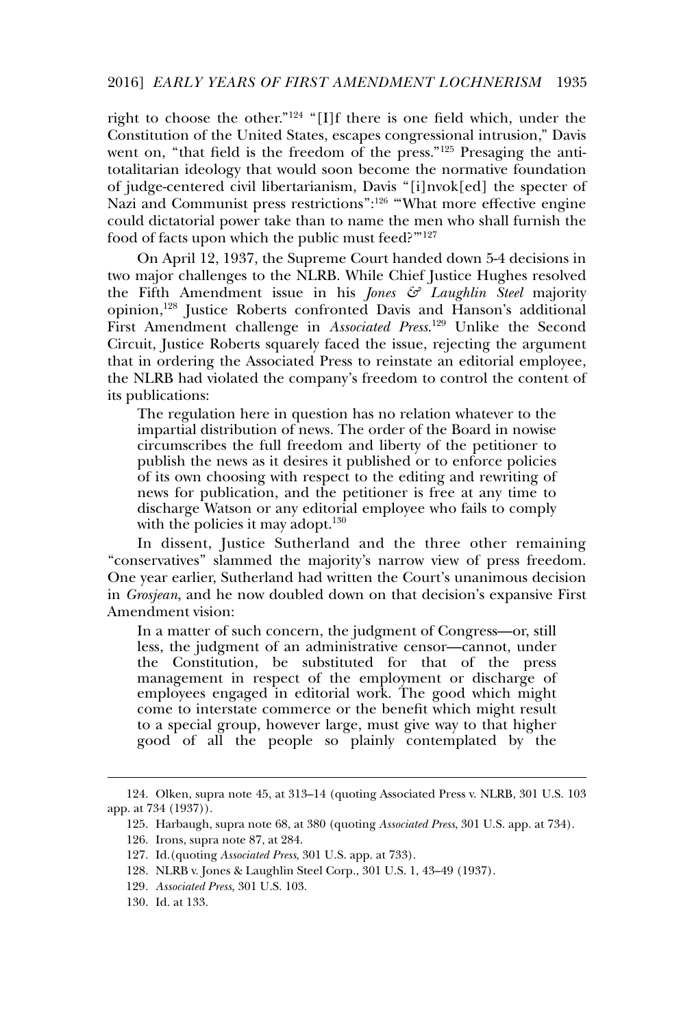right to choose the other."<sup>124</sup> "[I]f there is one field which, under the Constitution of the United States, escapes congressional intrusion," Davis went on, "that field is the freedom of the press."<sup>125</sup> Presaging the antitotalitarian ideology that would soon become the normative foundation of judge-centered civil libertarianism, Davis "[i]nvok[ed] the specter of Nazi and Communist press restrictions":<sup>126</sup> "What more effective engine could dictatorial power take than to name the men who shall furnish the food of facts upon which the public must feed?"127

On April 12, 1937, the Supreme Court handed down 5-4 decisions in two major challenges to the NLRB. While Chief Justice Hughes resolved the Fifth Amendment issue in his *Jones & Laughlin Steel* majority opinion,<sup>128</sup> Justice Roberts confronted Davis and Hanson's additional First Amendment challenge in *Associated Press*. <sup>129</sup> Unlike the Second Circuit, Justice Roberts squarely faced the issue, rejecting the argument that in ordering the Associated Press to reinstate an editorial employee, the NLRB had violated the company's freedom to control the content of its publications:

The regulation here in question has no relation whatever to the impartial distribution of news. The order of the Board in nowise circumscribes the full freedom and liberty of the petitioner to publish the news as it desires it published or to enforce policies of its own choosing with respect to the editing and rewriting of news for publication, and the petitioner is free at any time to discharge Watson or any editorial employee who fails to comply with the policies it may adopt.<sup>130</sup>

In dissent, Justice Sutherland and the three other remaining "conservatives" slammed the majority's narrow view of press freedom. One year earlier, Sutherland had written the Court's unanimous decision in *Grosjean*, and he now doubled down on that decision's expansive First Amendment vision:

In a matter of such concern, the judgment of Congress—or, still less, the judgment of an administrative censor—cannot, under the Constitution, be substituted for that of the press management in respect of the employment or discharge of employees engaged in editorial work. The good which might come to interstate commerce or the benefit which might result to a special group, however large, must give way to that higher good of all the people so plainly contemplated by the

<sup>124.</sup> Olken, supra note 45, at 313–14 (quoting Associated Press v. NLRB, 301 U.S. 103 app. at 734 (1937)).

<sup>125.</sup> Harbaugh, supra note 68, at 380 (quoting *Associated Press*, 301 U.S. app. at 734).

<sup>126.</sup> Irons, supra note 87, at 284.

<sup>127.</sup> Id.(quoting *Associated Press*, 301 U.S. app. at 733).

<sup>128.</sup> NLRB v. Jones & Laughlin Steel Corp., 301 U.S. 1, 43–49 (1937).

<sup>129</sup>*. Associated Press*, 301 U.S. 103.

<sup>130.</sup> Id. at 133.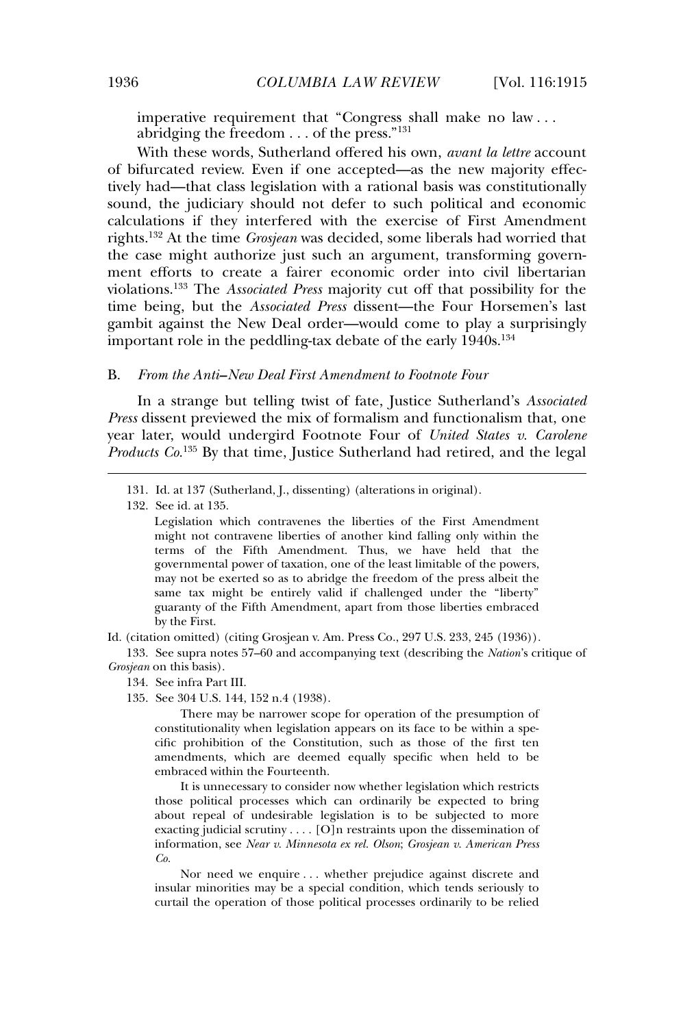imperative requirement that "Congress shall make no law . . . abridging the freedom . . . of the press."<sup>131</sup>

With these words, Sutherland offered his own, *avant la lettre* account of bifurcated review. Even if one accepted—as the new majority effectively had—that class legislation with a rational basis was constitutionally sound, the judiciary should not defer to such political and economic calculations if they interfered with the exercise of First Amendment rights.<sup>132</sup> At the time *Grosjean* was decided, some liberals had worried that the case might authorize just such an argument, transforming government efforts to create a fairer economic order into civil libertarian violations.<sup>133</sup> The *Associated Press* majority cut off that possibility for the time being, but the *Associated Press* dissent—the Four Horsemen's last gambit against the New Deal order—would come to play a surprisingly important role in the peddling-tax debate of the early 1940s.<sup>134</sup>

#### B. *From the Anti–New Deal First Amendment to Footnote Four*

In a strange but telling twist of fate, Justice Sutherland's *Associated Press* dissent previewed the mix of formalism and functionalism that, one year later, would undergird Footnote Four of *United States v. Carolene Products Co.*<sup>135</sup> By that time, Justice Sutherland had retired, and the legal

132. See id. at 135.

Legislation which contravenes the liberties of the First Amendment might not contravene liberties of another kind falling only within the terms of the Fifth Amendment. Thus, we have held that the governmental power of taxation, one of the least limitable of the powers, may not be exerted so as to abridge the freedom of the press albeit the same tax might be entirely valid if challenged under the "liberty" guaranty of the Fifth Amendment, apart from those liberties embraced by the First.

Id. (citation omitted) (citing Grosjean v. Am. Press Co., 297 U.S. 233, 245 (1936)).

133. See supra notes 57–60 and accompanying text (describing the *Nation*'s critique of *Grosjean* on this basis).

- 134. See infra Part III.
- 135. See 304 U.S. 144, 152 n.4 (1938).

There may be narrower scope for operation of the presumption of constitutionality when legislation appears on its face to be within a specific prohibition of the Constitution, such as those of the first ten amendments, which are deemed equally specific when held to be embraced within the Fourteenth.

It is unnecessary to consider now whether legislation which restricts those political processes which can ordinarily be expected to bring about repeal of undesirable legislation is to be subjected to more exacting judicial scrutiny . . . . [O]n restraints upon the dissemination of information, see *Near v. Minnesota ex rel. Olson*; *Grosjean v. American Press Co.*

Nor need we enquire . . . whether prejudice against discrete and insular minorities may be a special condition, which tends seriously to curtail the operation of those political processes ordinarily to be relied

<sup>131.</sup> Id. at 137 (Sutherland, J., dissenting) (alterations in original).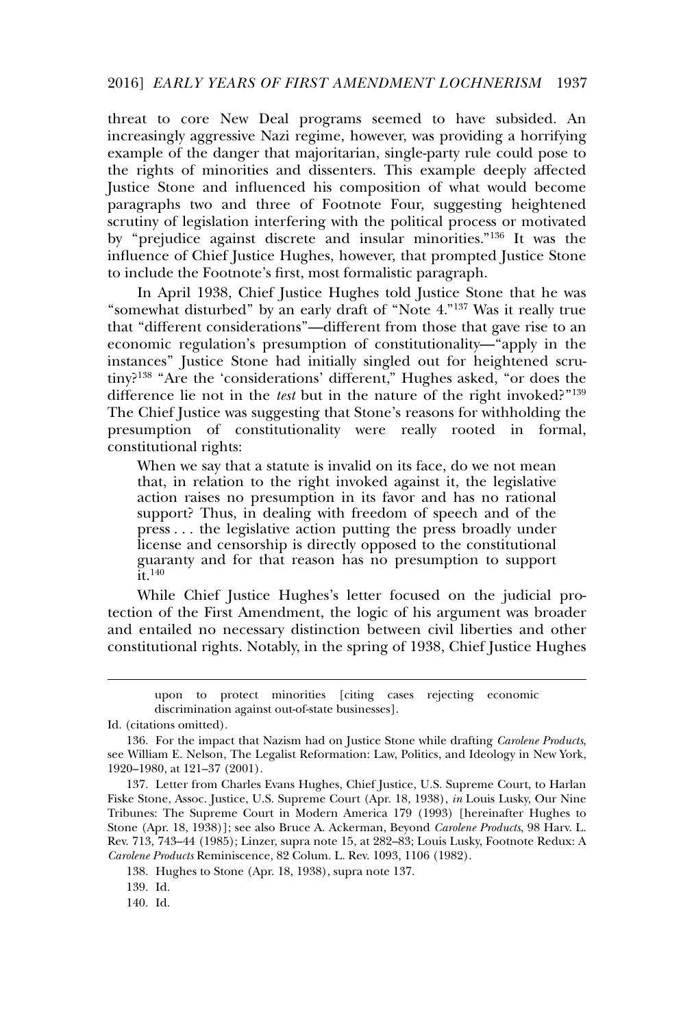threat to core New Deal programs seemed to have subsided. An increasingly aggressive Nazi regime, however, was providing a horrifying example of the danger that majoritarian, single-party rule could pose to the rights of minorities and dissenters. This example deeply affected Justice Stone and influenced his composition of what would become paragraphs two and three of Footnote Four, suggesting heightened scrutiny of legislation interfering with the political process or motivated by "prejudice against discrete and insular minorities."<sup>136</sup> It was the influence of Chief Justice Hughes, however, that prompted Justice Stone to include the Footnote's first, most formalistic paragraph.

In April 1938, Chief Justice Hughes told Justice Stone that he was "somewhat disturbed" by an early draft of "Note 4."<sup>137</sup> Was it really true that "different considerations"—different from those that gave rise to an economic regulation's presumption of constitutionality—"apply in the instances" Justice Stone had initially singled out for heightened scrutiny?<sup>138</sup> "Are the 'considerations' different," Hughes asked, "or does the difference lie not in the *test* but in the nature of the right invoked?"<sup>139</sup> The Chief Justice was suggesting that Stone's reasons for withholding the presumption of constitutionality were really rooted in formal, constitutional rights:

When we say that a statute is invalid on its face, do we not mean that, in relation to the right invoked against it, the legislative action raises no presumption in its favor and has no rational support? Thus, in dealing with freedom of speech and of the press . . . the legislative action putting the press broadly under license and censorship is directly opposed to the constitutional guaranty and for that reason has no presumption to support  $\tilde{\mathrm{it}}$ .<sup>140</sup>

While Chief Justice Hughes's letter focused on the judicial protection of the First Amendment, the logic of his argument was broader and entailed no necessary distinction between civil liberties and other constitutional rights. Notably, in the spring of 1938, Chief Justice Hughes

138. Hughes to Stone (Apr. 18, 1938), supra note 137.

139. Id.

140. Id.

upon to protect minorities [citing cases rejecting economic discrimination against out-of-state businesses].

Id. (citations omitted).

<sup>136.</sup> For the impact that Nazism had on Justice Stone while drafting *Carolene Products*, see William E. Nelson, The Legalist Reformation: Law, Politics, and Ideology in New York, 1920–1980, at 121–37 (2001).

<sup>137.</sup> Letter from Charles Evans Hughes, Chief Justice, U.S. Supreme Court, to Harlan Fiske Stone, Assoc. Justice, U.S. Supreme Court (Apr. 18, 1938), *in* Louis Lusky, Our Nine Tribunes: The Supreme Court in Modern America 179 (1993) [hereinafter Hughes to Stone (Apr. 18, 1938)]; see also Bruce A. Ackerman, Beyond *Carolene Products*, 98 Harv. L. Rev. 713, 743–44 (1985); Linzer, supra note 15, at 282–83; Louis Lusky, Footnote Redux: A *Carolene Products* Reminiscence, 82 Colum. L. Rev. 1093, 1106 (1982).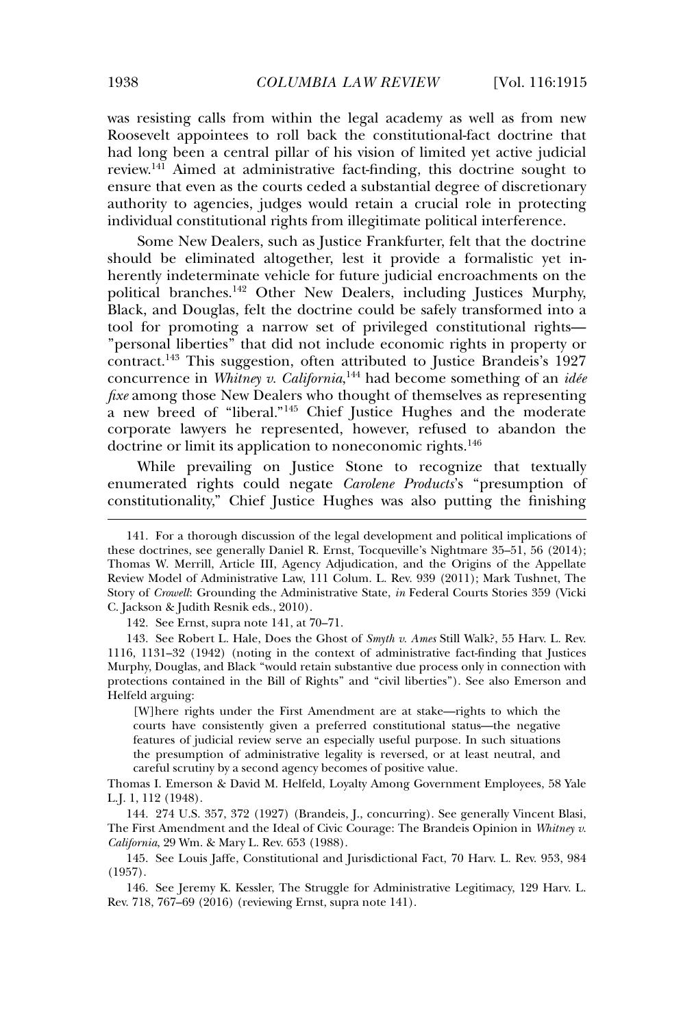was resisting calls from within the legal academy as well as from new Roosevelt appointees to roll back the constitutional-fact doctrine that had long been a central pillar of his vision of limited yet active judicial review.<sup>141</sup> Aimed at administrative fact-finding, this doctrine sought to ensure that even as the courts ceded a substantial degree of discretionary authority to agencies, judges would retain a crucial role in protecting individual constitutional rights from illegitimate political interference.

Some New Dealers, such as Justice Frankfurter, felt that the doctrine should be eliminated altogether, lest it provide a formalistic yet inherently indeterminate vehicle for future judicial encroachments on the political branches.<sup>142</sup> Other New Dealers, including Justices Murphy, Black, and Douglas, felt the doctrine could be safely transformed into a tool for promoting a narrow set of privileged constitutional rights— "personal liberties" that did not include economic rights in property or contract.<sup>143</sup> This suggestion, often attributed to Justice Brandeis's 1927 concurrence in *Whitney v. California*, <sup>144</sup> had become something of an *idée fixe* among those New Dealers who thought of themselves as representing a new breed of "liberal."<sup>145</sup> Chief Justice Hughes and the moderate corporate lawyers he represented, however, refused to abandon the doctrine or limit its application to noneconomic rights.<sup>146</sup>

While prevailing on Justice Stone to recognize that textually enumerated rights could negate *Carolene Products*'s "presumption of constitutionality," Chief Justice Hughes was also putting the finishing

142. See Ernst, supra note 141, at 70–71.

143. See Robert L. Hale, Does the Ghost of *Smyth v. Ames* Still Walk?, 55 Harv. L. Rev. 1116, 1131–32 (1942) (noting in the context of administrative fact-finding that Justices Murphy, Douglas, and Black "would retain substantive due process only in connection with protections contained in the Bill of Rights" and "civil liberties"). See also Emerson and Helfeld arguing:

[W]here rights under the First Amendment are at stake—rights to which the courts have consistently given a preferred constitutional status—the negative features of judicial review serve an especially useful purpose. In such situations the presumption of administrative legality is reversed, or at least neutral, and careful scrutiny by a second agency becomes of positive value.

Thomas I. Emerson & David M. Helfeld, Loyalty Among Government Employees, 58 Yale L.J. 1, 112 (1948).

144. 274 U.S. 357, 372 (1927) (Brandeis, J., concurring). See generally Vincent Blasi, The First Amendment and the Ideal of Civic Courage: The Brandeis Opinion in *Whitney v. California*, 29 Wm. & Mary L. Rev. 653 (1988).

145. See Louis Jaffe, Constitutional and Jurisdictional Fact, 70 Harv. L. Rev. 953, 984 (1957).

146. See Jeremy K. Kessler, The Struggle for Administrative Legitimacy, 129 Harv. L. Rev. 718, 767–69 (2016) (reviewing Ernst, supra note 141).

<sup>141.</sup> For a thorough discussion of the legal development and political implications of these doctrines, see generally Daniel R. Ernst, Tocqueville's Nightmare 35–51, 56 (2014); Thomas W. Merrill, Article III, Agency Adjudication, and the Origins of the Appellate Review Model of Administrative Law, 111 Colum. L. Rev. 939 (2011); Mark Tushnet, The Story of *Crowell*: Grounding the Administrative State, *in* Federal Courts Stories 359 (Vicki C. Jackson & Judith Resnik eds., 2010).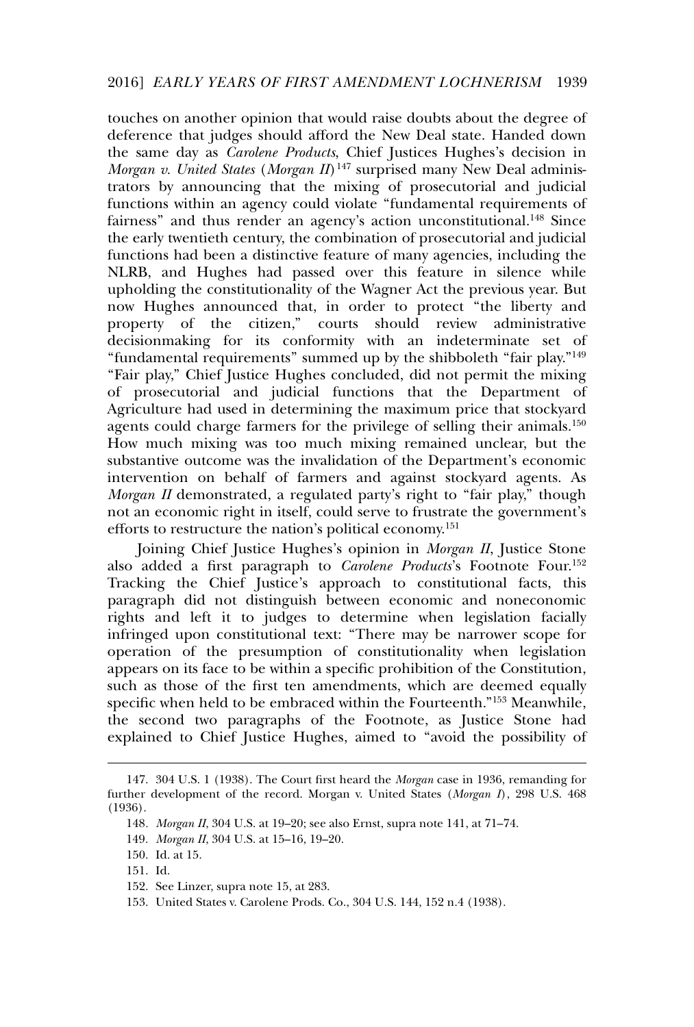touches on another opinion that would raise doubts about the degree of deference that judges should afford the New Deal state. Handed down the same day as *Carolene Products*, Chief Justices Hughes's decision in *Morgan v. United States* (*Morgan II*) <sup>147</sup> surprised many New Deal administrators by announcing that the mixing of prosecutorial and judicial functions within an agency could violate "fundamental requirements of fairness" and thus render an agency's action unconstitutional.<sup>148</sup> Since the early twentieth century, the combination of prosecutorial and judicial functions had been a distinctive feature of many agencies, including the NLRB, and Hughes had passed over this feature in silence while upholding the constitutionality of the Wagner Act the previous year. But now Hughes announced that, in order to protect "the liberty and property of the citizen," courts should review administrative decisionmaking for its conformity with an indeterminate set of "fundamental requirements" summed up by the shibboleth "fair play."<sup>149</sup> "Fair play," Chief Justice Hughes concluded, did not permit the mixing of prosecutorial and judicial functions that the Department of Agriculture had used in determining the maximum price that stockyard agents could charge farmers for the privilege of selling their animals.<sup>150</sup> How much mixing was too much mixing remained unclear, but the substantive outcome was the invalidation of the Department's economic intervention on behalf of farmers and against stockyard agents. As *Morgan II* demonstrated, a regulated party's right to "fair play," though not an economic right in itself, could serve to frustrate the government's efforts to restructure the nation's political economy.<sup>151</sup>

Joining Chief Justice Hughes's opinion in *Morgan II*, Justice Stone also added a first paragraph to *Carolene Products*'s Footnote Four.<sup>152</sup> Tracking the Chief Justice's approach to constitutional facts, this paragraph did not distinguish between economic and noneconomic rights and left it to judges to determine when legislation facially infringed upon constitutional text: "There may be narrower scope for operation of the presumption of constitutionality when legislation appears on its face to be within a specific prohibition of the Constitution, such as those of the first ten amendments, which are deemed equally specific when held to be embraced within the Fourteenth."<sup>153</sup> Meanwhile, the second two paragraphs of the Footnote, as Justice Stone had explained to Chief Justice Hughes, aimed to "avoid the possibility of

<sup>147. 304</sup> U.S. 1 (1938). The Court first heard the *Morgan* case in 1936, remanding for further development of the record. Morgan v. United States (*Morgan I*), 298 U.S. 468 (1936).

<sup>148</sup>*. Morgan II*, 304 U.S. at 19–20; see also Ernst, supra note 141, at 71–74.

<sup>149</sup>*. Morgan II*, 304 U.S. at 15–16, 19–20.

<sup>150.</sup> Id. at 15.

<sup>151.</sup> Id.

<sup>152.</sup> See Linzer, supra note 15, at 283.

<sup>153.</sup> United States v. Carolene Prods. Co., 304 U.S. 144, 152 n.4 (1938).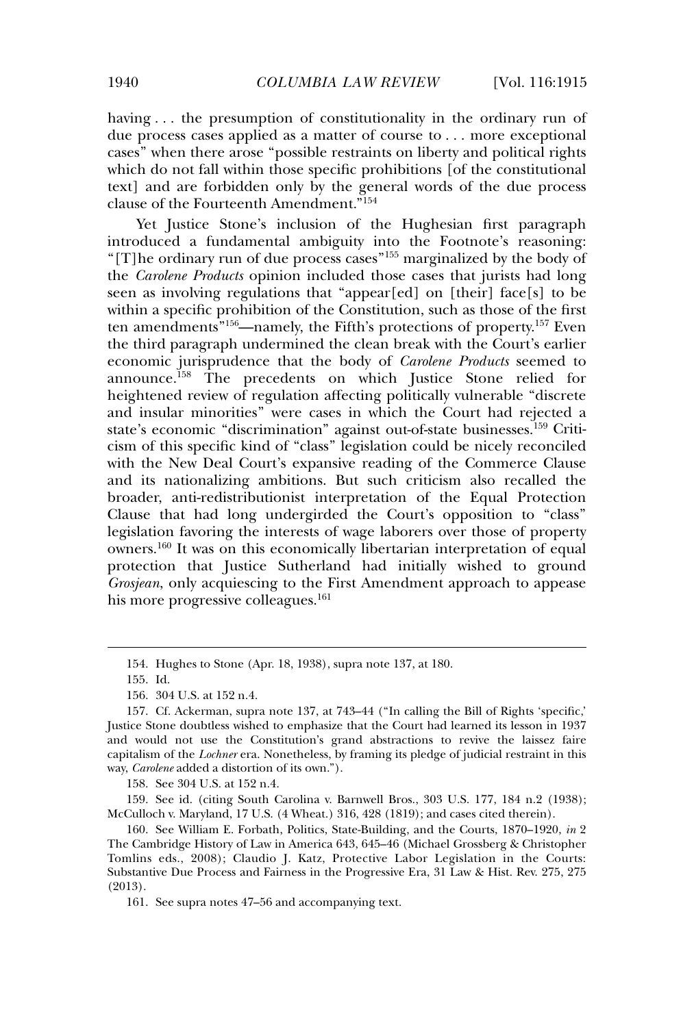having ... the presumption of constitutionality in the ordinary run of due process cases applied as a matter of course to . . . more exceptional cases" when there arose "possible restraints on liberty and political rights which do not fall within those specific prohibitions [of the constitutional text] and are forbidden only by the general words of the due process clause of the Fourteenth Amendment."<sup>154</sup>

Yet Justice Stone's inclusion of the Hughesian first paragraph introduced a fundamental ambiguity into the Footnote's reasoning: "[T]he ordinary run of due process cases"<sup>155</sup> marginalized by the body of the *Carolene Products* opinion included those cases that jurists had long seen as involving regulations that "appear[ed] on [their] face[s] to be within a specific prohibition of the Constitution, such as those of the first ten amendments"156—namely, the Fifth's protections of property.<sup>157</sup> Even the third paragraph undermined the clean break with the Court's earlier economic jurisprudence that the body of *Carolene Products* seemed to announce.<sup>158</sup> The precedents on which Justice Stone relied for heightened review of regulation affecting politically vulnerable "discrete and insular minorities" were cases in which the Court had rejected a state's economic "discrimination" against out-of-state businesses.<sup>159</sup> Criticism of this specific kind of "class" legislation could be nicely reconciled with the New Deal Court's expansive reading of the Commerce Clause and its nationalizing ambitions. But such criticism also recalled the broader, anti-redistributionist interpretation of the Equal Protection Clause that had long undergirded the Court's opposition to "class" legislation favoring the interests of wage laborers over those of property owners.<sup>160</sup> It was on this economically libertarian interpretation of equal protection that Justice Sutherland had initially wished to ground *Grosjean*, only acquiescing to the First Amendment approach to appease his more progressive colleagues.<sup>161</sup>

<sup>154.</sup> Hughes to Stone (Apr. 18, 1938), supra note 137, at 180.

<sup>155.</sup> Id.

<sup>156. 304</sup> U.S. at 152 n.4.

<sup>157.</sup> Cf. Ackerman, supra note 137, at 743–44 ("In calling the Bill of Rights 'specific,' Justice Stone doubtless wished to emphasize that the Court had learned its lesson in 1937 and would not use the Constitution's grand abstractions to revive the laissez faire capitalism of the *Lochner* era. Nonetheless, by framing its pledge of judicial restraint in this way, *Carolene* added a distortion of its own.").

<sup>158.</sup> See 304 U.S. at 152 n.4.

<sup>159.</sup> See id. (citing South Carolina v. Barnwell Bros., 303 U.S. 177, 184 n.2 (1938); McCulloch v. Maryland, 17 U.S. (4 Wheat.) 316, 428 (1819); and cases cited therein).

<sup>160.</sup> See William E. Forbath, Politics, State-Building, and the Courts, 1870–1920, *in* 2 The Cambridge History of Law in America 643, 645–46 (Michael Grossberg & Christopher Tomlins eds., 2008); Claudio J. Katz, Protective Labor Legislation in the Courts: Substantive Due Process and Fairness in the Progressive Era, 31 Law & Hist. Rev. 275, 275 (2013).

<sup>161.</sup> See supra notes 47–56 and accompanying text.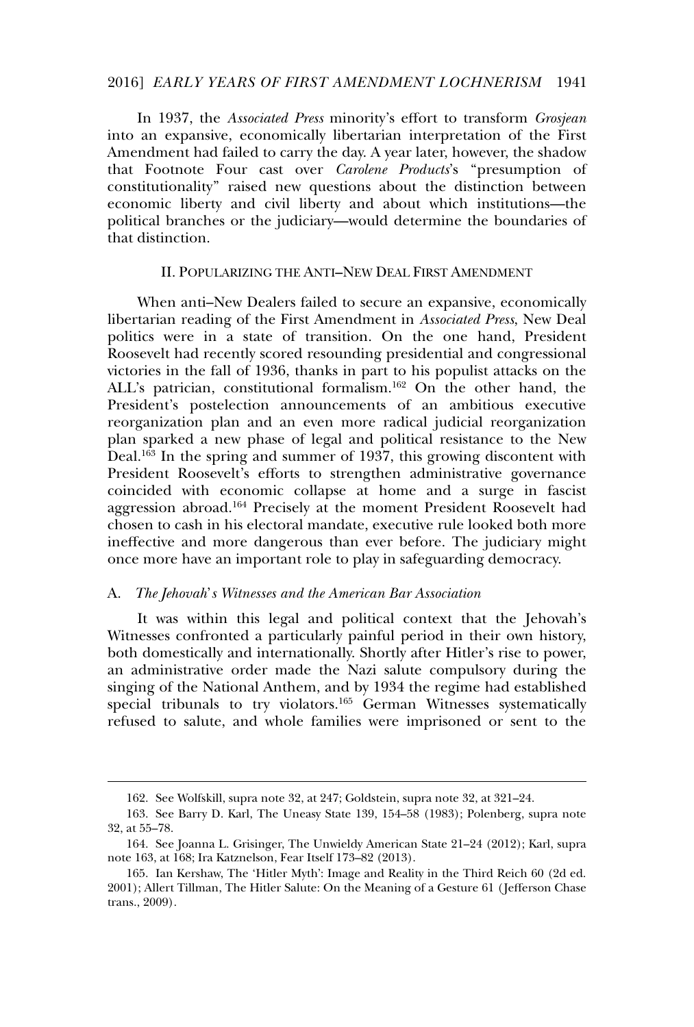#### 2016] *EARLY YEARS OF FIRST AMENDMENT LOCHNERISM* 1941

In 1937, the *Associated Press* minority's effort to transform *Grosjean* into an expansive, economically libertarian interpretation of the First Amendment had failed to carry the day. A year later, however, the shadow that Footnote Four cast over *Carolene Products*'s "presumption of constitutionality" raised new questions about the distinction between economic liberty and civil liberty and about which institutions—the political branches or the judiciary—would determine the boundaries of that distinction.

#### II. POPULARIZING THE ANTI**–**NEW DEAL FIRST AMENDMENT

When anti–New Dealers failed to secure an expansive, economically libertarian reading of the First Amendment in *Associated Press*, New Deal politics were in a state of transition. On the one hand, President Roosevelt had recently scored resounding presidential and congressional victories in the fall of 1936, thanks in part to his populist attacks on the ALL's patrician, constitutional formalism.<sup>162</sup> On the other hand, the President's postelection announcements of an ambitious executive reorganization plan and an even more radical judicial reorganization plan sparked a new phase of legal and political resistance to the New Deal.<sup>163</sup> In the spring and summer of 1937, this growing discontent with President Roosevelt's efforts to strengthen administrative governance coincided with economic collapse at home and a surge in fascist aggression abroad.<sup>164</sup> Precisely at the moment President Roosevelt had chosen to cash in his electoral mandate, executive rule looked both more ineffective and more dangerous than ever before. The judiciary might once more have an important role to play in safeguarding democracy.

#### A. *The Jehovah*'*s Witnesses and the American Bar Association*

It was within this legal and political context that the Jehovah's Witnesses confronted a particularly painful period in their own history, both domestically and internationally. Shortly after Hitler's rise to power, an administrative order made the Nazi salute compulsory during the singing of the National Anthem, and by 1934 the regime had established special tribunals to try violators.<sup>165</sup> German Witnesses systematically refused to salute, and whole families were imprisoned or sent to the

<sup>162.</sup> See Wolfskill, supra note 32, at 247; Goldstein, supra note 32, at 321–24.

<sup>163.</sup> See Barry D. Karl, The Uneasy State 139, 154–58 (1983); Polenberg, supra note 32, at 55–78.

<sup>164.</sup> See Joanna L. Grisinger, The Unwieldy American State 21–24 (2012); Karl, supra note 163, at 168; Ira Katznelson, Fear Itself 173–82 (2013).

<sup>165.</sup> Ian Kershaw, The 'Hitler Myth': Image and Reality in the Third Reich 60 (2d ed. 2001); Allert Tillman, The Hitler Salute: On the Meaning of a Gesture 61 ( Jefferson Chase trans., 2009).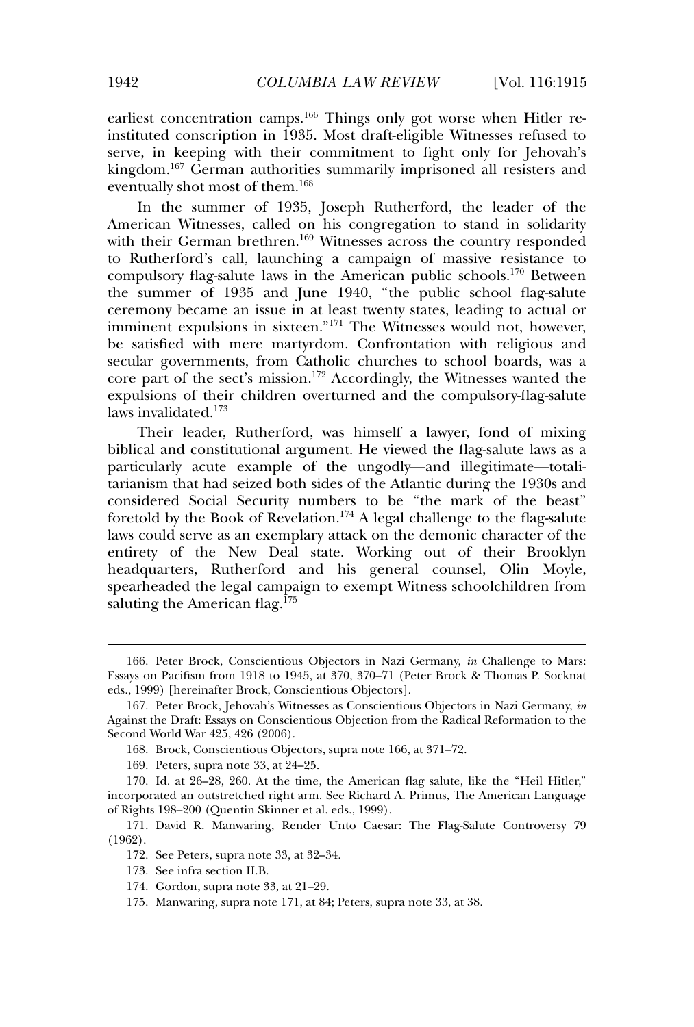earliest concentration camps.<sup>166</sup> Things only got worse when Hitler reinstituted conscription in 1935. Most draft-eligible Witnesses refused to serve, in keeping with their commitment to fight only for Jehovah's kingdom.<sup>167</sup> German authorities summarily imprisoned all resisters and eventually shot most of them.<sup>168</sup>

In the summer of 1935, Joseph Rutherford, the leader of the American Witnesses, called on his congregation to stand in solidarity with their German brethren.<sup>169</sup> Witnesses across the country responded to Rutherford's call, launching a campaign of massive resistance to compulsory flag-salute laws in the American public schools.<sup>170</sup> Between the summer of 1935 and June 1940, "the public school flag-salute ceremony became an issue in at least twenty states, leading to actual or imminent expulsions in sixteen."<sup>171</sup> The Witnesses would not, however, be satisfied with mere martyrdom. Confrontation with religious and secular governments, from Catholic churches to school boards, was a core part of the sect's mission.<sup>172</sup> Accordingly, the Witnesses wanted the expulsions of their children overturned and the compulsory-flag-salute laws invalidated.<sup>173</sup>

Their leader, Rutherford, was himself a lawyer, fond of mixing biblical and constitutional argument. He viewed the flag-salute laws as a particularly acute example of the ungodly—and illegitimate—totalitarianism that had seized both sides of the Atlantic during the 1930s and considered Social Security numbers to be "the mark of the beast" foretold by the Book of Revelation.<sup>174</sup> A legal challenge to the flag-salute laws could serve as an exemplary attack on the demonic character of the entirety of the New Deal state. Working out of their Brooklyn headquarters, Rutherford and his general counsel, Olin Moyle, spearheaded the legal campaign to exempt Witness schoolchildren from saluting the American flag.<sup>175</sup>

<sup>166.</sup> Peter Brock, Conscientious Objectors in Nazi Germany, *in* Challenge to Mars: Essays on Pacifism from 1918 to 1945, at 370, 370–71 (Peter Brock & Thomas P. Socknat eds., 1999) [hereinafter Brock, Conscientious Objectors].

<sup>167.</sup> Peter Brock, Jehovah's Witnesses as Conscientious Objectors in Nazi Germany, *in* Against the Draft: Essays on Conscientious Objection from the Radical Reformation to the Second World War 425, 426 (2006).

<sup>168.</sup> Brock, Conscientious Objectors, supra note 166, at 371–72.

<sup>169.</sup> Peters, supra note 33, at 24–25.

<sup>170.</sup> Id. at 26–28, 260. At the time, the American flag salute, like the "Heil Hitler," incorporated an outstretched right arm. See Richard A. Primus, The American Language of Rights 198–200 (Quentin Skinner et al. eds., 1999).

<sup>171.</sup> David R. Manwaring, Render Unto Caesar: The Flag-Salute Controversy 79 (1962).

<sup>172.</sup> See Peters, supra note 33, at 32–34.

<sup>173.</sup> See infra section II.B.

<sup>174.</sup> Gordon, supra note 33, at 21–29.

<sup>175.</sup> Manwaring, supra note 171, at 84; Peters, supra note 33, at 38.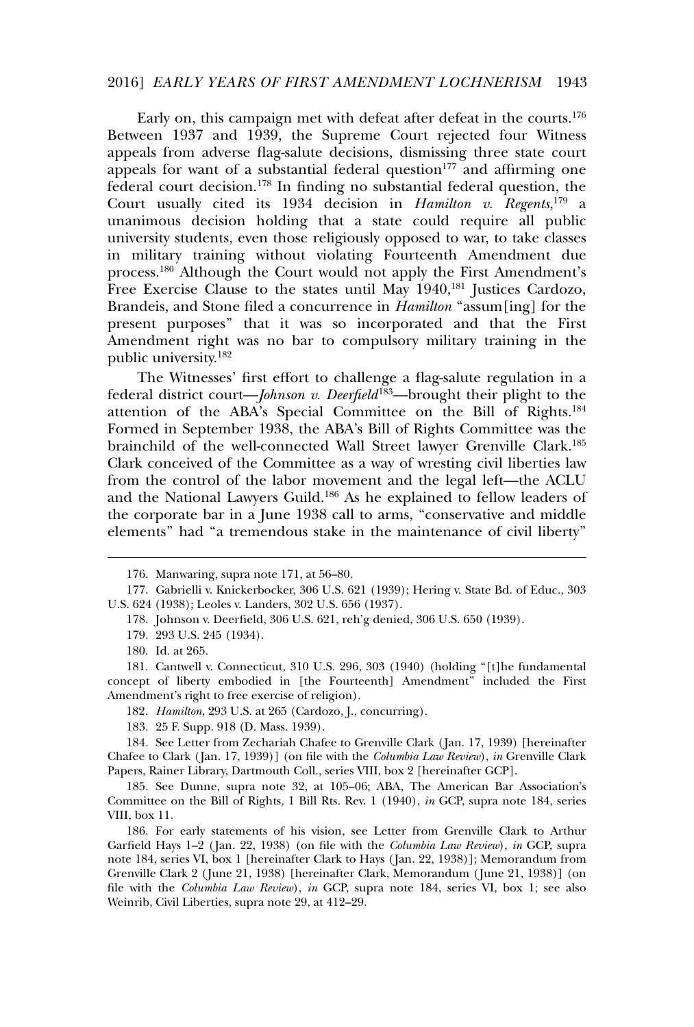#### 2016] *EARLY YEARS OF FIRST AMENDMENT LOCHNERISM* 1943

Early on, this campaign met with defeat after defeat in the courts.<sup>176</sup> Between 1937 and 1939, the Supreme Court rejected four Witness appeals from adverse flag-salute decisions, dismissing three state court appeals for want of a substantial federal question $177$  and affirming one federal court decision.<sup>178</sup> In finding no substantial federal question, the Court usually cited its 1934 decision in *Hamilton v. Regents*, <sup>179</sup> a unanimous decision holding that a state could require all public university students, even those religiously opposed to war, to take classes in military training without violating Fourteenth Amendment due process.<sup>180</sup> Although the Court would not apply the First Amendment's Free Exercise Clause to the states until May 1940,<sup>181</sup> Justices Cardozo, Brandeis, and Stone filed a concurrence in *Hamilton* "assum[ing] for the present purposes" that it was so incorporated and that the First Amendment right was no bar to compulsory military training in the public university.<sup>182</sup>

The Witnesses' first effort to challenge a flag-salute regulation in a federal district court—*Johnson v. Deerfield*183—brought their plight to the attention of the ABA's Special Committee on the Bill of Rights.<sup>184</sup> Formed in September 1938, the ABA's Bill of Rights Committee was the brainchild of the well-connected Wall Street lawyer Grenville Clark.<sup>185</sup> Clark conceived of the Committee as a way of wresting civil liberties law from the control of the labor movement and the legal left—the ACLU and the National Lawyers Guild.<sup>186</sup> As he explained to fellow leaders of the corporate bar in a June 1938 call to arms, "conservative and middle elements" had "a tremendous stake in the maintenance of civil liberty"

181. Cantwell v. Connecticut, 310 U.S. 296, 303 (1940) (holding "[t]he fundamental concept of liberty embodied in [the Fourteenth] Amendment" included the First Amendment's right to free exercise of religion).

- 182*. Hamilton*, 293 U.S. at 265 (Cardozo, J., concurring).
- 183. 25 F. Supp. 918 (D. Mass. 1939).

184. See Letter from Zechariah Chafee to Grenville Clark ( Jan. 17, 1939) [hereinafter Chafee to Clark ( Jan. 17, 1939)] (on file with the *Columbia Law Review*), *in* Grenville Clark Papers, Rainer Library, Dartmouth Coll., series VIII, box 2 [hereinafter GCP].

<sup>176.</sup> Manwaring, supra note 171, at 56–80.

<sup>177.</sup> Gabrielli v. Knickerbocker, 306 U.S. 621 (1939); Hering v. State Bd. of Educ., 303 U.S. 624 (1938); Leoles v. Landers, 302 U.S. 656 (1937).

<sup>178.</sup> Johnson v. Deerfield, 306 U.S. 621, reh'g denied, 306 U.S. 650 (1939).

<sup>179. 293</sup> U.S. 245 (1934).

<sup>180.</sup> Id. at 265.

<sup>185.</sup> See Dunne, supra note 32, at 105–06; ABA, The American Bar Association's Committee on the Bill of Rights, 1 Bill Rts. Rev. 1 (1940), *in* GCP, supra note 184, series VIII, box 11.

<sup>186.</sup> For early statements of his vision, see Letter from Grenville Clark to Arthur Garfield Hays 1–2 ( Jan. 22, 1938) (on file with the *Columbia Law Review*), *in* GCP, supra note 184, series VI, box 1 [hereinafter Clark to Hays ( Jan. 22, 1938)]; Memorandum from Grenville Clark 2 ( June 21, 1938) [hereinafter Clark, Memorandum ( June 21, 1938)] (on file with the *Columbia Law Review*), *in* GCP, supra note 184, series VI, box 1; see also Weinrib, Civil Liberties, supra note 29, at 412–29.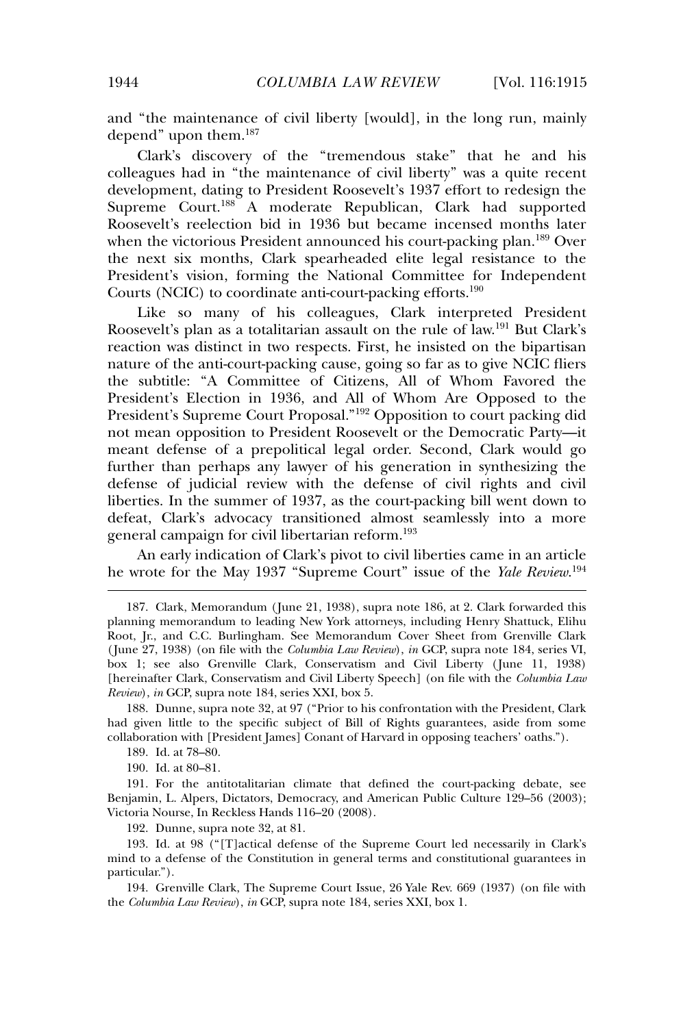and "the maintenance of civil liberty [would], in the long run, mainly depend" upon them.<sup>187</sup>

Clark's discovery of the "tremendous stake" that he and his colleagues had in "the maintenance of civil liberty" was a quite recent development, dating to President Roosevelt's 1937 effort to redesign the Supreme Court.<sup>188</sup> A moderate Republican, Clark had supported Roosevelt's reelection bid in 1936 but became incensed months later when the victorious President announced his court-packing plan.<sup>189</sup> Over the next six months, Clark spearheaded elite legal resistance to the President's vision, forming the National Committee for Independent Courts (NCIC) to coordinate anti-court-packing efforts.<sup>190</sup>

Like so many of his colleagues, Clark interpreted President Roosevelt's plan as a totalitarian assault on the rule of law.<sup>191</sup> But Clark's reaction was distinct in two respects. First, he insisted on the bipartisan nature of the anti-court-packing cause, going so far as to give NCIC fliers the subtitle: "A Committee of Citizens, All of Whom Favored the President's Election in 1936, and All of Whom Are Opposed to the President's Supreme Court Proposal."<sup>192</sup> Opposition to court packing did not mean opposition to President Roosevelt or the Democratic Party—it meant defense of a prepolitical legal order. Second, Clark would go further than perhaps any lawyer of his generation in synthesizing the defense of judicial review with the defense of civil rights and civil liberties. In the summer of 1937, as the court-packing bill went down to defeat, Clark's advocacy transitioned almost seamlessly into a more general campaign for civil libertarian reform.<sup>193</sup>

An early indication of Clark's pivot to civil liberties came in an article he wrote for the May 1937 "Supreme Court" issue of the *Yale Review*. 194

188. Dunne, supra note 32, at 97 ("Prior to his confrontation with the President, Clark had given little to the specific subject of Bill of Rights guarantees, aside from some collaboration with [President James] Conant of Harvard in opposing teachers' oaths.").

189. Id. at 78–80.

190. Id. at 80–81.

191. For the antitotalitarian climate that defined the court-packing debate, see Benjamin, L. Alpers, Dictators, Democracy, and American Public Culture 129–56 (2003); Victoria Nourse, In Reckless Hands 116–20 (2008).

192. Dunne, supra note 32, at 81.

193. Id. at 98 ("[T]actical defense of the Supreme Court led necessarily in Clark's mind to a defense of the Constitution in general terms and constitutional guarantees in particular.").

194. Grenville Clark, The Supreme Court Issue, 26 Yale Rev. 669 (1937) (on file with the *Columbia Law Review*), *in* GCP, supra note 184, series XXI, box 1.

<sup>187.</sup> Clark, Memorandum (June 21, 1938), supra note 186, at 2. Clark forwarded this planning memorandum to leading New York attorneys, including Henry Shattuck, Elihu Root, Jr., and C.C. Burlingham. See Memorandum Cover Sheet from Grenville Clark ( June 27, 1938) (on file with the *Columbia Law Review*), *in* GCP, supra note 184, series VI, box 1; see also Grenville Clark, Conservatism and Civil Liberty ( June 11, 1938) [hereinafter Clark, Conservatism and Civil Liberty Speech] (on file with the *Columbia Law Review*), *in* GCP, supra note 184, series XXI, box 5.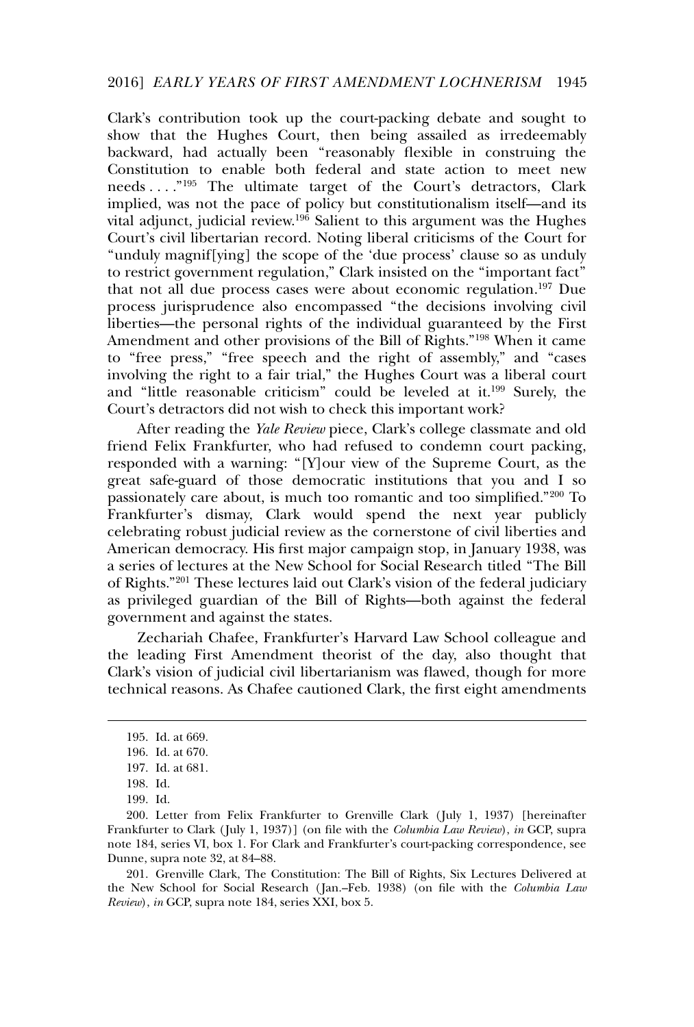Clark's contribution took up the court-packing debate and sought to show that the Hughes Court, then being assailed as irredeemably backward, had actually been "reasonably flexible in construing the Constitution to enable both federal and state action to meet new needs . . . ."<sup>195</sup> The ultimate target of the Court's detractors, Clark implied, was not the pace of policy but constitutionalism itself—and its vital adjunct, judicial review.<sup>196</sup> Salient to this argument was the Hughes Court's civil libertarian record. Noting liberal criticisms of the Court for "unduly magnif[ying] the scope of the 'due process' clause so as unduly to restrict government regulation," Clark insisted on the "important fact" that not all due process cases were about economic regulation.<sup>197</sup> Due process jurisprudence also encompassed "the decisions involving civil liberties—the personal rights of the individual guaranteed by the First Amendment and other provisions of the Bill of Rights."<sup>198</sup> When it came to "free press," "free speech and the right of assembly," and "cases involving the right to a fair trial," the Hughes Court was a liberal court and "little reasonable criticism" could be leveled at it.<sup>199</sup> Surely, the Court's detractors did not wish to check this important work?

After reading the *Yale Review* piece, Clark's college classmate and old friend Felix Frankfurter, who had refused to condemn court packing, responded with a warning: "[Y]our view of the Supreme Court, as the great safe-guard of those democratic institutions that you and I so passionately care about, is much too romantic and too simplified."<sup>200</sup> To Frankfurter's dismay, Clark would spend the next year publicly celebrating robust judicial review as the cornerstone of civil liberties and American democracy. His first major campaign stop, in January 1938, was a series of lectures at the New School for Social Research titled "The Bill of Rights."<sup>201</sup> These lectures laid out Clark's vision of the federal judiciary as privileged guardian of the Bill of Rights—both against the federal government and against the states.

Zechariah Chafee, Frankfurter's Harvard Law School colleague and the leading First Amendment theorist of the day, also thought that Clark's vision of judicial civil libertarianism was flawed, though for more technical reasons. As Chafee cautioned Clark, the first eight amendments

201. Grenville Clark, The Constitution: The Bill of Rights, Six Lectures Delivered at the New School for Social Research ( Jan.–Feb. 1938) (on file with the *Columbia Law Review*), *in* GCP, supra note 184, series XXI, box 5.

<sup>195.</sup> Id. at 669.

<sup>196.</sup> Id. at 670.

<sup>197.</sup> Id. at 681.

<sup>198.</sup> Id.

<sup>199.</sup> Id.

<sup>200.</sup> Letter from Felix Frankfurter to Grenville Clark ( July 1, 1937) [hereinafter Frankfurter to Clark ( July 1, 1937)] (on file with the *Columbia Law Review*), *in* GCP, supra note 184, series VI, box 1. For Clark and Frankfurter's court-packing correspondence, see Dunne, supra note 32, at 84–88.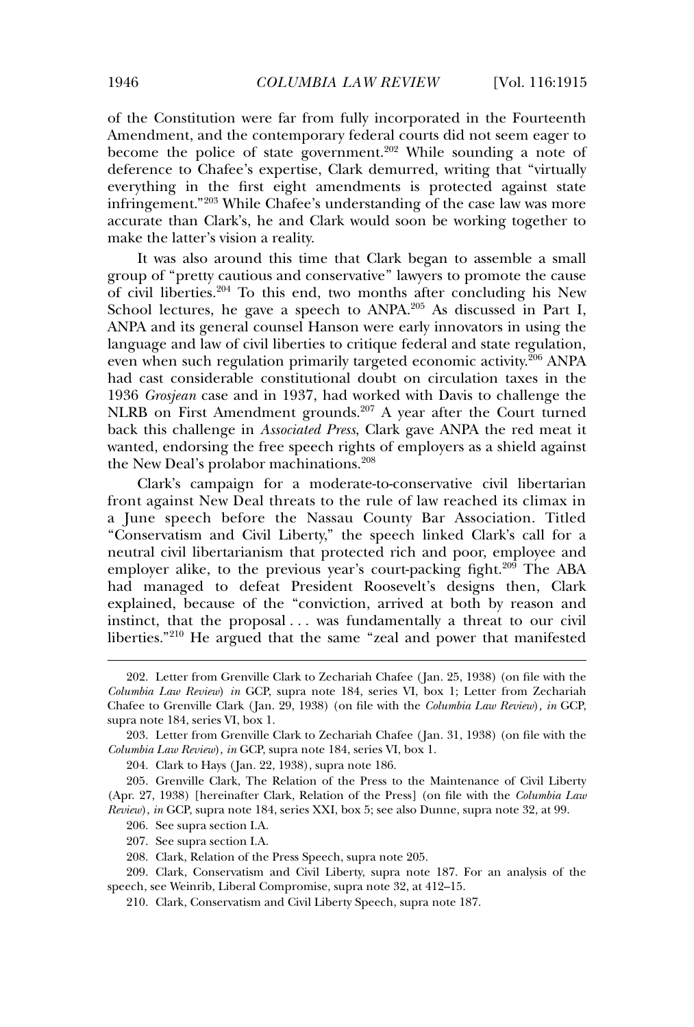of the Constitution were far from fully incorporated in the Fourteenth Amendment, and the contemporary federal courts did not seem eager to become the police of state government.<sup>202</sup> While sounding a note of deference to Chafee's expertise, Clark demurred, writing that "virtually everything in the first eight amendments is protected against state infringement."<sup>203</sup> While Chafee's understanding of the case law was more accurate than Clark's, he and Clark would soon be working together to make the latter's vision a reality.

It was also around this time that Clark began to assemble a small group of "pretty cautious and conservative" lawyers to promote the cause of civil liberties.<sup>204</sup> To this end, two months after concluding his New School lectures, he gave a speech to ANPA.<sup>205</sup> As discussed in Part I, ANPA and its general counsel Hanson were early innovators in using the language and law of civil liberties to critique federal and state regulation, even when such regulation primarily targeted economic activity.<sup>206</sup> ANPA had cast considerable constitutional doubt on circulation taxes in the 1936 *Grosjean* case and in 1937, had worked with Davis to challenge the NLRB on First Amendment grounds.<sup>207</sup> A year after the Court turned back this challenge in *Associated Press*, Clark gave ANPA the red meat it wanted, endorsing the free speech rights of employers as a shield against the New Deal's prolabor machinations.<sup>208</sup>

Clark's campaign for a moderate-to-conservative civil libertarian front against New Deal threats to the rule of law reached its climax in a June speech before the Nassau County Bar Association. Titled "Conservatism and Civil Liberty," the speech linked Clark's call for a neutral civil libertarianism that protected rich and poor, employee and employer alike, to the previous year's court-packing fight.<sup>209</sup> The ABA had managed to defeat President Roosevelt's designs then, Clark explained, because of the "conviction, arrived at both by reason and instinct, that the proposal . . . was fundamentally a threat to our civil liberties."<sup>210</sup> He argued that the same "zeal and power that manifested

<sup>202.</sup> Letter from Grenville Clark to Zechariah Chafee ( Jan. 25, 1938) (on file with the *Columbia Law Review*) *in* GCP, supra note 184, series VI, box 1; Letter from Zechariah Chafee to Grenville Clark ( Jan. 29, 1938) (on file with the *Columbia Law Review*)*, in* GCP, supra note 184, series VI, box 1.

<sup>203.</sup> Letter from Grenville Clark to Zechariah Chafee ( Jan. 31, 1938) (on file with the *Columbia Law Review*), *in* GCP, supra note 184, series VI, box 1.

<sup>204.</sup> Clark to Hays ( Jan. 22, 1938), supra note 186.

<sup>205.</sup> Grenville Clark, The Relation of the Press to the Maintenance of Civil Liberty (Apr. 27, 1938) [hereinafter Clark, Relation of the Press] (on file with the *Columbia Law Review*), *in* GCP, supra note 184, series XXI, box 5; see also Dunne, supra note 32, at 99.

<sup>206.</sup> See supra section I.A.

<sup>207.</sup> See supra section I.A.

<sup>208.</sup> Clark, Relation of the Press Speech, supra note 205.

<sup>209.</sup> Clark, Conservatism and Civil Liberty, supra note 187. For an analysis of the speech, see Weinrib, Liberal Compromise, supra note 32, at 412–15.

<sup>210.</sup> Clark, Conservatism and Civil Liberty Speech, supra note 187.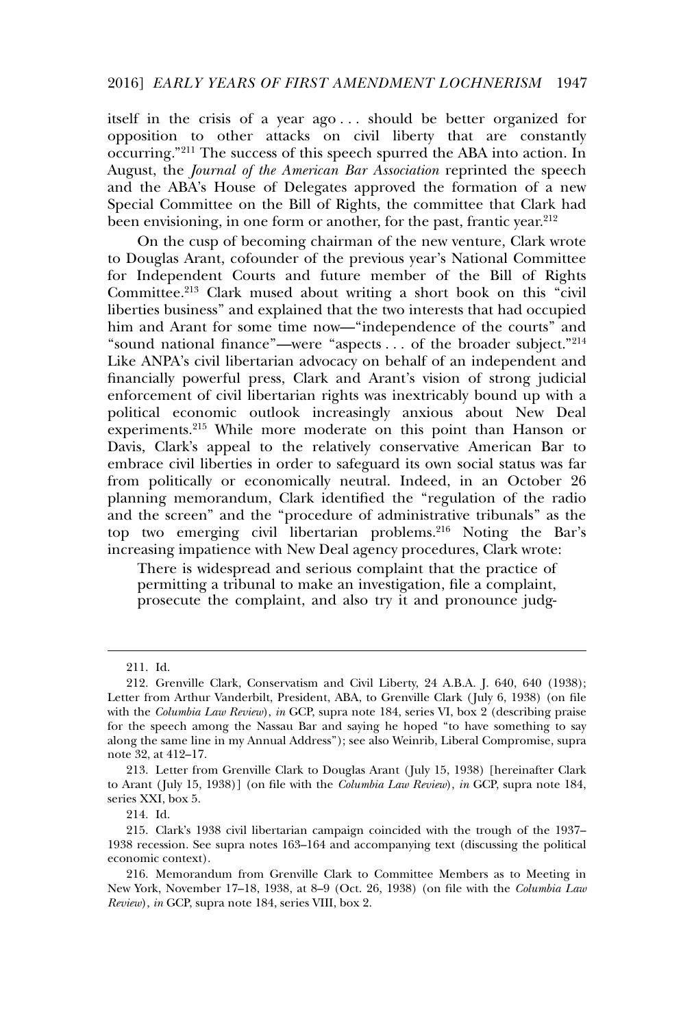itself in the crisis of a year ago . . . should be better organized for opposition to other attacks on civil liberty that are constantly occurring."<sup>211</sup> The success of this speech spurred the ABA into action. In August, the *Journal of the American Bar Association* reprinted the speech and the ABA's House of Delegates approved the formation of a new Special Committee on the Bill of Rights, the committee that Clark had been envisioning, in one form or another, for the past, frantic year.<sup>212</sup>

On the cusp of becoming chairman of the new venture, Clark wrote to Douglas Arant, cofounder of the previous year's National Committee for Independent Courts and future member of the Bill of Rights Committee.<sup>213</sup> Clark mused about writing a short book on this "civil liberties business" and explained that the two interests that had occupied him and Arant for some time now—"independence of the courts" and "sound national finance"—were "aspects . . . of the broader subject."<sup>214</sup> Like ANPA's civil libertarian advocacy on behalf of an independent and financially powerful press, Clark and Arant's vision of strong judicial enforcement of civil libertarian rights was inextricably bound up with a political economic outlook increasingly anxious about New Deal experiments.<sup>215</sup> While more moderate on this point than Hanson or Davis, Clark's appeal to the relatively conservative American Bar to embrace civil liberties in order to safeguard its own social status was far from politically or economically neutral. Indeed, in an October 26 planning memorandum, Clark identified the "regulation of the radio and the screen" and the "procedure of administrative tribunals" as the top two emerging civil libertarian problems.<sup>216</sup> Noting the Bar's increasing impatience with New Deal agency procedures, Clark wrote:

There is widespread and serious complaint that the practice of permitting a tribunal to make an investigation, file a complaint, prosecute the complaint, and also try it and pronounce judg-

<sup>211.</sup> Id.

<sup>212.</sup> Grenville Clark, Conservatism and Civil Liberty, 24 A.B.A. J. 640, 640 (1938); Letter from Arthur Vanderbilt, President, ABA, to Grenville Clark (July 6, 1938) (on file with the *Columbia Law Review*), *in* GCP, supra note 184, series VI, box 2 (describing praise for the speech among the Nassau Bar and saying he hoped "to have something to say along the same line in my Annual Address"); see also Weinrib, Liberal Compromise, supra note 32, at 412–17.

<sup>213.</sup> Letter from Grenville Clark to Douglas Arant ( July 15, 1938) [hereinafter Clark to Arant ( July 15, 1938)] (on file with the *Columbia Law Review*), *in* GCP, supra note 184, series XXI, box 5.

<sup>214.</sup> Id.

<sup>215.</sup> Clark's 1938 civil libertarian campaign coincided with the trough of the 1937– 1938 recession. See supra notes 163–164 and accompanying text (discussing the political economic context).

<sup>216.</sup> Memorandum from Grenville Clark to Committee Members as to Meeting in New York, November 17–18, 1938, at 8–9 (Oct. 26, 1938) (on file with the *Columbia Law Review*), *in* GCP, supra note 184, series VIII, box 2.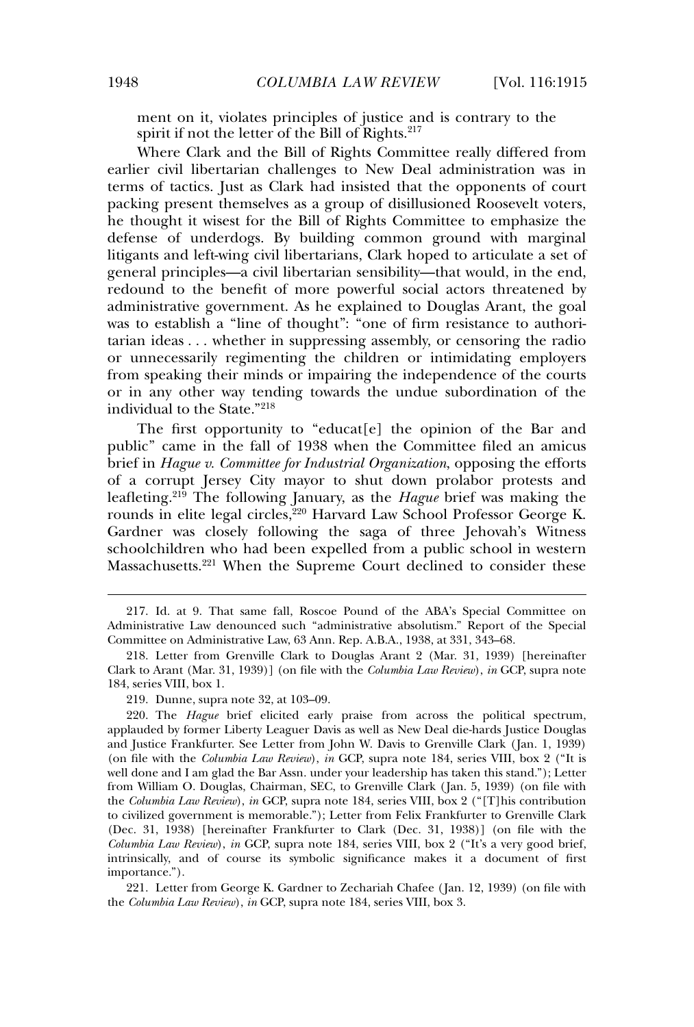ment on it, violates principles of justice and is contrary to the spirit if not the letter of the Bill of Rights.<sup>217</sup>

Where Clark and the Bill of Rights Committee really differed from earlier civil libertarian challenges to New Deal administration was in terms of tactics. Just as Clark had insisted that the opponents of court packing present themselves as a group of disillusioned Roosevelt voters, he thought it wisest for the Bill of Rights Committee to emphasize the defense of underdogs. By building common ground with marginal litigants and left-wing civil libertarians, Clark hoped to articulate a set of general principles—a civil libertarian sensibility—that would, in the end, redound to the benefit of more powerful social actors threatened by administrative government. As he explained to Douglas Arant, the goal was to establish a "line of thought": "one of firm resistance to authoritarian ideas . . . whether in suppressing assembly, or censoring the radio or unnecessarily regimenting the children or intimidating employers from speaking their minds or impairing the independence of the courts or in any other way tending towards the undue subordination of the individual to the State."<sup>218</sup>

The first opportunity to "educat[e] the opinion of the Bar and public" came in the fall of 1938 when the Committee filed an amicus brief in *Hague v. Committee for Industrial Organization*, opposing the efforts of a corrupt Jersey City mayor to shut down prolabor protests and leafleting.<sup>219</sup> The following January, as the *Hague* brief was making the rounds in elite legal circles,<sup>220</sup> Harvard Law School Professor George K. Gardner was closely following the saga of three Jehovah's Witness schoolchildren who had been expelled from a public school in western Massachusetts.<sup>221</sup> When the Supreme Court declined to consider these

221. Letter from George K. Gardner to Zechariah Chafee ( Jan. 12, 1939) (on file with the *Columbia Law Review*), *in* GCP, supra note 184, series VIII, box 3.

<sup>217.</sup> Id. at 9. That same fall, Roscoe Pound of the ABA's Special Committee on Administrative Law denounced such "administrative absolutism." Report of the Special Committee on Administrative Law, 63 Ann. Rep. A.B.A., 1938, at 331, 343–68.

<sup>218.</sup> Letter from Grenville Clark to Douglas Arant 2 (Mar. 31, 1939) [hereinafter Clark to Arant (Mar. 31, 1939)] (on file with the *Columbia Law Review*), *in* GCP, supra note 184, series VIII, box 1.

<sup>219.</sup> Dunne, supra note 32, at 103–09.

<sup>220.</sup> The *Hague* brief elicited early praise from across the political spectrum, applauded by former Liberty Leaguer Davis as well as New Deal die-hards Justice Douglas and Justice Frankfurter. See Letter from John W. Davis to Grenville Clark ( Jan. 1, 1939) (on file with the *Columbia Law Review*), *in* GCP, supra note 184, series VIII, box 2 ("It is well done and I am glad the Bar Assn. under your leadership has taken this stand."); Letter from William O. Douglas, Chairman, SEC, to Grenville Clark ( Jan. 5, 1939) (on file with the *Columbia Law Review*), *in* GCP, supra note 184, series VIII, box 2 ("[T]his contribution to civilized government is memorable."); Letter from Felix Frankfurter to Grenville Clark (Dec. 31, 1938) [hereinafter Frankfurter to Clark (Dec. 31, 1938)] (on file with the *Columbia Law Review*), *in* GCP, supra note 184, series VIII, box 2 ("It's a very good brief, intrinsically, and of course its symbolic significance makes it a document of first importance.").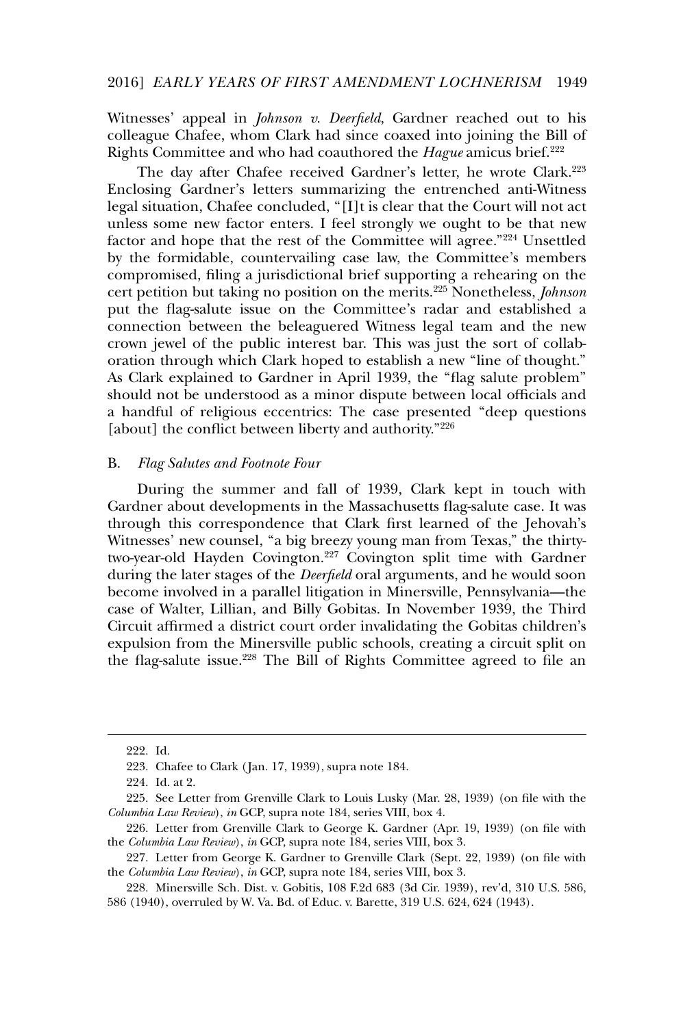Witnesses' appeal in *Johnson v. Deerfield*, Gardner reached out to his colleague Chafee, whom Clark had since coaxed into joining the Bill of Rights Committee and who had coauthored the *Hague* amicus brief.<sup>222</sup>

The day after Chafee received Gardner's letter, he wrote Clark.<sup>223</sup> Enclosing Gardner's letters summarizing the entrenched anti-Witness legal situation, Chafee concluded, "[I]t is clear that the Court will not act unless some new factor enters. I feel strongly we ought to be that new factor and hope that the rest of the Committee will agree."<sup>224</sup> Unsettled by the formidable, countervailing case law, the Committee's members compromised, filing a jurisdictional brief supporting a rehearing on the cert petition but taking no position on the merits.<sup>225</sup> Nonetheless, *Johnson* put the flag-salute issue on the Committee's radar and established a connection between the beleaguered Witness legal team and the new crown jewel of the public interest bar. This was just the sort of collaboration through which Clark hoped to establish a new "line of thought." As Clark explained to Gardner in April 1939, the "flag salute problem" should not be understood as a minor dispute between local officials and a handful of religious eccentrics: The case presented "deep questions [about] the conflict between liberty and authority."<sup>226</sup>

## B. *Flag Salutes and Footnote Four*

During the summer and fall of 1939, Clark kept in touch with Gardner about developments in the Massachusetts flag-salute case. It was through this correspondence that Clark first learned of the Jehovah's Witnesses' new counsel, "a big breezy young man from Texas," the thirtytwo-year-old Hayden Covington.<sup>227</sup> Covington split time with Gardner during the later stages of the *Deerfield* oral arguments, and he would soon become involved in a parallel litigation in Minersville, Pennsylvania—the case of Walter, Lillian, and Billy Gobitas. In November 1939, the Third Circuit affirmed a district court order invalidating the Gobitas children's expulsion from the Minersville public schools, creating a circuit split on the flag-salute issue.<sup>228</sup> The Bill of Rights Committee agreed to file an

<sup>222.</sup> Id.

<sup>223.</sup> Chafee to Clark ( Jan. 17, 1939), supra note 184.

<sup>224.</sup> Id. at 2.

<sup>225.</sup> See Letter from Grenville Clark to Louis Lusky (Mar. 28, 1939) (on file with the *Columbia Law Review*), *in* GCP, supra note 184, series VIII, box 4.

<sup>226.</sup> Letter from Grenville Clark to George K. Gardner (Apr. 19, 1939) (on file with the *Columbia Law Review*), *in* GCP, supra note 184, series VIII, box 3.

<sup>227.</sup> Letter from George K. Gardner to Grenville Clark (Sept. 22, 1939) (on file with the *Columbia Law Review*), *in* GCP, supra note 184, series VIII, box 3.

<sup>228.</sup> Minersville Sch. Dist. v. Gobitis, 108 F.2d 683 (3d Cir. 1939), rev'd, 310 U.S. 586, 586 (1940), overruled by W. Va. Bd. of Educ. v. Barette, 319 U.S. 624, 624 (1943).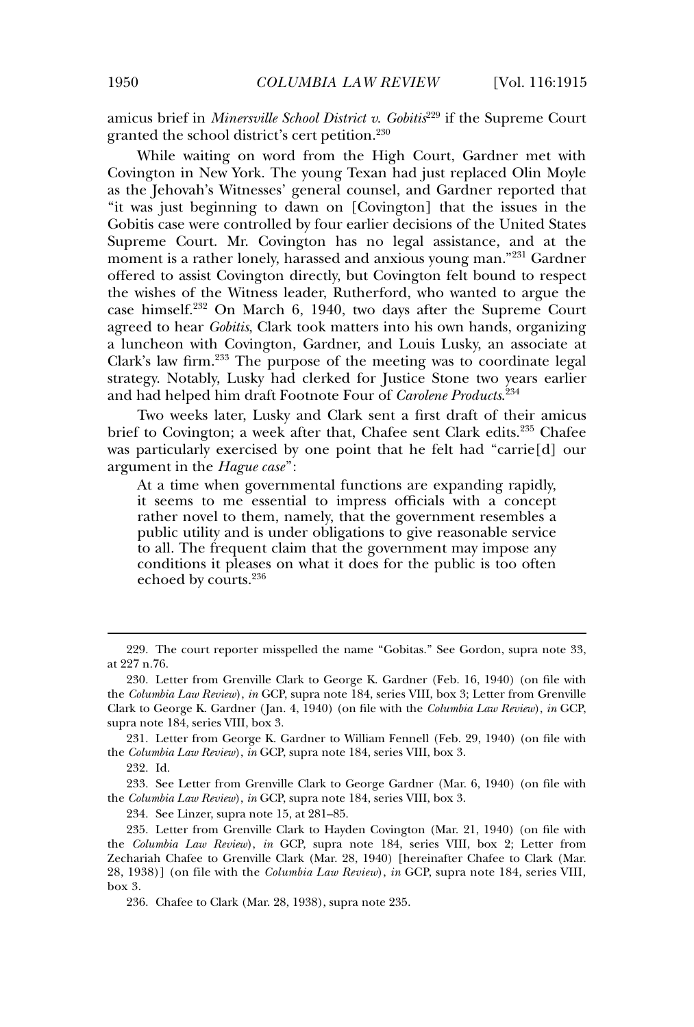amicus brief in *Minersville School District v. Gobitis*<sup>229</sup> if the Supreme Court granted the school district's cert petition.<sup>230</sup>

While waiting on word from the High Court, Gardner met with Covington in New York. The young Texan had just replaced Olin Moyle as the Jehovah's Witnesses' general counsel, and Gardner reported that "it was just beginning to dawn on [Covington] that the issues in the Gobitis case were controlled by four earlier decisions of the United States Supreme Court. Mr. Covington has no legal assistance, and at the moment is a rather lonely, harassed and anxious young man."<sup>231</sup> Gardner offered to assist Covington directly, but Covington felt bound to respect the wishes of the Witness leader, Rutherford, who wanted to argue the case himself.<sup>232</sup> On March 6, 1940, two days after the Supreme Court agreed to hear *Gobitis*, Clark took matters into his own hands, organizing a luncheon with Covington, Gardner, and Louis Lusky, an associate at Clark's law firm.<sup>233</sup> The purpose of the meeting was to coordinate legal strategy. Notably, Lusky had clerked for Justice Stone two years earlier and had helped him draft Footnote Four of *Carolene Products*. 234

Two weeks later, Lusky and Clark sent a first draft of their amicus brief to Covington; a week after that, Chafee sent Clark edits.<sup>235</sup> Chafee was particularly exercised by one point that he felt had "carrie[d] our argument in the *Hague case*":

At a time when governmental functions are expanding rapidly, it seems to me essential to impress officials with a concept rather novel to them, namely, that the government resembles a public utility and is under obligations to give reasonable service to all. The frequent claim that the government may impose any conditions it pleases on what it does for the public is too often echoed by courts.<sup>236</sup>

234. See Linzer, supra note 15, at 281–85.

<sup>229.</sup> The court reporter misspelled the name "Gobitas." See Gordon, supra note 33, at 227 n.76.

<sup>230.</sup> Letter from Grenville Clark to George K. Gardner (Feb. 16, 1940) (on file with the *Columbia Law Review*), *in* GCP, supra note 184, series VIII, box 3; Letter from Grenville Clark to George K. Gardner ( Jan. 4, 1940) (on file with the *Columbia Law Review*), *in* GCP, supra note 184, series VIII, box 3.

<sup>231.</sup> Letter from George K. Gardner to William Fennell (Feb. 29, 1940) (on file with the *Columbia Law Review*), *in* GCP, supra note 184, series VIII, box 3.

<sup>232.</sup> Id.

<sup>233.</sup> See Letter from Grenville Clark to George Gardner (Mar. 6, 1940) (on file with the *Columbia Law Review*), *in* GCP, supra note 184, series VIII, box 3.

<sup>235.</sup> Letter from Grenville Clark to Hayden Covington (Mar. 21, 1940) (on file with the *Columbia Law Review*), *in* GCP, supra note 184, series VIII, box 2; Letter from Zechariah Chafee to Grenville Clark (Mar. 28, 1940) [hereinafter Chafee to Clark (Mar. 28, 1938)] (on file with the *Columbia Law Review*), *in* GCP, supra note 184, series VIII, box 3.

<sup>236.</sup> Chafee to Clark (Mar. 28, 1938), supra note 235.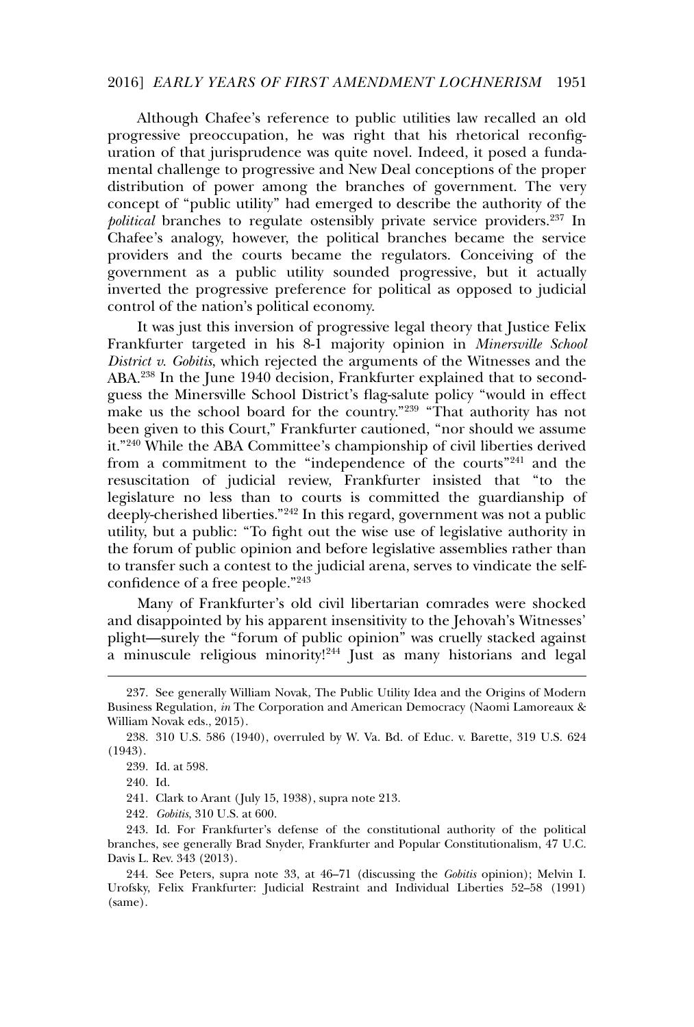#### 2016] *EARLY YEARS OF FIRST AMENDMENT LOCHNERISM* 1951

Although Chafee's reference to public utilities law recalled an old progressive preoccupation, he was right that his rhetorical reconfiguration of that jurisprudence was quite novel. Indeed, it posed a fundamental challenge to progressive and New Deal conceptions of the proper distribution of power among the branches of government. The very concept of "public utility" had emerged to describe the authority of the *political* branches to regulate ostensibly private service providers.<sup>237</sup> In Chafee's analogy, however, the political branches became the service providers and the courts became the regulators. Conceiving of the government as a public utility sounded progressive, but it actually inverted the progressive preference for political as opposed to judicial control of the nation's political economy.

It was just this inversion of progressive legal theory that Justice Felix Frankfurter targeted in his 8-1 majority opinion in *Minersville School District v. Gobitis*, which rejected the arguments of the Witnesses and the ABA.<sup>238</sup> In the June 1940 decision, Frankfurter explained that to secondguess the Minersville School District's flag-salute policy "would in effect make us the school board for the country."<sup>239</sup> "That authority has not been given to this Court," Frankfurter cautioned, "nor should we assume it."<sup>240</sup> While the ABA Committee's championship of civil liberties derived from a commitment to the "independence of the courts"<sup>241</sup> and the resuscitation of judicial review, Frankfurter insisted that "to the legislature no less than to courts is committed the guardianship of deeply-cherished liberties."<sup>242</sup> In this regard, government was not a public utility, but a public: "To fight out the wise use of legislative authority in the forum of public opinion and before legislative assemblies rather than to transfer such a contest to the judicial arena, serves to vindicate the selfconfidence of a free people."<sup>243</sup>

Many of Frankfurter's old civil libertarian comrades were shocked and disappointed by his apparent insensitivity to the Jehovah's Witnesses' plight—surely the "forum of public opinion" was cruelly stacked against a minuscule religious minority!<sup>244</sup> Just as many historians and legal

241. Clark to Arant ( July 15, 1938), supra note 213.

242*. Gobitis*, 310 U.S. at 600.

<sup>237.</sup> See generally William Novak, The Public Utility Idea and the Origins of Modern Business Regulation, *in* The Corporation and American Democracy (Naomi Lamoreaux & William Novak eds., 2015).

<sup>238. 310</sup> U.S. 586 (1940), overruled by W. Va. Bd. of Educ. v. Barette, 319 U.S. 624 (1943).

<sup>239.</sup> Id. at 598.

<sup>240.</sup> Id.

<sup>243.</sup> Id. For Frankfurter's defense of the constitutional authority of the political branches, see generally Brad Snyder, Frankfurter and Popular Constitutionalism, 47 U.C. Davis L. Rev. 343 (2013).

<sup>244.</sup> See Peters, supra note 33, at 46–71 (discussing the *Gobitis* opinion); Melvin I. Urofsky, Felix Frankfurter: Judicial Restraint and Individual Liberties 52–58 (1991) (same).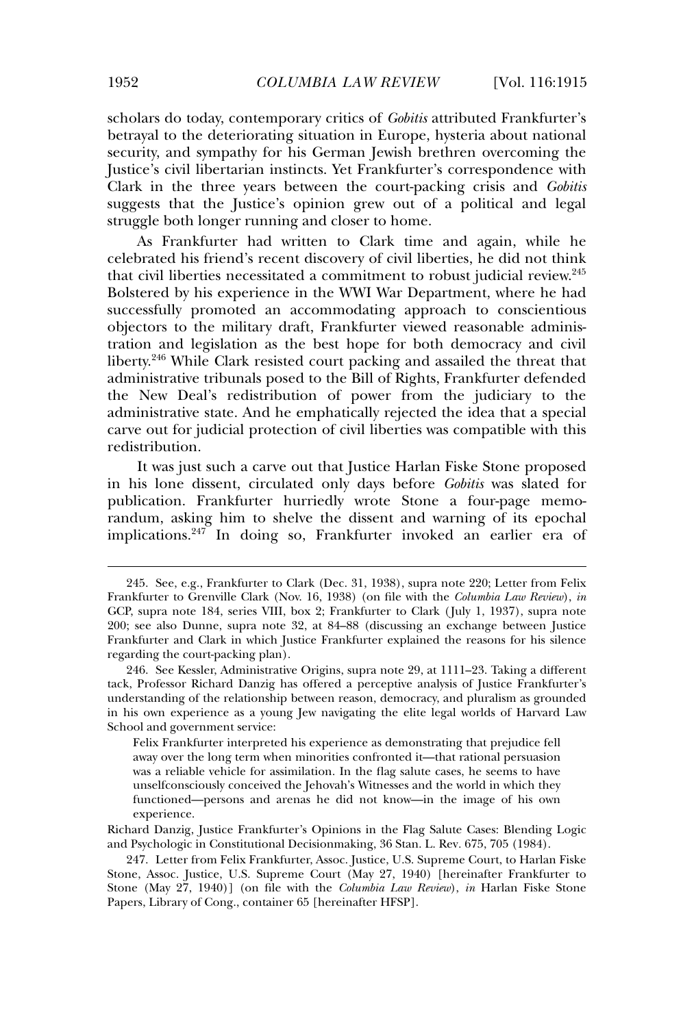scholars do today, contemporary critics of *Gobitis* attributed Frankfurter's betrayal to the deteriorating situation in Europe, hysteria about national security, and sympathy for his German Jewish brethren overcoming the Justice's civil libertarian instincts. Yet Frankfurter's correspondence with Clark in the three years between the court-packing crisis and *Gobitis* suggests that the Justice's opinion grew out of a political and legal struggle both longer running and closer to home.

As Frankfurter had written to Clark time and again, while he celebrated his friend's recent discovery of civil liberties, he did not think that civil liberties necessitated a commitment to robust judicial review.<sup>245</sup> Bolstered by his experience in the WWI War Department, where he had successfully promoted an accommodating approach to conscientious objectors to the military draft, Frankfurter viewed reasonable administration and legislation as the best hope for both democracy and civil liberty.<sup>246</sup> While Clark resisted court packing and assailed the threat that administrative tribunals posed to the Bill of Rights, Frankfurter defended the New Deal's redistribution of power from the judiciary to the administrative state. And he emphatically rejected the idea that a special carve out for judicial protection of civil liberties was compatible with this redistribution.

It was just such a carve out that Justice Harlan Fiske Stone proposed in his lone dissent, circulated only days before *Gobitis* was slated for publication. Frankfurter hurriedly wrote Stone a four-page memorandum, asking him to shelve the dissent and warning of its epochal implications.<sup>247</sup> In doing so, Frankfurter invoked an earlier era of

Felix Frankfurter interpreted his experience as demonstrating that prejudice fell away over the long term when minorities confronted it—that rational persuasion was a reliable vehicle for assimilation. In the flag salute cases, he seems to have unselfconsciously conceived the Jehovah's Witnesses and the world in which they functioned—persons and arenas he did not know—in the image of his own experience.

Richard Danzig, Justice Frankfurter's Opinions in the Flag Salute Cases: Blending Logic and Psychologic in Constitutional Decisionmaking, 36 Stan. L. Rev*.* 675, 705 (1984).

<sup>245.</sup> See, e.g., Frankfurter to Clark (Dec. 31, 1938), supra note 220; Letter from Felix Frankfurter to Grenville Clark (Nov. 16, 1938) (on file with the *Columbia Law Review*), *in* GCP, supra note 184, series VIII, box 2; Frankfurter to Clark ( July 1, 1937), supra note 200; see also Dunne, supra note 32, at 84–88 (discussing an exchange between Justice Frankfurter and Clark in which Justice Frankfurter explained the reasons for his silence regarding the court-packing plan).

<sup>246.</sup> See Kessler, Administrative Origins, supra note 29, at 1111–23. Taking a different tack, Professor Richard Danzig has offered a perceptive analysis of Justice Frankfurter's understanding of the relationship between reason, democracy, and pluralism as grounded in his own experience as a young Jew navigating the elite legal worlds of Harvard Law School and government service:

<sup>247.</sup> Letter from Felix Frankfurter, Assoc. Justice, U.S. Supreme Court, to Harlan Fiske Stone, Assoc. Justice, U.S. Supreme Court (May 27, 1940) [hereinafter Frankfurter to Stone (May 27, 1940)] (on file with the *Columbia Law Review*), *in* Harlan Fiske Stone Papers, Library of Cong., container 65 [hereinafter HFSP].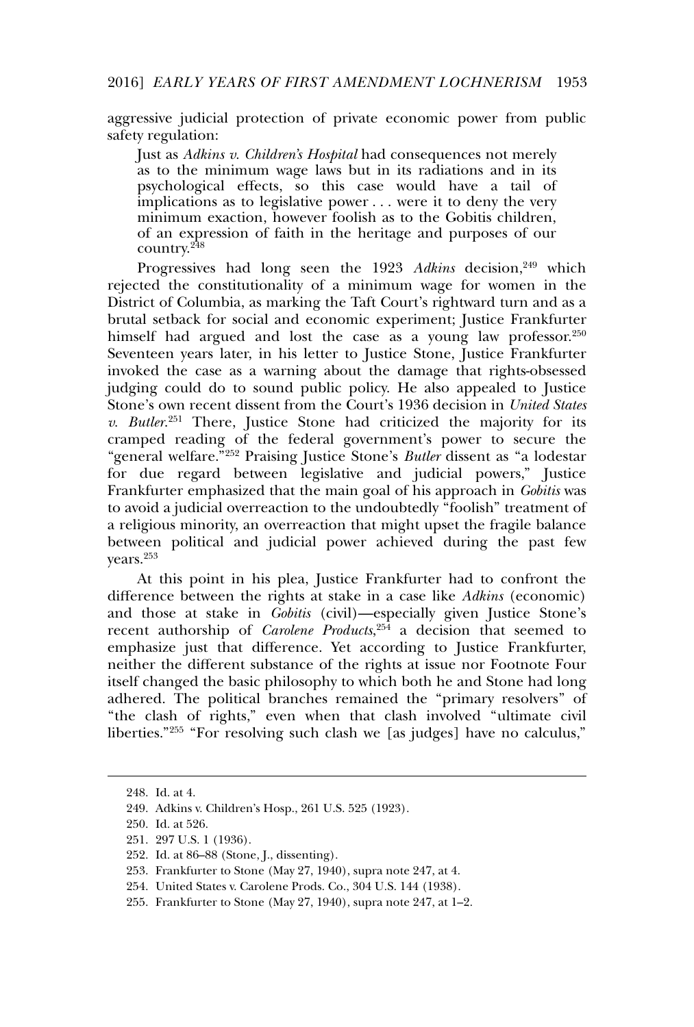aggressive judicial protection of private economic power from public safety regulation:

Just as *Adkins v. Children's Hospital* had consequences not merely as to the minimum wage laws but in its radiations and in its psychological effects, so this case would have a tail of implications as to legislative power . . . were it to deny the very minimum exaction, however foolish as to the Gobitis children, of an expression of faith in the heritage and purposes of our country.<sup>248</sup>

Progressives had long seen the 1923 Adkins decision,<sup>249</sup> which rejected the constitutionality of a minimum wage for women in the District of Columbia, as marking the Taft Court's rightward turn and as a brutal setback for social and economic experiment; Justice Frankfurter himself had argued and lost the case as a young law professor.<sup>250</sup> Seventeen years later, in his letter to Justice Stone, Justice Frankfurter invoked the case as a warning about the damage that rights-obsessed judging could do to sound public policy. He also appealed to Justice Stone's own recent dissent from the Court's 1936 decision in *United States v. Butler*. <sup>251</sup> There, Justice Stone had criticized the majority for its cramped reading of the federal government's power to secure the "general welfare."<sup>252</sup> Praising Justice Stone's *Butler* dissent as "a lodestar for due regard between legislative and judicial powers," Justice Frankfurter emphasized that the main goal of his approach in *Gobitis* was to avoid a judicial overreaction to the undoubtedly "foolish" treatment of a religious minority, an overreaction that might upset the fragile balance between political and judicial power achieved during the past few years.<sup>253</sup>

At this point in his plea, Justice Frankfurter had to confront the difference between the rights at stake in a case like *Adkins* (economic) and those at stake in *Gobitis* (civil)—especially given Justice Stone's recent authorship of *Carolene Products*, <sup>254</sup> a decision that seemed to emphasize just that difference. Yet according to Justice Frankfurter, neither the different substance of the rights at issue nor Footnote Four itself changed the basic philosophy to which both he and Stone had long adhered. The political branches remained the "primary resolvers" of "the clash of rights," even when that clash involved "ultimate civil liberties."<sup>255</sup> "For resolving such clash we [as judges] have no calculus,"

<sup>248.</sup> Id. at 4.

<sup>249.</sup> Adkins v. Children's Hosp., 261 U.S. 525 (1923).

<sup>250.</sup> Id. at 526.

<sup>251. 297</sup> U.S. 1 (1936).

<sup>252.</sup> Id. at 86–88 (Stone, J., dissenting).

<sup>253.</sup> Frankfurter to Stone (May 27, 1940), supra note 247, at 4.

<sup>254.</sup> United States v. Carolene Prods. Co., 304 U.S. 144 (1938).

<sup>255.</sup> Frankfurter to Stone (May 27, 1940), supra note 247, at 1–2.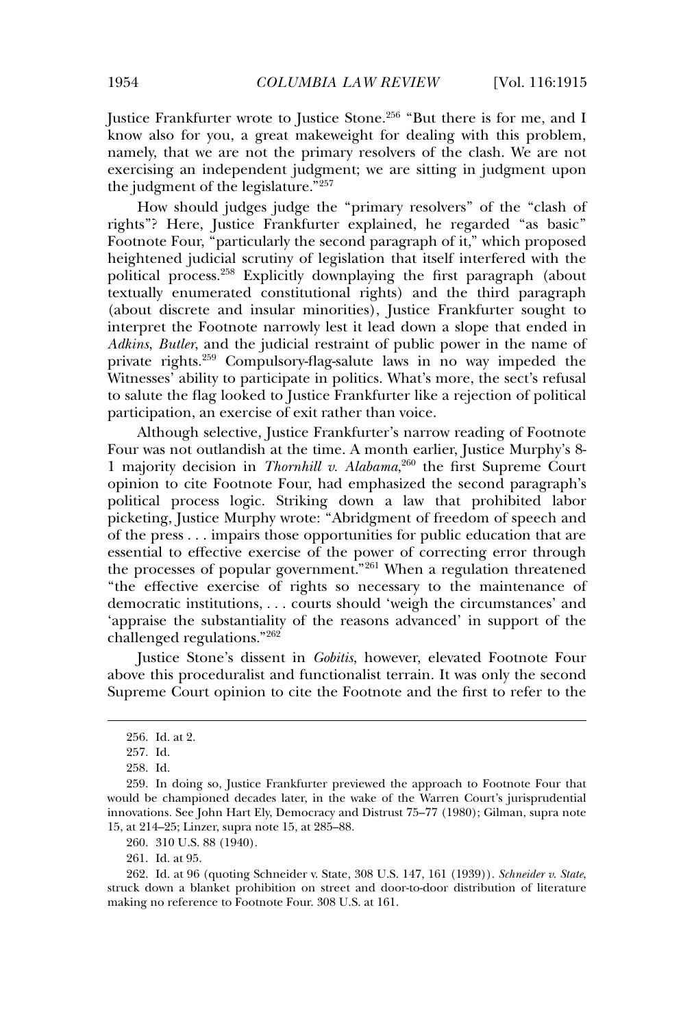Justice Frankfurter wrote to Justice Stone.<sup>256</sup> "But there is for me, and I know also for you, a great makeweight for dealing with this problem, namely, that we are not the primary resolvers of the clash. We are not exercising an independent judgment; we are sitting in judgment upon the judgment of the legislature."257

How should judges judge the "primary resolvers" of the "clash of rights"? Here, Justice Frankfurter explained, he regarded "as basic" Footnote Four, "particularly the second paragraph of it," which proposed heightened judicial scrutiny of legislation that itself interfered with the political process.<sup>258</sup> Explicitly downplaying the first paragraph (about textually enumerated constitutional rights) and the third paragraph (about discrete and insular minorities), Justice Frankfurter sought to interpret the Footnote narrowly lest it lead down a slope that ended in *Adkins*, *Butler*, and the judicial restraint of public power in the name of private rights.<sup>259</sup> Compulsory-flag-salute laws in no way impeded the Witnesses' ability to participate in politics. What's more, the sect's refusal to salute the flag looked to Justice Frankfurter like a rejection of political participation, an exercise of exit rather than voice.

Although selective, Justice Frankfurter's narrow reading of Footnote Four was not outlandish at the time. A month earlier, Justice Murphy's 8- 1 majority decision in *Thornhill v. Alabama*, <sup>260</sup> the first Supreme Court opinion to cite Footnote Four, had emphasized the second paragraph's political process logic. Striking down a law that prohibited labor picketing, Justice Murphy wrote: "Abridgment of freedom of speech and of the press . . . impairs those opportunities for public education that are essential to effective exercise of the power of correcting error through the processes of popular government."<sup>261</sup> When a regulation threatened "the effective exercise of rights so necessary to the maintenance of democratic institutions, . . . courts should 'weigh the circumstances' and 'appraise the substantiality of the reasons advanced' in support of the challenged regulations."<sup>262</sup>

Justice Stone's dissent in *Gobitis*, however, elevated Footnote Four above this proceduralist and functionalist terrain. It was only the second Supreme Court opinion to cite the Footnote and the first to refer to the

260. 310 U.S. 88 (1940).

261. Id. at 95.

<sup>256.</sup> Id. at 2.

<sup>257.</sup> Id.

<sup>258.</sup> Id.

<sup>259.</sup> In doing so, Justice Frankfurter previewed the approach to Footnote Four that would be championed decades later, in the wake of the Warren Court's jurisprudential innovations. See John Hart Ely, Democracy and Distrust 75–77 (1980); Gilman, supra note 15, at 214–25; Linzer, supra note 15, at 285–88.

<sup>262.</sup> Id. at 96 (quoting Schneider v. State, 308 U.S. 147, 161 (1939)). *Schneider v. State*, struck down a blanket prohibition on street and door-to-door distribution of literature making no reference to Footnote Four. 308 U.S. at 161.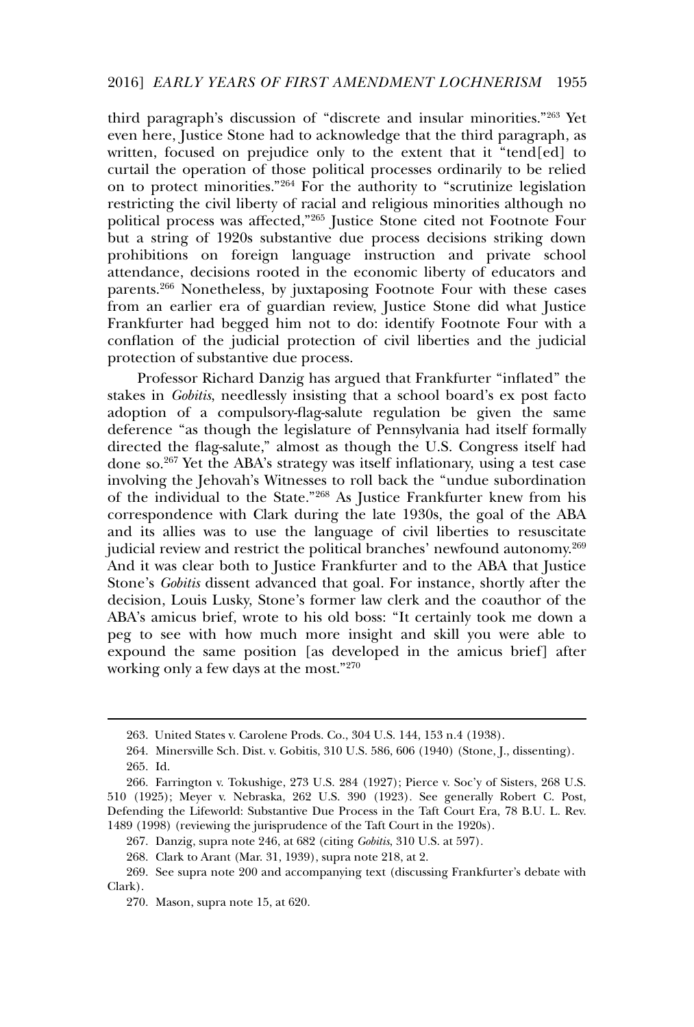third paragraph's discussion of "discrete and insular minorities."<sup>263</sup> Yet even here, Justice Stone had to acknowledge that the third paragraph, as written, focused on prejudice only to the extent that it "tend[ed] to curtail the operation of those political processes ordinarily to be relied on to protect minorities."<sup>264</sup> For the authority to "scrutinize legislation restricting the civil liberty of racial and religious minorities although no political process was affected,"<sup>265</sup> Justice Stone cited not Footnote Four but a string of 1920s substantive due process decisions striking down prohibitions on foreign language instruction and private school attendance, decisions rooted in the economic liberty of educators and parents.<sup>266</sup> Nonetheless, by juxtaposing Footnote Four with these cases from an earlier era of guardian review, Justice Stone did what Justice Frankfurter had begged him not to do: identify Footnote Four with a conflation of the judicial protection of civil liberties and the judicial protection of substantive due process.

Professor Richard Danzig has argued that Frankfurter "inflated" the stakes in *Gobitis*, needlessly insisting that a school board's ex post facto adoption of a compulsory-flag-salute regulation be given the same deference "as though the legislature of Pennsylvania had itself formally directed the flag-salute," almost as though the U.S. Congress itself had done so.<sup>267</sup> Yet the ABA's strategy was itself inflationary, using a test case involving the Jehovah's Witnesses to roll back the "undue subordination of the individual to the State."<sup>268</sup> As Justice Frankfurter knew from his correspondence with Clark during the late 1930s, the goal of the ABA and its allies was to use the language of civil liberties to resuscitate judicial review and restrict the political branches' newfound autonomy.<sup>269</sup> And it was clear both to Justice Frankfurter and to the ABA that Justice Stone's *Gobitis* dissent advanced that goal. For instance, shortly after the decision, Louis Lusky, Stone's former law clerk and the coauthor of the ABA's amicus brief, wrote to his old boss: "It certainly took me down a peg to see with how much more insight and skill you were able to expound the same position [as developed in the amicus brief] after working only a few days at the most."<sup>270</sup>

<sup>263.</sup> United States v. Carolene Prods. Co., 304 U.S. 144, 153 n.4 (1938).

<sup>264.</sup> Minersville Sch. Dist. v. Gobitis, 310 U.S. 586, 606 (1940) (Stone, J., dissenting). 265. Id.

<sup>266.</sup> Farrington v. Tokushige, 273 U.S. 284 (1927); Pierce v. Soc'y of Sisters, 268 U.S. 510 (1925); Meyer v. Nebraska, 262 U.S. 390 (1923)*.* See generally Robert C. Post, Defending the Lifeworld: Substantive Due Process in the Taft Court Era, 78 B.U. L. Rev. 1489 (1998) (reviewing the jurisprudence of the Taft Court in the 1920s).

<sup>267.</sup> Danzig, supra note 246, at 682 (citing *Gobitis*, 310 U.S. at 597).

<sup>268.</sup> Clark to Arant (Mar. 31, 1939), supra note 218, at 2.

<sup>269.</sup> See supra note 200 and accompanying text (discussing Frankfurter's debate with Clark).

<sup>270.</sup> Mason, supra note 15, at 620.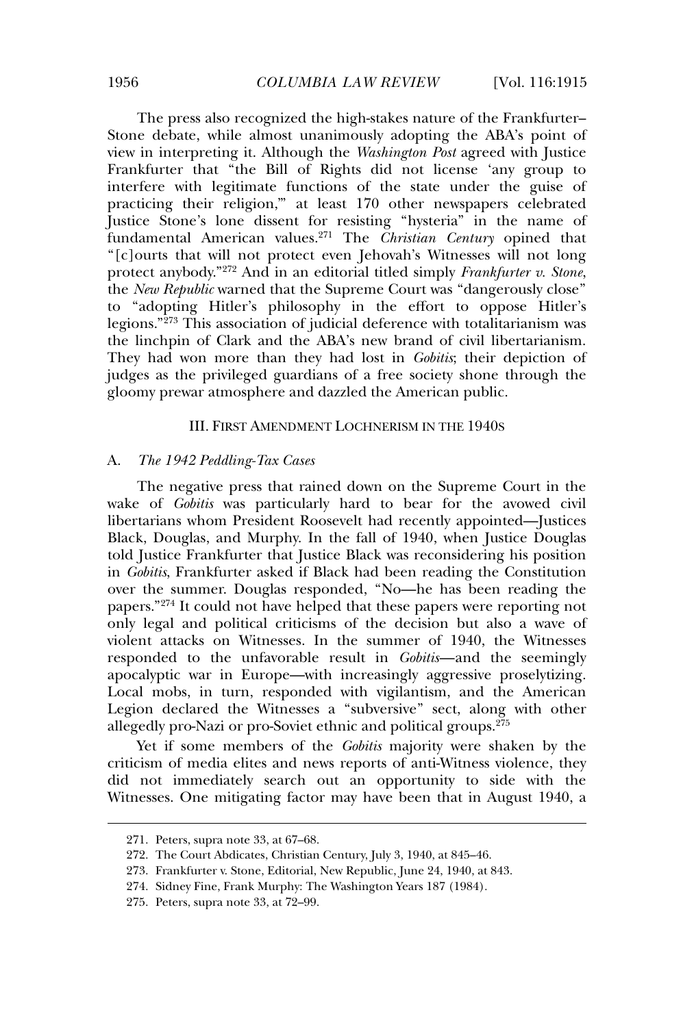The press also recognized the high-stakes nature of the Frankfurter– Stone debate, while almost unanimously adopting the ABA's point of view in interpreting it. Although the *Washington Post* agreed with Justice Frankfurter that "the Bill of Rights did not license 'any group to interfere with legitimate functions of the state under the guise of practicing their religion,'" at least 170 other newspapers celebrated Justice Stone's lone dissent for resisting "hysteria" in the name of fundamental American values.<sup>271</sup> The *Christian Century* opined that "[c]ourts that will not protect even Jehovah's Witnesses will not long protect anybody."<sup>272</sup> And in an editorial titled simply *Frankfurter v. Stone*, the *New Republic* warned that the Supreme Court was "dangerously close" to "adopting Hitler's philosophy in the effort to oppose Hitler's legions."<sup>273</sup> This association of judicial deference with totalitarianism was the linchpin of Clark and the ABA's new brand of civil libertarianism. They had won more than they had lost in *Gobitis*; their depiction of judges as the privileged guardians of a free society shone through the gloomy prewar atmosphere and dazzled the American public.

## III. FIRST AMENDMENT LOCHNERISM IN THE 1940S

### A. *The 1942 Peddling-Tax Cases*

The negative press that rained down on the Supreme Court in the wake of *Gobitis* was particularly hard to bear for the avowed civil libertarians whom President Roosevelt had recently appointed—Justices Black, Douglas, and Murphy. In the fall of 1940, when Justice Douglas told Justice Frankfurter that Justice Black was reconsidering his position in *Gobitis*, Frankfurter asked if Black had been reading the Constitution over the summer. Douglas responded, "No—he has been reading the papers."<sup>274</sup> It could not have helped that these papers were reporting not only legal and political criticisms of the decision but also a wave of violent attacks on Witnesses. In the summer of 1940, the Witnesses responded to the unfavorable result in *Gobitis*—and the seemingly apocalyptic war in Europe—with increasingly aggressive proselytizing. Local mobs, in turn, responded with vigilantism, and the American Legion declared the Witnesses a "subversive" sect, along with other allegedly pro-Nazi or pro-Soviet ethnic and political groups.<sup>275</sup>

Yet if some members of the *Gobitis* majority were shaken by the criticism of media elites and news reports of anti-Witness violence, they did not immediately search out an opportunity to side with the Witnesses. One mitigating factor may have been that in August 1940, a

<sup>271.</sup> Peters, supra note 33, at 67–68.

<sup>272.</sup> The Court Abdicates, Christian Century, July 3, 1940, at 845–46.

<sup>273.</sup> Frankfurter v. Stone, Editorial, New Republic, June 24, 1940, at 843.

<sup>274.</sup> Sidney Fine, Frank Murphy: The Washington Years 187 (1984).

<sup>275.</sup> Peters, supra note 33, at 72–99.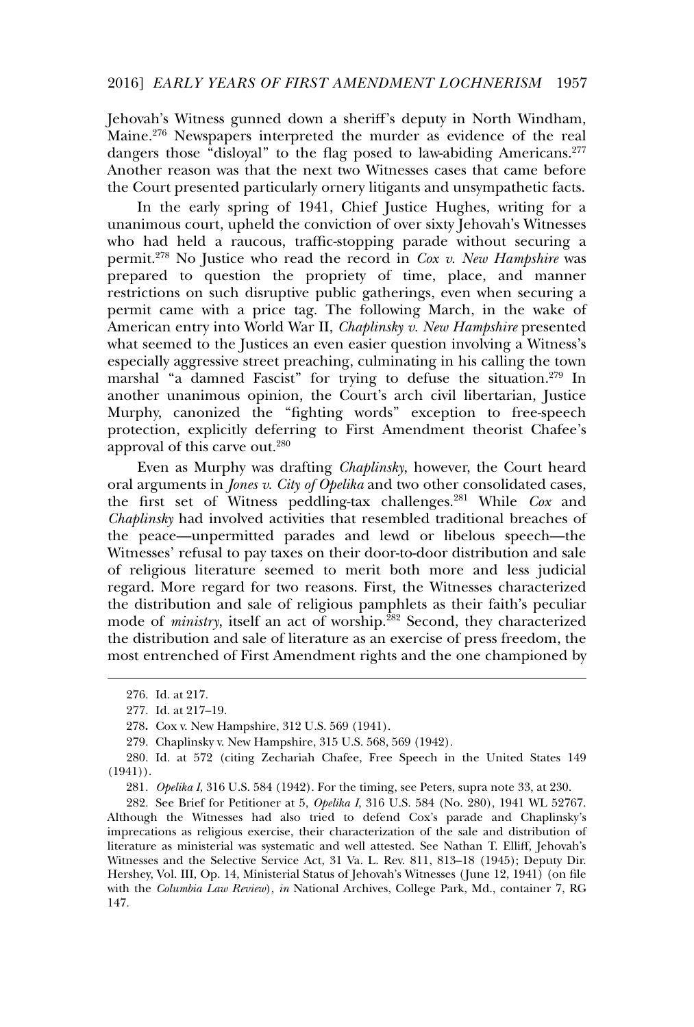Jehovah's Witness gunned down a sheriff's deputy in North Windham, Maine.<sup>276</sup> Newspapers interpreted the murder as evidence of the real dangers those "disloyal" to the flag posed to law-abiding Americans.<sup>277</sup> Another reason was that the next two Witnesses cases that came before the Court presented particularly ornery litigants and unsympathetic facts.

In the early spring of 1941, Chief Justice Hughes, writing for a unanimous court, upheld the conviction of over sixty Jehovah's Witnesses who had held a raucous, traffic-stopping parade without securing a permit.<sup>278</sup> No Justice who read the record in *Cox v. New Hampshire* was prepared to question the propriety of time, place, and manner restrictions on such disruptive public gatherings, even when securing a permit came with a price tag. The following March, in the wake of American entry into World War II, *Chaplinsky v. New Hampshire* presented what seemed to the Justices an even easier question involving a Witness's especially aggressive street preaching, culminating in his calling the town marshal "a damned Fascist" for trying to defuse the situation.<sup>279</sup> In another unanimous opinion, the Court's arch civil libertarian, Justice Murphy, canonized the "fighting words" exception to free-speech protection, explicitly deferring to First Amendment theorist Chafee's approval of this carve out.<sup>280</sup>

Even as Murphy was drafting *Chaplinsky*, however, the Court heard oral arguments in *Jones v. City of Opelika* and two other consolidated cases, the first set of Witness peddling-tax challenges.<sup>281</sup> While *Cox* and *Chaplinsky* had involved activities that resembled traditional breaches of the peace—unpermitted parades and lewd or libelous speech—the Witnesses' refusal to pay taxes on their door-to-door distribution and sale of religious literature seemed to merit both more and less judicial regard. More regard for two reasons. First, the Witnesses characterized the distribution and sale of religious pamphlets as their faith's peculiar mode of *ministry*, itself an act of worship.<sup>282</sup> Second, they characterized the distribution and sale of literature as an exercise of press freedom, the most entrenched of First Amendment rights and the one championed by

282. See Brief for Petitioner at 5, *Opelika I*, 316 U.S. 584 (No. 280), 1941 WL 52767. Although the Witnesses had also tried to defend Cox's parade and Chaplinsky's imprecations as religious exercise, their characterization of the sale and distribution of literature as ministerial was systematic and well attested. See Nathan T. Elliff, Jehovah's Witnesses and the Selective Service Act, 31 Va. L. Rev. 811, 813–18 (1945); Deputy Dir. Hershey, Vol. III, Op. 14, Ministerial Status of Jehovah's Witnesses ( June 12, 1941) (on file with the *Columbia Law Review*), *in* National Archives, College Park, Md., container 7, RG 147.

<sup>276.</sup> Id. at 217.

<sup>277.</sup> Id. at 217–19.

<sup>278</sup>**.** Cox v. New Hampshire, 312 U.S. 569 (1941).

<sup>279.</sup> Chaplinsky v. New Hampshire, 315 U.S. 568, 569 (1942).

<sup>280.</sup> Id. at 572 (citing Zechariah Chafee, Free Speech in the United States 149  $(1941)$ .

<sup>281</sup>*. Opelika I*, 316 U.S. 584 (1942). For the timing, see Peters, supra note 33, at 230.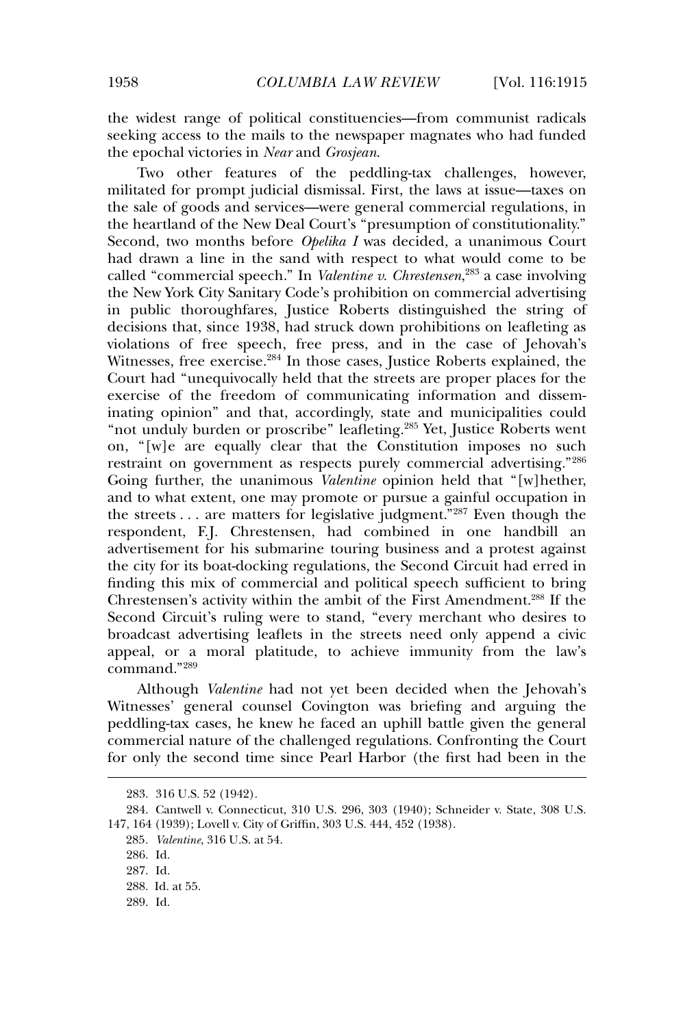the widest range of political constituencies—from communist radicals seeking access to the mails to the newspaper magnates who had funded the epochal victories in *Near* and *Grosjean*.

Two other features of the peddling-tax challenges, however, militated for prompt judicial dismissal. First, the laws at issue—taxes on the sale of goods and services—were general commercial regulations, in the heartland of the New Deal Court's "presumption of constitutionality." Second, two months before *Opelika I* was decided, a unanimous Court had drawn a line in the sand with respect to what would come to be called "commercial speech." In *Valentine v. Chrestensen*, <sup>283</sup> a case involving the New York City Sanitary Code's prohibition on commercial advertising in public thoroughfares, Justice Roberts distinguished the string of decisions that, since 1938, had struck down prohibitions on leafleting as violations of free speech, free press, and in the case of Jehovah's Witnesses, free exercise.<sup>284</sup> In those cases, Justice Roberts explained, the Court had "unequivocally held that the streets are proper places for the exercise of the freedom of communicating information and disseminating opinion" and that, accordingly, state and municipalities could "not unduly burden or proscribe" leafleting.<sup>285</sup> Yet, Justice Roberts went on, "[w]e are equally clear that the Constitution imposes no such restraint on government as respects purely commercial advertising."<sup>286</sup> Going further, the unanimous *Valentine* opinion held that "[w]hether, and to what extent, one may promote or pursue a gainful occupation in the streets  $\dots$  are matters for legislative judgment."<sup>287</sup> Even though the respondent, F.J. Chrestensen, had combined in one handbill an advertisement for his submarine touring business and a protest against the city for its boat-docking regulations, the Second Circuit had erred in finding this mix of commercial and political speech sufficient to bring Chrestensen's activity within the ambit of the First Amendment.<sup>288</sup> If the Second Circuit's ruling were to stand, "every merchant who desires to broadcast advertising leaflets in the streets need only append a civic appeal, or a moral platitude, to achieve immunity from the law's command."<sup>289</sup>

Although *Valentine* had not yet been decided when the Jehovah's Witnesses' general counsel Covington was briefing and arguing the peddling-tax cases, he knew he faced an uphill battle given the general commercial nature of the challenged regulations. Confronting the Court for only the second time since Pearl Harbor (the first had been in the

<sup>283. 316</sup> U.S. 52 (1942).

<sup>284.</sup> Cantwell v. Connecticut, 310 U.S. 296, 303 (1940); Schneider v. State, 308 U.S. 147, 164 (1939); Lovell v. City of Griffin, 303 U.S. 444, 452 (1938).

<sup>285</sup>*. Valentine*, 316 U.S. at 54.

<sup>286.</sup> Id.

<sup>287.</sup> Id.

<sup>288.</sup> Id. at 55.

<sup>289.</sup> Id.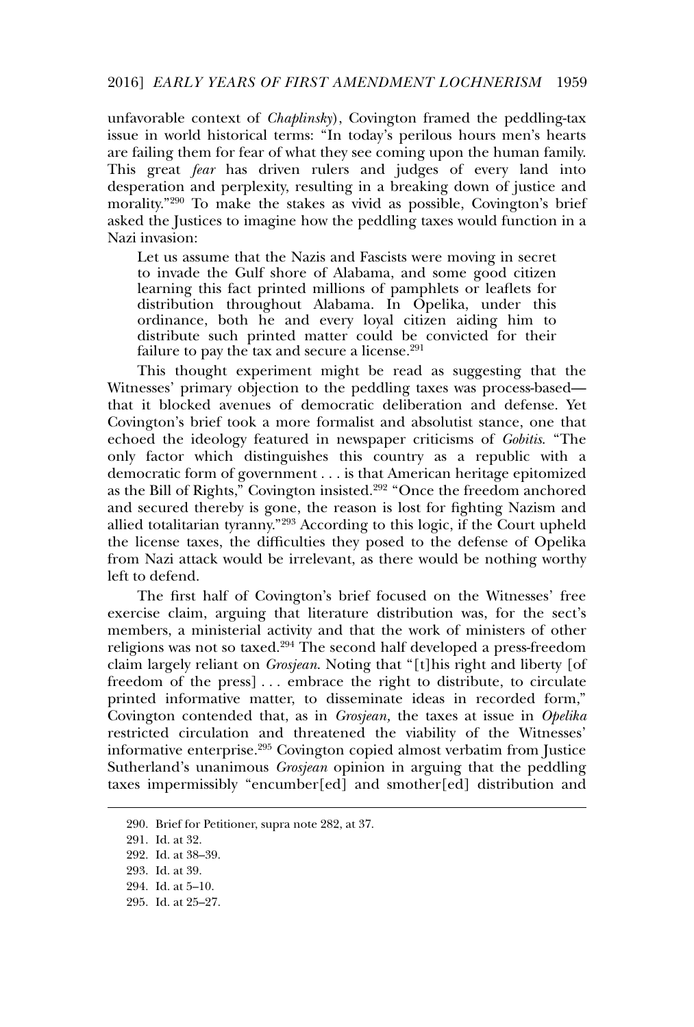#### 2016] *EARLY YEARS OF FIRST AMENDMENT LOCHNERISM* 1959

unfavorable context of *Chaplinsky*), Covington framed the peddling-tax issue in world historical terms: "In today's perilous hours men's hearts are failing them for fear of what they see coming upon the human family. This great *fear* has driven rulers and judges of every land into desperation and perplexity, resulting in a breaking down of justice and morality."<sup>290</sup> To make the stakes as vivid as possible, Covington's brief asked the Justices to imagine how the peddling taxes would function in a Nazi invasion:

Let us assume that the Nazis and Fascists were moving in secret to invade the Gulf shore of Alabama, and some good citizen learning this fact printed millions of pamphlets or leaflets for distribution throughout Alabama. In Opelika, under this ordinance, both he and every loyal citizen aiding him to distribute such printed matter could be convicted for their failure to pay the tax and secure a license.<sup>291</sup>

This thought experiment might be read as suggesting that the Witnesses' primary objection to the peddling taxes was process-based that it blocked avenues of democratic deliberation and defense. Yet Covington's brief took a more formalist and absolutist stance, one that echoed the ideology featured in newspaper criticisms of *Gobitis*. "The only factor which distinguishes this country as a republic with a democratic form of government . . . is that American heritage epitomized as the Bill of Rights," Covington insisted.<sup>292</sup> "Once the freedom anchored and secured thereby is gone, the reason is lost for fighting Nazism and allied totalitarian tyranny."<sup>293</sup> According to this logic, if the Court upheld the license taxes, the difficulties they posed to the defense of Opelika from Nazi attack would be irrelevant, as there would be nothing worthy left to defend.

The first half of Covington's brief focused on the Witnesses' free exercise claim, arguing that literature distribution was, for the sect's members, a ministerial activity and that the work of ministers of other religions was not so taxed.<sup>294</sup> The second half developed a press-freedom claim largely reliant on *Grosjean*. Noting that "[t]his right and liberty [of freedom of the press] . . . embrace the right to distribute, to circulate printed informative matter, to disseminate ideas in recorded form," Covington contended that, as in *Grosjean,* the taxes at issue in *Opelika* restricted circulation and threatened the viability of the Witnesses' informative enterprise.<sup>295</sup> Covington copied almost verbatim from Justice Sutherland's unanimous *Grosjean* opinion in arguing that the peddling taxes impermissibly "encumber[ed] and smother[ed] distribution and

<sup>290.</sup> Brief for Petitioner, supra note 282, at 37.

<sup>291.</sup> Id. at 32.

<sup>292.</sup> Id. at 38–39.

<sup>293.</sup> Id. at 39.

<sup>294.</sup> Id. at 5–10.

<sup>295.</sup> Id. at 25–27.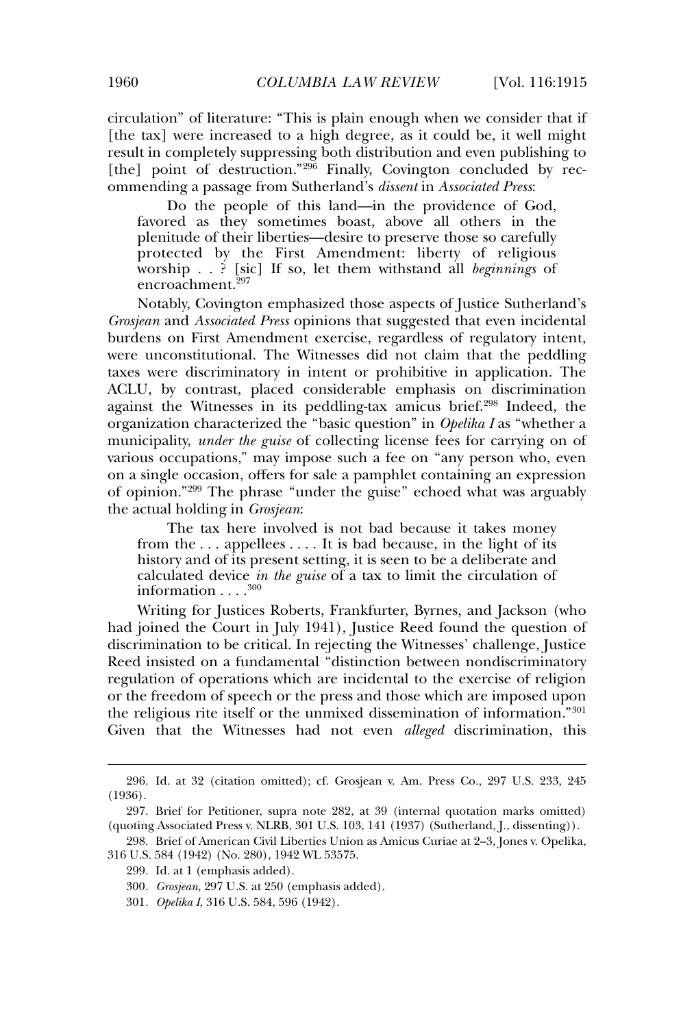circulation" of literature: "This is plain enough when we consider that if [the tax] were increased to a high degree, as it could be, it well might result in completely suppressing both distribution and even publishing to [the] point of destruction."<sup>296</sup> Finally, Covington concluded by recommending a passage from Sutherland's *dissent* in *Associated Press*:

Do the people of this land—in the providence of God, favored as they sometimes boast, above all others in the plenitude of their liberties—desire to preserve those so carefully protected by the First Amendment: liberty of religious worship . . ? [sic] If so, let them withstand all *beginnings* of encroachment.<sup>297</sup>

Notably, Covington emphasized those aspects of Justice Sutherland's *Grosjean* and *Associated Press* opinions that suggested that even incidental burdens on First Amendment exercise, regardless of regulatory intent, were unconstitutional. The Witnesses did not claim that the peddling taxes were discriminatory in intent or prohibitive in application. The ACLU, by contrast, placed considerable emphasis on discrimination against the Witnesses in its peddling-tax amicus brief.<sup>298</sup> Indeed, the organization characterized the "basic question" in *Opelika I* as "whether a municipality, *under the guise* of collecting license fees for carrying on of various occupations," may impose such a fee on "any person who, even on a single occasion, offers for sale a pamphlet containing an expression of opinion."<sup>299</sup> The phrase "under the guise" echoed what was arguably the actual holding in *Grosjean*:

The tax here involved is not bad because it takes money from the . . . appellees . . . . It is bad because, in the light of its history and of its present setting, it is seen to be a deliberate and calculated device *in the guise* of a tax to limit the circulation of information  $\dots$ .<sup>300</sup>

Writing for Justices Roberts, Frankfurter, Byrnes, and Jackson (who had joined the Court in July 1941), Justice Reed found the question of discrimination to be critical. In rejecting the Witnesses' challenge, Justice Reed insisted on a fundamental "distinction between nondiscriminatory regulation of operations which are incidental to the exercise of religion or the freedom of speech or the press and those which are imposed upon the religious rite itself or the unmixed dissemination of information."<sup>301</sup> Given that the Witnesses had not even *alleged* discrimination, this

<sup>296.</sup> Id. at 32 (citation omitted); cf. Grosjean v. Am. Press Co., 297 U.S. 233, 245 (1936).

<sup>297.</sup> Brief for Petitioner, supra note 282, at 39 (internal quotation marks omitted) (quoting Associated Press v. NLRB, 301 U.S. 103, 141 (1937) (Sutherland, J., dissenting)).

<sup>298.</sup> Brief of American Civil Liberties Union as Amicus Curiae at 2–3, Jones v. Opelika, 316 U.S. 584 (1942) (No. 280), 1942 WL 53575.

<sup>299.</sup> Id. at 1 (emphasis added).

<sup>300</sup>*. Grosjean*, 297 U.S. at 250 (emphasis added).

<sup>301</sup>*. Opelika I*, 316 U.S. 584, 596 (1942).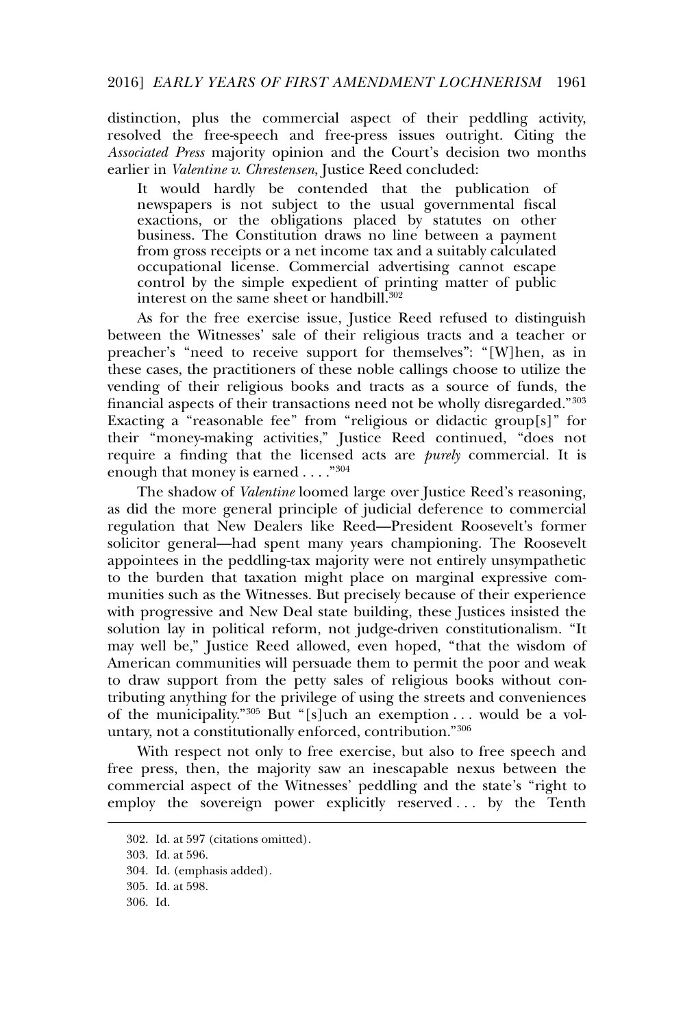### 2016] *EARLY YEARS OF FIRST AMENDMENT LOCHNERISM* 1961

distinction, plus the commercial aspect of their peddling activity, resolved the free-speech and free-press issues outright. Citing the *Associated Press* majority opinion and the Court's decision two months earlier in *Valentine v. Chrestensen*, Justice Reed concluded:

It would hardly be contended that the publication of newspapers is not subject to the usual governmental fiscal exactions, or the obligations placed by statutes on other business. The Constitution draws no line between a payment from gross receipts or a net income tax and a suitably calculated occupational license. Commercial advertising cannot escape control by the simple expedient of printing matter of public interest on the same sheet or handbill.<sup>302</sup>

As for the free exercise issue, Justice Reed refused to distinguish between the Witnesses' sale of their religious tracts and a teacher or preacher's "need to receive support for themselves": "[W]hen, as in these cases, the practitioners of these noble callings choose to utilize the vending of their religious books and tracts as a source of funds, the financial aspects of their transactions need not be wholly disregarded."<sup>303</sup> Exacting a "reasonable fee" from "religious or didactic group[s]" for their "money-making activities," Justice Reed continued, "does not require a finding that the licensed acts are *purely* commercial. It is enough that money is earned . . . ."<sup>304</sup>

The shadow of *Valentine* loomed large over Justice Reed's reasoning, as did the more general principle of judicial deference to commercial regulation that New Dealers like Reed—President Roosevelt's former solicitor general—had spent many years championing. The Roosevelt appointees in the peddling-tax majority were not entirely unsympathetic to the burden that taxation might place on marginal expressive communities such as the Witnesses. But precisely because of their experience with progressive and New Deal state building, these Justices insisted the solution lay in political reform, not judge-driven constitutionalism. "It may well be," Justice Reed allowed, even hoped, "that the wisdom of American communities will persuade them to permit the poor and weak to draw support from the petty sales of religious books without contributing anything for the privilege of using the streets and conveniences of the municipality."<sup>305</sup> But "[s]uch an exemption . . . would be a voluntary, not a constitutionally enforced, contribution."<sup>306</sup>

With respect not only to free exercise, but also to free speech and free press, then, the majority saw an inescapable nexus between the commercial aspect of the Witnesses' peddling and the state's "right to employ the sovereign power explicitly reserved . . . by the Tenth

<sup>302.</sup> Id. at 597 (citations omitted).

<sup>303.</sup> Id. at 596.

<sup>304.</sup> Id. (emphasis added).

<sup>305.</sup> Id. at 598.

<sup>306.</sup> Id.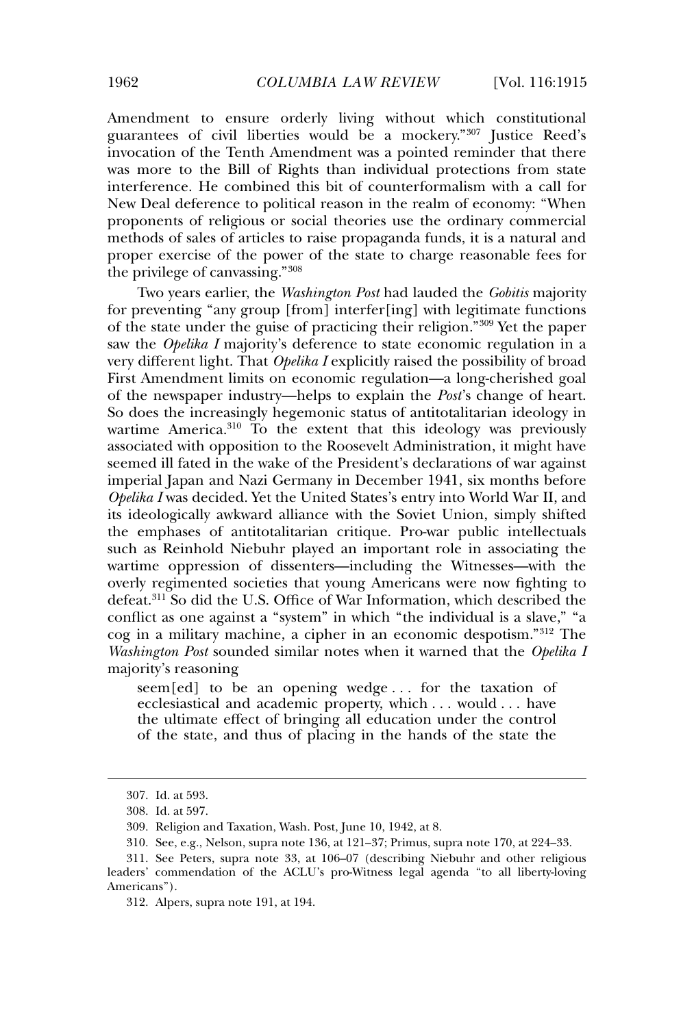Amendment to ensure orderly living without which constitutional guarantees of civil liberties would be a mockery."<sup>307</sup> Justice Reed's invocation of the Tenth Amendment was a pointed reminder that there was more to the Bill of Rights than individual protections from state interference. He combined this bit of counterformalism with a call for New Deal deference to political reason in the realm of economy: "When proponents of religious or social theories use the ordinary commercial methods of sales of articles to raise propaganda funds, it is a natural and proper exercise of the power of the state to charge reasonable fees for the privilege of canvassing."<sup>308</sup>

Two years earlier, the *Washington Post* had lauded the *Gobitis* majority for preventing "any group [from] interfer[ing] with legitimate functions of the state under the guise of practicing their religion."<sup>309</sup> Yet the paper saw the *Opelika I* majority's deference to state economic regulation in a very different light. That *Opelika I* explicitly raised the possibility of broad First Amendment limits on economic regulation—a long-cherished goal of the newspaper industry—helps to explain the *Post*'s change of heart. So does the increasingly hegemonic status of antitotalitarian ideology in wartime America.<sup>310</sup> To the extent that this ideology was previously associated with opposition to the Roosevelt Administration, it might have seemed ill fated in the wake of the President's declarations of war against imperial Japan and Nazi Germany in December 1941, six months before *Opelika I* was decided. Yet the United States's entry into World War II, and its ideologically awkward alliance with the Soviet Union, simply shifted the emphases of antitotalitarian critique. Pro-war public intellectuals such as Reinhold Niebuhr played an important role in associating the wartime oppression of dissenters—including the Witnesses—with the overly regimented societies that young Americans were now fighting to defeat.<sup>311</sup> So did the U.S. Office of War Information, which described the conflict as one against a "system" in which "the individual is a slave," "a cog in a military machine, a cipher in an economic despotism."<sup>312</sup> The *Washington Post* sounded similar notes when it warned that the *Opelika I* majority's reasoning

seem[ed] to be an opening wedge . . . for the taxation of ecclesiastical and academic property, which . . . would . . . have the ultimate effect of bringing all education under the control of the state, and thus of placing in the hands of the state the

<sup>307.</sup> Id. at 593.

<sup>308.</sup> Id. at 597.

<sup>309.</sup> Religion and Taxation, Wash. Post, June 10, 1942, at 8.

<sup>310.</sup> See, e.g., Nelson, supra note 136, at 121–37; Primus, supra note 170, at 224–33.

<sup>311.</sup> See Peters, supra note 33, at 106–07 (describing Niebuhr and other religious leaders' commendation of the ACLU's pro-Witness legal agenda "to all liberty-loving Americans").

<sup>312.</sup> Alpers, supra note 191, at 194.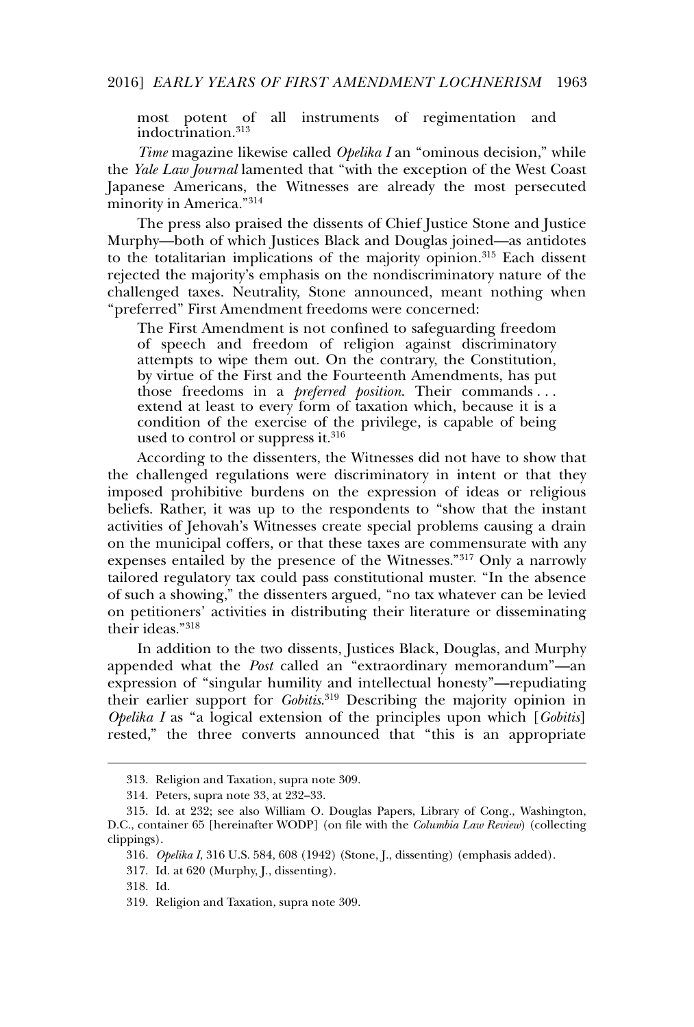most potent of all instruments of regimentation and indoctrination.<sup>313</sup>

*Time* magazine likewise called *Opelika I* an "ominous decision," while the *Yale Law Journal* lamented that "with the exception of the West Coast Japanese Americans, the Witnesses are already the most persecuted minority in America."<sup>314</sup>

The press also praised the dissents of Chief Justice Stone and Justice Murphy—both of which Justices Black and Douglas joined—as antidotes to the totalitarian implications of the majority opinion.<sup>315</sup> Each dissent rejected the majority's emphasis on the nondiscriminatory nature of the challenged taxes. Neutrality, Stone announced, meant nothing when "preferred" First Amendment freedoms were concerned:

The First Amendment is not confined to safeguarding freedom of speech and freedom of religion against discriminatory attempts to wipe them out. On the contrary, the Constitution, by virtue of the First and the Fourteenth Amendments, has put those freedoms in a *preferred position*. Their commands . . . extend at least to every form of taxation which, because it is a condition of the exercise of the privilege, is capable of being used to control or suppress it.<sup>316</sup>

According to the dissenters, the Witnesses did not have to show that the challenged regulations were discriminatory in intent or that they imposed prohibitive burdens on the expression of ideas or religious beliefs. Rather, it was up to the respondents to "show that the instant activities of Jehovah's Witnesses create special problems causing a drain on the municipal coffers, or that these taxes are commensurate with any expenses entailed by the presence of the Witnesses."<sup>317</sup> Only a narrowly tailored regulatory tax could pass constitutional muster. "In the absence of such a showing," the dissenters argued, "no tax whatever can be levied on petitioners' activities in distributing their literature or disseminating their ideas."<sup>318</sup>

In addition to the two dissents, Justices Black, Douglas, and Murphy appended what the *Post* called an "extraordinary memorandum"—an expression of "singular humility and intellectual honesty"—repudiating their earlier support for *Gobitis*.<sup>319</sup> Describing the majority opinion in *Opelika I* as "a logical extension of the principles upon which [*Gobitis*] rested," the three converts announced that "this is an appropriate

<sup>313.</sup> Religion and Taxation, supra note 309.

<sup>314.</sup> Peters, supra note 33, at 232–33.

<sup>315.</sup> Id. at 232; see also William O. Douglas Papers, Library of Cong., Washington, D.C., container 65 [hereinafter WODP] (on file with the *Columbia Law Review*) (collecting clippings).

<sup>316</sup>*. Opelika I*, 316 U.S. 584, 608 (1942) (Stone, J., dissenting) (emphasis added).

<sup>317.</sup> Id. at 620 (Murphy, J., dissenting).

<sup>318.</sup> Id.

<sup>319.</sup> Religion and Taxation, supra note 309.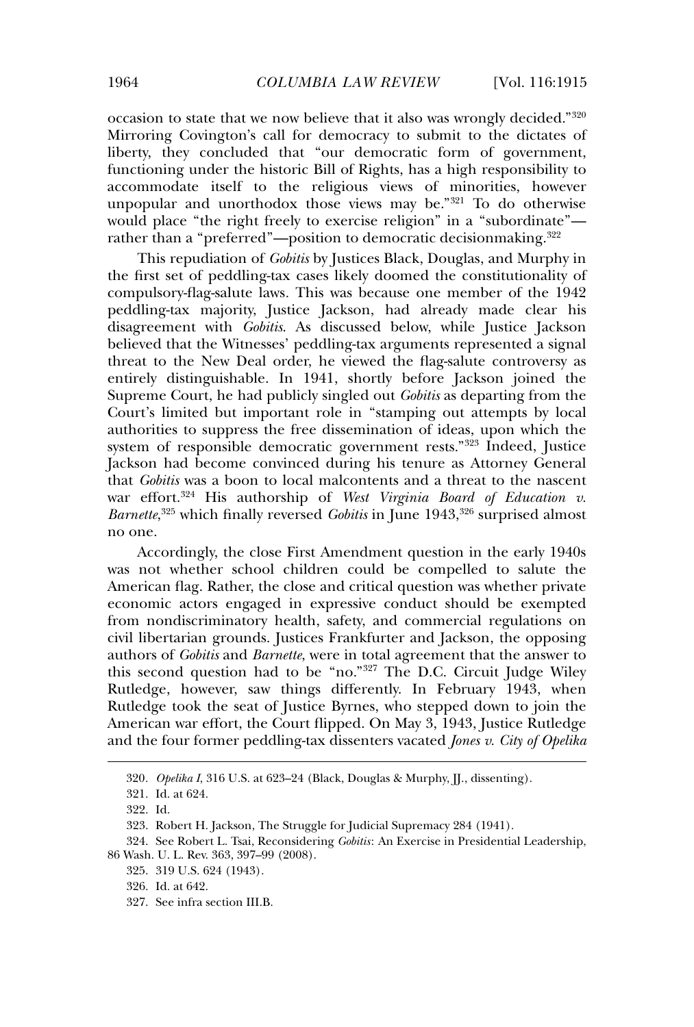occasion to state that we now believe that it also was wrongly decided."<sup>320</sup> Mirroring Covington's call for democracy to submit to the dictates of liberty, they concluded that "our democratic form of government, functioning under the historic Bill of Rights, has a high responsibility to accommodate itself to the religious views of minorities, however unpopular and unorthodox those views may be."<sup>321</sup> To do otherwise would place "the right freely to exercise religion" in a "subordinate" rather than a "preferred"—position to democratic decisionmaking.<sup>322</sup>

This repudiation of *Gobitis* by Justices Black, Douglas, and Murphy in the first set of peddling-tax cases likely doomed the constitutionality of compulsory-flag-salute laws*.* This was because one member of the 1942 peddling-tax majority, Justice Jackson, had already made clear his disagreement with *Gobitis*. As discussed below, while Justice Jackson believed that the Witnesses' peddling-tax arguments represented a signal threat to the New Deal order, he viewed the flag-salute controversy as entirely distinguishable. In 1941, shortly before Jackson joined the Supreme Court, he had publicly singled out *Gobitis* as departing from the Court's limited but important role in "stamping out attempts by local authorities to suppress the free dissemination of ideas, upon which the system of responsible democratic government rests."<sup>323</sup> Indeed, Justice Jackson had become convinced during his tenure as Attorney General that *Gobitis* was a boon to local malcontents and a threat to the nascent war effort.<sup>324</sup> His authorship of *West Virginia Board of Education v. Barnette*<sup>325</sup> which finally reversed *Gobitis* in June 1943,<sup>326</sup> surprised almost no one.

Accordingly, the close First Amendment question in the early 1940s was not whether school children could be compelled to salute the American flag. Rather, the close and critical question was whether private economic actors engaged in expressive conduct should be exempted from nondiscriminatory health, safety, and commercial regulations on civil libertarian grounds. Justices Frankfurter and Jackson, the opposing authors of *Gobitis* and *Barnette*, were in total agreement that the answer to this second question had to be "no."<sup>327</sup> The D.C. Circuit Judge Wiley Rutledge, however, saw things differently. In February 1943, when Rutledge took the seat of Justice Byrnes, who stepped down to join the American war effort, the Court flipped. On May 3, 1943, Justice Rutledge and the four former peddling-tax dissenters vacated *Jones v. City of Opelika*

<sup>320</sup>*. Opelika I*, 316 U.S. at 623–24 (Black, Douglas & Murphy, JJ., dissenting).

<sup>321.</sup> Id. at 624.

<sup>322.</sup> Id.

<sup>323.</sup> Robert H. Jackson, The Struggle for Judicial Supremacy 284 (1941).

<sup>324.</sup> See Robert L. Tsai, Reconsidering *Gobitis*: An Exercise in Presidential Leadership, 86 Wash. U. L. Rev. 363, 397–99 (2008).

<sup>325. 319</sup> U.S. 624 (1943).

<sup>326.</sup> Id. at 642.

<sup>327.</sup> See infra section III.B.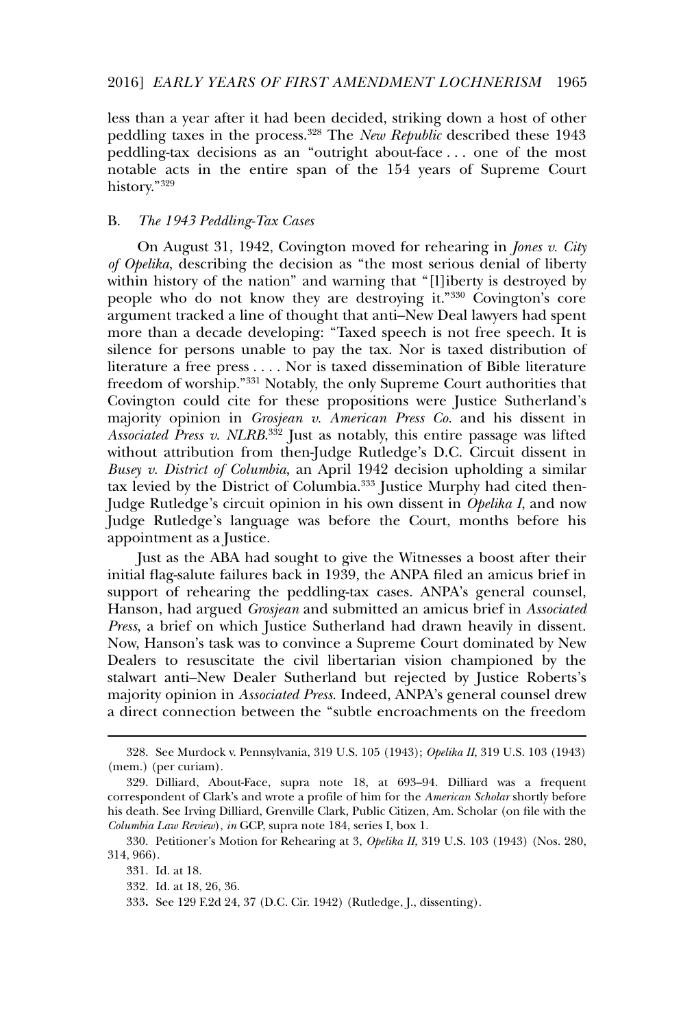#### 2016] *EARLY YEARS OF FIRST AMENDMENT LOCHNERISM* 1965

less than a year after it had been decided, striking down a host of other peddling taxes in the process.<sup>328</sup> The *New Republic* described these 1943 peddling-tax decisions as an "outright about-face . . . one of the most notable acts in the entire span of the 154 years of Supreme Court history."<sup>329</sup>

#### B. *The 1943 Peddling-Tax Cases*

On August 31, 1942, Covington moved for rehearing in *Jones v. City of Opelika*, describing the decision as "the most serious denial of liberty within history of the nation" and warning that "[l]iberty is destroyed by people who do not know they are destroying it."<sup>330</sup> Covington's core argument tracked a line of thought that anti–New Deal lawyers had spent more than a decade developing: "Taxed speech is not free speech. It is silence for persons unable to pay the tax. Nor is taxed distribution of literature a free press . . . . Nor is taxed dissemination of Bible literature freedom of worship."<sup>331</sup> Notably, the only Supreme Court authorities that Covington could cite for these propositions were Justice Sutherland's majority opinion in *Grosjean v. American Press Co.* and his dissent in *Associated Press v. NLRB*. <sup>332</sup> Just as notably, this entire passage was lifted without attribution from then-Judge Rutledge's D.C. Circuit dissent in *Busey v. District of Columbia*, an April 1942 decision upholding a similar tax levied by the District of Columbia.<sup>333</sup> Justice Murphy had cited then-Judge Rutledge's circuit opinion in his own dissent in *Opelika I*, and now Judge Rutledge's language was before the Court, months before his appointment as a Justice.

Just as the ABA had sought to give the Witnesses a boost after their initial flag-salute failures back in 1939, the ANPA filed an amicus brief in support of rehearing the peddling-tax cases. ANPA's general counsel, Hanson, had argued *Grosjean* and submitted an amicus brief in *Associated Press*, a brief on which Justice Sutherland had drawn heavily in dissent. Now, Hanson's task was to convince a Supreme Court dominated by New Dealers to resuscitate the civil libertarian vision championed by the stalwart anti–New Dealer Sutherland but rejected by Justice Roberts's majority opinion in *Associated Press*. Indeed, ANPA's general counsel drew a direct connection between the "subtle encroachments on the freedom

<sup>328.</sup> See Murdock v. Pennsylvania, 319 U.S. 105 (1943); *Opelika II*, 319 U.S. 103 (1943) (mem.) (per curiam).

<sup>329.</sup> Dilliard, About-Face, supra note 18, at 693–94. Dilliard was a frequent correspondent of Clark's and wrote a profile of him for the *American Scholar* shortly before his death. See Irving Dilliard, Grenville Clark, Public Citizen, Am. Scholar (on file with the *Columbia Law Review*), *in* GCP, supra note 184, series I, box 1.

<sup>330.</sup> Petitioner's Motion for Rehearing at 3, *Opelika II*, 319 U.S. 103 (1943) (Nos. 280, 314, 966).

<sup>331.</sup> Id. at 18.

<sup>332.</sup> Id. at 18, 26, 36.

<sup>333</sup>**.** See 129 F.2d 24, 37 (D.C. Cir. 1942) (Rutledge, J., dissenting).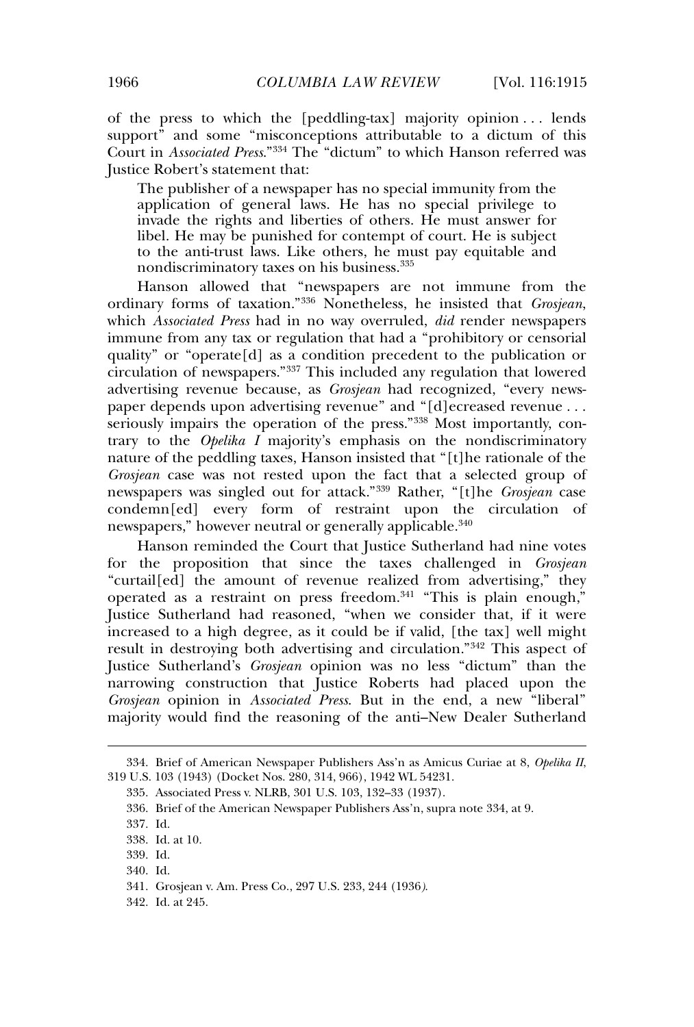of the press to which the [peddling-tax] majority opinion . . . lends support" and some "misconceptions attributable to a dictum of this Court in *Associated Press*."<sup>334</sup> The "dictum" to which Hanson referred was Justice Robert's statement that:

The publisher of a newspaper has no special immunity from the application of general laws. He has no special privilege to invade the rights and liberties of others. He must answer for libel. He may be punished for contempt of court. He is subject to the anti-trust laws. Like others, he must pay equitable and nondiscriminatory taxes on his business.<sup>335</sup>

Hanson allowed that "newspapers are not immune from the ordinary forms of taxation."<sup>336</sup> Nonetheless, he insisted that *Grosjean*, which *Associated Press* had in no way overruled, *did* render newspapers immune from any tax or regulation that had a "prohibitory or censorial quality" or "operate[d] as a condition precedent to the publication or circulation of newspapers."<sup>337</sup> This included any regulation that lowered advertising revenue because, as *Grosjean* had recognized, "every newspaper depends upon advertising revenue" and "[d]ecreased revenue ... seriously impairs the operation of the press."<sup>338</sup> Most importantly, contrary to the *Opelika I* majority's emphasis on the nondiscriminatory nature of the peddling taxes, Hanson insisted that "[t]he rationale of the *Grosjean* case was not rested upon the fact that a selected group of newspapers was singled out for attack."<sup>339</sup> Rather, "[t]he *Grosjean* case condemn[ed] every form of restraint upon the circulation of newspapers," however neutral or generally applicable.<sup>340</sup>

Hanson reminded the Court that Justice Sutherland had nine votes for the proposition that since the taxes challenged in *Grosjean* "curtail[ed] the amount of revenue realized from advertising," they operated as a restraint on press freedom.<sup>341</sup> "This is plain enough," Justice Sutherland had reasoned, "when we consider that, if it were increased to a high degree, as it could be if valid, [the tax] well might result in destroying both advertising and circulation."<sup>342</sup> This aspect of Justice Sutherland's *Grosjean* opinion was no less "dictum" than the narrowing construction that Justice Roberts had placed upon the *Grosjean* opinion in *Associated Press*. But in the end, a new "liberal" majority would find the reasoning of the anti–New Dealer Sutherland

<sup>334.</sup> Brief of American Newspaper Publishers Ass'n as Amicus Curiae at 8, *Opelika II*, 319 U.S. 103 (1943) (Docket Nos. 280, 314, 966), 1942 WL 54231.

<sup>335.</sup> Associated Press v. NLRB, 301 U.S. 103, 132–33 (1937).

<sup>336.</sup> Brief of the American Newspaper Publishers Ass'n, supra note 334, at 9.

<sup>337.</sup> Id.

<sup>338.</sup> Id. at 10.

<sup>339.</sup> Id.

<sup>340.</sup> Id.

<sup>341.</sup> Grosjean v. Am. Press Co., 297 U.S. 233, 244 (1936*)*.

<sup>342.</sup> Id. at 245.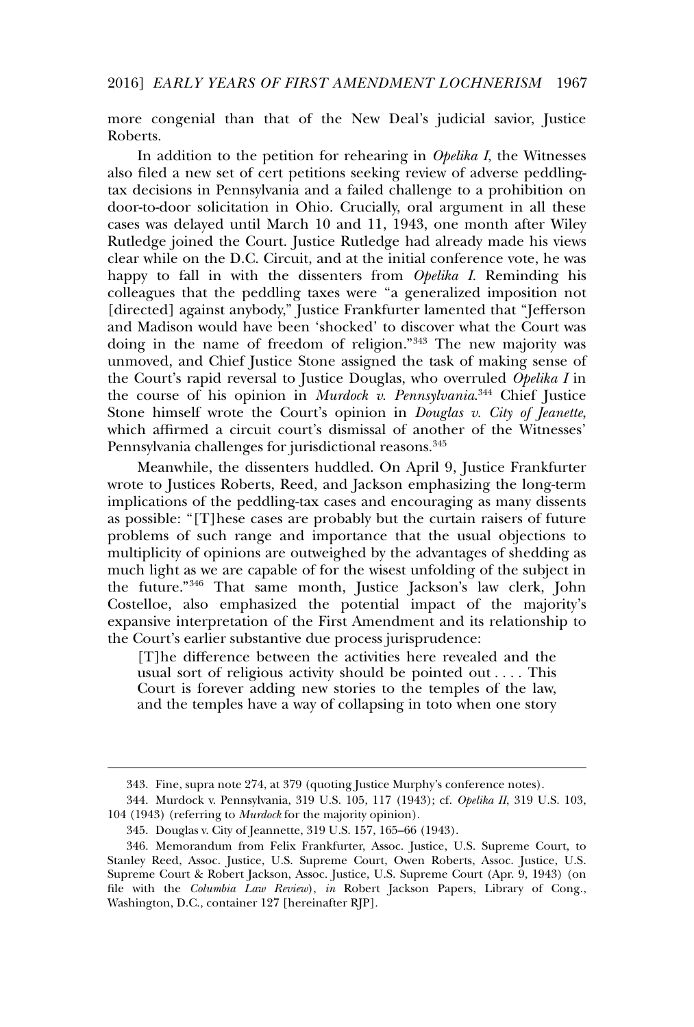more congenial than that of the New Deal's judicial savior, Justice Roberts.

In addition to the petition for rehearing in *Opelika I*, the Witnesses also filed a new set of cert petitions seeking review of adverse peddlingtax decisions in Pennsylvania and a failed challenge to a prohibition on door-to-door solicitation in Ohio. Crucially, oral argument in all these cases was delayed until March 10 and 11, 1943, one month after Wiley Rutledge joined the Court. Justice Rutledge had already made his views clear while on the D.C. Circuit, and at the initial conference vote, he was happy to fall in with the dissenters from *Opelika I*. Reminding his colleagues that the peddling taxes were "a generalized imposition not [directed] against anybody," Justice Frankfurter lamented that "Jefferson and Madison would have been 'shocked' to discover what the Court was doing in the name of freedom of religion."<sup>343</sup> The new majority was unmoved, and Chief Justice Stone assigned the task of making sense of the Court's rapid reversal to Justice Douglas, who overruled *Opelika I* in the course of his opinion in *Murdock v. Pennsylvania*. <sup>344</sup> Chief Justice Stone himself wrote the Court's opinion in *Douglas v. City of Jeanette*, which affirmed a circuit court's dismissal of another of the Witnesses' Pennsylvania challenges for jurisdictional reasons.<sup>345</sup>

Meanwhile, the dissenters huddled. On April 9, Justice Frankfurter wrote to Justices Roberts, Reed, and Jackson emphasizing the long-term implications of the peddling-tax cases and encouraging as many dissents as possible: "[T]hese cases are probably but the curtain raisers of future problems of such range and importance that the usual objections to multiplicity of opinions are outweighed by the advantages of shedding as much light as we are capable of for the wisest unfolding of the subject in the future."<sup>346</sup> That same month, Justice Jackson's law clerk, John Costelloe, also emphasized the potential impact of the majority's expansive interpretation of the First Amendment and its relationship to the Court's earlier substantive due process jurisprudence:

[T]he difference between the activities here revealed and the usual sort of religious activity should be pointed out . . . . This Court is forever adding new stories to the temples of the law, and the temples have a way of collapsing in toto when one story

<sup>343.</sup> Fine, supra note 274, at 379 (quoting Justice Murphy's conference notes).

<sup>344.</sup> Murdock v. Pennsylvania, 319 U.S. 105, 117 (1943); cf. *Opelika II*, 319 U.S. 103, 104 (1943) (referring to *Murdock* for the majority opinion).

<sup>345.</sup> Douglas v. City of Jeannette, 319 U.S. 157, 165–66 (1943).

<sup>346.</sup> Memorandum from Felix Frankfurter, Assoc. Justice, U.S. Supreme Court, to Stanley Reed, Assoc. Justice, U.S. Supreme Court, Owen Roberts, Assoc. Justice, U.S. Supreme Court & Robert Jackson, Assoc. Justice, U.S. Supreme Court (Apr. 9, 1943) (on file with the *Columbia Law Review*), *in* Robert Jackson Papers, Library of Cong., Washington, D.C., container 127 [hereinafter RJP].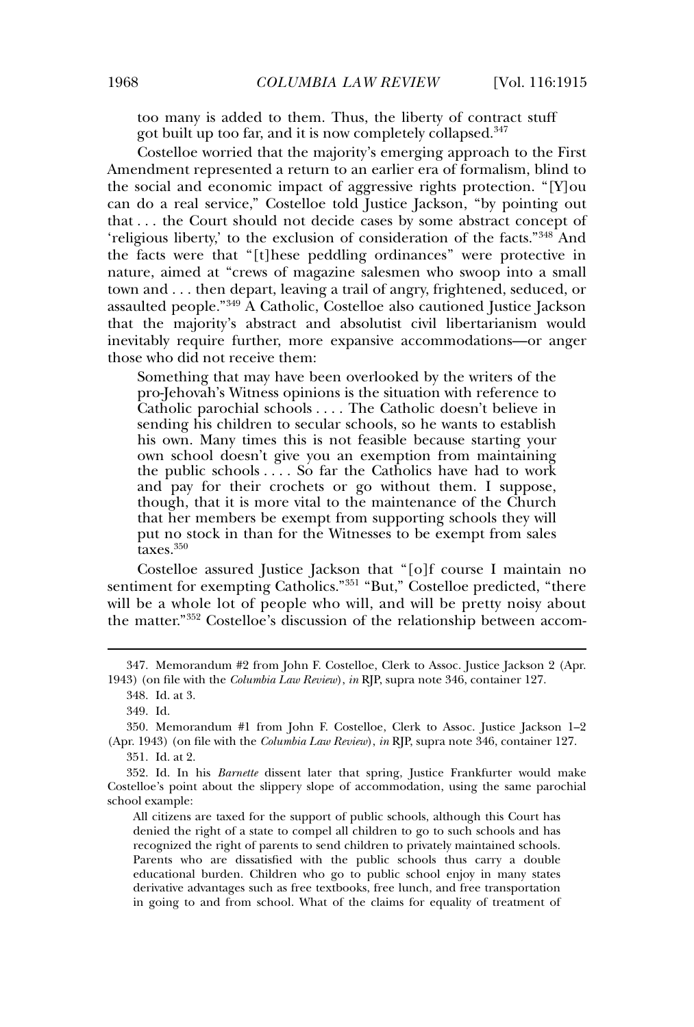too many is added to them. Thus, the liberty of contract stuff got built up too far, and it is now completely collapsed.<sup>347</sup>

Costelloe worried that the majority's emerging approach to the First Amendment represented a return to an earlier era of formalism, blind to the social and economic impact of aggressive rights protection. "[Y]ou can do a real service," Costelloe told Justice Jackson, "by pointing out that . . . the Court should not decide cases by some abstract concept of 'religious liberty,' to the exclusion of consideration of the facts."<sup>348</sup> And the facts were that "[t]hese peddling ordinances" were protective in nature, aimed at "crews of magazine salesmen who swoop into a small town and . . . then depart, leaving a trail of angry, frightened, seduced, or assaulted people."<sup>349</sup> A Catholic, Costelloe also cautioned Justice Jackson that the majority's abstract and absolutist civil libertarianism would inevitably require further, more expansive accommodations—or anger those who did not receive them:

Something that may have been overlooked by the writers of the pro-Jehovah's Witness opinions is the situation with reference to Catholic parochial schools . . . . The Catholic doesn't believe in sending his children to secular schools, so he wants to establish his own. Many times this is not feasible because starting your own school doesn't give you an exemption from maintaining the public schools . . . . So far the Catholics have had to work and pay for their crochets or go without them. I suppose, though, that it is more vital to the maintenance of the Church that her members be exempt from supporting schools they will put no stock in than for the Witnesses to be exempt from sales taxes.<sup>350</sup>

Costelloe assured Justice Jackson that "[o]f course I maintain no sentiment for exempting Catholics."<sup>351</sup> "But," Costelloe predicted, "there will be a whole lot of people who will, and will be pretty noisy about the matter."<sup>352</sup> Costelloe's discussion of the relationship between accom-

<sup>347.</sup> Memorandum #2 from John F. Costelloe, Clerk to Assoc. Justice Jackson 2 (Apr. 1943) (on file with the *Columbia Law Review*), *in* RJP, supra note 346, container 127.

<sup>348.</sup> Id. at 3.

<sup>349.</sup> Id.

<sup>350.</sup> Memorandum #1 from John F. Costelloe, Clerk to Assoc. Justice Jackson 1–2 (Apr. 1943) (on file with the *Columbia Law Review*), *in* RJP, supra note 346, container 127.

<sup>351.</sup> Id. at 2.

<sup>352.</sup> Id. In his *Barnette* dissent later that spring, Justice Frankfurter would make Costelloe's point about the slippery slope of accommodation, using the same parochial school example:

All citizens are taxed for the support of public schools, although this Court has denied the right of a state to compel all children to go to such schools and has recognized the right of parents to send children to privately maintained schools. Parents who are dissatisfied with the public schools thus carry a double educational burden. Children who go to public school enjoy in many states derivative advantages such as free textbooks, free lunch, and free transportation in going to and from school. What of the claims for equality of treatment of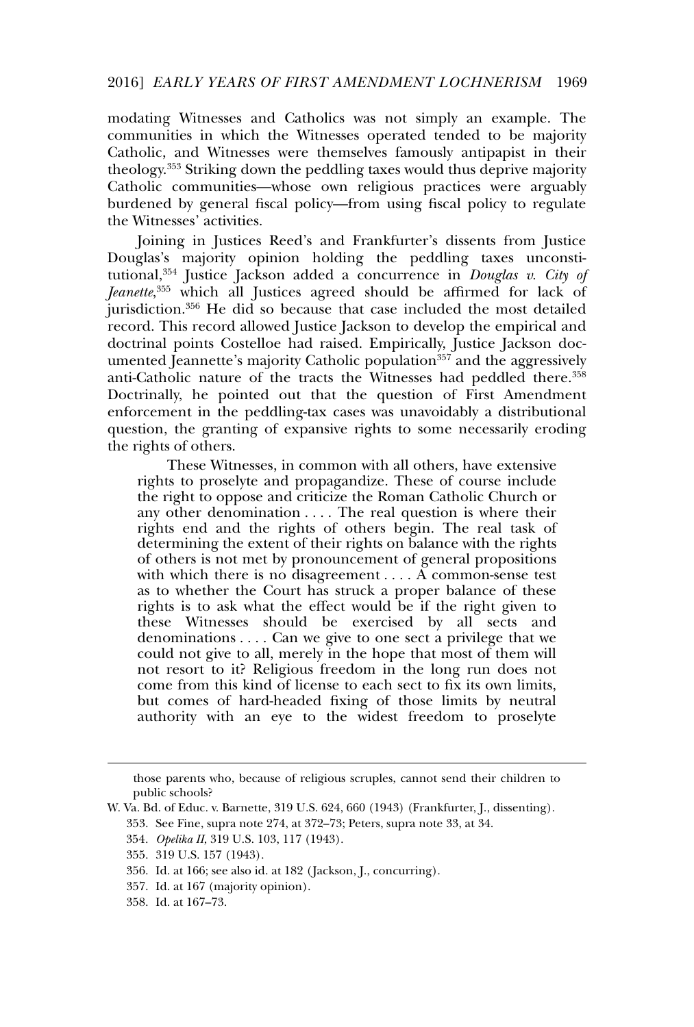modating Witnesses and Catholics was not simply an example. The communities in which the Witnesses operated tended to be majority Catholic, and Witnesses were themselves famously antipapist in their theology.<sup>353</sup> Striking down the peddling taxes would thus deprive majority Catholic communities—whose own religious practices were arguably burdened by general fiscal policy—from using fiscal policy to regulate the Witnesses' activities.

Joining in Justices Reed's and Frankfurter's dissents from Justice Douglas's majority opinion holding the peddling taxes unconstitutional,<sup>354</sup> Justice Jackson added a concurrence in *Douglas v. City of Jeanette*, <sup>355</sup> which all Justices agreed should be affirmed for lack of jurisdiction.<sup>356</sup> He did so because that case included the most detailed record. This record allowed Justice Jackson to develop the empirical and doctrinal points Costelloe had raised. Empirically, Justice Jackson documented Jeannette's majority Catholic population<sup>357</sup> and the aggressively anti-Catholic nature of the tracts the Witnesses had peddled there.<sup>358</sup> Doctrinally, he pointed out that the question of First Amendment enforcement in the peddling-tax cases was unavoidably a distributional question, the granting of expansive rights to some necessarily eroding the rights of others.

These Witnesses, in common with all others, have extensive rights to proselyte and propagandize. These of course include the right to oppose and criticize the Roman Catholic Church or any other denomination . . . . The real question is where their rights end and the rights of others begin. The real task of determining the extent of their rights on balance with the rights of others is not met by pronouncement of general propositions with which there is no disagreement . . . . A common-sense test as to whether the Court has struck a proper balance of these rights is to ask what the effect would be if the right given to these Witnesses should be exercised by all sects and denominations . . . . Can we give to one sect a privilege that we could not give to all, merely in the hope that most of them will not resort to it? Religious freedom in the long run does not come from this kind of license to each sect to fix its own limits, but comes of hard-headed fixing of those limits by neutral authority with an eye to the widest freedom to proselyte

357. Id. at 167 (majority opinion).

those parents who, because of religious scruples, cannot send their children to public schools?

W. Va. Bd. of Educ. v. Barnette, 319 U.S. 624, 660 (1943) (Frankfurter, J., dissenting).

<sup>353.</sup> See Fine, supra note 274, at 372–73; Peters, supra note 33, at 34.

<sup>354</sup>*. Opelika II*, 319 U.S. 103, 117 (1943).

<sup>355. 319</sup> U.S. 157 (1943).

<sup>356.</sup> Id. at 166; see also id. at 182 ( Jackson, J., concurring).

<sup>358.</sup> Id. at 167–73.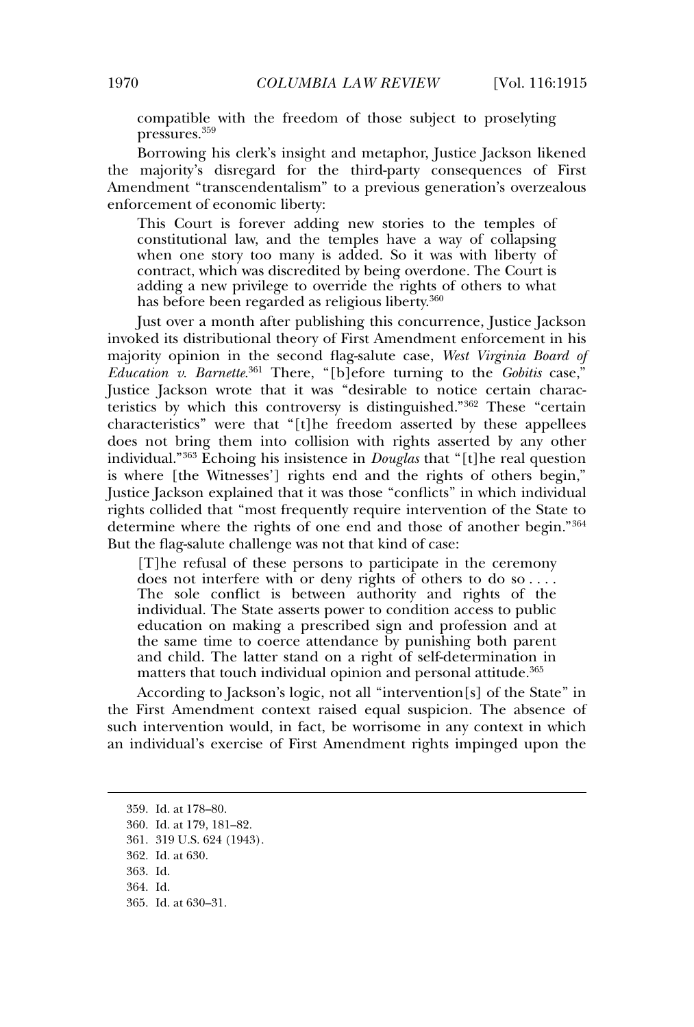compatible with the freedom of those subject to proselyting pressures.<sup>359</sup>

Borrowing his clerk's insight and metaphor, Justice Jackson likened the majority's disregard for the third-party consequences of First Amendment "transcendentalism" to a previous generation's overzealous enforcement of economic liberty:

This Court is forever adding new stories to the temples of constitutional law, and the temples have a way of collapsing when one story too many is added. So it was with liberty of contract, which was discredited by being overdone. The Court is adding a new privilege to override the rights of others to what has before been regarded as religious liberty.<sup>360</sup>

Just over a month after publishing this concurrence, Justice Jackson invoked its distributional theory of First Amendment enforcement in his majority opinion in the second flag-salute case, *West Virginia Board of*  $Education$  *v. Barnette*<sup>361</sup> There, "[b]efore turning to the *Gobitis* case," Justice Jackson wrote that it was "desirable to notice certain characteristics by which this controversy is distinguished."<sup>362</sup> These "certain characteristics" were that "[t]he freedom asserted by these appellees does not bring them into collision with rights asserted by any other individual."<sup>363</sup> Echoing his insistence in *Douglas* that "[t]he real question is where [the Witnesses'] rights end and the rights of others begin," Justice Jackson explained that it was those "conflicts" in which individual rights collided that "most frequently require intervention of the State to determine where the rights of one end and those of another begin."<sup>364</sup> But the flag-salute challenge was not that kind of case:

[T]he refusal of these persons to participate in the ceremony does not interfere with or deny rights of others to do so . . . . The sole conflict is between authority and rights of the individual. The State asserts power to condition access to public education on making a prescribed sign and profession and at the same time to coerce attendance by punishing both parent and child. The latter stand on a right of self-determination in matters that touch individual opinion and personal attitude.<sup>365</sup>

According to Jackson's logic, not all "intervention[s] of the State" in the First Amendment context raised equal suspicion. The absence of such intervention would, in fact, be worrisome in any context in which an individual's exercise of First Amendment rights impinged upon the

- 361. 319 U.S. 624 (1943).
- 362. Id. at 630.

<sup>359.</sup> Id. at 178–80.

<sup>360.</sup> Id. at 179, 181–82.

<sup>363.</sup> Id.

<sup>364.</sup> Id.

<sup>365.</sup> Id. at 630–31.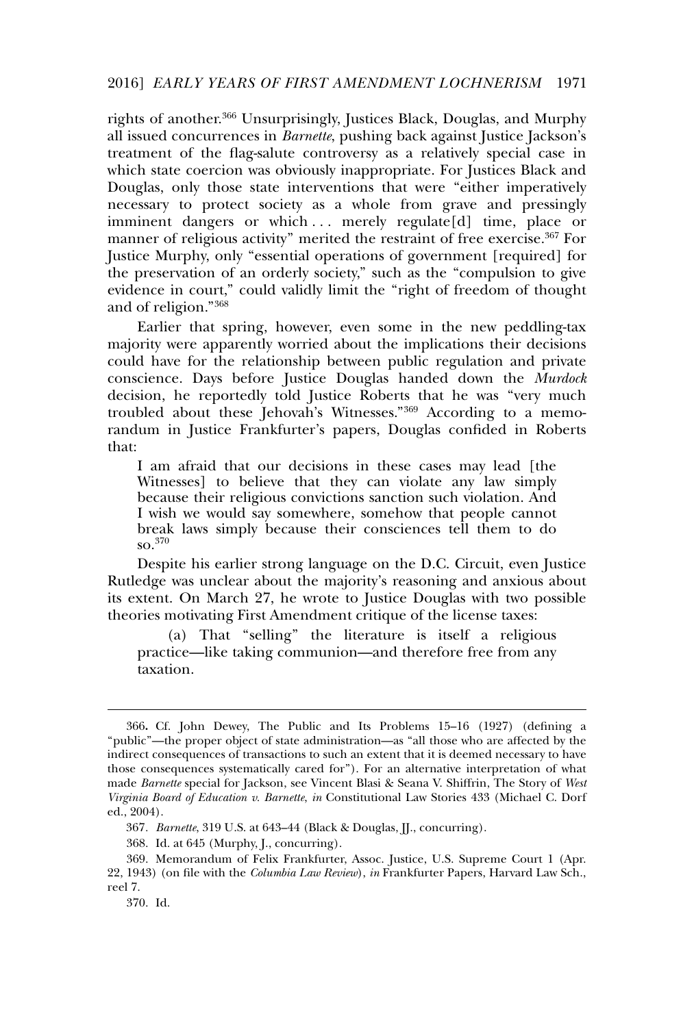rights of another.<sup>366</sup> Unsurprisingly, Justices Black, Douglas, and Murphy all issued concurrences in *Barnette*, pushing back against Justice Jackson's treatment of the flag-salute controversy as a relatively special case in which state coercion was obviously inappropriate. For Justices Black and Douglas, only those state interventions that were "either imperatively necessary to protect society as a whole from grave and pressingly imminent dangers or which ... merely regulate[d] time, place or manner of religious activity" merited the restraint of free exercise.<sup>367</sup> For Justice Murphy, only "essential operations of government [required] for the preservation of an orderly society," such as the "compulsion to give evidence in court," could validly limit the "right of freedom of thought and of religion."<sup>368</sup>

Earlier that spring, however, even some in the new peddling-tax majority were apparently worried about the implications their decisions could have for the relationship between public regulation and private conscience. Days before Justice Douglas handed down the *Murdock* decision, he reportedly told Justice Roberts that he was "very much troubled about these Jehovah's Witnesses."<sup>369</sup> According to a memorandum in Justice Frankfurter's papers, Douglas confided in Roberts that:

I am afraid that our decisions in these cases may lead [the Witnesses] to believe that they can violate any law simply because their religious convictions sanction such violation. And I wish we would say somewhere, somehow that people cannot break laws simply because their consciences tell them to do  $\mathrm{so}^{370}$ 

Despite his earlier strong language on the D.C. Circuit, even Justice Rutledge was unclear about the majority's reasoning and anxious about its extent. On March 27, he wrote to Justice Douglas with two possible theories motivating First Amendment critique of the license taxes:

(a) That "selling" the literature is itself a religious practice—like taking communion—and therefore free from any taxation.

<sup>366</sup>**.** Cf. John Dewey, The Public and Its Problems 15–16 (1927) (defining a "public"—the proper object of state administration—as "all those who are affected by the indirect consequences of transactions to such an extent that it is deemed necessary to have those consequences systematically cared for"). For an alternative interpretation of what made *Barnette* special for Jackson, see Vincent Blasi & Seana V. Shiffrin, The Story of *West Virginia Board of Education v. Barnette*, *in* Constitutional Law Stories 433 (Michael C. Dorf ed., 2004).

<sup>367</sup>*. Barnette*, 319 U.S. at 643–44 (Black & Douglas, JJ., concurring).

<sup>368.</sup> Id. at 645 (Murphy, J., concurring).

<sup>369.</sup> Memorandum of Felix Frankfurter, Assoc. Justice, U.S. Supreme Court 1 (Apr. 22, 1943) (on file with the *Columbia Law Review*), *in* Frankfurter Papers, Harvard Law Sch., reel 7.

<sup>370.</sup> Id.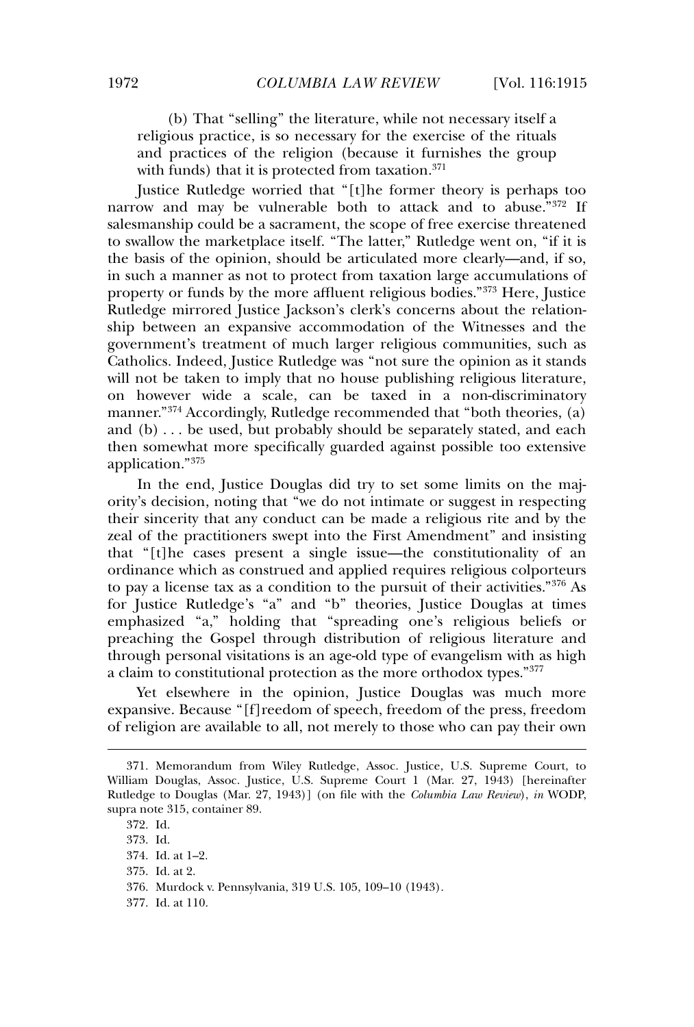(b) That "selling" the literature, while not necessary itself a religious practice, is so necessary for the exercise of the rituals and practices of the religion (because it furnishes the group with funds) that it is protected from taxation.<sup>371</sup>

Justice Rutledge worried that "[t]he former theory is perhaps too narrow and may be vulnerable both to attack and to abuse."372 If salesmanship could be a sacrament, the scope of free exercise threatened to swallow the marketplace itself. "The latter," Rutledge went on, "if it is the basis of the opinion, should be articulated more clearly—and, if so, in such a manner as not to protect from taxation large accumulations of property or funds by the more affluent religious bodies."<sup>373</sup> Here, Justice Rutledge mirrored Justice Jackson's clerk's concerns about the relationship between an expansive accommodation of the Witnesses and the government's treatment of much larger religious communities, such as Catholics. Indeed, Justice Rutledge was "not sure the opinion as it stands will not be taken to imply that no house publishing religious literature, on however wide a scale, can be taxed in a non-discriminatory manner."<sup>374</sup> Accordingly, Rutledge recommended that "both theories, (a) and (b) . . . be used, but probably should be separately stated, and each then somewhat more specifically guarded against possible too extensive application."<sup>375</sup>

In the end, Justice Douglas did try to set some limits on the majority's decision, noting that "we do not intimate or suggest in respecting their sincerity that any conduct can be made a religious rite and by the zeal of the practitioners swept into the First Amendment" and insisting that "[t]he cases present a single issue—the constitutionality of an ordinance which as construed and applied requires religious colporteurs to pay a license tax as a condition to the pursuit of their activities."<sup>376</sup> As for Justice Rutledge's "a" and "b" theories, Justice Douglas at times emphasized "a," holding that "spreading one's religious beliefs or preaching the Gospel through distribution of religious literature and through personal visitations is an age-old type of evangelism with as high a claim to constitutional protection as the more orthodox types."<sup>377</sup>

Yet elsewhere in the opinion, Justice Douglas was much more expansive. Because "[f]reedom of speech, freedom of the press, freedom of religion are available to all, not merely to those who can pay their own

- 376. Murdock v. Pennsylvania, 319 U.S. 105, 109–10 (1943).
- 377. Id. at 110.

<sup>371.</sup> Memorandum from Wiley Rutledge, Assoc. Justice, U.S. Supreme Court, to William Douglas, Assoc. Justice, U.S. Supreme Court 1 (Mar. 27, 1943) [hereinafter Rutledge to Douglas (Mar. 27, 1943)] (on file with the *Columbia Law Review*), *in* WODP, supra note 315, container 89.

<sup>372.</sup> Id.

<sup>373.</sup> Id.

<sup>374.</sup> Id. at 1–2.

<sup>375.</sup> Id. at 2.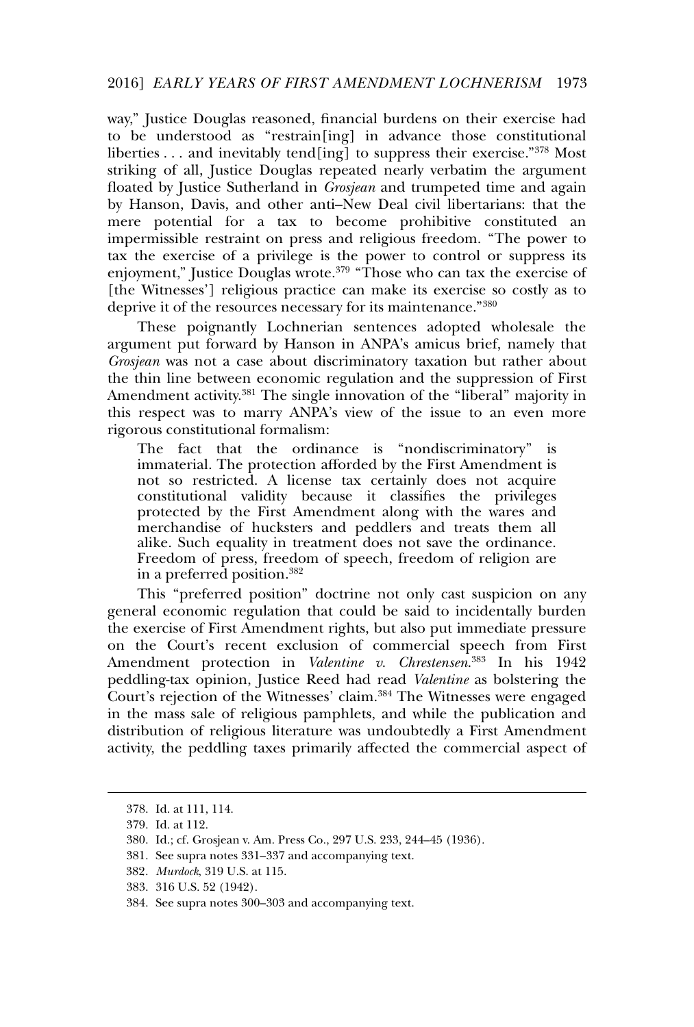way," Justice Douglas reasoned, financial burdens on their exercise had to be understood as "restrain[ing] in advance those constitutional liberties . . . and inevitably tend[ing] to suppress their exercise."<sup>378</sup> Most striking of all, Justice Douglas repeated nearly verbatim the argument floated by Justice Sutherland in *Grosjean* and trumpeted time and again by Hanson, Davis, and other anti–New Deal civil libertarians: that the mere potential for a tax to become prohibitive constituted an impermissible restraint on press and religious freedom. "The power to tax the exercise of a privilege is the power to control or suppress its enjoyment," Justice Douglas wrote.<sup>379</sup> "Those who can tax the exercise of [the Witnesses'] religious practice can make its exercise so costly as to deprive it of the resources necessary for its maintenance."<sup>380</sup>

These poignantly Lochnerian sentences adopted wholesale the argument put forward by Hanson in ANPA's amicus brief, namely that *Grosjean* was not a case about discriminatory taxation but rather about the thin line between economic regulation and the suppression of First Amendment activity.<sup>381</sup> The single innovation of the "liberal" majority in this respect was to marry ANPA's view of the issue to an even more rigorous constitutional formalism:

The fact that the ordinance is "nondiscriminatory" is immaterial. The protection afforded by the First Amendment is not so restricted. A license tax certainly does not acquire constitutional validity because it classifies the privileges protected by the First Amendment along with the wares and merchandise of hucksters and peddlers and treats them all alike. Such equality in treatment does not save the ordinance. Freedom of press, freedom of speech, freedom of religion are in a preferred position.<sup>382</sup>

This "preferred position" doctrine not only cast suspicion on any general economic regulation that could be said to incidentally burden the exercise of First Amendment rights, but also put immediate pressure on the Court's recent exclusion of commercial speech from First Amendment protection in *Valentine v. Chrestensen*. <sup>383</sup> In his 1942 peddling-tax opinion, Justice Reed had read *Valentine* as bolstering the Court's rejection of the Witnesses' claim.<sup>384</sup> The Witnesses were engaged in the mass sale of religious pamphlets, and while the publication and distribution of religious literature was undoubtedly a First Amendment activity, the peddling taxes primarily affected the commercial aspect of

<sup>378.</sup> Id. at 111, 114.

<sup>379.</sup> Id. at 112.

<sup>380.</sup> Id.; cf. Grosjean v. Am. Press Co., 297 U.S. 233, 244–45 (1936).

<sup>381.</sup> See supra notes 331–337 and accompanying text.

<sup>382</sup>*. Murdock*, 319 U.S. at 115.

<sup>383. 316</sup> U.S. 52 (1942).

<sup>384.</sup> See supra notes 300–303 and accompanying text.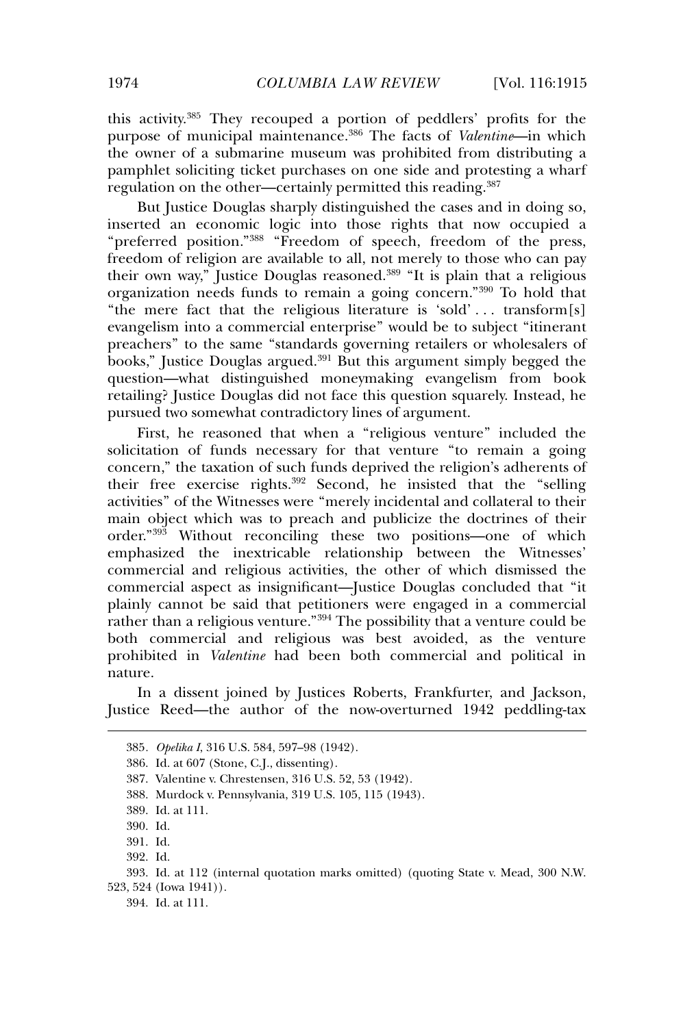this activity.<sup>385</sup> They recouped a portion of peddlers' profits for the purpose of municipal maintenance.<sup>386</sup> The facts of *Valentine*—in which the owner of a submarine museum was prohibited from distributing a pamphlet soliciting ticket purchases on one side and protesting a wharf regulation on the other—certainly permitted this reading.<sup>387</sup>

But Justice Douglas sharply distinguished the cases and in doing so, inserted an economic logic into those rights that now occupied a "preferred position."<sup>388</sup> "Freedom of speech, freedom of the press, freedom of religion are available to all, not merely to those who can pay their own way," Justice Douglas reasoned.<sup>389</sup> "It is plain that a religious organization needs funds to remain a going concern."<sup>390</sup> To hold that "the mere fact that the religious literature is 'sold' . . . transform[s] evangelism into a commercial enterprise" would be to subject "itinerant preachers" to the same "standards governing retailers or wholesalers of books," Justice Douglas argued.<sup>391</sup> But this argument simply begged the question—what distinguished moneymaking evangelism from book retailing? Justice Douglas did not face this question squarely. Instead, he pursued two somewhat contradictory lines of argument.

First, he reasoned that when a "religious venture" included the solicitation of funds necessary for that venture "to remain a going concern," the taxation of such funds deprived the religion's adherents of their free exercise rights.<sup>392</sup> Second, he insisted that the "selling activities" of the Witnesses were "merely incidental and collateral to their main object which was to preach and publicize the doctrines of their order."<sup>393</sup> Without reconciling these two positions—one of which emphasized the inextricable relationship between the Witnesses' commercial and religious activities, the other of which dismissed the commercial aspect as insignificant—Justice Douglas concluded that "it plainly cannot be said that petitioners were engaged in a commercial rather than a religious venture."<sup>394</sup> The possibility that a venture could be both commercial and religious was best avoided, as the venture prohibited in *Valentine* had been both commercial and political in nature.

In a dissent joined by Justices Roberts, Frankfurter, and Jackson, Justice Reed—the author of the now-overturned 1942 peddling-tax

392. Id.

394. Id. at 111.

<sup>385</sup>*. Opelika I*, 316 U.S. 584, 597–98 (1942).

<sup>386.</sup> Id. at 607 (Stone, C.J., dissenting).

<sup>387.</sup> Valentine v. Chrestensen, 316 U.S. 52, 53 (1942).

<sup>388.</sup> Murdock v. Pennsylvania, 319 U.S. 105, 115 (1943).

<sup>389.</sup> Id. at 111.

<sup>390.</sup> Id.

<sup>391.</sup> Id.

<sup>393.</sup> Id. at 112 (internal quotation marks omitted) (quoting State v. Mead, 300 N.W. 523, 524 (Iowa 1941)).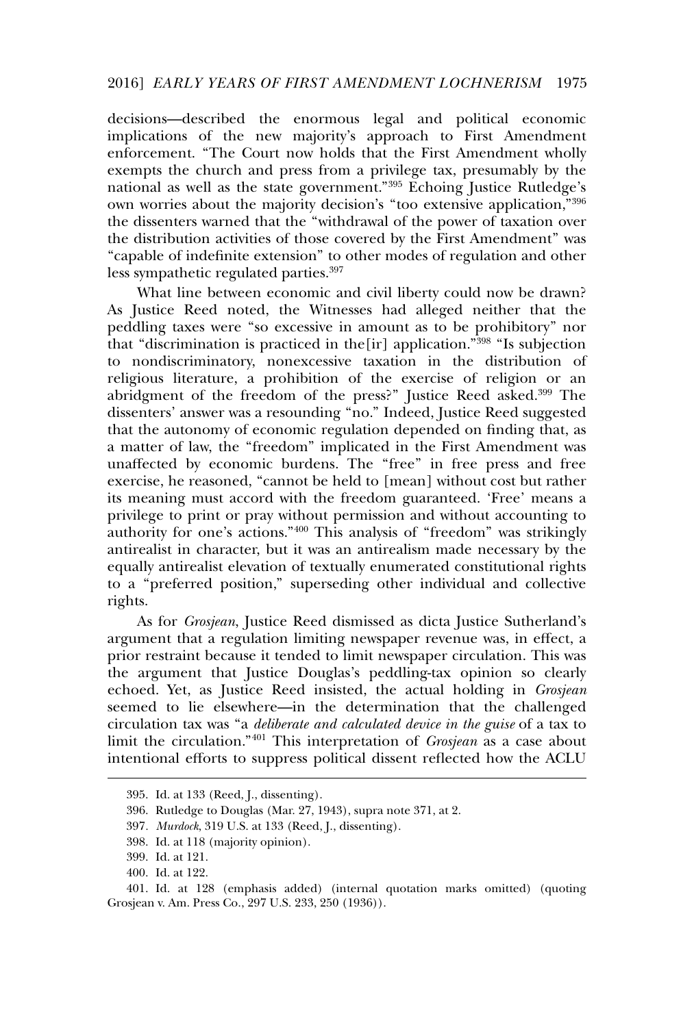decisions—described the enormous legal and political economic implications of the new majority's approach to First Amendment enforcement. "The Court now holds that the First Amendment wholly exempts the church and press from a privilege tax, presumably by the national as well as the state government."<sup>395</sup> Echoing Justice Rutledge's own worries about the majority decision's "too extensive application,"<sup>396</sup> the dissenters warned that the "withdrawal of the power of taxation over the distribution activities of those covered by the First Amendment" was "capable of indefinite extension" to other modes of regulation and other less sympathetic regulated parties.<sup>397</sup>

What line between economic and civil liberty could now be drawn? As Justice Reed noted, the Witnesses had alleged neither that the peddling taxes were "so excessive in amount as to be prohibitory" nor that "discrimination is practiced in the [ir] application."<sup>398</sup> "Is subjection to nondiscriminatory, nonexcessive taxation in the distribution of religious literature, a prohibition of the exercise of religion or an abridgment of the freedom of the press?" Justice Reed asked.<sup>399</sup> The dissenters' answer was a resounding "no." Indeed, Justice Reed suggested that the autonomy of economic regulation depended on finding that, as a matter of law, the "freedom" implicated in the First Amendment was unaffected by economic burdens. The "free" in free press and free exercise, he reasoned, "cannot be held to [mean] without cost but rather its meaning must accord with the freedom guaranteed. 'Free' means a privilege to print or pray without permission and without accounting to authority for one's actions."<sup>400</sup> This analysis of "freedom" was strikingly antirealist in character, but it was an antirealism made necessary by the equally antirealist elevation of textually enumerated constitutional rights to a "preferred position," superseding other individual and collective rights.

As for *Grosjean*, Justice Reed dismissed as dicta Justice Sutherland's argument that a regulation limiting newspaper revenue was, in effect, a prior restraint because it tended to limit newspaper circulation. This was the argument that Justice Douglas's peddling-tax opinion so clearly echoed. Yet, as Justice Reed insisted, the actual holding in *Grosjean* seemed to lie elsewhere—in the determination that the challenged circulation tax was "a *deliberate and calculated device in the guise* of a tax to limit the circulation."<sup>401</sup> This interpretation of *Grosjean* as a case about intentional efforts to suppress political dissent reflected how the ACLU

<sup>395.</sup> Id. at 133 (Reed, J., dissenting).

<sup>396.</sup> Rutledge to Douglas (Mar. 27, 1943), supra note 371, at 2.

<sup>397</sup>*. Murdock*, 319 U.S. at 133 (Reed, J., dissenting).

<sup>398.</sup> Id. at 118 (majority opinion).

<sup>399.</sup> Id. at 121.

<sup>400.</sup> Id. at 122.

<sup>401.</sup> Id. at 128 (emphasis added) (internal quotation marks omitted) (quoting Grosjean v. Am. Press Co., 297 U.S. 233, 250 (1936)).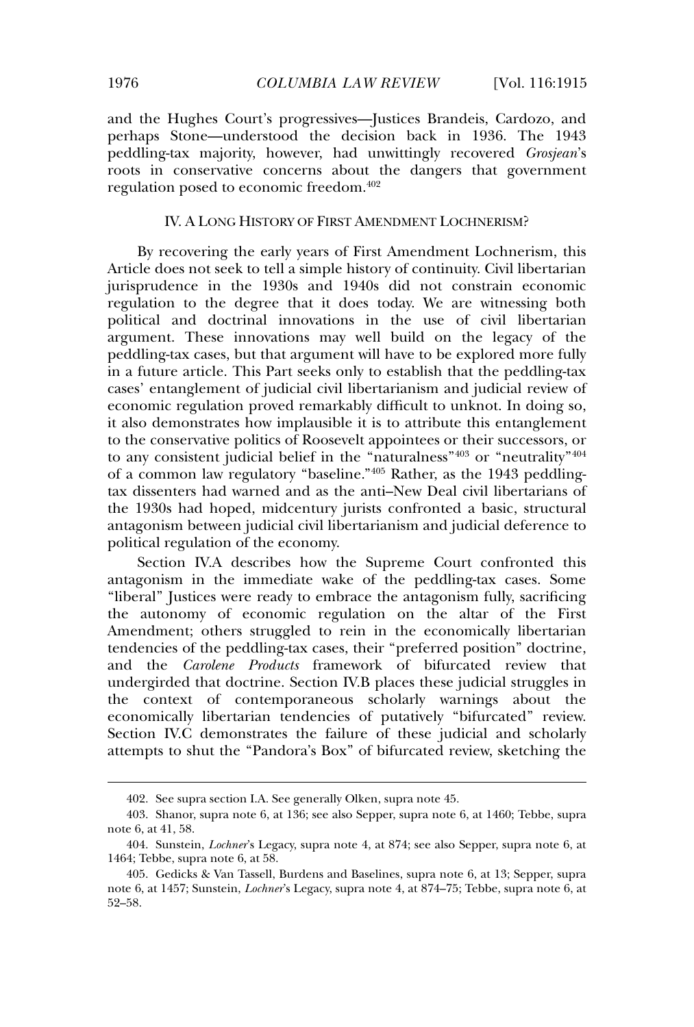and the Hughes Court's progressives—Justices Brandeis, Cardozo, and perhaps Stone—understood the decision back in 1936. The 1943 peddling-tax majority, however, had unwittingly recovered *Grosjean*'s roots in conservative concerns about the dangers that government regulation posed to economic freedom.<sup>402</sup>

## IV. A LONG HISTORY OF FIRST AMENDMENT LOCHNERISM?

By recovering the early years of First Amendment Lochnerism, this Article does not seek to tell a simple history of continuity. Civil libertarian jurisprudence in the 1930s and 1940s did not constrain economic regulation to the degree that it does today. We are witnessing both political and doctrinal innovations in the use of civil libertarian argument. These innovations may well build on the legacy of the peddling-tax cases, but that argument will have to be explored more fully in a future article. This Part seeks only to establish that the peddling-tax cases' entanglement of judicial civil libertarianism and judicial review of economic regulation proved remarkably difficult to unknot. In doing so, it also demonstrates how implausible it is to attribute this entanglement to the conservative politics of Roosevelt appointees or their successors, or to any consistent judicial belief in the "naturalness"<sup>403</sup> or "neutrality"<sup>404</sup> of a common law regulatory "baseline."<sup>405</sup> Rather, as the 1943 peddlingtax dissenters had warned and as the anti–New Deal civil libertarians of the 1930s had hoped, midcentury jurists confronted a basic, structural antagonism between judicial civil libertarianism and judicial deference to political regulation of the economy.

Section IV.A describes how the Supreme Court confronted this antagonism in the immediate wake of the peddling-tax cases. Some "liberal" Justices were ready to embrace the antagonism fully, sacrificing the autonomy of economic regulation on the altar of the First Amendment; others struggled to rein in the economically libertarian tendencies of the peddling-tax cases, their "preferred position" doctrine, and the *Carolene Products* framework of bifurcated review that undergirded that doctrine. Section IV.B places these judicial struggles in the context of contemporaneous scholarly warnings about the economically libertarian tendencies of putatively "bifurcated" review. Section IV.C demonstrates the failure of these judicial and scholarly attempts to shut the "Pandora's Box" of bifurcated review, sketching the

<sup>402.</sup> See supra section I.A. See generally Olken, supra note 45.

<sup>403.</sup> Shanor, supra note 6, at 136; see also Sepper, supra note 6, at 1460; Tebbe, supra note 6, at 41, 58.

<sup>404.</sup> Sunstein, *Lochner*'s Legacy, supra note 4, at 874; see also Sepper, supra note 6, at 1464; Tebbe, supra note 6, at 58.

<sup>405.</sup> Gedicks & Van Tassell, Burdens and Baselines, supra note 6, at 13; Sepper, supra note 6, at 1457; Sunstein, *Lochner*'s Legacy, supra note 4, at 874–75; Tebbe, supra note 6, at 52–58.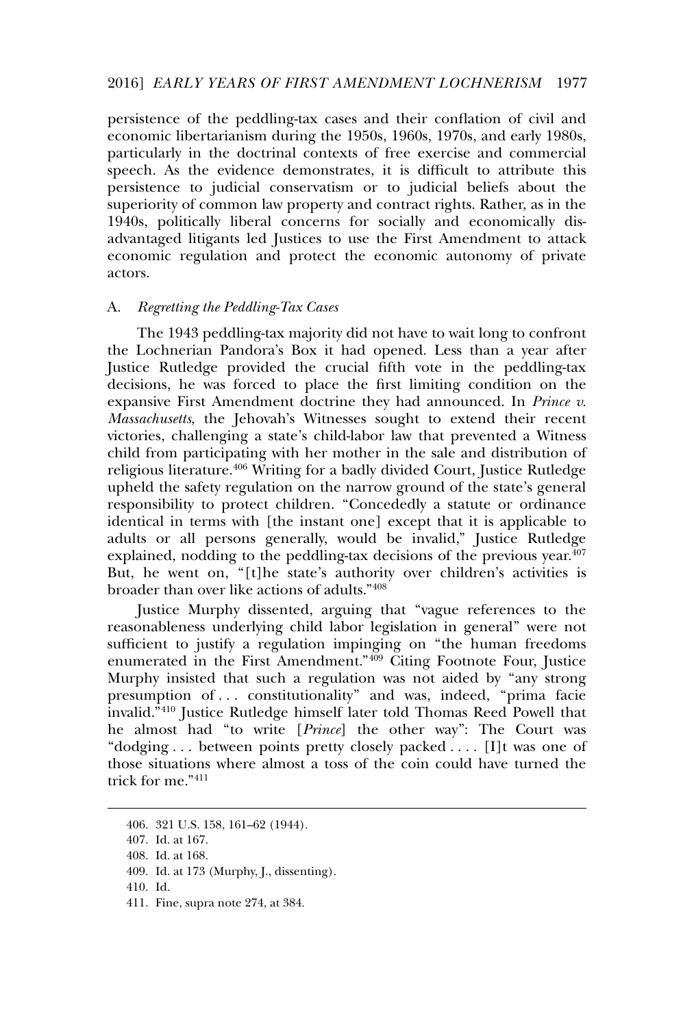persistence of the peddling-tax cases and their conflation of civil and economic libertarianism during the 1950s, 1960s, 1970s, and early 1980s, particularly in the doctrinal contexts of free exercise and commercial speech. As the evidence demonstrates, it is difficult to attribute this persistence to judicial conservatism or to judicial beliefs about the superiority of common law property and contract rights. Rather, as in the 1940s, politically liberal concerns for socially and economically disadvantaged litigants led Justices to use the First Amendment to attack economic regulation and protect the economic autonomy of private actors.

## A. *Regretting the Peddling-Tax Cases*

The 1943 peddling-tax majority did not have to wait long to confront the Lochnerian Pandora's Box it had opened. Less than a year after Justice Rutledge provided the crucial fifth vote in the peddling-tax decisions, he was forced to place the first limiting condition on the expansive First Amendment doctrine they had announced. In *Prince v. Massachusetts*, the Jehovah's Witnesses sought to extend their recent victories, challenging a state's child-labor law that prevented a Witness child from participating with her mother in the sale and distribution of religious literature.<sup>406</sup> Writing for a badly divided Court, Justice Rutledge upheld the safety regulation on the narrow ground of the state's general responsibility to protect children. "Concededly a statute or ordinance identical in terms with [the instant one] except that it is applicable to adults or all persons generally, would be invalid," Justice Rutledge explained, nodding to the peddling-tax decisions of the previous year.<sup>407</sup> But, he went on, "[t]he state's authority over children's activities is broader than over like actions of adults."<sup>408</sup>

Justice Murphy dissented, arguing that "vague references to the reasonableness underlying child labor legislation in general" were not sufficient to justify a regulation impinging on "the human freedoms enumerated in the First Amendment."<sup>409</sup> Citing Footnote Four, Justice Murphy insisted that such a regulation was not aided by "any strong presumption of . . . constitutionality" and was, indeed, "prima facie invalid.<sup>7410</sup> Justice Rutledge himself later told Thomas Reed Powell that he almost had "to write [*Prince*] the other way": The Court was "dodging . . . between points pretty closely packed . . . . [I]t was one of those situations where almost a toss of the coin could have turned the trick for me."<sup>411</sup>

<sup>406. 321</sup> U.S. 158, 161–62 (1944).

<sup>407.</sup> Id. at 167.

<sup>408.</sup> Id. at 168.

<sup>409.</sup> Id. at 173 (Murphy, J., dissenting).

<sup>410.</sup> Id.

<sup>411.</sup> Fine, supra note 274, at 384.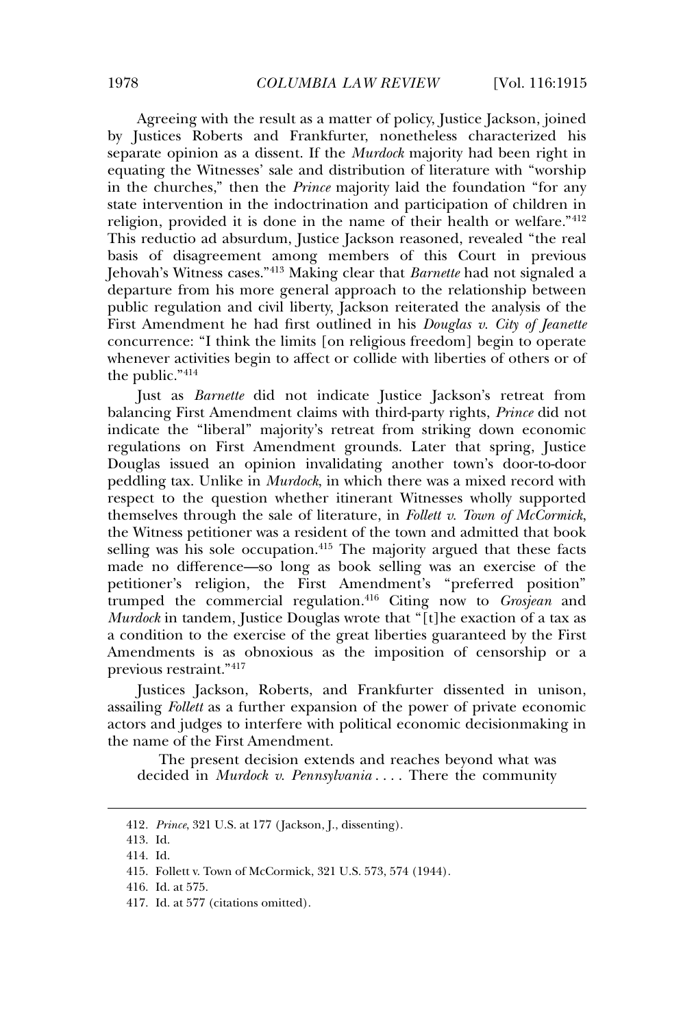Agreeing with the result as a matter of policy, Justice Jackson, joined by Justices Roberts and Frankfurter, nonetheless characterized his separate opinion as a dissent. If the *Murdock* majority had been right in equating the Witnesses' sale and distribution of literature with "worship in the churches," then the *Prince* majority laid the foundation "for any state intervention in the indoctrination and participation of children in religion, provided it is done in the name of their health or welfare."<sup>412</sup> This reductio ad absurdum, Justice Jackson reasoned, revealed "the real basis of disagreement among members of this Court in previous Jehovah's Witness cases."<sup>413</sup> Making clear that *Barnette* had not signaled a departure from his more general approach to the relationship between public regulation and civil liberty, Jackson reiterated the analysis of the First Amendment he had first outlined in his *Douglas v. City of Jeanette* concurrence: "I think the limits [on religious freedom] begin to operate whenever activities begin to affect or collide with liberties of others or of the public."<sup>414</sup>

Just as *Barnette* did not indicate Justice Jackson's retreat from balancing First Amendment claims with third-party rights, *Prince* did not indicate the "liberal" majority's retreat from striking down economic regulations on First Amendment grounds. Later that spring, Justice Douglas issued an opinion invalidating another town's door-to-door peddling tax. Unlike in *Murdock*, in which there was a mixed record with respect to the question whether itinerant Witnesses wholly supported themselves through the sale of literature, in *Follett v. Town of McCormick*, the Witness petitioner was a resident of the town and admitted that book selling was his sole occupation.<sup>415</sup> The majority argued that these facts made no difference—so long as book selling was an exercise of the petitioner's religion, the First Amendment's "preferred position" trumped the commercial regulation.<sup>416</sup> Citing now to *Grosjean* and *Murdock* in tandem, Justice Douglas wrote that "[t]he exaction of a tax as a condition to the exercise of the great liberties guaranteed by the First Amendments is as obnoxious as the imposition of censorship or a previous restraint."<sup>417</sup>

Justices Jackson, Roberts, and Frankfurter dissented in unison, assailing *Follett* as a further expansion of the power of private economic actors and judges to interfere with political economic decisionmaking in the name of the First Amendment.

The present decision extends and reaches beyond what was decided in *Murdock v. Pennsylvania* . . . . There the community

<sup>412</sup>*. Prince*, 321 U.S. at 177 ( Jackson, J., dissenting).

<sup>413.</sup> Id.

<sup>414.</sup> Id.

<sup>415.</sup> Follett v. Town of McCormick, 321 U.S. 573, 574 (1944).

<sup>416.</sup> Id. at 575.

<sup>417.</sup> Id. at 577 (citations omitted).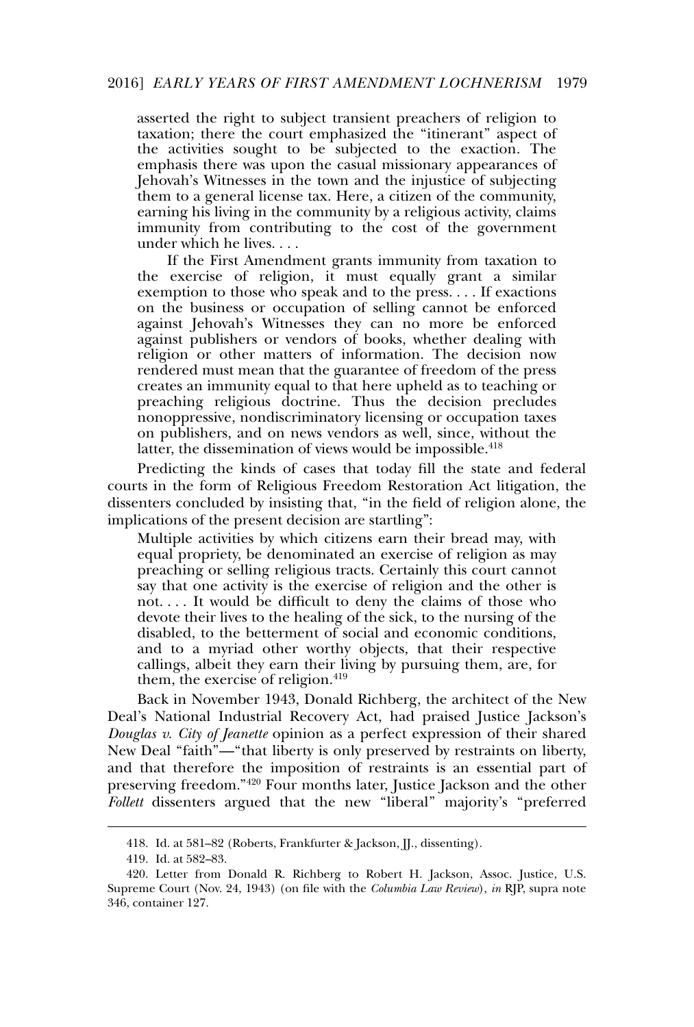asserted the right to subject transient preachers of religion to taxation; there the court emphasized the "itinerant" aspect of the activities sought to be subjected to the exaction. The emphasis there was upon the casual missionary appearances of Jehovah's Witnesses in the town and the injustice of subjecting them to a general license tax. Here, a citizen of the community, earning his living in the community by a religious activity, claims immunity from contributing to the cost of the government under which he lives. . . .

If the First Amendment grants immunity from taxation to the exercise of religion, it must equally grant a similar exemption to those who speak and to the press. . . . If exactions on the business or occupation of selling cannot be enforced against Jehovah's Witnesses they can no more be enforced against publishers or vendors of books, whether dealing with religion or other matters of information. The decision now rendered must mean that the guarantee of freedom of the press creates an immunity equal to that here upheld as to teaching or preaching religious doctrine. Thus the decision precludes nonoppressive, nondiscriminatory licensing or occupation taxes on publishers, and on news vendors as well, since, without the latter, the dissemination of views would be impossible.<sup>418</sup>

Predicting the kinds of cases that today fill the state and federal courts in the form of Religious Freedom Restoration Act litigation, the dissenters concluded by insisting that, "in the field of religion alone, the implications of the present decision are startling":

Multiple activities by which citizens earn their bread may, with equal propriety, be denominated an exercise of religion as may preaching or selling religious tracts. Certainly this court cannot say that one activity is the exercise of religion and the other is not. . . . It would be difficult to deny the claims of those who devote their lives to the healing of the sick, to the nursing of the disabled, to the betterment of social and economic conditions, and to a myriad other worthy objects, that their respective callings, albeit they earn their living by pursuing them, are, for them, the exercise of religion.<sup>419</sup>

Back in November 1943, Donald Richberg, the architect of the New Deal's National Industrial Recovery Act, had praised Justice Jackson's *Douglas v. City of Jeanette* opinion as a perfect expression of their shared New Deal "faith"—"that liberty is only preserved by restraints on liberty, and that therefore the imposition of restraints is an essential part of preserving freedom."<sup>420</sup> Four months later, Justice Jackson and the other *Follett* dissenters argued that the new "liberal" majority's "preferred

<sup>418.</sup> Id. at 581–82 (Roberts, Frankfurter & Jackson, JJ., dissenting).

<sup>419.</sup> Id. at 582–83.

<sup>420.</sup> Letter from Donald R. Richberg to Robert H. Jackson, Assoc. Justice, U.S. Supreme Court (Nov. 24, 1943) (on file with the *Columbia Law Review*), *in* RJP, supra note 346, container 127.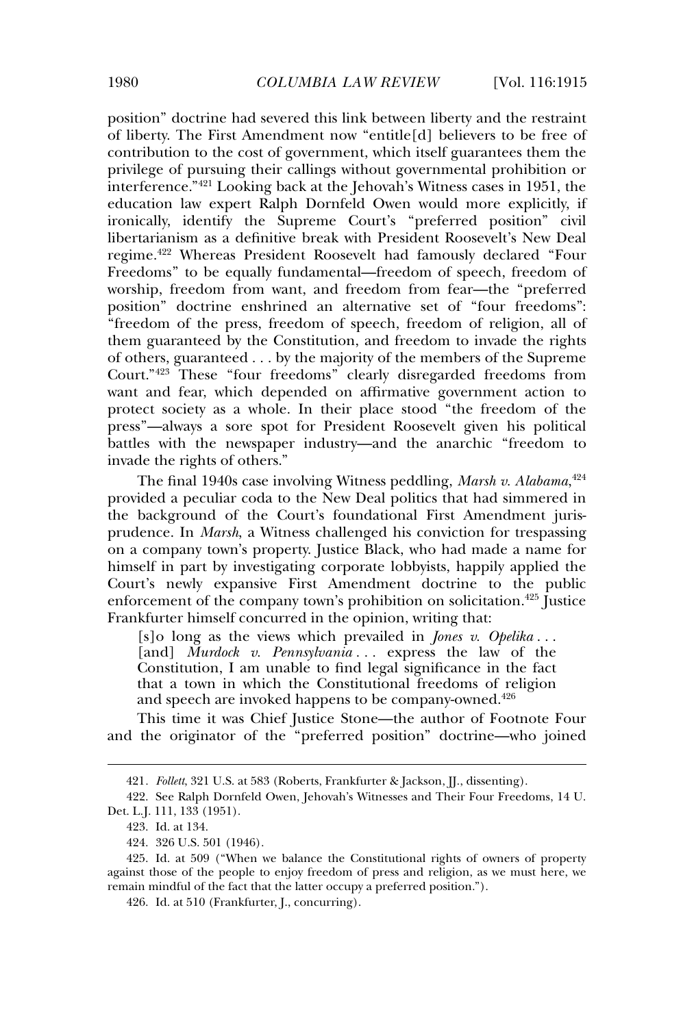position" doctrine had severed this link between liberty and the restraint of liberty. The First Amendment now "entitle[d] believers to be free of contribution to the cost of government, which itself guarantees them the privilege of pursuing their callings without governmental prohibition or interference."<sup>421</sup> Looking back at the Jehovah's Witness cases in 1951, the education law expert Ralph Dornfeld Owen would more explicitly, if ironically, identify the Supreme Court's "preferred position" civil libertarianism as a definitive break with President Roosevelt's New Deal regime.<sup>422</sup> Whereas President Roosevelt had famously declared "Four Freedoms" to be equally fundamental—freedom of speech, freedom of worship, freedom from want, and freedom from fear—the "preferred position" doctrine enshrined an alternative set of "four freedoms": "freedom of the press, freedom of speech, freedom of religion, all of them guaranteed by the Constitution, and freedom to invade the rights of others, guaranteed . . . by the majority of the members of the Supreme Court."<sup>423</sup> These "four freedoms" clearly disregarded freedoms from want and fear, which depended on affirmative government action to protect society as a whole. In their place stood "the freedom of the press"—always a sore spot for President Roosevelt given his political battles with the newspaper industry—and the anarchic "freedom to invade the rights of others."

The final 1940s case involving Witness peddling, *Marsh v. Alabama*, 424 provided a peculiar coda to the New Deal politics that had simmered in the background of the Court's foundational First Amendment jurisprudence. In *Marsh*, a Witness challenged his conviction for trespassing on a company town's property. Justice Black, who had made a name for himself in part by investigating corporate lobbyists, happily applied the Court's newly expansive First Amendment doctrine to the public enforcement of the company town's prohibition on solicitation.<sup>425</sup> Justice Frankfurter himself concurred in the opinion, writing that:

[s]o long as the views which prevailed in *Jones v. Opelika* . . . [and] *Murdock v. Pennsylvania...* express the law of the Constitution, I am unable to find legal significance in the fact that a town in which the Constitutional freedoms of religion and speech are invoked happens to be company-owned.<sup>426</sup>

This time it was Chief Justice Stone—the author of Footnote Four and the originator of the "preferred position" doctrine—who joined

<sup>421</sup>*. Follett*, 321 U.S. at 583 (Roberts, Frankfurter & Jackson, JJ., dissenting).

<sup>422.</sup> See Ralph Dornfeld Owen, Jehovah's Witnesses and Their Four Freedoms, 14 U. Det. L.J. 111, 133 (1951).

<sup>423.</sup> Id. at 134.

<sup>424. 326</sup> U.S. 501 (1946).

<sup>425.</sup> Id. at 509 ("When we balance the Constitutional rights of owners of property against those of the people to enjoy freedom of press and religion, as we must here, we remain mindful of the fact that the latter occupy a preferred position.").

<sup>426.</sup> Id. at 510 (Frankfurter, J., concurring).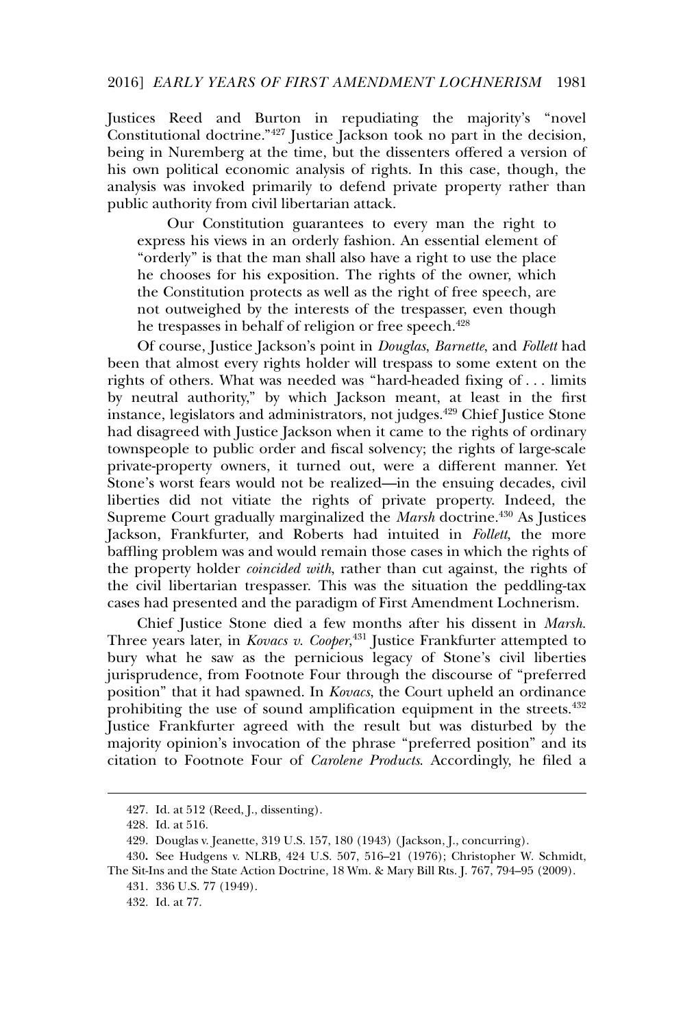### 2016] *EARLY YEARS OF FIRST AMENDMENT LOCHNERISM* 1981

Justices Reed and Burton in repudiating the majority's "novel Constitutional doctrine."<sup>427</sup> Justice Jackson took no part in the decision, being in Nuremberg at the time, but the dissenters offered a version of his own political economic analysis of rights. In this case, though, the analysis was invoked primarily to defend private property rather than public authority from civil libertarian attack.

Our Constitution guarantees to every man the right to express his views in an orderly fashion. An essential element of "orderly" is that the man shall also have a right to use the place he chooses for his exposition. The rights of the owner, which the Constitution protects as well as the right of free speech, are not outweighed by the interests of the trespasser, even though he trespasses in behalf of religion or free speech.<sup>428</sup>

Of course, Justice Jackson's point in *Douglas*, *Barnette*, and *Follett* had been that almost every rights holder will trespass to some extent on the rights of others. What was needed was "hard-headed fixing of . . . limits by neutral authority," by which Jackson meant, at least in the first instance, legislators and administrators, not judges.<sup>429</sup> Chief Justice Stone had disagreed with Justice Jackson when it came to the rights of ordinary townspeople to public order and fiscal solvency; the rights of large-scale private-property owners, it turned out, were a different manner. Yet Stone's worst fears would not be realized—in the ensuing decades, civil liberties did not vitiate the rights of private property. Indeed, the Supreme Court gradually marginalized the *Marsh* doctrine.<sup>430</sup> As Justices Jackson, Frankfurter, and Roberts had intuited in *Follett*, the more baffling problem was and would remain those cases in which the rights of the property holder *coincided with*, rather than cut against, the rights of the civil libertarian trespasser. This was the situation the peddling-tax cases had presented and the paradigm of First Amendment Lochnerism.

Chief Justice Stone died a few months after his dissent in *Marsh*. Three years later, in *Kovacs v. Cooper*, <sup>431</sup> Justice Frankfurter attempted to bury what he saw as the pernicious legacy of Stone's civil liberties jurisprudence, from Footnote Four through the discourse of "preferred position" that it had spawned. In *Kovacs*, the Court upheld an ordinance prohibiting the use of sound amplification equipment in the streets.<sup>432</sup> Justice Frankfurter agreed with the result but was disturbed by the majority opinion's invocation of the phrase "preferred position" and its citation to Footnote Four of *Carolene Products*. Accordingly, he filed a

<sup>427.</sup> Id. at 512 (Reed, J., dissenting).

<sup>428.</sup> Id. at 516.

<sup>429.</sup> Douglas v. Jeanette, 319 U.S. 157, 180 (1943) ( Jackson, J., concurring).

<sup>430</sup>**.** See Hudgens v. NLRB, 424 U.S. 507, 516–21 (1976); Christopher W. Schmidt,

The Sit-Ins and the State Action Doctrine, 18 Wm. & Mary Bill Rts. J. 767, 794–95 (2009).

<sup>431. 336</sup> U.S. 77 (1949).

<sup>432.</sup> Id. at 77.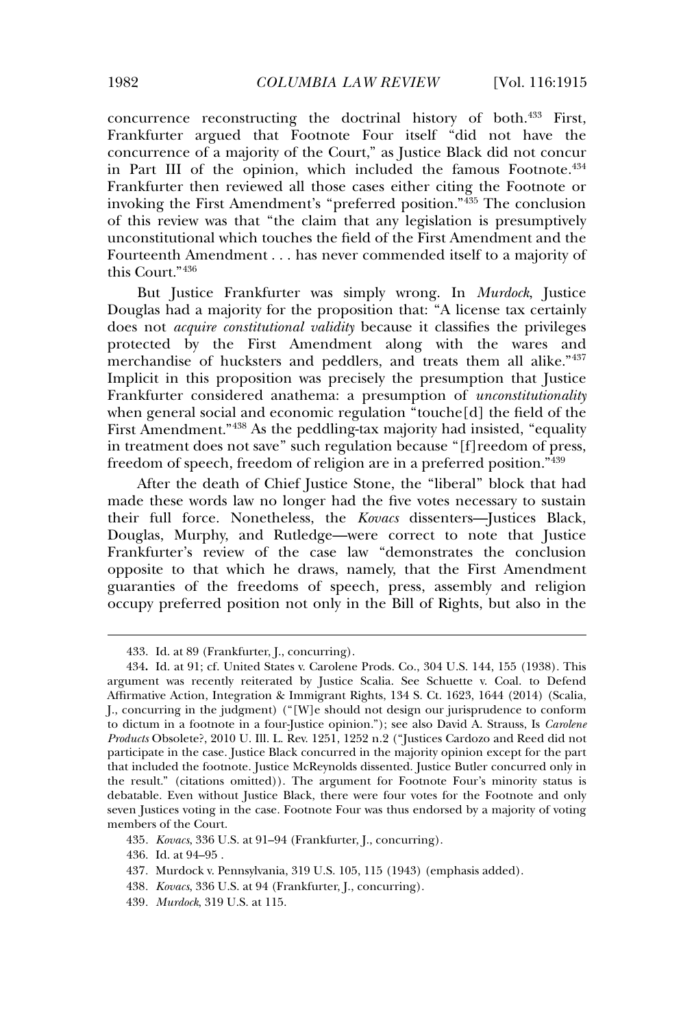concurrence reconstructing the doctrinal history of both.<sup>433</sup> First, Frankfurter argued that Footnote Four itself "did not have the concurrence of a majority of the Court," as Justice Black did not concur in Part III of the opinion, which included the famous Footnote.<sup>434</sup> Frankfurter then reviewed all those cases either citing the Footnote or invoking the First Amendment's "preferred position."<sup>435</sup> The conclusion of this review was that "the claim that any legislation is presumptively unconstitutional which touches the field of the First Amendment and the Fourteenth Amendment . . . has never commended itself to a majority of this Court."<sup>436</sup>

But Justice Frankfurter was simply wrong. In *Murdock*, Justice Douglas had a majority for the proposition that: "A license tax certainly does not *acquire constitutional validity* because it classifies the privileges protected by the First Amendment along with the wares and merchandise of hucksters and peddlers, and treats them all alike."<sup>437</sup> Implicit in this proposition was precisely the presumption that Justice Frankfurter considered anathema: a presumption of *unconstitutionality* when general social and economic regulation "touche[d] the field of the First Amendment."<sup>438</sup> As the peddling-tax majority had insisted, "equality in treatment does not save" such regulation because "[f]reedom of press, freedom of speech, freedom of religion are in a preferred position."<sup>439</sup>

After the death of Chief Justice Stone, the "liberal" block that had made these words law no longer had the five votes necessary to sustain their full force. Nonetheless, the *Kovacs* dissenters—Justices Black, Douglas, Murphy, and Rutledge—were correct to note that Justice Frankfurter's review of the case law "demonstrates the conclusion opposite to that which he draws, namely, that the First Amendment guaranties of the freedoms of speech, press, assembly and religion occupy preferred position not only in the Bill of Rights, but also in the

<sup>433.</sup> Id. at 89 (Frankfurter, J., concurring).

<sup>434</sup>**.** Id. at 91; cf. United States v. Carolene Prods. Co., 304 U.S. 144, 155 (1938). This argument was recently reiterated by Justice Scalia. See Schuette v. Coal. to Defend Affirmative Action, Integration & Immigrant Rights, 134 S. Ct. 1623, 1644 (2014) (Scalia, J., concurring in the judgment) ("[W]e should not design our jurisprudence to conform to dictum in a footnote in a four-Justice opinion."); see also David A. Strauss, Is *Carolene Products* Obsolete?, 2010 U. Ill. L. Rev. 1251, 1252 n.2 ("Justices Cardozo and Reed did not participate in the case. Justice Black concurred in the majority opinion except for the part that included the footnote. Justice McReynolds dissented. Justice Butler concurred only in the result." (citations omitted)). The argument for Footnote Four's minority status is debatable. Even without Justice Black, there were four votes for the Footnote and only seven Justices voting in the case. Footnote Four was thus endorsed by a majority of voting members of the Court.

<sup>435</sup>*. Kovacs*, 336 U.S. at 91–94 (Frankfurter, J., concurring).

<sup>436.</sup> Id. at 94–95 .

<sup>437</sup>*.* Murdock v. Pennsylvania, 319 U.S. 105, 115 (1943) (emphasis added).

<sup>438</sup>*. Kovacs*, 336 U.S. at 94 (Frankfurter, J., concurring).

<sup>439</sup>*. Murdock*, 319 U.S. at 115.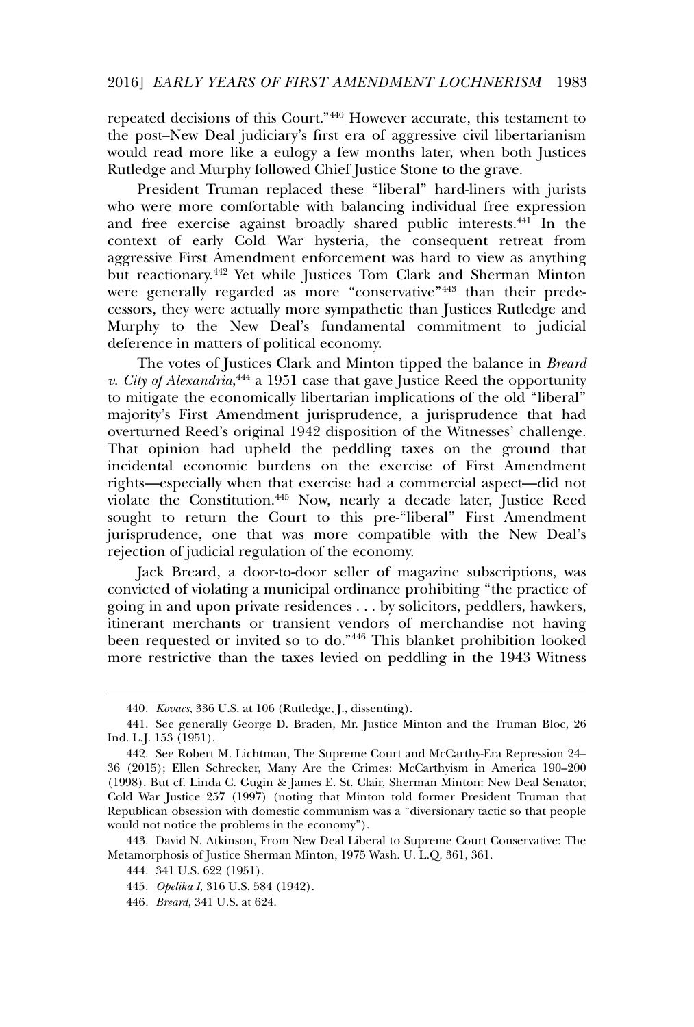# 2016] *EARLY YEARS OF FIRST AMENDMENT LOCHNERISM* 1983

repeated decisions of this Court."<sup>440</sup> However accurate, this testament to the post–New Deal judiciary's first era of aggressive civil libertarianism would read more like a eulogy a few months later, when both Justices Rutledge and Murphy followed Chief Justice Stone to the grave.

President Truman replaced these "liberal" hard-liners with jurists who were more comfortable with balancing individual free expression and free exercise against broadly shared public interests.<sup>441</sup> In the context of early Cold War hysteria, the consequent retreat from aggressive First Amendment enforcement was hard to view as anything but reactionary.<sup>442</sup> Yet while Justices Tom Clark and Sherman Minton were generally regarded as more "conservative"<sup>443</sup> than their predecessors, they were actually more sympathetic than Justices Rutledge and Murphy to the New Deal's fundamental commitment to judicial deference in matters of political economy.

The votes of Justices Clark and Minton tipped the balance in *Breard v. City of Alexandria*, <sup>444</sup> a 1951 case that gave Justice Reed the opportunity to mitigate the economically libertarian implications of the old "liberal" majority's First Amendment jurisprudence, a jurisprudence that had overturned Reed's original 1942 disposition of the Witnesses' challenge. That opinion had upheld the peddling taxes on the ground that incidental economic burdens on the exercise of First Amendment rights—especially when that exercise had a commercial aspect—did not violate the Constitution.<sup>445</sup> Now, nearly a decade later, Justice Reed sought to return the Court to this pre-"liberal" First Amendment jurisprudence, one that was more compatible with the New Deal's rejection of judicial regulation of the economy.

Jack Breard, a door-to-door seller of magazine subscriptions, was convicted of violating a municipal ordinance prohibiting "the practice of going in and upon private residences . . . by solicitors, peddlers, hawkers, itinerant merchants or transient vendors of merchandise not having been requested or invited so to do."<sup>446</sup> This blanket prohibition looked more restrictive than the taxes levied on peddling in the 1943 Witness

<sup>440</sup>*. Kovacs*, 336 U.S. at 106 (Rutledge, J., dissenting).

<sup>441.</sup> See generally George D. Braden, Mr. Justice Minton and the Truman Bloc, 26 Ind. L.J. 153 (1951).

<sup>442.</sup> See Robert M. Lichtman, The Supreme Court and McCarthy-Era Repression 24– 36 (2015); Ellen Schrecker, Many Are the Crimes: McCarthyism in America 190–200 (1998). But cf. Linda C. Gugin & James E. St. Clair, Sherman Minton: New Deal Senator, Cold War Justice 257 (1997) (noting that Minton told former President Truman that Republican obsession with domestic communism was a "diversionary tactic so that people would not notice the problems in the economy").

<sup>443.</sup> David N. Atkinson, From New Deal Liberal to Supreme Court Conservative: The Metamorphosis of Justice Sherman Minton, 1975 Wash. U. L.Q. 361, 361.

<sup>444. 341</sup> U.S. 622 (1951).

<sup>445</sup>*. Opelika I*, 316 U.S. 584 (1942).

<sup>446</sup>*. Breard*, 341 U.S. at 624.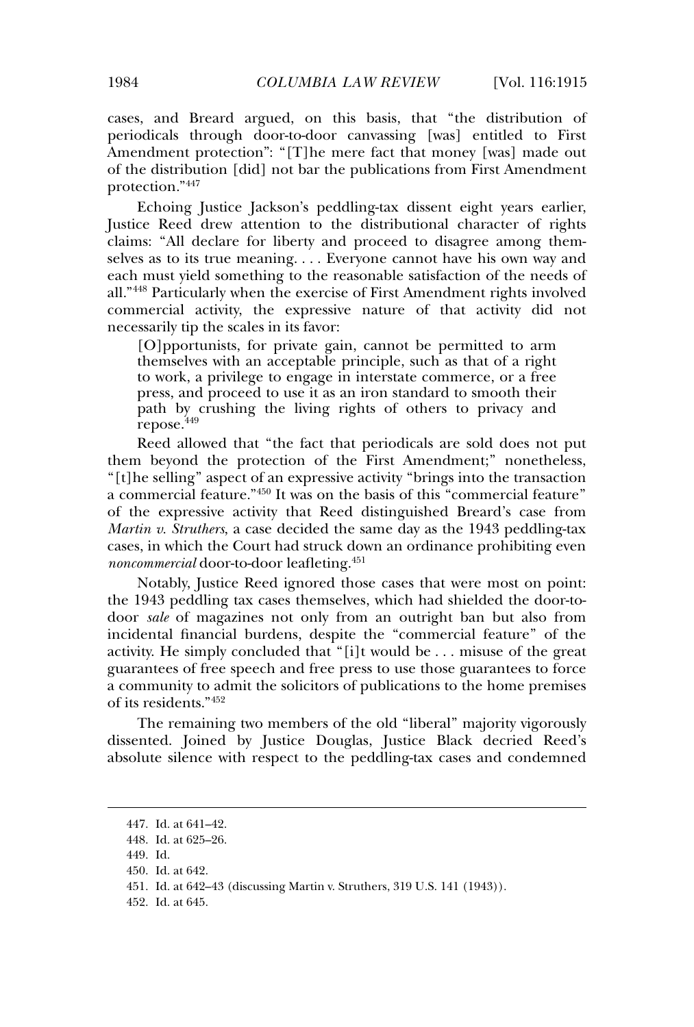cases, and Breard argued, on this basis, that "the distribution of periodicals through door-to-door canvassing [was] entitled to First Amendment protection": "[T]he mere fact that money [was] made out of the distribution [did] not bar the publications from First Amendment protection."<sup>447</sup>

Echoing Justice Jackson's peddling-tax dissent eight years earlier, Justice Reed drew attention to the distributional character of rights claims: "All declare for liberty and proceed to disagree among themselves as to its true meaning. . . . Everyone cannot have his own way and each must yield something to the reasonable satisfaction of the needs of all."<sup>448</sup> Particularly when the exercise of First Amendment rights involved commercial activity, the expressive nature of that activity did not necessarily tip the scales in its favor:

[O]pportunists, for private gain, cannot be permitted to arm themselves with an acceptable principle, such as that of a right to work, a privilege to engage in interstate commerce, or a free press, and proceed to use it as an iron standard to smooth their path by crushing the living rights of others to privacy and repose.<sup>449</sup>

Reed allowed that "the fact that periodicals are sold does not put them beyond the protection of the First Amendment;" nonetheless, "[t]he selling" aspect of an expressive activity "brings into the transaction a commercial feature."<sup>450</sup> It was on the basis of this "commercial feature" of the expressive activity that Reed distinguished Breard's case from *Martin v. Struthers*, a case decided the same day as the 1943 peddling-tax cases, in which the Court had struck down an ordinance prohibiting even *noncommercial* door-to-door leafleting.<sup>451</sup>

Notably, Justice Reed ignored those cases that were most on point: the 1943 peddling tax cases themselves, which had shielded the door-todoor *sale* of magazines not only from an outright ban but also from incidental financial burdens, despite the "commercial feature" of the activity. He simply concluded that "[i]t would be . . . misuse of the great guarantees of free speech and free press to use those guarantees to force a community to admit the solicitors of publications to the home premises of its residents."<sup>452</sup>

The remaining two members of the old "liberal" majority vigorously dissented. Joined by Justice Douglas, Justice Black decried Reed's absolute silence with respect to the peddling-tax cases and condemned

<sup>447.</sup> Id. at 641–42.

<sup>448.</sup> Id. at 625–26.

<sup>449.</sup> Id.

<sup>450.</sup> Id. at 642.

<sup>451.</sup> Id. at 642–43 (discussing Martin v. Struthers, 319 U.S. 141 (1943)).

<sup>452.</sup> Id. at 645.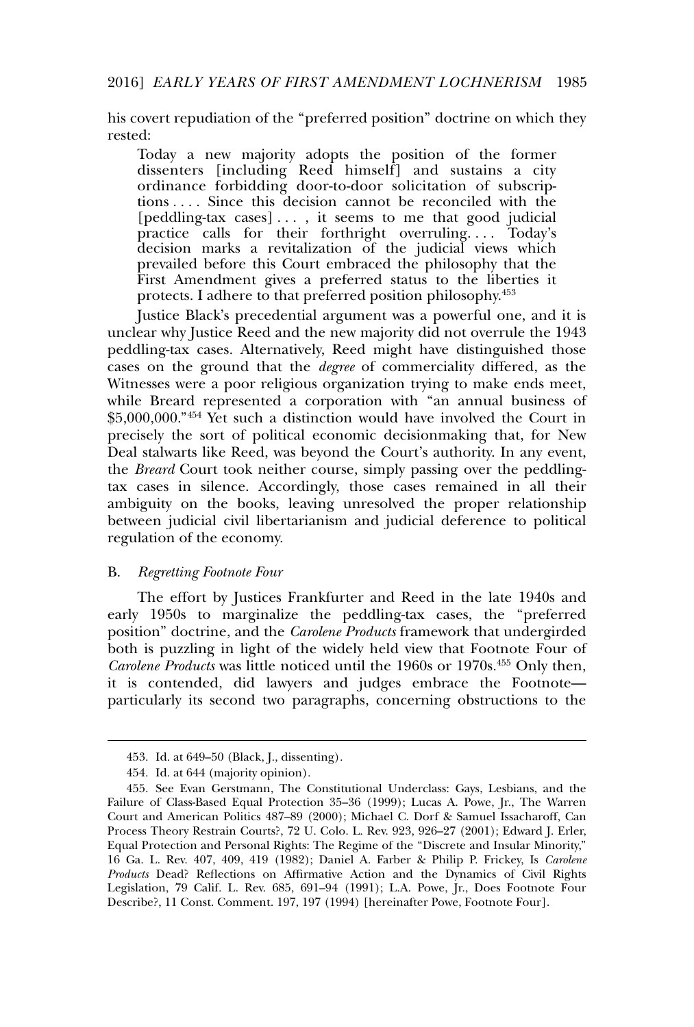his covert repudiation of the "preferred position" doctrine on which they rested:

Today a new majority adopts the position of the former dissenters [including Reed himself] and sustains a city ordinance forbidding door-to-door solicitation of subscriptions . . . . Since this decision cannot be reconciled with the [peddling-tax cases] . . . , it seems to me that good judicial practice calls for their forthright overruling.... Today's decision marks a revitalization of the judicial views which prevailed before this Court embraced the philosophy that the First Amendment gives a preferred status to the liberties it protects. I adhere to that preferred position philosophy.<sup>453</sup>

Justice Black's precedential argument was a powerful one, and it is unclear why Justice Reed and the new majority did not overrule the 1943 peddling-tax cases. Alternatively, Reed might have distinguished those cases on the ground that the *degree* of commerciality differed, as the Witnesses were a poor religious organization trying to make ends meet, while Breard represented a corporation with "an annual business of \$5,000,000."<sup>454</sup> Yet such a distinction would have involved the Court in precisely the sort of political economic decisionmaking that, for New Deal stalwarts like Reed, was beyond the Court's authority. In any event, the *Breard* Court took neither course, simply passing over the peddlingtax cases in silence. Accordingly, those cases remained in all their ambiguity on the books, leaving unresolved the proper relationship between judicial civil libertarianism and judicial deference to political regulation of the economy.

#### B. *Regretting Footnote Four*

The effort by Justices Frankfurter and Reed in the late 1940s and early 1950s to marginalize the peddling-tax cases, the "preferred position" doctrine, and the *Carolene Products* framework that undergirded both is puzzling in light of the widely held view that Footnote Four of *Carolene Products* was little noticed until the 1960s or 1970s.<sup>455</sup> Only then, it is contended, did lawyers and judges embrace the Footnote particularly its second two paragraphs, concerning obstructions to the

<sup>453.</sup> Id. at 649–50 (Black, J., dissenting).

<sup>454.</sup> Id. at 644 (majority opinion).

<sup>455.</sup> See Evan Gerstmann, The Constitutional Underclass: Gays, Lesbians, and the Failure of Class-Based Equal Protection 35–36 (1999); Lucas A. Powe, Jr., The Warren Court and American Politics 487–89 (2000); Michael C. Dorf & Samuel Issacharoff, Can Process Theory Restrain Courts?, 72 U. Colo. L. Rev. 923, 926–27 (2001); Edward J. Erler, Equal Protection and Personal Rights: The Regime of the "Discrete and Insular Minority," 16 Ga. L. Rev. 407, 409, 419 (1982); Daniel A. Farber & Philip P. Frickey, Is *Carolene Products* Dead? Reflections on Affirmative Action and the Dynamics of Civil Rights Legislation, 79 Calif. L. Rev. 685, 691–94 (1991); L.A. Powe, Jr., Does Footnote Four Describe?, 11 Const. Comment. 197, 197 (1994) [hereinafter Powe, Footnote Four].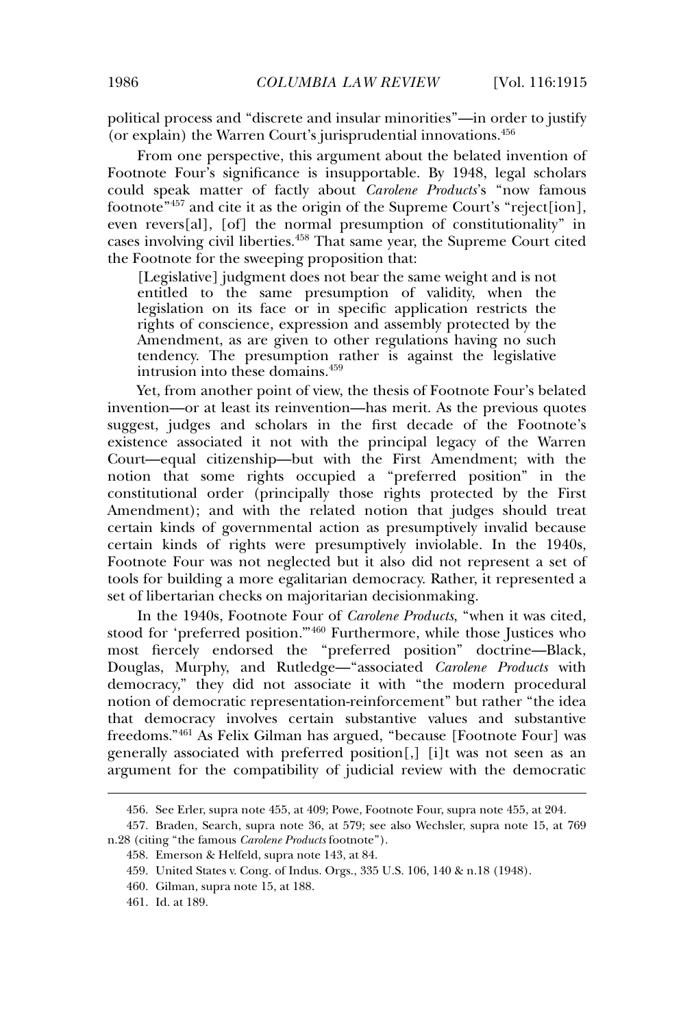political process and "discrete and insular minorities"—in order to justify (or explain) the Warren Court's jurisprudential innovations.<sup>456</sup>

From one perspective, this argument about the belated invention of Footnote Four's significance is insupportable. By 1948, legal scholars could speak matter of factly about *Carolene Products*'s "now famous footnote"<sup>457</sup> and cite it as the origin of the Supreme Court's "reject[ion], even revers[al], [of] the normal presumption of constitutionality" in cases involving civil liberties.<sup>458</sup> That same year, the Supreme Court cited the Footnote for the sweeping proposition that:

[Legislative] judgment does not bear the same weight and is not entitled to the same presumption of validity, when the legislation on its face or in specific application restricts the rights of conscience, expression and assembly protected by the Amendment, as are given to other regulations having no such tendency. The presumption rather is against the legislative intrusion into these domains.<sup>459</sup>

Yet, from another point of view, the thesis of Footnote Four's belated invention—or at least its reinvention—has merit. As the previous quotes suggest, judges and scholars in the first decade of the Footnote's existence associated it not with the principal legacy of the Warren Court—equal citizenship—but with the First Amendment; with the notion that some rights occupied a "preferred position" in the constitutional order (principally those rights protected by the First Amendment); and with the related notion that judges should treat certain kinds of governmental action as presumptively invalid because certain kinds of rights were presumptively inviolable. In the 1940s, Footnote Four was not neglected but it also did not represent a set of tools for building a more egalitarian democracy. Rather, it represented a set of libertarian checks on majoritarian decisionmaking.

In the 1940s, Footnote Four of *Carolene Products*, "when it was cited, stood for 'preferred position.<sup>"460</sup> Furthermore, while those Justices who most fiercely endorsed the "preferred position" doctrine—Black, Douglas, Murphy, and Rutledge—"associated *Carolene Products* with democracy," they did not associate it with "the modern procedural notion of democratic representation-reinforcement" but rather "the idea that democracy involves certain substantive values and substantive freedoms."<sup>461</sup> As Felix Gilman has argued, "because [Footnote Four] was generally associated with preferred position[,] [i]t was not seen as an argument for the compatibility of judicial review with the democratic

<sup>456.</sup> See Erler, supra note 455, at 409; Powe, Footnote Four, supra note 455, at 204.

<sup>457.</sup> Braden, Search, supra note 36, at 579; see also Wechsler, supra note 15, at 769 n.28 (citing "the famous *Carolene Products* footnote").

<sup>458.</sup> Emerson & Helfeld, supra note 143, at 84.

<sup>459.</sup> United States v. Cong. of Indus. Orgs., 335 U.S. 106, 140 & n.18 (1948).

<sup>460.</sup> Gilman, supra note 15, at 188.

<sup>461.</sup> Id. at 189.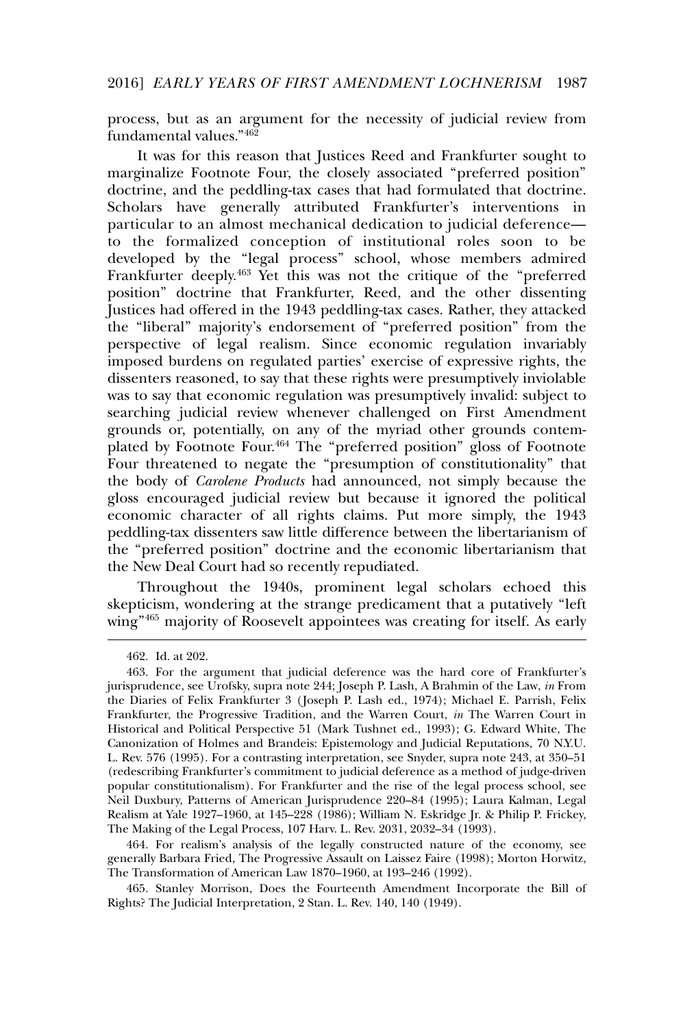process, but as an argument for the necessity of judicial review from fundamental values."<sup>462</sup>

It was for this reason that Justices Reed and Frankfurter sought to marginalize Footnote Four, the closely associated "preferred position" doctrine, and the peddling-tax cases that had formulated that doctrine. Scholars have generally attributed Frankfurter's interventions in particular to an almost mechanical dedication to judicial deference to the formalized conception of institutional roles soon to be developed by the "legal process" school, whose members admired Frankfurter deeply.<sup>463</sup> Yet this was not the critique of the "preferred position" doctrine that Frankfurter, Reed, and the other dissenting Justices had offered in the 1943 peddling-tax cases. Rather, they attacked the "liberal" majority's endorsement of "preferred position" from the perspective of legal realism. Since economic regulation invariably imposed burdens on regulated parties' exercise of expressive rights, the dissenters reasoned, to say that these rights were presumptively inviolable was to say that economic regulation was presumptively invalid: subject to searching judicial review whenever challenged on First Amendment grounds or, potentially, on any of the myriad other grounds contemplated by Footnote Four.<sup>464</sup> The "preferred position" gloss of Footnote Four threatened to negate the "presumption of constitutionality" that the body of *Carolene Products* had announced, not simply because the gloss encouraged judicial review but because it ignored the political economic character of all rights claims. Put more simply, the 1943 peddling-tax dissenters saw little difference between the libertarianism of the "preferred position" doctrine and the economic libertarianism that the New Deal Court had so recently repudiated.

Throughout the 1940s, prominent legal scholars echoed this skepticism, wondering at the strange predicament that a putatively "left wing"<sup>465</sup> majority of Roosevelt appointees was creating for itself. As early

464. For realism's analysis of the legally constructed nature of the economy, see generally Barbara Fried, The Progressive Assault on Laissez Faire (1998); Morton Horwitz, The Transformation of American Law 1870–1960, at 193–246 (1992).

465. Stanley Morrison, Does the Fourteenth Amendment Incorporate the Bill of Rights? The Judicial Interpretation, 2 Stan. L. Rev. 140, 140 (1949).

<sup>462.</sup> Id. at 202.

<sup>463.</sup> For the argument that judicial deference was the hard core of Frankfurter's jurisprudence, see Urofsky, supra note 244; Joseph P. Lash, A Brahmin of the Law, *in* From the Diaries of Felix Frankfurter 3 ( Joseph P. Lash ed., 1974); Michael E. Parrish, Felix Frankfurter, the Progressive Tradition, and the Warren Court, *in* The Warren Court in Historical and Political Perspective 51 (Mark Tushnet ed., 1993); G. Edward White, The Canonization of Holmes and Brandeis: Epistemology and Judicial Reputations, 70 N.Y.U. L. Rev. 576 (1995). For a contrasting interpretation, see Snyder, supra note 243, at 350–51 (redescribing Frankfurter's commitment to judicial deference as a method of judge-driven popular constitutionalism). For Frankfurter and the rise of the legal process school, see Neil Duxbury, Patterns of American Jurisprudence 220–84 (1995); Laura Kalman, Legal Realism at Yale 1927–1960, at 145–228 (1986); William N. Eskridge Jr. & Philip P. Frickey, The Making of the Legal Process, 107 Harv. L. Rev. 2031, 2032–34 (1993).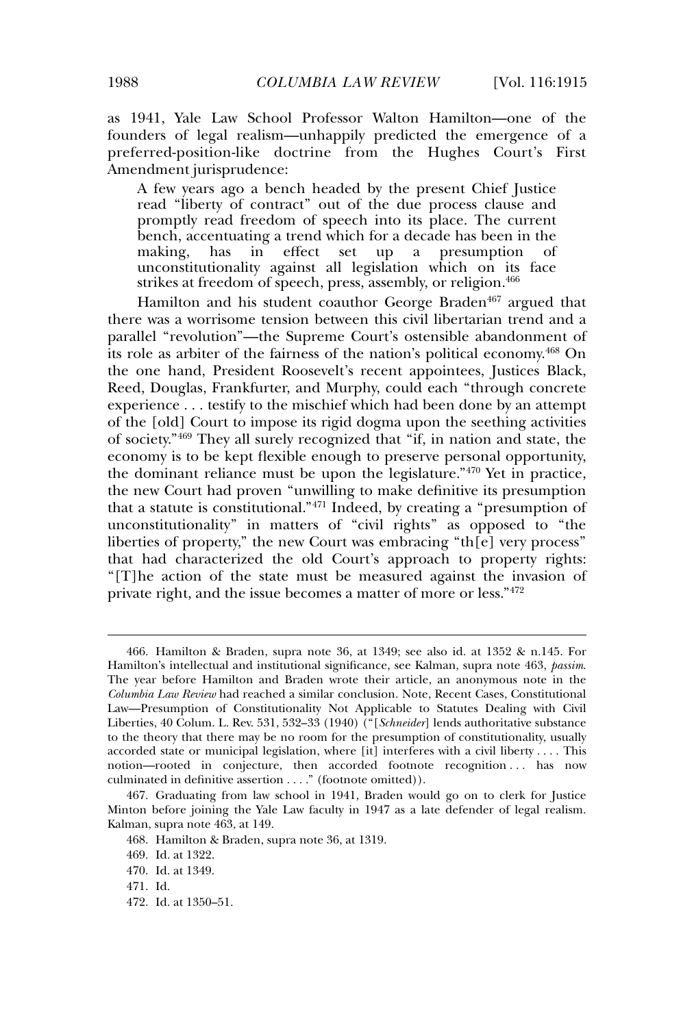as 1941, Yale Law School Professor Walton Hamilton—one of the founders of legal realism—unhappily predicted the emergence of a preferred-position-like doctrine from the Hughes Court's First Amendment jurisprudence:

A few years ago a bench headed by the present Chief Justice read "liberty of contract" out of the due process clause and promptly read freedom of speech into its place. The current bench, accentuating a trend which for a decade has been in the making, has in effect set up a presumption of unconstitutionality against all legislation which on its face strikes at freedom of speech, press, assembly, or religion.<sup>466</sup>

Hamilton and his student coauthor George Braden<sup>467</sup> argued that there was a worrisome tension between this civil libertarian trend and a parallel "revolution"—the Supreme Court's ostensible abandonment of its role as arbiter of the fairness of the nation's political economy.<sup>468</sup> On the one hand, President Roosevelt's recent appointees, Justices Black, Reed, Douglas, Frankfurter, and Murphy, could each "through concrete experience . . . testify to the mischief which had been done by an attempt of the [old] Court to impose its rigid dogma upon the seething activities of society."<sup>469</sup> They all surely recognized that "if, in nation and state, the economy is to be kept flexible enough to preserve personal opportunity, the dominant reliance must be upon the legislature."<sup>470</sup> Yet in practice, the new Court had proven "unwilling to make definitive its presumption that a statute is constitutional."<sup>471</sup> Indeed, by creating a "presumption of unconstitutionality" in matters of "civil rights" as opposed to "the liberties of property," the new Court was embracing "th[e] very process" that had characterized the old Court's approach to property rights: "[T]he action of the state must be measured against the invasion of private right, and the issue becomes a matter of more or less."<sup>472</sup>

<sup>466.</sup> Hamilton & Braden, supra note 36, at 1349; see also id. at 1352 & n.145. For Hamilton's intellectual and institutional significance, see Kalman, supra note 463, *passim*. The year before Hamilton and Braden wrote their article, an anonymous note in the *Columbia Law Review* had reached a similar conclusion. Note, Recent Cases, Constitutional Law—Presumption of Constitutionality Not Applicable to Statutes Dealing with Civil Liberties, 40 Colum. L. Rev. 531, 532–33 (1940) ("[*Schneider*] lends authoritative substance to the theory that there may be no room for the presumption of constitutionality, usually accorded state or municipal legislation, where [it] interferes with a civil liberty . . . . This notion—rooted in conjecture, then accorded footnote recognition ... has now culminated in definitive assertion . . . ." (footnote omitted)).

<sup>467.</sup> Graduating from law school in 1941, Braden would go on to clerk for Justice Minton before joining the Yale Law faculty in 1947 as a late defender of legal realism. Kalman, supra note 463, at 149.

<sup>468.</sup> Hamilton & Braden, supra note 36, at 1319.

<sup>469.</sup> Id. at 1322.

<sup>470.</sup> Id. at 1349.

<sup>471.</sup> Id.

<sup>472.</sup> Id. at 1350–51.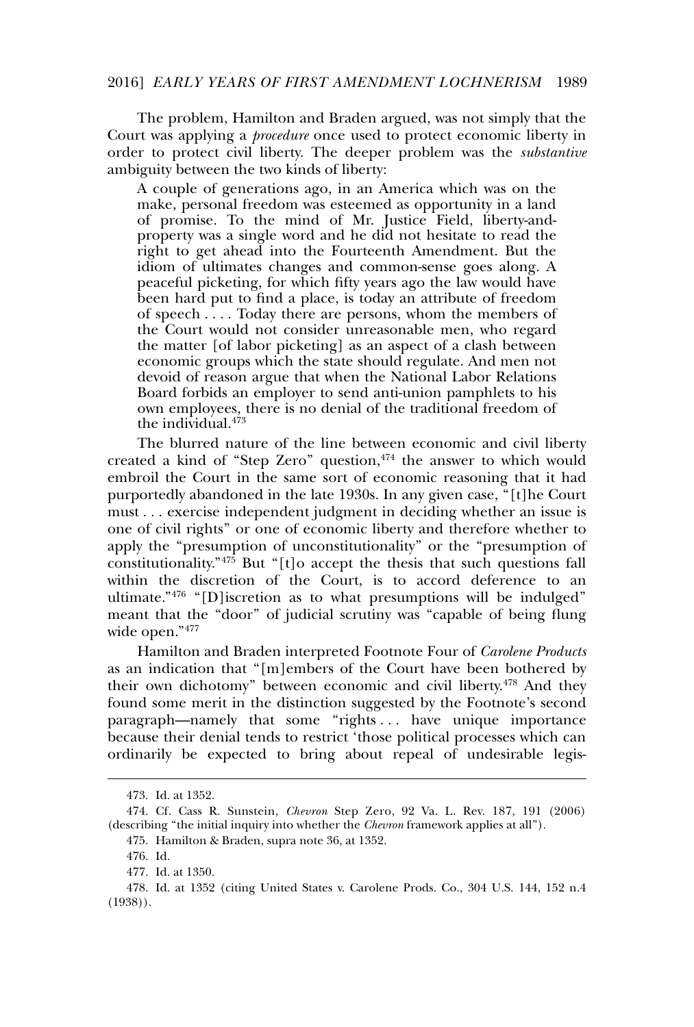#### 2016] *EARLY YEARS OF FIRST AMENDMENT LOCHNERISM* 1989

The problem, Hamilton and Braden argued, was not simply that the Court was applying a *procedure* once used to protect economic liberty in order to protect civil liberty. The deeper problem was the *substantive* ambiguity between the two kinds of liberty:

A couple of generations ago, in an America which was on the make, personal freedom was esteemed as opportunity in a land of promise. To the mind of Mr. Justice Field, liberty-andproperty was a single word and he did not hesitate to read the right to get ahead into the Fourteenth Amendment. But the idiom of ultimates changes and common-sense goes along. A peaceful picketing, for which fifty years ago the law would have been hard put to find a place, is today an attribute of freedom of speech . . . . Today there are persons, whom the members of the Court would not consider unreasonable men, who regard the matter [of labor picketing] as an aspect of a clash between economic groups which the state should regulate. And men not devoid of reason argue that when the National Labor Relations Board forbids an employer to send anti-union pamphlets to his own employees, there is no denial of the traditional freedom of the individual. $473$ 

The blurred nature of the line between economic and civil liberty created a kind of "Step Zero" question, $474$  the answer to which would embroil the Court in the same sort of economic reasoning that it had purportedly abandoned in the late 1930s. In any given case, "[t]he Court must . . . exercise independent judgment in deciding whether an issue is one of civil rights" or one of economic liberty and therefore whether to apply the "presumption of unconstitutionality" or the "presumption of constitutionality." $47\overline{5}$  But "[t]o accept the thesis that such questions fall within the discretion of the Court, is to accord deference to an ultimate."<sup>476</sup> "[D]iscretion as to what presumptions will be indulged" meant that the "door" of judicial scrutiny was "capable of being flung wide open."<sup>477</sup>

Hamilton and Braden interpreted Footnote Four of *Carolene Products* as an indication that "[m]embers of the Court have been bothered by their own dichotomy" between economic and civil liberty.<sup>478</sup> And they found some merit in the distinction suggested by the Footnote's second paragraph—namely that some "rights . . . have unique importance because their denial tends to restrict 'those political processes which can ordinarily be expected to bring about repeal of undesirable legis-

<sup>473.</sup> Id. at 1352.

<sup>474.</sup> Cf. Cass R. Sunstein, *Chevron* Step Zero, 92 Va. L. Rev. 187, 191 (2006) (describing "the initial inquiry into whether the *Chevron* framework applies at all").

<sup>475.</sup> Hamilton & Braden, supra note 36, at 1352.

<sup>476.</sup> Id.

<sup>477.</sup> Id. at 1350.

<sup>478.</sup> Id. at 1352 (citing United States v. Carolene Prods. Co., 304 U.S. 144, 152 n.4 (1938)).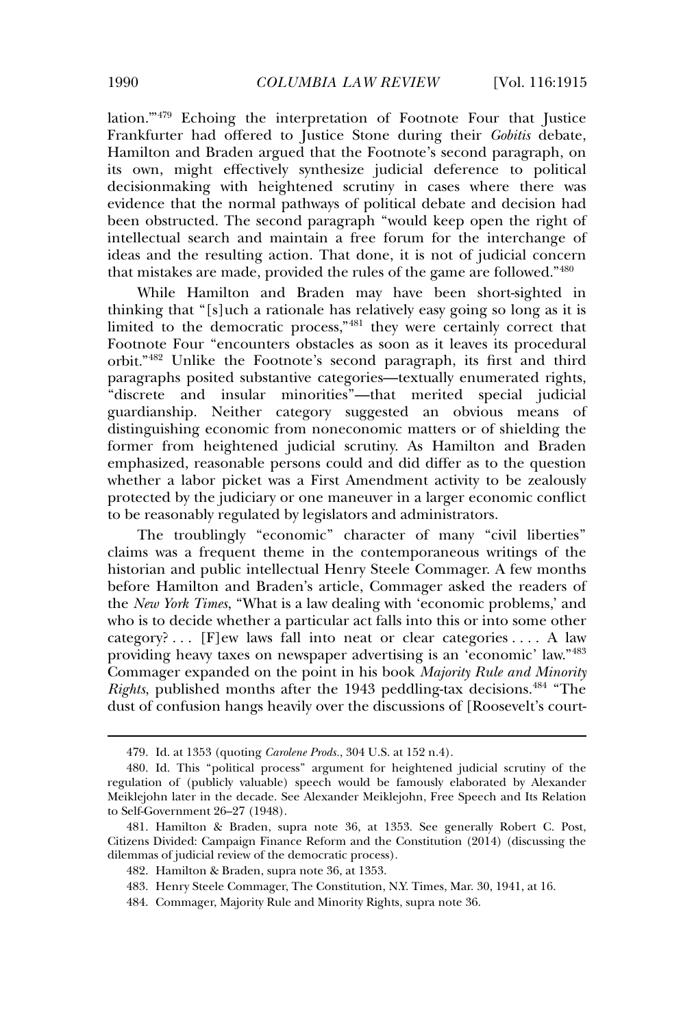lation.'"<sup>479</sup> Echoing the interpretation of Footnote Four that Justice Frankfurter had offered to Justice Stone during their *Gobitis* debate, Hamilton and Braden argued that the Footnote's second paragraph, on its own, might effectively synthesize judicial deference to political decisionmaking with heightened scrutiny in cases where there was evidence that the normal pathways of political debate and decision had been obstructed. The second paragraph "would keep open the right of intellectual search and maintain a free forum for the interchange of ideas and the resulting action. That done, it is not of judicial concern that mistakes are made, provided the rules of the game are followed."<sup>480</sup>

While Hamilton and Braden may have been short-sighted in thinking that "[s]uch a rationale has relatively easy going so long as it is limited to the democratic process,"<sup>481</sup> they were certainly correct that Footnote Four "encounters obstacles as soon as it leaves its procedural orbit."<sup>482</sup> Unlike the Footnote's second paragraph, its first and third paragraphs posited substantive categories—textually enumerated rights, "discrete and insular minorities"—that merited special judicial guardianship. Neither category suggested an obvious means of distinguishing economic from noneconomic matters or of shielding the former from heightened judicial scrutiny. As Hamilton and Braden emphasized, reasonable persons could and did differ as to the question whether a labor picket was a First Amendment activity to be zealously protected by the judiciary or one maneuver in a larger economic conflict to be reasonably regulated by legislators and administrators.

The troublingly "economic" character of many "civil liberties" claims was a frequent theme in the contemporaneous writings of the historian and public intellectual Henry Steele Commager. A few months before Hamilton and Braden's article, Commager asked the readers of the *New York Times*, "What is a law dealing with 'economic problems,' and who is to decide whether a particular act falls into this or into some other category? . . . [F]ew laws fall into neat or clear categories . . . . A law providing heavy taxes on newspaper advertising is an 'economic' law."<sup>483</sup> Commager expanded on the point in his book *Majority Rule and Minority Rights*, published months after the 1943 peddling-tax decisions.<sup>484</sup> "The dust of confusion hangs heavily over the discussions of [Roosevelt's court-

<sup>479.</sup> Id. at 1353 (quoting *Carolene Prods.*, 304 U.S. at 152 n.4).

<sup>480.</sup> Id. This "political process" argument for heightened judicial scrutiny of the regulation of (publicly valuable) speech would be famously elaborated by Alexander Meiklejohn later in the decade. See Alexander Meiklejohn, Free Speech and Its Relation to Self-Government 26–27 (1948).

<sup>481.</sup> Hamilton & Braden, supra note 36, at 1353. See generally Robert C. Post, Citizens Divided: Campaign Finance Reform and the Constitution (2014) (discussing the dilemmas of judicial review of the democratic process).

<sup>482.</sup> Hamilton & Braden, supra note 36, at 1353.

<sup>483.</sup> Henry Steele Commager, The Constitution, N.Y. Times, Mar. 30, 1941, at 16.

<sup>484.</sup> Commager, Majority Rule and Minority Rights, supra note 36.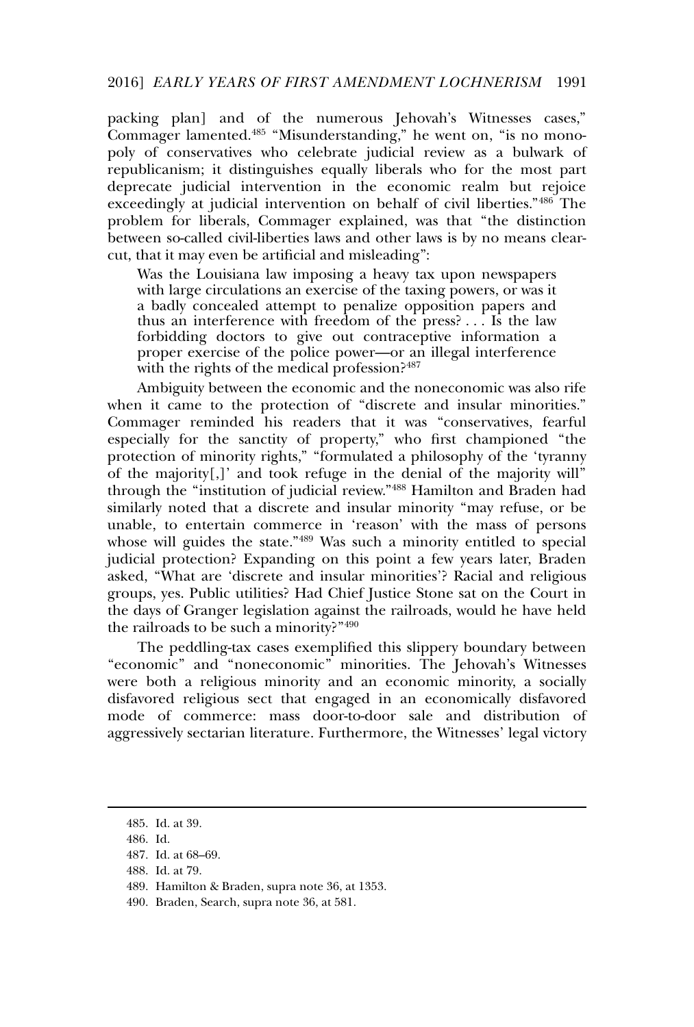packing plan] and of the numerous Jehovah's Witnesses cases," Commager lamented.<sup>485</sup> "Misunderstanding," he went on, "is no monopoly of conservatives who celebrate judicial review as a bulwark of republicanism; it distinguishes equally liberals who for the most part deprecate judicial intervention in the economic realm but rejoice exceedingly at judicial intervention on behalf of civil liberties."<sup>486</sup> The problem for liberals, Commager explained, was that "the distinction between so-called civil-liberties laws and other laws is by no means clearcut, that it may even be artificial and misleading":

Was the Louisiana law imposing a heavy tax upon newspapers with large circulations an exercise of the taxing powers, or was it a badly concealed attempt to penalize opposition papers and thus an interference with freedom of the press? . . . Is the law forbidding doctors to give out contraceptive information a proper exercise of the police power—or an illegal interference with the rights of the medical profession?<sup>487</sup>

Ambiguity between the economic and the noneconomic was also rife when it came to the protection of "discrete and insular minorities." Commager reminded his readers that it was "conservatives, fearful especially for the sanctity of property," who first championed "the protection of minority rights," "formulated a philosophy of the 'tyranny of the majority[,]' and took refuge in the denial of the majority will" through the "institution of judicial review."<sup>488</sup> Hamilton and Braden had similarly noted that a discrete and insular minority "may refuse, or be unable, to entertain commerce in 'reason' with the mass of persons whose will guides the state."<sup>489</sup> Was such a minority entitled to special judicial protection? Expanding on this point a few years later, Braden asked, "What are 'discrete and insular minorities'? Racial and religious groups, yes. Public utilities? Had Chief Justice Stone sat on the Court in the days of Granger legislation against the railroads, would he have held the railroads to be such a minority?"<sup>490</sup>

The peddling-tax cases exemplified this slippery boundary between "economic" and "noneconomic" minorities. The Jehovah's Witnesses were both a religious minority and an economic minority, a socially disfavored religious sect that engaged in an economically disfavored mode of commerce: mass door-to-door sale and distribution of aggressively sectarian literature. Furthermore, the Witnesses' legal victory

<sup>485.</sup> Id. at 39.

<sup>486.</sup> Id.

<sup>487.</sup> Id. at 68–69.

<sup>488.</sup> Id. at 79.

<sup>489.</sup> Hamilton & Braden, supra note 36, at 1353.

<sup>490.</sup> Braden, Search, supra note 36, at 581.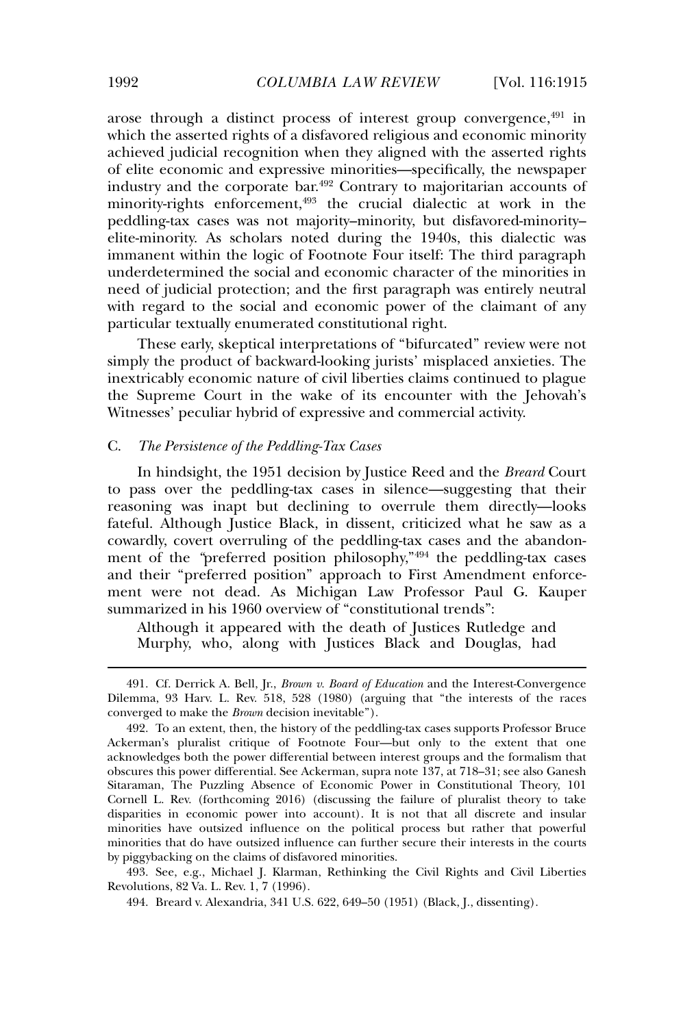arose through a distinct process of interest group convergence, $491$  in which the asserted rights of a disfavored religious and economic minority achieved judicial recognition when they aligned with the asserted rights of elite economic and expressive minorities—specifically, the newspaper industry and the corporate bar.<sup>492</sup> Contrary to majoritarian accounts of minority-rights enforcement,<sup>493</sup> the crucial dialectic at work in the peddling-tax cases was not majority–minority, but disfavored-minority– elite-minority. As scholars noted during the 1940s, this dialectic was immanent within the logic of Footnote Four itself: The third paragraph underdetermined the social and economic character of the minorities in need of judicial protection; and the first paragraph was entirely neutral with regard to the social and economic power of the claimant of any particular textually enumerated constitutional right.

These early, skeptical interpretations of "bifurcated" review were not simply the product of backward-looking jurists' misplaced anxieties. The inextricably economic nature of civil liberties claims continued to plague the Supreme Court in the wake of its encounter with the Jehovah's Witnesses' peculiar hybrid of expressive and commercial activity.

# C. *The Persistence of the Peddling-Tax Cases*

In hindsight, the 1951 decision by Justice Reed and the *Breard* Court to pass over the peddling-tax cases in silence—suggesting that their reasoning was inapt but declining to overrule them directly—looks fateful. Although Justice Black, in dissent, criticized what he saw as a cowardly, covert overruling of the peddling-tax cases and the abandonment of the "preferred position philosophy,"<sup>494</sup> the peddling-tax cases and their "preferred position" approach to First Amendment enforcement were not dead. As Michigan Law Professor Paul G. Kauper summarized in his 1960 overview of "constitutional trends":

Although it appeared with the death of Justices Rutledge and Murphy, who, along with Justices Black and Douglas, had

493. See, e.g., Michael J. Klarman, Rethinking the Civil Rights and Civil Liberties Revolutions, 82 Va. L. Rev. 1, 7 (1996).

494. Breard v. Alexandria, 341 U.S. 622, 649–50 (1951) (Black, J., dissenting).

<sup>491.</sup> Cf. Derrick A. Bell, Jr., *Brown v. Board of Education* and the Interest-Convergence Dilemma, 93 Harv. L. Rev. 518, 528 (1980) (arguing that "the interests of the races converged to make the *Brown* decision inevitable").

<sup>492.</sup> To an extent, then, the history of the peddling-tax cases supports Professor Bruce Ackerman's pluralist critique of Footnote Four—but only to the extent that one acknowledges both the power differential between interest groups and the formalism that obscures this power differential. See Ackerman, supra note 137, at 718–31; see also Ganesh Sitaraman, The Puzzling Absence of Economic Power in Constitutional Theory, 101 Cornell L. Rev. (forthcoming 2016) (discussing the failure of pluralist theory to take disparities in economic power into account). It is not that all discrete and insular minorities have outsized influence on the political process but rather that powerful minorities that do have outsized influence can further secure their interests in the courts by piggybacking on the claims of disfavored minorities.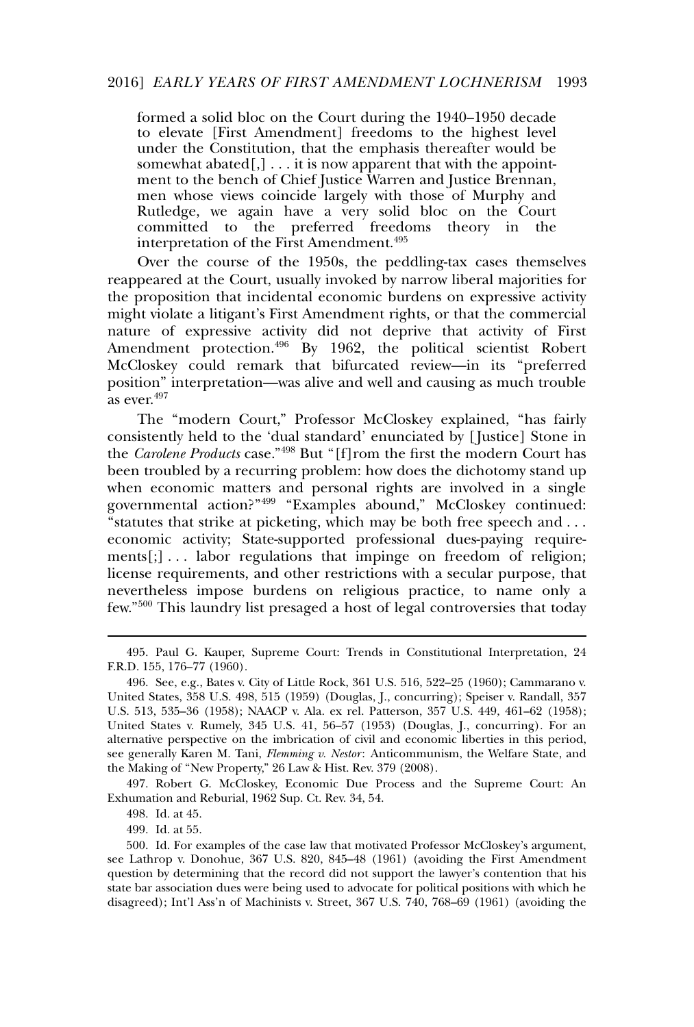formed a solid bloc on the Court during the 1940–1950 decade to elevate [First Amendment] freedoms to the highest level under the Constitution, that the emphasis thereafter would be somewhat abated $[,$ ]... it is now apparent that with the appointment to the bench of Chief Justice Warren and Justice Brennan, men whose views coincide largely with those of Murphy and Rutledge, we again have a very solid bloc on the Court committed to the preferred freedoms theory in the interpretation of the First Amendment.<sup>495</sup>

Over the course of the 1950s, the peddling-tax cases themselves reappeared at the Court, usually invoked by narrow liberal majorities for the proposition that incidental economic burdens on expressive activity might violate a litigant's First Amendment rights, or that the commercial nature of expressive activity did not deprive that activity of First Amendment protection.<sup>496</sup> By 1962, the political scientist Robert McCloskey could remark that bifurcated review—in its "preferred position" interpretation—was alive and well and causing as much trouble as ever.<sup>497</sup>

The "modern Court," Professor McCloskey explained, "has fairly consistently held to the 'dual standard' enunciated by [ Justice] Stone in the *Carolene Products* case."<sup>498</sup> But "[f]rom the first the modern Court has been troubled by a recurring problem: how does the dichotomy stand up when economic matters and personal rights are involved in a single governmental action?"<sup>499</sup> "Examples abound," McCloskey continued: "statutes that strike at picketing, which may be both free speech and . . . economic activity; State-supported professional dues-paying require $ments[:,] \ldots$  labor regulations that impinge on freedom of religion; license requirements, and other restrictions with a secular purpose, that nevertheless impose burdens on religious practice, to name only a few."<sup>500</sup> This laundry list presaged a host of legal controversies that today

497. Robert G. McCloskey, Economic Due Process and the Supreme Court: An Exhumation and Reburial, 1962 Sup. Ct. Rev. 34, 54.

498. Id. at 45.

499. Id. at 55.

<sup>495.</sup> Paul G. Kauper, Supreme Court: Trends in Constitutional Interpretation, 24 F.R.D. 155, 176–77 (1960).

<sup>496.</sup> See, e.g., Bates v. City of Little Rock, 361 U.S. 516, 522–25 (1960); Cammarano v. United States, 358 U.S. 498, 515 (1959) (Douglas, J., concurring); Speiser v. Randall, 357 U.S. 513, 535–36 (1958); NAACP v. Ala. ex rel. Patterson, 357 U.S. 449, 461–62 (1958); United States v. Rumely, 345 U.S. 41, 56–57 (1953) (Douglas, J., concurring). For an alternative perspective on the imbrication of civil and economic liberties in this period, see generally Karen M. Tani, *Flemming v. Nestor*: Anticommunism, the Welfare State, and the Making of "New Property," 26 Law & Hist. Rev. 379 (2008).

<sup>500.</sup> Id. For examples of the case law that motivated Professor McCloskey's argument, see Lathrop v. Donohue, 367 U.S. 820, 845–48 (1961) (avoiding the First Amendment question by determining that the record did not support the lawyer's contention that his state bar association dues were being used to advocate for political positions with which he disagreed); Int'l Ass'n of Machinists v. Street, 367 U.S. 740, 768–69 (1961) (avoiding the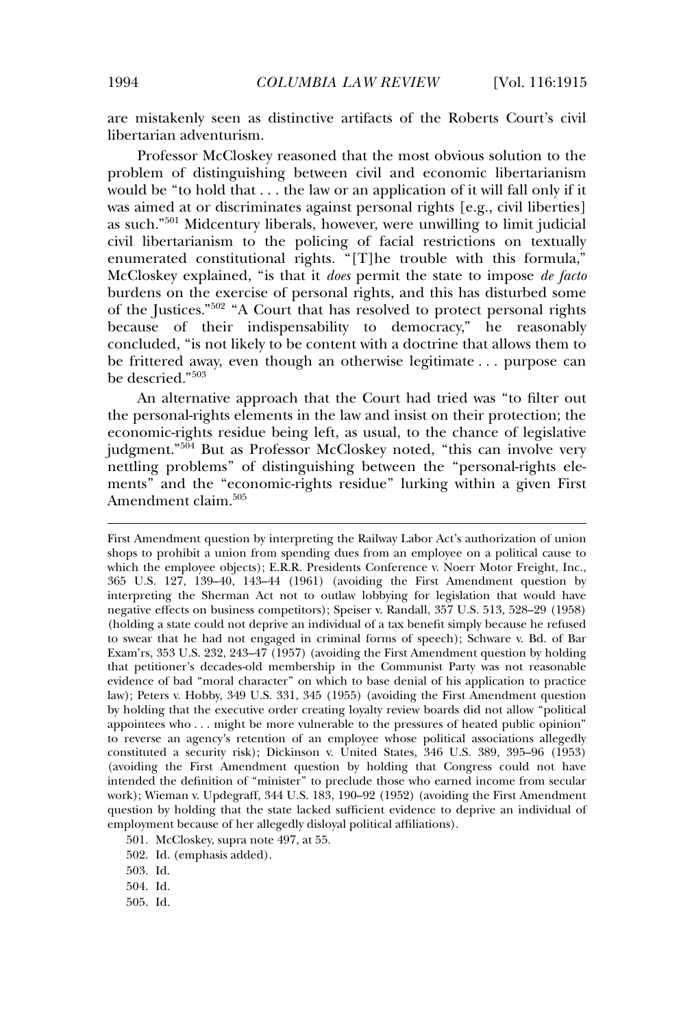are mistakenly seen as distinctive artifacts of the Roberts Court's civil libertarian adventurism.

Professor McCloskey reasoned that the most obvious solution to the problem of distinguishing between civil and economic libertarianism would be "to hold that . . . the law or an application of it will fall only if it was aimed at or discriminates against personal rights [e.g., civil liberties] as such."<sup>501</sup> Midcentury liberals, however, were unwilling to limit judicial civil libertarianism to the policing of facial restrictions on textually enumerated constitutional rights. "[T]he trouble with this formula," McCloskey explained, "is that it *does* permit the state to impose *de facto* burdens on the exercise of personal rights, and this has disturbed some of the Justices."<sup>502</sup> "A Court that has resolved to protect personal rights because of their indispensability to democracy," he reasonably concluded, "is not likely to be content with a doctrine that allows them to be frittered away, even though an otherwise legitimate . . . purpose can be descried."<sup>503</sup>

An alternative approach that the Court had tried was "to filter out the personal-rights elements in the law and insist on their protection; the economic-rights residue being left, as usual, to the chance of legislative judgment." $504$  But as Professor McCloskey noted, "this can involve very nettling problems" of distinguishing between the "personal-rights elements" and the "economic-rights residue" lurking within a given First Amendment claim.<sup>505</sup>

First Amendment question by interpreting the Railway Labor Act's authorization of union shops to prohibit a union from spending dues from an employee on a political cause to which the employee objects); E.R.R. Presidents Conference v. Noerr Motor Freight, Inc., 365 U.S. 127, 139–40, 143–44 (1961) (avoiding the First Amendment question by interpreting the Sherman Act not to outlaw lobbying for legislation that would have negative effects on business competitors); Speiser v. Randall, 357 U.S. 513, 528–29 (1958) (holding a state could not deprive an individual of a tax benefit simply because he refused to swear that he had not engaged in criminal forms of speech); Schware v. Bd. of Bar Exam'rs, 353 U.S. 232, 243–47 (1957) (avoiding the First Amendment question by holding that petitioner's decades-old membership in the Communist Party was not reasonable evidence of bad "moral character" on which to base denial of his application to practice law); Peters v. Hobby, 349 U.S. 331, 345 (1955) (avoiding the First Amendment question by holding that the executive order creating loyalty review boards did not allow "political appointees who . . . might be more vulnerable to the pressures of heated public opinion" to reverse an agency's retention of an employee whose political associations allegedly constituted a security risk); Dickinson v. United States, 346 U.S. 389, 395–96 (1953) (avoiding the First Amendment question by holding that Congress could not have intended the definition of "minister" to preclude those who earned income from secular work); Wieman v. Updegraff, 344 U.S. 183, 190–92 (1952) (avoiding the First Amendment question by holding that the state lacked sufficient evidence to deprive an individual of employment because of her allegedly disloyal political affiliations).

501. McCloskey, supra note 497, at 55.

503. Id.

504. Id.

505. Id.

<sup>502.</sup> Id. (emphasis added).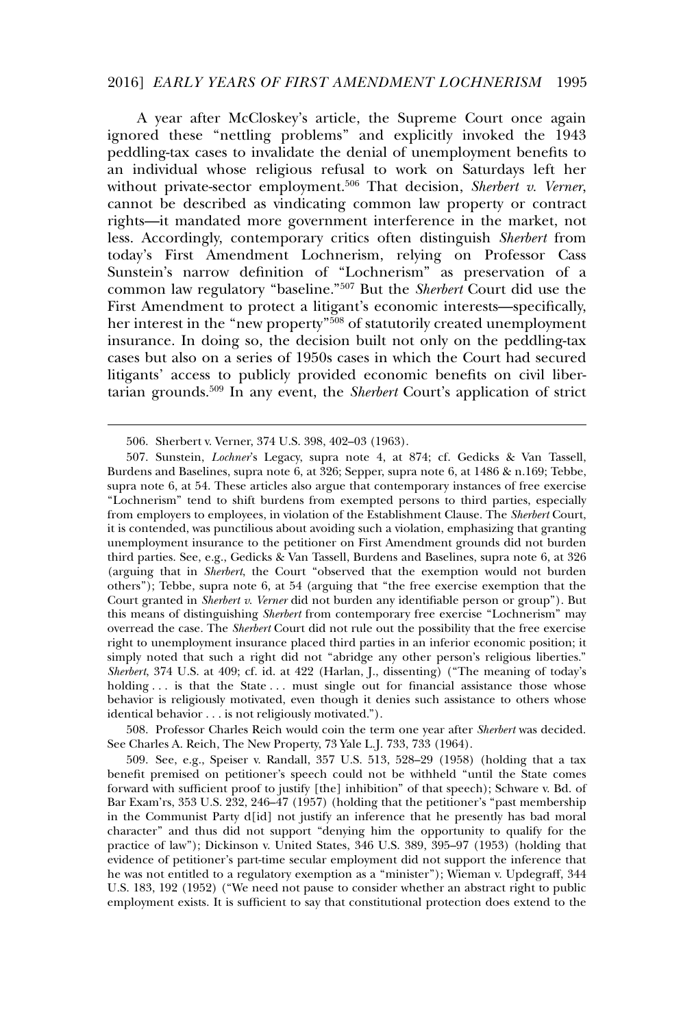### 2016] *EARLY YEARS OF FIRST AMENDMENT LOCHNERISM* 1995

A year after McCloskey's article, the Supreme Court once again ignored these "nettling problems" and explicitly invoked the 1943 peddling-tax cases to invalidate the denial of unemployment benefits to an individual whose religious refusal to work on Saturdays left her without private-sector employment.<sup>506</sup> That decision, *Sherbert v. Verner*, cannot be described as vindicating common law property or contract rights—it mandated more government interference in the market, not less. Accordingly, contemporary critics often distinguish *Sherbert* from today's First Amendment Lochnerism, relying on Professor Cass Sunstein's narrow definition of "Lochnerism" as preservation of a common law regulatory "baseline."<sup>507</sup> But the *Sherbert* Court did use the First Amendment to protect a litigant's economic interests—specifically, her interest in the "new property"<sup>508</sup> of statutorily created unemployment insurance. In doing so, the decision built not only on the peddling-tax cases but also on a series of 1950s cases in which the Court had secured litigants' access to publicly provided economic benefits on civil libertarian grounds.<sup>509</sup> In any event, the *Sherbert* Court's application of strict

508. Professor Charles Reich would coin the term one year after *Sherbert* was decided. See Charles A. Reich, The New Property, 73 Yale L.J. 733, 733 (1964).

509. See, e.g., Speiser v. Randall, 357 U.S. 513, 528–29 (1958) (holding that a tax benefit premised on petitioner's speech could not be withheld "until the State comes forward with sufficient proof to justify [the] inhibition" of that speech); Schware v. Bd. of Bar Exam'rs, 353 U.S. 232, 246–47 (1957) (holding that the petitioner's "past membership in the Communist Party d[id] not justify an inference that he presently has bad moral character" and thus did not support "denying him the opportunity to qualify for the practice of law"); Dickinson v. United States, 346 U.S. 389, 395–97 (1953) (holding that evidence of petitioner's part-time secular employment did not support the inference that he was not entitled to a regulatory exemption as a "minister"); Wieman v. Updegraff, 344 U.S. 183, 192 (1952) ("We need not pause to consider whether an abstract right to public employment exists. It is sufficient to say that constitutional protection does extend to the

<sup>506.</sup> Sherbert v. Verner, 374 U.S. 398, 402–03 (1963).

<sup>507.</sup> Sunstein, *Lochner*'s Legacy, supra note 4, at 874; cf. Gedicks & Van Tassell, Burdens and Baselines, supra note 6, at 326; Sepper, supra note 6, at 1486 & n.169; Tebbe, supra note 6, at 54. These articles also argue that contemporary instances of free exercise "Lochnerism" tend to shift burdens from exempted persons to third parties, especially from employers to employees, in violation of the Establishment Clause. The *Sherbert* Court, it is contended, was punctilious about avoiding such a violation, emphasizing that granting unemployment insurance to the petitioner on First Amendment grounds did not burden third parties. See, e.g., Gedicks & Van Tassell, Burdens and Baselines, supra note 6, at 326 (arguing that in *Sherbert*, the Court "observed that the exemption would not burden others"); Tebbe, supra note 6, at 54 (arguing that "the free exercise exemption that the Court granted in *Sherbert v. Verner* did not burden any identifiable person or group"). But this means of distinguishing *Sherbert* from contemporary free exercise "Lochnerism" may overread the case. The *Sherbert* Court did not rule out the possibility that the free exercise right to unemployment insurance placed third parties in an inferior economic position; it simply noted that such a right did not "abridge any other person's religious liberties." *Sherbert*, 374 U.S. at 409; cf. id. at 422 (Harlan, J., dissenting) ("The meaning of today's holding ... is that the State ... must single out for financial assistance those whose behavior is religiously motivated, even though it denies such assistance to others whose identical behavior . . . is not religiously motivated.").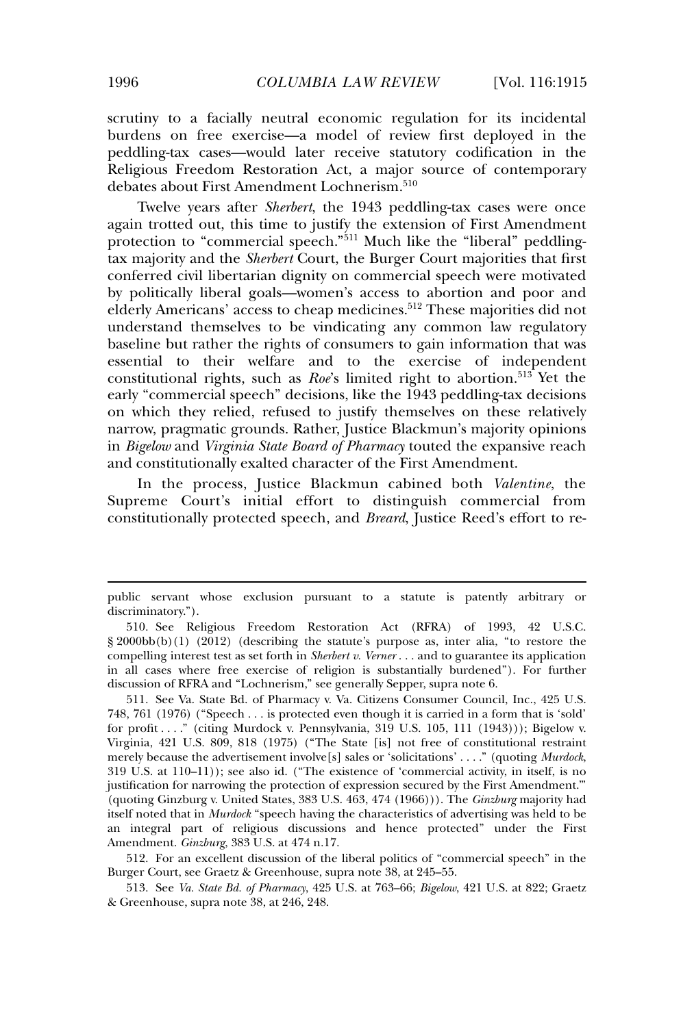scrutiny to a facially neutral economic regulation for its incidental burdens on free exercise—a model of review first deployed in the peddling-tax cases—would later receive statutory codification in the Religious Freedom Restoration Act, a major source of contemporary debates about First Amendment Lochnerism.<sup>510</sup>

Twelve years after *Sherbert*, the 1943 peddling-tax cases were once again trotted out, this time to justify the extension of First Amendment protection to "commercial speech."<sup>511</sup> Much like the "liberal" peddlingtax majority and the *Sherbert* Court, the Burger Court majorities that first conferred civil libertarian dignity on commercial speech were motivated by politically liberal goals—women's access to abortion and poor and elderly Americans' access to cheap medicines.<sup>512</sup> These majorities did not understand themselves to be vindicating any common law regulatory baseline but rather the rights of consumers to gain information that was essential to their welfare and to the exercise of independent constitutional rights, such as *Roe's* limited right to abortion.<sup>513</sup> Yet the early "commercial speech" decisions, like the 1943 peddling-tax decisions on which they relied, refused to justify themselves on these relatively narrow, pragmatic grounds. Rather, Justice Blackmun's majority opinions in *Bigelow* and *Virginia State Board of Pharmacy* touted the expansive reach and constitutionally exalted character of the First Amendment.

In the process, Justice Blackmun cabined both *Valentine*, the Supreme Court's initial effort to distinguish commercial from constitutionally protected speech, and *Breard*, Justice Reed's effort to re-

512. For an excellent discussion of the liberal politics of "commercial speech" in the Burger Court, see Graetz & Greenhouse, supra note 38, at 245–55.

513. See *Va. State Bd. of Pharmacy*, 425 U.S. at 763–66; *Bigelow*, 421 U.S. at 822; Graetz & Greenhouse, supra note 38, at 246, 248.

public servant whose exclusion pursuant to a statute is patently arbitrary or discriminatory.").

<sup>510.</sup> See Religious Freedom Restoration Act (RFRA) of 1993, 42 U.S.C. § 2000bb(b)(1) (2012) (describing the statute's purpose as, inter alia, "to restore the compelling interest test as set forth in *Sherbert v. Verner* . . . and to guarantee its application in all cases where free exercise of religion is substantially burdened"). For further discussion of RFRA and "Lochnerism," see generally Sepper, supra note 6.

<sup>511.</sup> See Va. State Bd. of Pharmacy v. Va. Citizens Consumer Council, Inc., 425 U.S. 748, 761 (1976) ("Speech . . . is protected even though it is carried in a form that is 'sold' for profit . . . ." (citing Murdock v. Pennsylvania, 319 U.S. 105, 111 (1943))); Bigelow v. Virginia, 421 U.S. 809, 818 (1975) ("The State [is] not free of constitutional restraint merely because the advertisement involve[s] sales or 'solicitations' . . . ." (quoting *Murdock*, 319 U.S. at 110–11)); see also id. ("The existence of 'commercial activity, in itself, is no justification for narrowing the protection of expression secured by the First Amendment." (quoting Ginzburg v. United States, 383 U.S. 463, 474 (1966))). The *Ginzburg* majority had itself noted that in *Murdock* "speech having the characteristics of advertising was held to be an integral part of religious discussions and hence protected" under the First Amendment. *Ginzburg*, 383 U.S. at 474 n.17.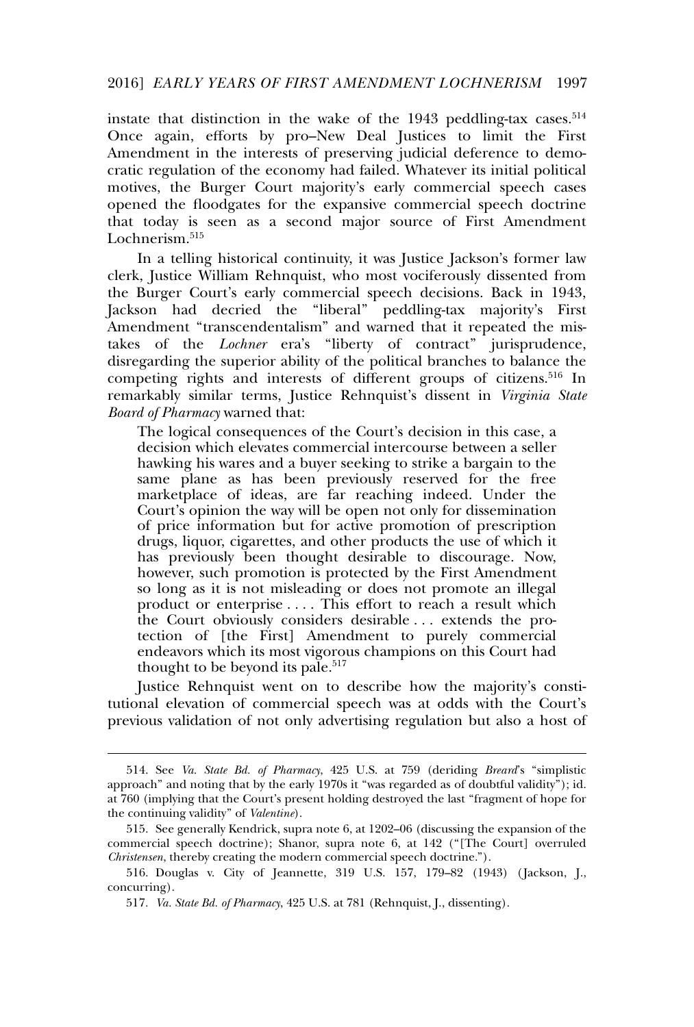instate that distinction in the wake of the  $1943$  peddling-tax cases.<sup>514</sup> Once again, efforts by pro–New Deal Justices to limit the First Amendment in the interests of preserving judicial deference to democratic regulation of the economy had failed. Whatever its initial political motives, the Burger Court majority's early commercial speech cases opened the floodgates for the expansive commercial speech doctrine that today is seen as a second major source of First Amendment Lochnerism.<sup>515</sup>

In a telling historical continuity, it was Justice Jackson's former law clerk, Justice William Rehnquist, who most vociferously dissented from the Burger Court's early commercial speech decisions. Back in 1943, Jackson had decried the "liberal" peddling-tax majority's First Amendment "transcendentalism" and warned that it repeated the mistakes of the *Lochner* era's "liberty of contract" jurisprudence, disregarding the superior ability of the political branches to balance the competing rights and interests of different groups of citizens.<sup>516</sup> In remarkably similar terms, Justice Rehnquist's dissent in *Virginia State Board of Pharmacy* warned that:

The logical consequences of the Court's decision in this case, a decision which elevates commercial intercourse between a seller hawking his wares and a buyer seeking to strike a bargain to the same plane as has been previously reserved for the free marketplace of ideas, are far reaching indeed. Under the Court's opinion the way will be open not only for dissemination of price information but for active promotion of prescription drugs, liquor, cigarettes, and other products the use of which it has previously been thought desirable to discourage. Now, however, such promotion is protected by the First Amendment so long as it is not misleading or does not promote an illegal product or enterprise . . . . This effort to reach a result which the Court obviously considers desirable . . . extends the protection of [the First] Amendment to purely commercial endeavors which its most vigorous champions on this Court had thought to be beyond its pale.<sup>517</sup>

Justice Rehnquist went on to describe how the majority's constitutional elevation of commercial speech was at odds with the Court's previous validation of not only advertising regulation but also a host of

<sup>514.</sup> See *Va. State Bd. of Pharmacy*, 425 U.S. at 759 (deriding *Breard*'s "simplistic approach" and noting that by the early 1970s it "was regarded as of doubtful validity"); id. at 760 (implying that the Court's present holding destroyed the last "fragment of hope for the continuing validity" of *Valentine*).

<sup>515.</sup> See generally Kendrick, supra note 6, at 1202–06 (discussing the expansion of the commercial speech doctrine); Shanor, supra note 6, at 142 ("[The Court] overruled *Christensen*, thereby creating the modern commercial speech doctrine.").

<sup>516.</sup> Douglas v. City of Jeannette, 319 U.S. 157, 179–82 (1943) ( Jackson, J., concurring).

<sup>517</sup>*. Va. State Bd. of Pharmacy*, 425 U.S. at 781 (Rehnquist, J., dissenting).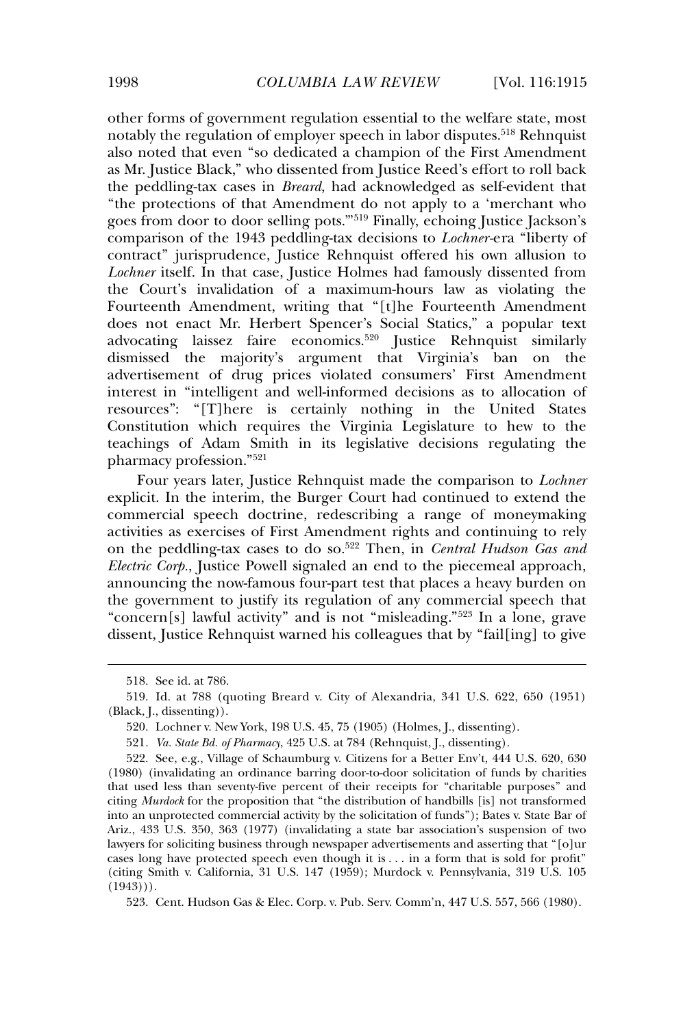other forms of government regulation essential to the welfare state, most notably the regulation of employer speech in labor disputes.<sup>518</sup> Rehnquist also noted that even "so dedicated a champion of the First Amendment as Mr. Justice Black," who dissented from Justice Reed's effort to roll back the peddling-tax cases in *Breard*, had acknowledged as self-evident that "the protections of that Amendment do not apply to a 'merchant who goes from door to door selling pots.'"<sup>519</sup> Finally, echoing Justice Jackson's comparison of the 1943 peddling-tax decisions to *Lochner-*era "liberty of contract" jurisprudence, Justice Rehnquist offered his own allusion to *Lochner* itself. In that case, Justice Holmes had famously dissented from the Court's invalidation of a maximum-hours law as violating the Fourteenth Amendment, writing that "[t]he Fourteenth Amendment does not enact Mr. Herbert Spencer's Social Statics," a popular text advocating laissez faire economics.<sup>520</sup> Justice Rehnquist similarly dismissed the majority's argument that Virginia's ban on the advertisement of drug prices violated consumers' First Amendment interest in "intelligent and well-informed decisions as to allocation of resources": "[T]here is certainly nothing in the United States Constitution which requires the Virginia Legislature to hew to the teachings of Adam Smith in its legislative decisions regulating the pharmacy profession."<sup>521</sup>

Four years later, Justice Rehnquist made the comparison to *Lochner* explicit. In the interim, the Burger Court had continued to extend the commercial speech doctrine, redescribing a range of moneymaking activities as exercises of First Amendment rights and continuing to rely on the peddling-tax cases to do so.<sup>522</sup> Then, in *Central Hudson Gas and Electric Corp.*, Justice Powell signaled an end to the piecemeal approach, announcing the now-famous four-part test that places a heavy burden on the government to justify its regulation of any commercial speech that "concern[s] lawful activity" and is not "misleading."<sup>523</sup> In a lone, grave dissent, Justice Rehnquist warned his colleagues that by "fail[ing] to give

523. Cent. Hudson Gas & Elec. Corp. v. Pub. Serv. Comm'n, 447 U.S. 557, 566 (1980).

<sup>518.</sup> See id. at 786.

<sup>519.</sup> Id. at 788 (quoting Breard v. City of Alexandria, 341 U.S. 622, 650 (1951) (Black, J., dissenting)).

<sup>520.</sup> Lochner v. New York, 198 U.S. 45, 75 (1905) (Holmes, J., dissenting).

<sup>521</sup>*. Va. State Bd. of Pharmacy*, 425 U.S. at 784 (Rehnquist, J., dissenting).

<sup>522.</sup> See, e.g., Village of Schaumburg v. Citizens for a Better Env't, 444 U.S. 620, 630 (1980) (invalidating an ordinance barring door-to-door solicitation of funds by charities that used less than seventy-five percent of their receipts for "charitable purposes" and citing *Murdock* for the proposition that "the distribution of handbills [is] not transformed into an unprotected commercial activity by the solicitation of funds"); Bates v. State Bar of Ariz., 433 U.S. 350, 363 (1977) (invalidating a state bar association's suspension of two lawyers for soliciting business through newspaper advertisements and asserting that "[o]ur cases long have protected speech even though it is . . . in a form that is sold for profit" (citing Smith v. California, 31 U.S. 147 (1959); Murdock v. Pennsylvania, 319 U.S. 105  $(1943))$ .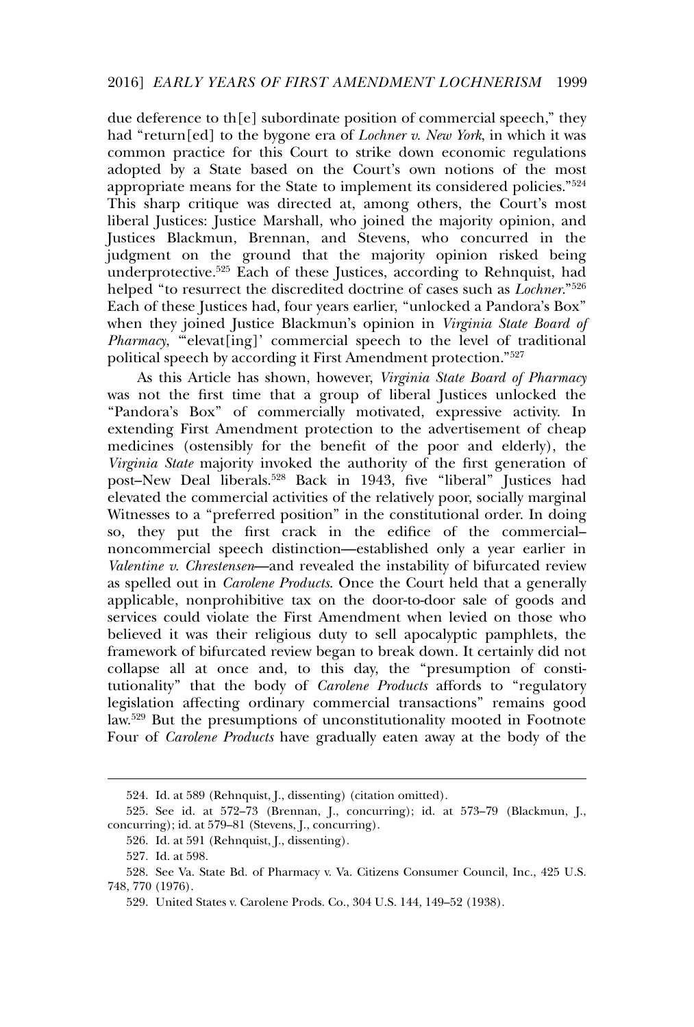due deference to th[e] subordinate position of commercial speech," they had "return[ed] to the bygone era of *Lochner v. New York*, in which it was common practice for this Court to strike down economic regulations adopted by a State based on the Court's own notions of the most appropriate means for the State to implement its considered policies."<sup>524</sup> This sharp critique was directed at, among others, the Court's most liberal Justices: Justice Marshall, who joined the majority opinion, and Justices Blackmun, Brennan, and Stevens, who concurred in the judgment on the ground that the majority opinion risked being underprotective.<sup>525</sup> Each of these Justices, according to Rehnquist, had helped "to resurrect the discredited doctrine of cases such as *Lochner*."<sup>526</sup> Each of these Justices had, four years earlier, "unlocked a Pandora's Box" when they joined Justice Blackmun's opinion in *Virginia State Board of* Pharmacy, "elevat[ing]' commercial speech to the level of traditional political speech by according it First Amendment protection."<sup>527</sup>

As this Article has shown, however, *Virginia State Board of Pharmacy* was not the first time that a group of liberal Justices unlocked the "Pandora's Box" of commercially motivated, expressive activity. In extending First Amendment protection to the advertisement of cheap medicines (ostensibly for the benefit of the poor and elderly), the *Virginia State* majority invoked the authority of the first generation of post–New Deal liberals.<sup>528</sup> Back in 1943, five "liberal" Justices had elevated the commercial activities of the relatively poor, socially marginal Witnesses to a "preferred position" in the constitutional order. In doing so, they put the first crack in the edifice of the commercial– noncommercial speech distinction—established only a year earlier in *Valentine v. Chrestensen*—and revealed the instability of bifurcated review as spelled out in *Carolene Products*. Once the Court held that a generally applicable, nonprohibitive tax on the door-to-door sale of goods and services could violate the First Amendment when levied on those who believed it was their religious duty to sell apocalyptic pamphlets, the framework of bifurcated review began to break down. It certainly did not collapse all at once and, to this day, the "presumption of constitutionality" that the body of *Carolene Products* affords to "regulatory legislation affecting ordinary commercial transactions" remains good law.<sup>529</sup> But the presumptions of unconstitutionality mooted in Footnote Four of *Carolene Products* have gradually eaten away at the body of the

<sup>524.</sup> Id. at 589 (Rehnquist, J., dissenting) (citation omitted).

<sup>525.</sup> See id. at 572–73 (Brennan, J., concurring); id. at 573–79 (Blackmun, J., concurring); id. at 579–81 (Stevens, J., concurring).

<sup>526.</sup> Id. at 591 (Rehnquist, J., dissenting).

<sup>527.</sup> Id. at 598.

<sup>528.</sup> See Va. State Bd. of Pharmacy v. Va. Citizens Consumer Council, Inc., 425 U.S. 748, 770 (1976).

<sup>529.</sup> United States v. Carolene Prods. Co., 304 U.S. 144, 149–52 (1938).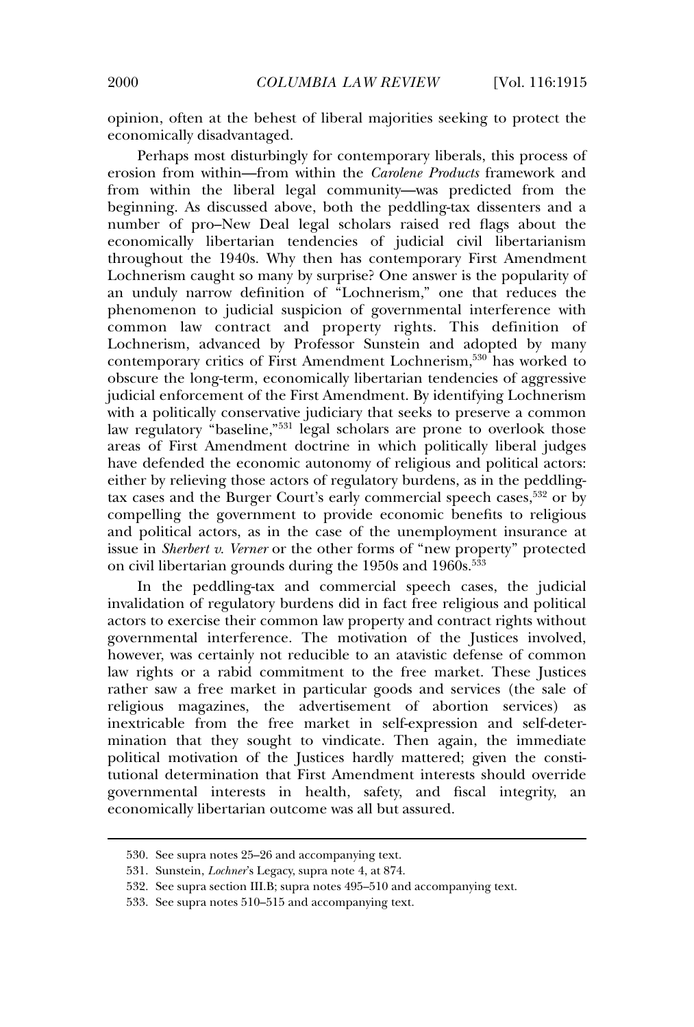opinion, often at the behest of liberal majorities seeking to protect the economically disadvantaged.

Perhaps most disturbingly for contemporary liberals, this process of erosion from within—from within the *Carolene Products* framework and from within the liberal legal community—was predicted from the beginning. As discussed above, both the peddling-tax dissenters and a number of pro–New Deal legal scholars raised red flags about the economically libertarian tendencies of judicial civil libertarianism throughout the 1940s. Why then has contemporary First Amendment Lochnerism caught so many by surprise? One answer is the popularity of an unduly narrow definition of "Lochnerism," one that reduces the phenomenon to judicial suspicion of governmental interference with common law contract and property rights. This definition of Lochnerism, advanced by Professor Sunstein and adopted by many contemporary critics of First Amendment Lochnerism,<sup>530</sup> has worked to obscure the long-term, economically libertarian tendencies of aggressive judicial enforcement of the First Amendment. By identifying Lochnerism with a politically conservative judiciary that seeks to preserve a common law regulatory "baseline,"<sup>531</sup> legal scholars are prone to overlook those areas of First Amendment doctrine in which politically liberal judges have defended the economic autonomy of religious and political actors: either by relieving those actors of regulatory burdens, as in the peddlingtax cases and the Burger Court's early commercial speech cases,<sup>532</sup> or by compelling the government to provide economic benefits to religious and political actors, as in the case of the unemployment insurance at issue in *Sherbert v. Verner* or the other forms of "new property" protected on civil libertarian grounds during the 1950s and 1960s.<sup>533</sup>

In the peddling-tax and commercial speech cases, the judicial invalidation of regulatory burdens did in fact free religious and political actors to exercise their common law property and contract rights without governmental interference. The motivation of the Justices involved, however, was certainly not reducible to an atavistic defense of common law rights or a rabid commitment to the free market. These Justices rather saw a free market in particular goods and services (the sale of religious magazines, the advertisement of abortion services) as inextricable from the free market in self-expression and self-determination that they sought to vindicate. Then again, the immediate political motivation of the Justices hardly mattered; given the constitutional determination that First Amendment interests should override governmental interests in health, safety, and fiscal integrity, an economically libertarian outcome was all but assured.

<sup>530.</sup> See supra notes 25–26 and accompanying text.

<sup>531.</sup> Sunstein, *Lochner*'s Legacy, supra note 4, at 874.

<sup>532.</sup> See supra section III.B; supra notes 495–510 and accompanying text.

<sup>533.</sup> See supra notes 510–515 and accompanying text.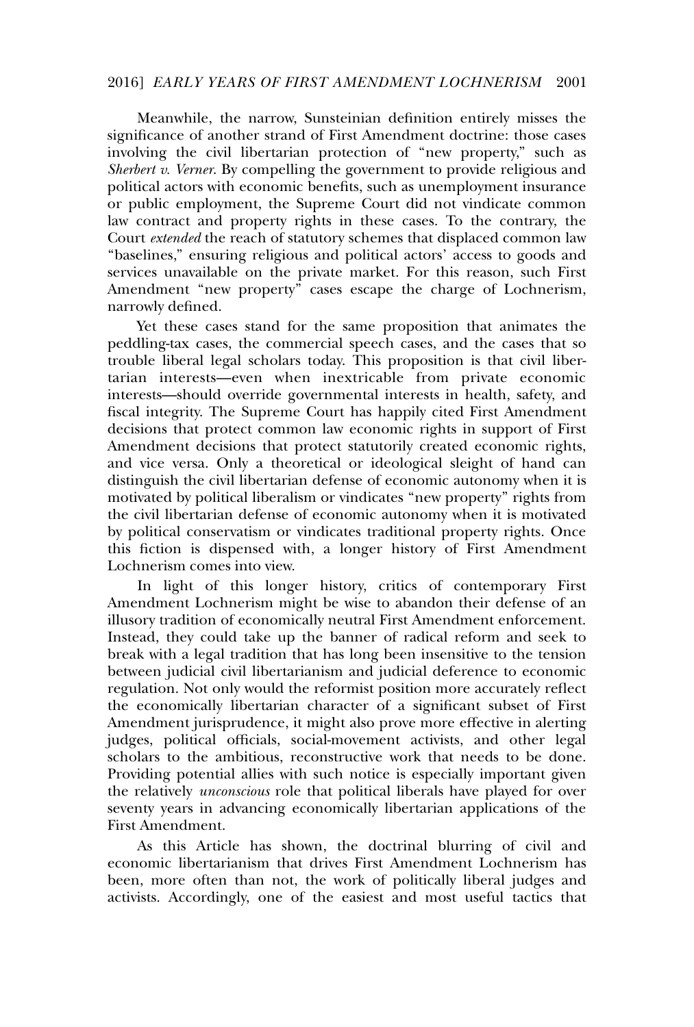### 2016] *EARLY YEARS OF FIRST AMENDMENT LOCHNERISM* 2001

Meanwhile, the narrow, Sunsteinian definition entirely misses the significance of another strand of First Amendment doctrine: those cases involving the civil libertarian protection of "new property," such as *Sherbert v. Verner*. By compelling the government to provide religious and political actors with economic benefits, such as unemployment insurance or public employment, the Supreme Court did not vindicate common law contract and property rights in these cases. To the contrary, the Court *extended* the reach of statutory schemes that displaced common law "baselines," ensuring religious and political actors' access to goods and services unavailable on the private market. For this reason, such First Amendment "new property" cases escape the charge of Lochnerism, narrowly defined.

Yet these cases stand for the same proposition that animates the peddling-tax cases, the commercial speech cases, and the cases that so trouble liberal legal scholars today. This proposition is that civil libertarian interests—even when inextricable from private economic interests—should override governmental interests in health, safety, and fiscal integrity. The Supreme Court has happily cited First Amendment decisions that protect common law economic rights in support of First Amendment decisions that protect statutorily created economic rights, and vice versa. Only a theoretical or ideological sleight of hand can distinguish the civil libertarian defense of economic autonomy when it is motivated by political liberalism or vindicates "new property" rights from the civil libertarian defense of economic autonomy when it is motivated by political conservatism or vindicates traditional property rights. Once this fiction is dispensed with, a longer history of First Amendment Lochnerism comes into view.

In light of this longer history, critics of contemporary First Amendment Lochnerism might be wise to abandon their defense of an illusory tradition of economically neutral First Amendment enforcement. Instead, they could take up the banner of radical reform and seek to break with a legal tradition that has long been insensitive to the tension between judicial civil libertarianism and judicial deference to economic regulation. Not only would the reformist position more accurately reflect the economically libertarian character of a significant subset of First Amendment jurisprudence, it might also prove more effective in alerting judges, political officials, social-movement activists, and other legal scholars to the ambitious, reconstructive work that needs to be done. Providing potential allies with such notice is especially important given the relatively *unconscious* role that political liberals have played for over seventy years in advancing economically libertarian applications of the First Amendment.

As this Article has shown, the doctrinal blurring of civil and economic libertarianism that drives First Amendment Lochnerism has been, more often than not, the work of politically liberal judges and activists. Accordingly, one of the easiest and most useful tactics that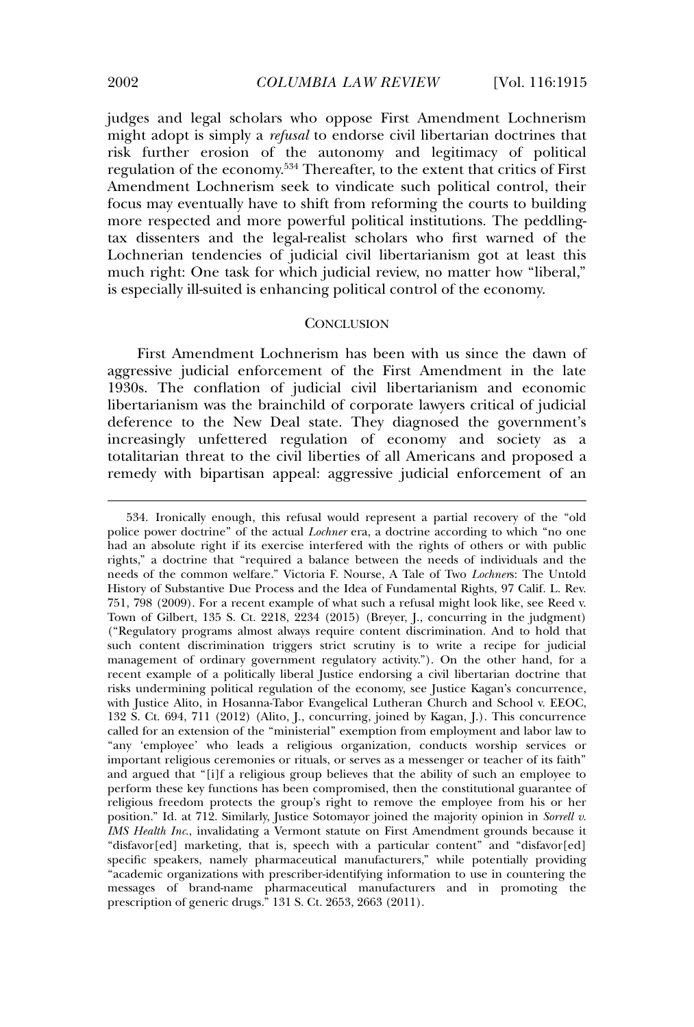judges and legal scholars who oppose First Amendment Lochnerism might adopt is simply a *refusal* to endorse civil libertarian doctrines that risk further erosion of the autonomy and legitimacy of political regulation of the economy.<sup>534</sup> Thereafter, to the extent that critics of First Amendment Lochnerism seek to vindicate such political control, their focus may eventually have to shift from reforming the courts to building more respected and more powerful political institutions. The peddlingtax dissenters and the legal-realist scholars who first warned of the Lochnerian tendencies of judicial civil libertarianism got at least this much right: One task for which judicial review, no matter how "liberal," is especially ill-suited is enhancing political control of the economy.

# **CONCLUSION**

First Amendment Lochnerism has been with us since the dawn of aggressive judicial enforcement of the First Amendment in the late 1930s. The conflation of judicial civil libertarianism and economic libertarianism was the brainchild of corporate lawyers critical of judicial deference to the New Deal state. They diagnosed the government's increasingly unfettered regulation of economy and society as a totalitarian threat to the civil liberties of all Americans and proposed a remedy with bipartisan appeal: aggressive judicial enforcement of an

<sup>534.</sup> Ironically enough, this refusal would represent a partial recovery of the "old police power doctrine" of the actual *Lochner* era, a doctrine according to which "no one had an absolute right if its exercise interfered with the rights of others or with public rights," a doctrine that "required a balance between the needs of individuals and the needs of the common welfare." Victoria F. Nourse, A Tale of Two *Lochner*s: The Untold History of Substantive Due Process and the Idea of Fundamental Rights, 97 Calif. L. Rev. 751, 798 (2009). For a recent example of what such a refusal might look like, see Reed v. Town of Gilbert, 135 S. Ct. 2218, 2234 (2015) (Breyer, J., concurring in the judgment) ("Regulatory programs almost always require content discrimination. And to hold that such content discrimination triggers strict scrutiny is to write a recipe for judicial management of ordinary government regulatory activity."). On the other hand, for a recent example of a politically liberal Justice endorsing a civil libertarian doctrine that risks undermining political regulation of the economy, see Justice Kagan's concurrence, with Justice Alito, in Hosanna-Tabor Evangelical Lutheran Church and School v. EEOC, 132 S. Ct. 694, 711 (2012) (Alito, J., concurring, joined by Kagan, J.). This concurrence called for an extension of the "ministerial" exemption from employment and labor law to "any 'employee' who leads a religious organization, conducts worship services or important religious ceremonies or rituals, or serves as a messenger or teacher of its faith" and argued that "[i]f a religious group believes that the ability of such an employee to perform these key functions has been compromised, then the constitutional guarantee of religious freedom protects the group's right to remove the employee from his or her position." Id. at 712. Similarly, Justice Sotomayor joined the majority opinion in *Sorrell v. IMS Health Inc*., invalidating a Vermont statute on First Amendment grounds because it "disfavor[ed] marketing, that is, speech with a particular content" and "disfavor[ed] specific speakers, namely pharmaceutical manufacturers," while potentially providing "academic organizations with prescriber-identifying information to use in countering the messages of brand-name pharmaceutical manufacturers and in promoting the prescription of generic drugs." 131 S. Ct. 2653, 2663 (2011).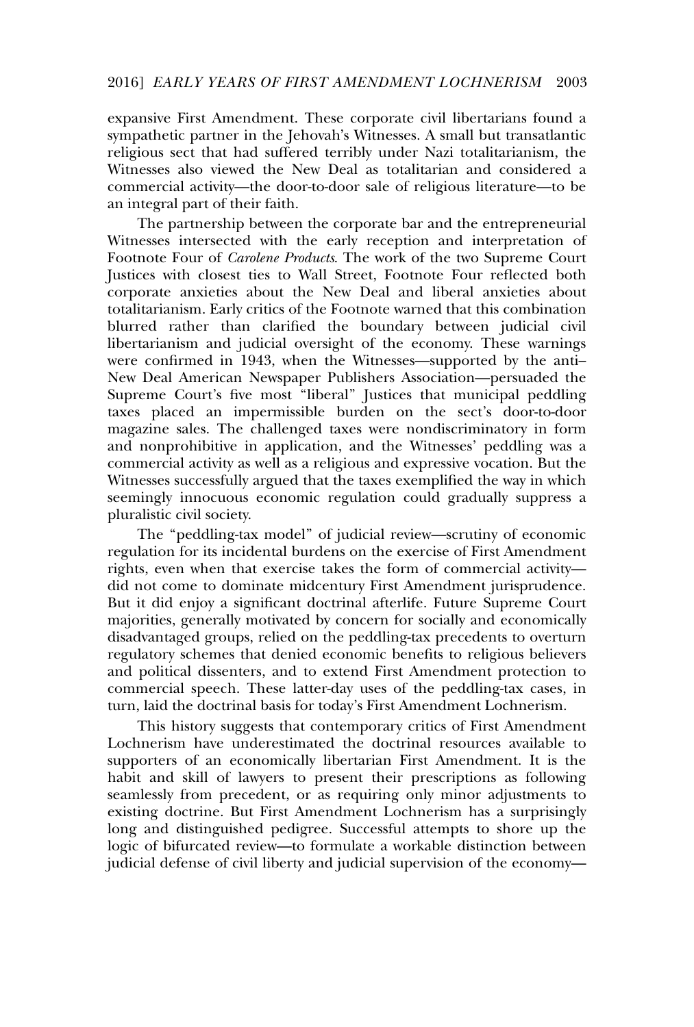expansive First Amendment. These corporate civil libertarians found a sympathetic partner in the Jehovah's Witnesses. A small but transatlantic religious sect that had suffered terribly under Nazi totalitarianism, the Witnesses also viewed the New Deal as totalitarian and considered a commercial activity—the door-to-door sale of religious literature—to be an integral part of their faith.

The partnership between the corporate bar and the entrepreneurial Witnesses intersected with the early reception and interpretation of Footnote Four of *Carolene Products*. The work of the two Supreme Court Justices with closest ties to Wall Street, Footnote Four reflected both corporate anxieties about the New Deal and liberal anxieties about totalitarianism. Early critics of the Footnote warned that this combination blurred rather than clarified the boundary between judicial civil libertarianism and judicial oversight of the economy. These warnings were confirmed in 1943, when the Witnesses—supported by the anti– New Deal American Newspaper Publishers Association—persuaded the Supreme Court's five most "liberal" Justices that municipal peddling taxes placed an impermissible burden on the sect's door-to-door magazine sales. The challenged taxes were nondiscriminatory in form and nonprohibitive in application, and the Witnesses' peddling was a commercial activity as well as a religious and expressive vocation. But the Witnesses successfully argued that the taxes exemplified the way in which seemingly innocuous economic regulation could gradually suppress a pluralistic civil society.

The "peddling-tax model" of judicial review—scrutiny of economic regulation for its incidental burdens on the exercise of First Amendment rights, even when that exercise takes the form of commercial activity did not come to dominate midcentury First Amendment jurisprudence. But it did enjoy a significant doctrinal afterlife. Future Supreme Court majorities, generally motivated by concern for socially and economically disadvantaged groups, relied on the peddling-tax precedents to overturn regulatory schemes that denied economic benefits to religious believers and political dissenters, and to extend First Amendment protection to commercial speech. These latter-day uses of the peddling-tax cases, in turn, laid the doctrinal basis for today's First Amendment Lochnerism.

This history suggests that contemporary critics of First Amendment Lochnerism have underestimated the doctrinal resources available to supporters of an economically libertarian First Amendment. It is the habit and skill of lawyers to present their prescriptions as following seamlessly from precedent, or as requiring only minor adjustments to existing doctrine. But First Amendment Lochnerism has a surprisingly long and distinguished pedigree. Successful attempts to shore up the logic of bifurcated review—to formulate a workable distinction between judicial defense of civil liberty and judicial supervision of the economy